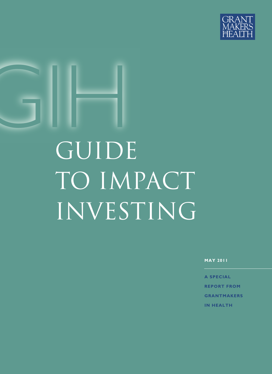



# GUIDE TO IMPACT INVESTING

**MAY 2011**

**A SPECIAL REPORT FROM GRANTMAKERS IN HEALTH**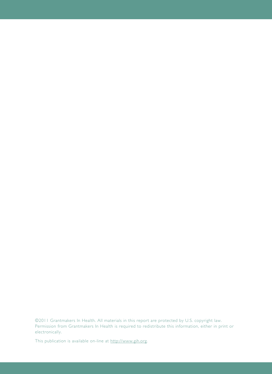©2011 Grantmakers In Health. All materials in this report are protected by U.S. copyright law. Permission from Grantmakers In Health is required to redistribute this information, either in print or electronically.

This publication is available on-line at [http://www.gih.org.](http://www.gih.org)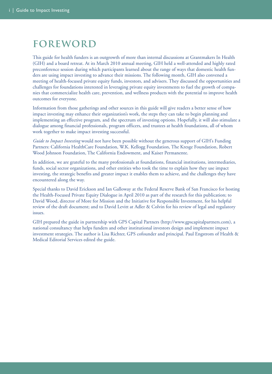## **Foreword**

This guide for health funders is an outgrowth of more than internal discussions at Grantmakers In Health (GIH) and a board retreat. At its March 2010 annual meeting, GIH held a well-attended and highly rated preconference session during which participants learned about the range of ways that domestic health funders are using impact investing to advance their missions. The following month, GIH also convened a meeting of health-focused private equity funds, investors, and advisers. They discussed the opportunities and challenges for foundations interested in leveraging private equity investments to fuel the growth of companies that commercialize health care, prevention, and wellness products with the potential to improve health outcomes for everyone.

Information from those gatherings and other sources in this guide will give readers a better sense of how impact investing may enhance their organization's work, the steps they can take to begin planning and implementing an effective program, and the spectrum of investing options. Hopefully, it will also stimulate a dialogue among financial professionals, program officers, and trustees at health foundations, all of whom work together to make impact investing successful.

*Guide to Impact Investing* would not have been possible without the generous support of GIH's Funding Partners: California HealthCare Foundation, W.K. Kellogg Foundation, The Kresge Foundation, Robert Wood Johnson Foundation, The California Endowment, and Kaiser Permanente.

In addition, we are grateful to the many professionals at foundations, financial institutions, intermediaries, funds, social sector organizations, and other entities who took the time to explain how they use impact investing, the strategic benefits and greater impact it enables them to achieve, and the challenges they have encountered along the way.

Special thanks to David Erickson and Ian Galloway at the Federal Reserve Bank of San Francisco for hosting the Health-Focused Private Equity Dialogue in April 2010 as part of the research for this publication; to David Wood, director of More for Mission and the Initiative for Responsible Investment, for his helpful review of the draft document; and to David Levitt at Adler & Colvin for his review of legal and regulatory issues.

GIH prepared the guide in partnership with GPS Capital Partners (http://www.gpscapitalpartners.com), a national consultancy that helps funders and other institutional investors design and implement impact investment strategies. The author is Lisa Richter, GPS cofounder and principal. Paul Engstrom of Health & Medical Editorial Services edited the guide.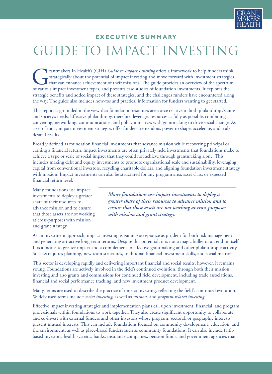

#### **EXECUTIVE SUMMARY**

# guide to impact investing

Grantmakers In Health's (GIH) *Guide to Impact Investing* offers a framework to help funders think strategically about the potential of impact investing and move forward with investment strategies I that can enhance achievement of their missions. The guide provides an overview of the spectrum of various impact investment types, and presents case studies of foundation investments. It explores the strategic benefits and added impact of these strategies, and the challenges funders have encountered along the way. The guide also includes how-tos and practical information for funders wanting to get started.

This report is grounded in the view that foundation resources are scarce relative to both philanthropy's aims and society's needs. Effective philanthropy, therefore, leverages resources as fully as possible, combining convening, networking, communications, and policy initiatives with grantmaking to drive social change. As a set of tools, impact investment strategies offer funders tremendous power to shape, accelerate, and scale desired results.

Broadly defined as foundation financial investments that advance mission while recovering principal or earning a financial return, impact investments are often privately held investments that foundations make to achieve a type or scale of social impact that they could not achieve through grantmaking alone. This includes making debt and equity investments to promote organizational scale and sustainability, leveraging capital from conventional investors, recycling charitable dollars, and aligning foundation investment strategy with mission. Impact investments can also be structured for any program area, asset class, or expected financial return level.

Many foundations use impact investments to deploy a greater share of their resources to advance mission and to ensure that those assets are not working at cross-purposes with mission and grant strategy.

*Many foundations use impact investments to deploy a greater share of their resources to advance mission and to ensure that those assets are not working at cross-purposes with mission and grant strategy.*

As an investment approach, impact investing is gaining acceptance as prudent for both risk management and generating attractive long-term returns. Despite this potential, it is not a magic bullet or an end in itself. It is a means to greater impact and a complement to effective grantmaking and other philanthropic activity. Success requires planning, new team structures, traditional financial investment skills, and social metrics.

This sector is developing rapidly and delivering important financial and social results; however, it remains young. Foundations are actively involved in the field's continued evolution, through both their mission investing and also grants and commissions for continued field development, including trade associations, financial and social performance tracking, and new investment product development.

Many terms are used to describe the practice of impact investing, reflecting the field's continued evolution. Widely used terms include *social investing*, as well as *mission-* and *program-related investing*.

Effective impact investing strategies and implementation plans call upon investment, financial, and program professionals within foundations to work together. They also create significant opportunity to collaborate and co-invest with external funders and other investors whose program, sectoral, or geographic interests present mutual interests. This can include foundations focused on community development, education, and the environment, as well as place-based funders such as community foundations. It can also include faithbased investors, health systems, banks, insurance companies, pension funds, and government agencies that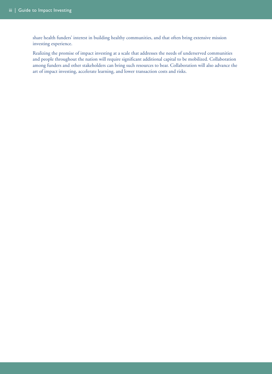share health funders' interest in building healthy communities, and that often bring extensive mission investing experience.

Realizing the promise of impact investing at a scale that addresses the needs of underserved communities and people throughout the nation will require significant additional capital to be mobilized. Collaboration among funders and other stakeholders can bring such resources to bear. Collaboration will also advance the art of impact investing, accelerate learning, and lower transaction costs and risks.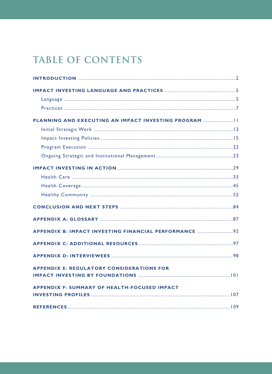# **TABLE OF CONTENTS**

| PLANNING AND EXECUTING AN IMPACT INVESTING PROGRAM    |  |
|-------------------------------------------------------|--|
|                                                       |  |
|                                                       |  |
|                                                       |  |
|                                                       |  |
|                                                       |  |
|                                                       |  |
|                                                       |  |
|                                                       |  |
|                                                       |  |
|                                                       |  |
| APPENDIX B: IMPACT INVESTING FINANCIAL PERFORMANCE 92 |  |
|                                                       |  |
|                                                       |  |
| <b>APPENDIX E: REGULATORY CONSIDERATIONS FOR</b>      |  |
|                                                       |  |
| <b>APPENDIX F: SUMMARY OF HEALTH-FOCUSED IMPACT</b>   |  |
|                                                       |  |
|                                                       |  |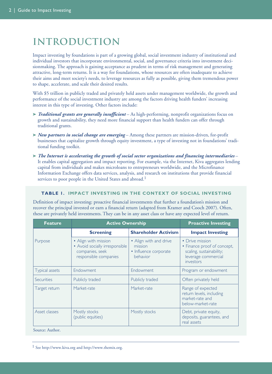# **introduction**

Impact investing by foundations is part of a growing global, social investment industry of institutional and individual investors that incorporate environmental, social, and governance criteria into investment decisionmaking. The approach is gaining acceptance as prudent in terms of risk management and generating attractive, long-term returns. It is a way for foundations, whose resources are often inadequate to achieve their aims and meet society's needs, to leverage resources as fully as possible, giving them tremendous power to shape, accelerate, and scale their desired results.

With \$5 trillion in publicly traded and privately held assets under management worldwide, the growth and performance of the social investment industry are among the factors driving health funders' increasing interest in this type of investing. Other factors include:

- **➤** *Traditional grants are generally insufficient*  As high-performing, nonprofit organizations focus on growth and sustainability, they need more financial support than health funders can offer through traditional grants.
- **➤** *New partners in social change are emerging* Among these partners are mission-driven, for-profit businesses that capitalize growth through equity investment, a type of investing not in foundations' traditional funding toolkit.
- **➤** *The Internet is accelerating the growth of social sector organizations and financing intermediaries* It enables capital aggregation and impact reporting. For example, via the Internet, Kiva aggregates lending capital from individuals and makes microloans to entrepreneurs worldwide, and the Microfinance Information Exchange offers data services, analysis, and research on institutions that provide financial services to poor people in the United States and abroad.<sup>1</sup>

#### **TABLE 1. IMPACT INVESTING IN THE CONTEXT OF SOCIAL INVESTING**

Definition of impact investing: proactive financial investments that further a foundation's mission and recover the principal invested or earn a financial return (adapted from Kramer and Cooch 2007). Often, these are privately held investments. They can be in any asset class or have any expected level of return.

| <b>Feature</b>                                      | <b>Active Ownership</b>                                                                            |                                                                        | <b>Proactive Investing</b>                                                                                     |  |
|-----------------------------------------------------|----------------------------------------------------------------------------------------------------|------------------------------------------------------------------------|----------------------------------------------------------------------------------------------------------------|--|
|                                                     | <b>Shareholder Activism</b><br><b>Screening</b>                                                    |                                                                        | <b>Impact Investing</b>                                                                                        |  |
| Purpose                                             | • Align with mission<br>• Avoid socially irresponsible<br>companies, seek<br>responsible companies | • Align with and drive<br>mission<br>• Influence corporate<br>behavior | • Drive mission<br>• Finance proof of concept,<br>scaling, sustainability;<br>leverage commercial<br>investors |  |
| Typical assets                                      | Endowment                                                                                          | Endowment                                                              | Program or endowment                                                                                           |  |
| <b>Securities</b>                                   | Publicly traded                                                                                    | Publicly traded                                                        | Often privately held                                                                                           |  |
| Target return                                       | Market-rate<br>Market-rate                                                                         |                                                                        | Range of expected<br>return levels, including<br>market-rate and<br>below-market-rate                          |  |
| Asset classes<br>Mostly stocks<br>(public equities) |                                                                                                    | Mostly stocks                                                          | Debt, private equity,<br>deposits, guarantees, and<br>real assets                                              |  |

Source: Author.

<sup>1</sup> See http://www.kiva.org and http://www.themix.org.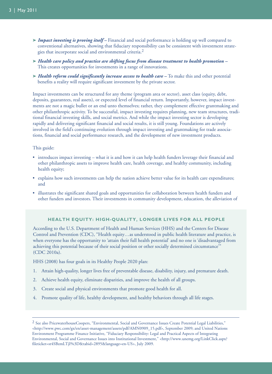- **➤** *Impact investing is proving itself* Financial and social performance is holding up well compared to conventional alternatives, showing that fiduciary responsibility can be consistent with investment strategies that incorporate social and environmental criteria.2
- **➤** *Health care policy and practice are shifting focus from disease treatment to health promotion*  This creates opportunities for investments in a range of innovations.
- **➤** *Health reform could significantly increase access to health care* To make this and other potential benefits a reality will require significant investment by the private sector.

Impact investments can be structured for any theme (program area or sector), asset class (equity, debt, deposits, guarantees, real assets), or expected level of financial return. Importantly, however, impact investments are not a magic bullet or an end unto themselves; rather, they complement effective grantmaking and other philanthropic activity. To be successful, impact investing requires planning, new team structures, traditional financial investing skills, and social metrics. And while the impact investing sector is developing rapidly and delivering significant financial and social results, it is still young. Foundations are actively involved in the field's continuing evolution through impact investing and grantmaking for trade associations, financial and social performance research, and the development of new investment products.

#### This guide:

- introduces impact investing what it is and how it can help health funders leverage their financial and other philanthropic assets to improve health care, health coverage, and healthy community, including health equity;
- explains how such investments can help the nation achieve better value for its health care expenditures; and
- illustrates the significant shared goals and opportunities for collaboration between health funders and other funders and investors. Their investments in community development, education, the alleviation of

#### **HEALTH EQUITY: HIGH-QUALITY, LONGER LIVES FOR ALL PEOPLE**

According to the U.S. Department of Health and Human Services (HHS) and the Centers for Disease Control and Prevention (CDC), "Health equity…as understood in public health literature and practice, is when everyone has the opportunity to 'attain their full health potential' and no one is 'disadvantaged from achieving this potential because of their social position or other socially determined circumstance'" (CDC 2010a).

HHS (2008) has four goals in its Healthy People 2020 plan:

- 1. Attain high-quality, longer lives free of preventable disease, disability, injury, and premature death.
- 2. Achieve health equity, eliminate disparities, and improve the health of all groups.
- 3. Create social and physical environments that promote good health for all.
- 4. Promote quality of life, healthy development, and healthy behaviors through all life stages.

<sup>2</sup> See also PricewaterhouseCoopers, "Environmental, Social and Governance Issues Create Potential Legal Liabilities," <http://www.pwc.com/gx/en/asset-management/assets/pdf/AMN0909\_15.pdf>, September 2009; and United Nations Environment Programme Finance Initiative, "Fiduciary Responsibility: Legal and Practical Aspects of Integrating Environmental, Social and Governance Issues into Institutional Investment," <http://www.unemg.org/LinkClick.aspx? fileticket=st4SBzmLTjI%3D&tabid=2895&language=en-US>, July 2009.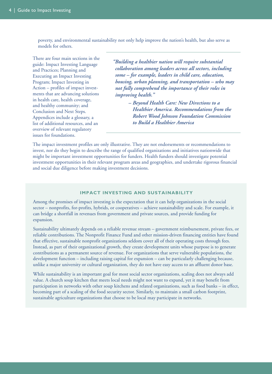poverty, and environmental sustainability not only help improve the nation's health, but also serve as models for others.

There are four main sections in the guide: Impact Investing Language and Practices; Planning and Executing an Impact Investing Program; Impact Investing in Action – profiles of impact investments that are advancing solutions in health care, health coverage, and healthy community; and Conclusion and Next Steps. Appendices include a glossary, a list of additional resources, and an overview of relevant regulatory issues for foundations.

*"Building a healthier nation will require substantial collaboration among leaders across all sectors, including some – for example, leaders in child care, education, housing, urban planning, and transportation – who may not fully comprehend the importance of their roles in improving health."* 

> *– Beyond Health Care: New Directions to a Healthier America. Recommendations from the Robert Wood Johnson Foundation Commission to Build a Healthier America*

The impact investment profiles are only illustrative. They are not endorsements or recommendations to invest, nor do they begin to describe the range of qualified organizations and initiatives nationwide that might be important investment opportunities for funders. Health funders should investigate potential investment opportunities in their relevant program areas and geographies, and undertake rigorous financial and social due diligence before making investment decisions.

#### **IMPACT INVESTING AND SUSTAINABILITY**

Among the promises of impact investing is the expectation that it can help organizations in the social sector – nonprofits, for-profits, hybrids, or cooperatives – achieve sustainability and scale. For example, it can bridge a shortfall in revenues from government and private sources, and provide funding for expansion.

Sustainability ultimately depends on a reliable revenue stream – government reimbursement, private fees, or reliable contributions. The Nonprofit Finance Fund and other mission-driven financing entities have found that effective, sustainable nonprofit organizations seldom cover all of their operating costs through fees. Instead, as part of their organizational growth, they create development units whose purpose is to generate contributions as a permanent source of revenue. For organizations that serve vulnerable populations, the development function – including raising capital for expansion – can be particularly challenging because, unlike a major university or cultural organization, they do not have easy access to an affluent donor base.

While sustainability is an important goal for most social sector organizations, scaling does not always add value. A church soup kitchen that meets local needs might not want to expand, yet it may benefit from participation in networks with other soup kitchens and related organizations, such as food banks – in effect, becoming part of a scaling of the food security sector. Similarly, to maintain a small carbon footprint, sustainable agriculture organizations that choose to be local may participate in networks.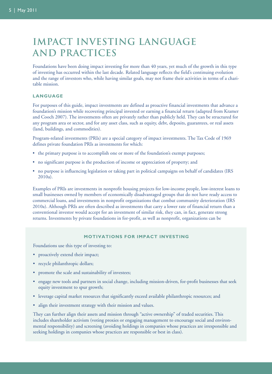# **IMPACT INVESTING LANGUAGE AND PRACTICES**

Foundations have been doing impact investing for more than 40 years, yet much of the growth in this type of investing has occurred within the last decade. Related language reflects the field's continuing evolution and the range of investors who, while having similar goals, may not frame their activities in terms of a charitable mission.

#### **LANGUAGE**

For purposes of this guide, impact investments are defined as proactive financial investments that advance a foundation's mission while recovering principal invested or earning a financial return (adapted from Kramer and Cooch 2007). The investments often are privately rather than publicly held. They can be structured for any program area or sector, and for any asset class, such as equity, debt, deposits, guarantees, or real assets (land, buildings, and commodities).

Program-related investments (PRIs) are a special category of impact investments. The Tax Code of 1969 defines private foundation PRIs as investments for which:

- the primary purpose is to accomplish one or more of the foundation's exempt purposes;
- no significant purpose is the production of income or appreciation of property; and
- no purpose is influencing legislation or taking part in political campaigns on behalf of candidates (IRS 2010a).

Examples of PRIs are investments in nonprofit housing projects for low-income people, low-interest loans to small businesses owned by members of economically disadvantaged groups that do not have ready access to commercial loans, and investments in nonprofit organizations that combat community deterioration (IRS 2010a). Although PRIs are often described as investments that carry a lower rate of financial return than a conventional investor would accept for an investment of similar risk, they can, in fact, generate strong returns. Investments by private foundations in for-profit, as well as nonprofit, organizations can be

#### <span id="page-9-1"></span><span id="page-9-0"></span>**MOTIVATIONS FOR IMPACT INVESTING**

Foundations use this type of investing to:

- proactively extend their impact;
- recycle philanthropic dollars;
- promote the scale and sustainability of investees;
- engage new tools and partners in social change, including mission-driven, for-profit businesses that seek equity investment to spur growth;
- leverage capital market resources that significantly exceed available philanthropic resources; and
- align their investment strategy with their mission and values.

They can further align their assets and mission through "active ownership" of traded securities. This includes shareholder activism (voting proxies or engaging management to encourage social and environmental responsibility) and screening (avoiding holdings in companies whose practices are irresponsible and seeking holdings in companies whose practices are responsible or best in class).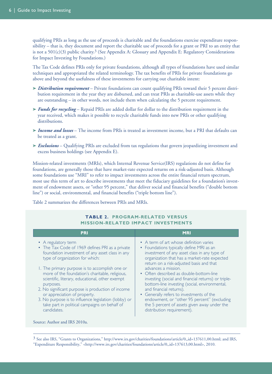qualifying PRIs as long as the use of proceeds is charitable and the foundations exercise expenditure responsibility – that is, they document and report the charitable use of proceeds for a grant or PRI to an entity that is not a 501(c)(3) public charity.<sup>3</sup> (See [Appendix A: Glossary](#page-90-0) and [Appendix E: Regulatory Considerations](#page-104-0) [for Impact Investing by Foundations.](#page-104-0))

The Tax Code defines PRIs only for private foundations, although all types of foundations have used similar techniques and appropriated the related terminology. The tax benefits of PRIs for private foundations go above and beyond the usefulness of these investments for carrying out charitable intent:

- **➤** *Distribution requirement*  Private foundations can count qualifying PRIs toward their 5 percent distribution requirement in the year they are disbursed, and can treat PRIs as charitable-use assets while they are outstanding – in other words, not include them when calculating the 5 percent requirement.
- **➤** *Funds for recycling*  Repaid PRIs are added dollar for dollar to the distribution requirement in the year received, which makes it possible to recycle charitable funds into new PRIs or other qualifying distributions.
- **➤** *Income and losses*  The income from PRIs is treated as investment income, but a PRI that defaults can be treated as a grant.
- **➤** *Exclusions*  Qualifying PRIs are excluded from tax regulations that govern jeopardizing investment and excess business holdings [\(see Appendix E\)](#page-104-0).

Mission-related investments (MRIs), which Internal Revenue Service(IRS) regulations do not define for foundations, are generally those that have market-rate expected returns on a risk-adjusted basis. Although some foundations use "MRI" to refer to impact investments across the entire financial return spectrum, most use this term of art to describe investments that meet the fiduciary guidelines for a foundation's investment of endowment assets, or "other 95 percent," that deliver social and financial benefits ("double bottom line") or social, environmental, and financial benefits ("triple bottom line").

Table 2 summarizes the differences between PRIs and MRIs.

#### **TABLE 2. PROGRAM-RELATED VERSUS MISSION-RELATED IMPACT INVESTMENTS**

| <b>PRI</b>                                                                                                                                                                                                                                                                                                                                                                                                                                                                                                                                     | <b>MRI</b>                                                                                                                                                                                                                                                                                                                                                                                                                                                                                                                                                                                                    |
|------------------------------------------------------------------------------------------------------------------------------------------------------------------------------------------------------------------------------------------------------------------------------------------------------------------------------------------------------------------------------------------------------------------------------------------------------------------------------------------------------------------------------------------------|---------------------------------------------------------------------------------------------------------------------------------------------------------------------------------------------------------------------------------------------------------------------------------------------------------------------------------------------------------------------------------------------------------------------------------------------------------------------------------------------------------------------------------------------------------------------------------------------------------------|
| • A regulatory term<br>• The Tax Code of 1969 defines PRI as a private<br>foundation investment of any asset class in any<br>type of organization for which:<br>1. The primary purpose is to accomplish one or<br>more of the foundation's charitable, religious,<br>scientific, literary, educational, other exempt<br>purposes.<br>2. No significant purpose is production of income<br>or appreciation of property.<br>3. No purpose is to influence legislation (lobby) or<br>take part in political campaigns on behalf of<br>candidates. | • A term of art whose definition varies<br>• Foundations typically define MRI as an<br>investment of any asset class in any type of<br>organization that has a market-rate expected<br>return on a risk-adjusted basis and that<br>advances a mission.<br>• Often described as double-bottom-line<br>investing (social and financial returns) or triple-<br>bottom-line investing (social, environmental,<br>and financial returns).<br>• Generally refers to investments of the<br>endowment, or "other 95 percent" (excluding<br>the 5 percent of assets given away under the<br>distribution requirement). |
| Source: Author and IRS 2010a.                                                                                                                                                                                                                                                                                                                                                                                                                                                                                                                  |                                                                                                                                                                                                                                                                                                                                                                                                                                                                                                                                                                                                               |

3 See also IRS, "Grants to Organizations," http://www.irs.gov/charities/foundations/article/0,,id=137611,00.html; and IRS, "Expenditure Responsibility," <http://www.irs.gov/charities/foundations/article/0,,id=137613,00.html>, 2010.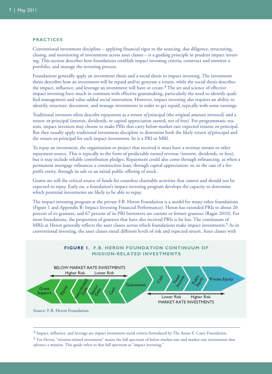#### <span id="page-11-0"></span>**PRACTICES**

Conventional investment discipline – applying financial rigor to the sourcing, due diligence, structuring, closing, and monitoring of investments across asset classes – is a guiding principle in prudent impact investing. This section describes how foundations establish impact investing criteria, construct and monitor a portfolio, and manage the investing process.

Foundations generally apply an investment thesis and a social thesis to impact investing. The investment thesis describes how an investment will be repaid and/or generate a return, while the social thesis describes the impact, influence, and leverage an investment will have or create.4 The art and science of effective impact investing have much in common with effective grantmaking, particularly the need to identify qualified management and value-added social innovation. However, impact investing also requires an ability to identify, structure, document, and manage investments in order to get repaid, typically with some earnings.

Traditional investors often describe repayment as a return *of* principal (the original amount invested) and a return *on* principal (interest, dividends, or capital appreciation earned, net of fees). For programmatic reasons, impact investors may choose to make PRIs that carry below-market-rate expected returns *on* principal. But they usually apply traditional investment discipline to determine both the likely return *of* principal and the return *on* principal for each impact investment, be it a PRI or MRI.

To repay an investment, the organization or project that received it must have a revenue stream or other repayment source. This is typically in the form of predictable earned revenue (interest, dividends, or fees), but it may include reliable contribution pledges. Repayment could also come through refinancing, as when a permanent mortgage refinances a construction loan; through capital appreciation; or, in the case of a forprofit entity, through its sale or an initial public offering of stock.

Grants are still the critical source of funds for countless charitable activities that cannot and should not be expected to repay. Early on, a foundation's impact investing program develops the capacity to determine which potential investments are likely to be able to repay.

The impact investing program at the private F.B. Heron Foundation is a model for many other foundations (Figure 1 and [Appendix B: Impact Investing Financial Performance\)](#page-95-0). Heron has extended PRIs to about 20 percent of its grantees, and 67 percent of its PRI borrowers are current or former grantees (Ragin 2010). For most foundations, the proportion of grantees that have also received PRIs is far less. The continuum of MRIs at Heron generally reflects the asset classes across which foundations make impact investments.<sup>5</sup> As in conventional investing, the asset classes entail different levels of risk and expected return. Asset classes with

#### **FIGURE 1. F.B. HERON FOUNDATION CONTINUUM OF MISSION-RELATED INVESTMENTS**



<sup>4</sup> Impact, influence, and leverage are impact investment social criteria formulated by The Annie E. Casey Foundation.

<sup>5</sup> For Heron, "mission-related investment" means the full spectrum of below-market-rate and market-rate investments that advance a mission. This guide refers to that full spectrum as "impact investing."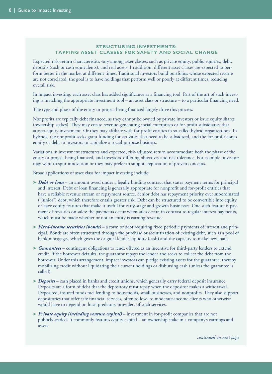#### **STRUCTURING INVESTMENTS: TAPPING ASSET CLASSES FOR SAFETY AND SOCIAL CHANGE**

Expected risk-return characteristics vary among asset classes, such as private equity, public equities, debt, deposits (cash or cash equivalents), and real assets. In addition, different asset classes are expected to perform better in the market at different times. Traditional investors build portfolios whose expected returns are not correlated; the goal is to have holdings that perform well or poorly at different times, reducing overall risk.

In impact investing, each asset class has added significance as a financing tool. Part of the art of such investing is matching the appropriate investment tool – an asset class or structure – to a particular financing need.

The type and phase of the entity or project being financed largely drive this process.

Nonprofits are typically debt financed, as they cannot be owned by private investors or issue equity shares (ownership stakes). They may create revenue-generating social enterprises or for-profit subsidiaries that attract equity investment. Or they may affiliate with for-profit entities in so-called hybrid organizations. In hybrids, the nonprofit seeks grant funding for activities that need to be subsidized, and the for-profit issues equity or debt to investors to capitalize a social-purpose business.

Variations in investment structures and expected, risk-adjusted return accommodate both the phase of the entity or project being financed, and investors' differing objectives and risk tolerance. For example, investors may want to spur innovation or they may prefer to support replication of proven concepts.

Broad applications of asset class for impact investing include:

- **➤** *Debt or loan* an amount owed under a legally binding contract that states payment terms for principal and interest. Debt or loan financing is generally appropriate for nonprofit and for-profit entities that have a reliable revenue stream or repayment source. Senior debt has repayment priority over subordinated ("junior") debt, which therefore entails greater risk. Debt can be structured to be convertible into equity or have equity features that make it useful for early-stage and growth businesses. One such feature is payment of royalties on sales: the payments occur when sales occur, in contrast to regular interest payments, which must be made whether or not an entity is earning revenue.
- **➤** *Fixed-income securities (bonds)* a form of debt requiring fixed periodic payments of interest and principal. Bonds are often structured through the purchase or securitization of existing debt, such as a pool of bank mortgages, which gives the original lender liquidity (cash) and the capacity to make new loans.
- **➤** *Guarantees* contingent obligations to lend, offered as an incentive for third-party lenders to extend credit. If the borrower defaults, the guarantor repays the lender and seeks to collect the debt from the borrower. Under this arrangement, impact investors can pledge existing assets for the guarantee, thereby mobilizing credit without liquidating their current holdings or disbursing cash (unless the guarantee is called).
- **➤** *Deposits* cash placed in banks and credit unions, which generally carry federal deposit insurance. Deposits are a form of debt that the depository must repay when the depositor makes a withdrawal. Deposited, insured funds fuel lending to households, small businesses, and nonprofits. They also support depositories that offer safe financial services, often to low- to moderate-income clients who otherwise would have to depend on local predatory providers of such services.
- **➤** *Private equity (including venture capital)* investment in for-profit companies that are not publicly traded. It commonly features equity capital – an ownership stake in a company's earnings and assets.

*continued on next page*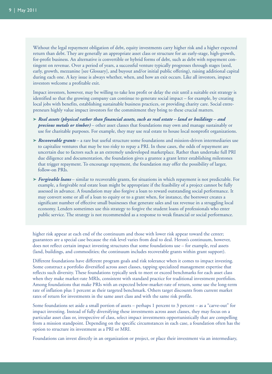Without the legal repayment obligation of debt, equity investments carry higher risk and a higher expected return than debt. They are generally an appropriate asset class or structure for an early-stage, high-growth, for-profit business. An alternative is convertible or hybrid forms of debt, such as debt with repayment contingent on revenue. Over a period of years, a successful venture typically progresses through stages (seed, early, growth, mezzanine [\[see Glossary\]](#page-90-0), and buyout and/or initial public offering), raising additional capital during each one. A key issue is always whether, when, and how an exit occurs. Like all investors, impact investors welcome a profitable exit.

Impact investors, however, may be willing to take less profit or delay the exit until a suitable exit strategy is identified so that the growing company can continue to generate social impact – for example, by creating local jobs with benefits, establishing sustainable business practices, or providing charity care. Social entrepreneurs highly value impact investors for the commitment they bring to these crucial matters.

- **➤** *Real assets (physical rather than financial assets, such as real estate land or buildings and precious metals or timber)* – other asset classes that foundations may own and manage sustainably or use for charitable purposes. For example, they may use real estate to house local nonprofit organizations.
- **➤** *Recoverable grants* a rare but useful structure some foundations and mission-driven intermediaries use to capitalize ventures that may be too risky to repay a PRI. In these cases, the odds of repayment are uncertain due to factors such as an extremely undeveloped marketplace. Rather than undertake full PRI due diligence and documentation, the foundation gives a grantee a grant letter establishing milestones that trigger repayment. To encourage repayment, the foundation may offer the possibility of larger, follow-on PRIs.
- **➤** *Forgivable loans* similar to recoverable grants, for situations in which repayment is not predictable. For example, a forgivable real estate loan might be appropriate if the feasibility of a project cannot be fully assessed in advance. A foundation may also forgive a loan to reward outstanding social performance. It may convert some or all of a loan to equity or to a grant when, for instance, the borrower creates a significant number of effective small businesses that generate sales and tax revenue in a struggling local economy. Lenders sometimes use this strategy to forgive the student loans of professionals who enter public service. The strategy is not recommended as a response to weak financial or social performance.

higher risk appear at each end of the continuum and those with lower risk appear toward the center; guarantees are a special case because the risk level varies from deal to deal. Heron's continuum, however, does not reflect certain impact investing structures that some foundations use – for example, real assets (land, buildings, and commodities; the continuum includes recoverable grants within grant support).

Different foundations have different program goals and risk tolerance when it comes to impact investing. Some construct a portfolio diversified across asset classes, tapping specialized management expertise that reflects such diversity. These foundations typically seek to meet or exceed benchmarks for each asset class when they make market-rate MRIs, consistent with standard practice for traditional investment portfolios. Among foundations that make PRIs with an expected below-market-rate of return, some use the long-term rate of inflation plus 1 percent as their targeted benchmark. Others target discounts from current market rates of return for investments in the same asset class and with the same risk profile.

Some foundations set aside a small portion of assets – perhaps 1 percent to 3 percent – as a "carve-out" for impact investing. Instead of fully diversifying these investments across asset classes, they may focus on a particular asset class or, irrespective of class, select impact investments opportunistically that are compelling from a mission standpoint. Depending on the specific circumstances in each case, a foundation often has the option to structure its investment as a PRI or MRI.

Foundations can invest directly in an organization or project, or place their investment via an intermediary,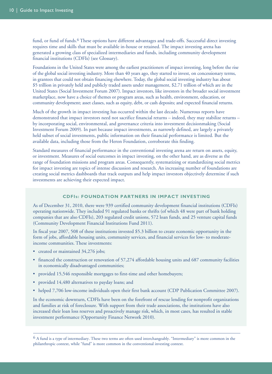fund, or fund of funds.<sup>6</sup> These options have different advantages and trade-offs. Successful direct investing requires time and skills that must be available in-house or retained. The impact investing arena has generated a growing class of specialized intermediaries and funds, including community development financial institutions (CDFIs) [\(see Glossary\)](#page-90-0).

Foundations in the United States were among the earliest practitioners of impact investing, long before the rise of the global social investing industry. More than 40 years ago, they started to invest, on concessionary terms, in grantees that could not obtain financing elsewhere. Today, the global social investing industry has about \$5 trillion in privately held and publicly traded assets under management, \$2.71 trillion of which are in the United States (Social Investment Forum 2007). Impact investors, like investors in the broader social investment marketplace, now have a choice of themes or program areas, such as health, environment, education, or community development; asset classes, such as equity, debt, or cash deposits; and expected financial returns.

Much of the growth in impact investing has occurred within the last decade. Numerous reports have demonstrated that impact investors need not sacrifice financial returns – indeed, they may stabilize returns – by incorporating social, environmental, and governance criteria into investment decisionmaking (Social Investment Forum 2009). In part because impact investments, as narrowly defined, are largely a privately held subset of social investments, public information on their financial performance is limited. But the available data, including those from the Heron Foundation, corroborate this finding.

Standard measures of financial performance in the conventional investing arena are return on assets, equity, or investment. Measures of social outcomes in impact investing, on the other hand, are as diverse as the range of foundation missions and program areas. Consequently, systematizing or standardizing social metrics for impact investing are topics of intense discussion and research. An increasing number of foundations are creating social metrics dashboards that track outputs and help impact investors objectively determine if such investments are achieving their expected impact.

#### **CDFIs: FOUNDATION PARTNERS IN IMPACT INVESTING**

As of December 31, 2010, there were 939 certified community development financial institutions (CDFIs) operating nationwide. They included 91 regulated banks or thrifts (of which 48 were part of bank holding companies that are also CDFIs), 203 regulated credit unions, 572 loan funds, and 25 venture capital funds (Community Development Financial Institutions Fund 2011).

In fiscal year 2007, 508 of these institutions invested \$5.3 billion to create economic opportunity in the form of jobs, affordable housing units, community services, and financial services for low- to moderateincome communities. These investments:

- created or maintained 34,276 jobs;
- financed the construction or renovation of 57,274 affordable housing units and 687 community facilities in economically disadvantaged communities;
- provided 15,546 responsible mortgages to first-time and other homebuyers;
- provided 14,480 alternatives to payday loans; and
- helped 7,706 low-income individuals open their first bank account (CDP Publication Committee 2007).

In the economic downturn, CDFIs have been on the forefront of rescue lending for nonprofit organizations and families at risk of foreclosure. With support from their trade associations, the institutions have also increased their loan loss reserves and proactively manage risk, which, in most cases, has resulted in stable investment performance (Opportunity Finance Network 2010).

<sup>6</sup> A fund is a type of intermediary. These two terms are often used interchangeably. "Intermediary" is more common in the philanthropic context, while "fund" is more common in the conventional investing context.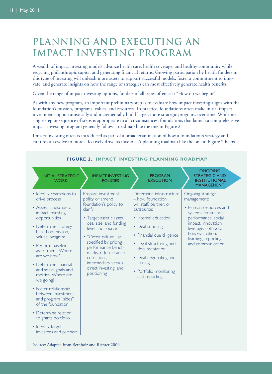## **PLANNING AND EXECUTING AN IMPACT INVESTING PROGRAM**

A wealth of impact investing models advance health care, health coverage, and healthy community while recycling philanthropic capital and generating financial returns. Growing participation by health funders in this type of investing will unleash more assets to support successful models, foster a commitment to innovate, and generate insights on how the range of strategies can most effectively generate health benefits.

Given the range of impact investing options, funders of all types often ask: "How do we begin?"

As with any new program, an important preliminary step is to evaluate how impact investing aligns with the foundation's mission, programs, values, and resources. In practice, foundations often make initial impact investments opportunistically and incrementally build larger, more strategic programs over time. While no single step or sequence of steps is appropriate in all circumstances, foundations that launch a comprehensive impact investing program generally follow a roadmap like the one in Figure 2.

Impact investing often is introduced as part of a broad examination of how a foundation's strategy and culture can evolve to more effectively drive its mission. A planning roadmap like the one in Figure 2 helps

| <b>INITIAL STRATEGIC</b><br><b>WORK</b>                                                                                                                                                                                                                                                                                                                                                                                                                                                                        | <b>IMPACT INVESTING</b><br><b>POLICIES</b>                                                                                                                                                                                                                                                                                           | <b>PROGRAM</b><br><b>EXECUTION</b>                                                                                                                                                                                                                                                          | <b>ONGOING</b><br><b>STRATEGIC AND</b><br><b>INSTITUTIONAL</b><br><b>MANAGEMENT</b>                                                                                                                                        |
|----------------------------------------------------------------------------------------------------------------------------------------------------------------------------------------------------------------------------------------------------------------------------------------------------------------------------------------------------------------------------------------------------------------------------------------------------------------------------------------------------------------|--------------------------------------------------------------------------------------------------------------------------------------------------------------------------------------------------------------------------------------------------------------------------------------------------------------------------------------|---------------------------------------------------------------------------------------------------------------------------------------------------------------------------------------------------------------------------------------------------------------------------------------------|----------------------------------------------------------------------------------------------------------------------------------------------------------------------------------------------------------------------------|
| • Identify champions to<br>drive process<br>• Assess landscape of<br>impact investing<br>opportunities<br>• Determine strategy<br>based on mission,<br>values, program<br>• Perform baseline<br>assessment: Where<br>are we now?<br>• Determine financial<br>and social goals and<br>metrics: Where are<br>we going?<br>• Foster relationship<br>between investment.<br>and program "sides"<br>of the foundation<br>• Determine relation<br>to grants portfolio<br>• Identify target<br>investees and partners | Prepare investment<br>policy or amend<br>foundation's policy to<br>clarify:<br>• Target asset classes,<br>deal size, and funding<br>level and source<br>• "Credit culture" as<br>specified by pricing<br>performance bench-<br>marks, risk tolerance,<br>collections.<br>intermediary versus<br>direct investing, and<br>positioning | Determine infrastructure<br>$-$ how foundation<br>will staff, partner, or<br>outsource:<br>• Internal education<br>• Deal sourcing<br>• Financial due diligence<br>• Legal structuring and<br>documentation<br>• Deal negotiating and<br>closing<br>• Portfolio monitoring<br>and reporting | Ongoing strategic<br>management:<br>• Human resources and<br>systems for financial<br>performance, social<br>impact, innovation,<br>leverage, collabora-<br>tion, evaluation,<br>learning, reporting,<br>and communication |

<span id="page-15-0"></span>**FIGURE 2. IMPACT INVESTING PLANNING ROADMAP**

Source: Adapted from Bernholz and Richter 2009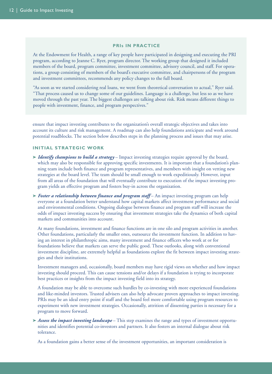#### <span id="page-16-0"></span>**PRIs IN PRACTICE**

At the Endowment for Health, a range of key people have participated in designing and executing the PRI program, according to Jeanne C. Ryer, program director. The working group that designed it included members of the board, program committee, investment committee, advisory council, and staff. For operations, a group consisting of members of the board's executive committee, and chairpersons of the program and investment committees, recommends any policy changes to the full board.

"As soon as we started considering real loans, we went from theoretical conversation to actual," Ryer said. "That process caused us to change some of our guidelines. Language is a challenge, but less so as we have moved through the past year. The biggest challenges are talking about risk. Risk means different things to people with investment, finance, and program perspectives."

ensure that impact investing contributes to the organization's overall strategic objectives and takes into account its culture and risk management. A roadmap can also help foundations anticipate and work around potential roadblocks. The section below describes steps in the planning process and issues that may arise.

#### **INITIAL STRATEGIC WORK**

- **➤** *Identify champions to build a strategy* Impact investing strategies require approval by the board, which may also be responsible for approving specific investments. It is important that a foundation's planning team include both finance and program representatives, and members with insight on vetting new strategies at the board level. The team should be small enough to work expeditiously. However, input from all areas of the foundation that will eventually contribute to execution of the impact investing program yields an effective program and fosters buy-in across the organization.
- **➤** *Foster a relationship between finance and program staff* An impact investing program can help everyone at a foundation better understand how capital markets affect investment performance and social and environmental conditions. Ongoing dialogue between finance and program staff will increase the odds of impact investing success by ensuring that investment strategies take the dynamics of both capital markets and communities into account.

At many foundations, investment and finance functions are in one silo and program activities in another. Other foundations, particularly the smaller ones, outsource the investment function. In addition to having an interest in philanthropic aims, many investment and finance officers who work at or for foundations believe that markets can serve the public good. These outlooks, along with conventional investment discipline, are extremely helpful as foundations explore the fit between impact investing strategies and their institutions.

Investment managers and, occasionally, board members may have rigid views on whether and how impact investing should proceed. This can cause tensions and/or delays if a foundation is trying to incorporate best practices or insights from the impact investing field into its strategy.

A foundation may be able to overcome such hurdles by co-investing with more experienced foundations and like-minded investors. Trusted advisers can also help advocate proven approaches to impact investing. PRIs may be an ideal entry point if staff and the board feel more comfortable using program resources to experiment with new investment strategies. Occasionally, attrition of dissenting parties is necessary for a program to move forward.

**➤** *Assess the impact investing landscape* – This step examines the range and types of investment opportunities and identifies potential co-investors and partners. It also fosters an internal dialogue about risk tolerance.

As a foundation gains a better sense of the investment opportunities, an important consideration is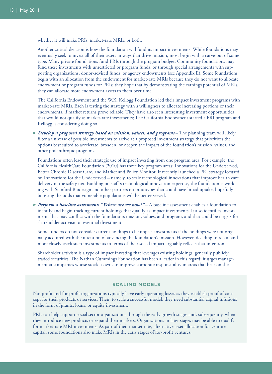whether it will make PRIs, market-rate MRIs, or both.

Another critical decision is how the foundation will fund its impact investments. While foundations may eventually seek to invest all of their assets in ways that drive mission, most begin with a carve-out of some type. Many private foundations fund PRIs through the program budget. Community foundations may fund these investments with unrestricted or program funds, or through special arrangements with supporting organizations, donor-advised funds, or agency endowments [\(see Appendix E\)](#page-104-0). Some foundations begin with an allocation from the endowment for market-rate MRIs because they do not want to allocate endowment or program funds for PRIs; they hope that by demonstrating the earnings potential of MRIs, they can allocate more endowment assets to them over time.

The California Endowment and the W.K. Kellogg Foundation led their impact investment programs with market-rate MRIs. Each is testing the strategy with a willingness to allocate increasing portions of their endowments, if market returns prove reliable. They have also seen interesting investment opportunities that would not qualify as market-rate investments; The California Endowment started a PRI program and Kellogg is considering doing so.

**➤** *Develop a proposed strategy based on mission, values, and programs* – The planning team will likely filter a universe of possible investments to arrive at a proposed investment strategy that prioritizes the options best suited to accelerate, broaden, or deepen the impact of the foundation's mission, values, and other philanthropic programs.

Foundations often lead their strategic use of impact investing from one program area. For example, the California HealthCare Foundation (2010) has three key program areas: Innovations for the Underserved, Better Chronic Disease Care, and Market and Policy Monitor. It recently launched a PRI strategy focused on Innovations for the Underserved – namely, to scale technological innovations that improve health care delivery in the safety net. Building on staff's technological innovation expertise, the foundation is working with Stanford Biodesign and other partners on prototypes that could have broad uptake, hopefully boosting the odds that vulnerable populations will be better served.

**➤** *Perform a baseline assessment: "Where are we now?"* – A baseline assessment enables a foundation to identify and begin tracking current holdings that qualify as impact investments. It also identifies investments that may conflict with the foundation's mission, values, and program, and that could be targets for shareholder activism or eventual divestment.

Some funders do not consider current holdings to be impact investments if the holdings were not originally acquired with the intention of advancing the foundation's mission. However, deciding to retain and more closely track such investments in terms of their social impact arguably reflects that intention.

Shareholder activism is a type of impact investing that leverages existing holdings, generally publicly traded securities. The Nathan Cummings Foundation has been a leader in this regard: it urges management at companies whose stock it owns to improve corporate responsibility in areas that bear on the

#### **SCALING MODELS**

Nonprofit and for-profit organizations typically have early operating losses as they establish proof of concept for their products or services. Then, to scale a successful model, they need substantial capital infusions in the form of grants, loans, or equity investment.

PRIs can help support social sector organizations through the early growth stages and, subsequently, when they introduce new products or expand their markets. Organizations in later stages may be able to qualify for market-rate MRI investments. As part of their market-rate, alternative asset allocation for venture capital, some foundations also make MRIs in the early stages of for-profit ventures.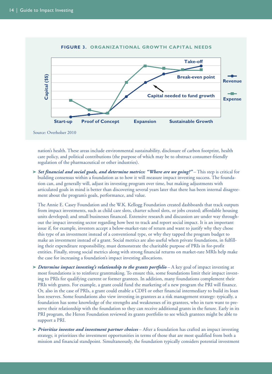

#### **FIGURE 3. ORGANIZATIONAL GROWTH CAPITAL NEEDS**

Source: Overholser 2010

nation's health. These areas include environmental sustainability, disclosure of carbon footprint, health care policy, and political contributions (the purpose of which may be to obstruct consumer-friendly regulation of the pharmaceutical or other industries).

**➤** *Set financial and social goals, and determine metrics: "Where are we going?"* – This step is critical for building consensus within a foundation as to how it will measure impact investing success. The foundation can, and generally will, adjust its investing program over time, but making adjustments with articulated goals in mind is better than discovering several years later that there has been internal disagreement about the program's goals, performance, and value.

The Annie E. Casey Foundation and the W.K. Kellogg Foundation created dashboards that track outputs from impact investments, such as child care slots, charter school slots, or jobs created; affordable housing units developed; and small businesses financed. Extensive research and discussion are under way throughout the impact investing sector regarding how best to track and report social impact. It is an important issue if, for example, investors accept a below-market-rate of return and want to justify why they chose this type of an investment instead of a conventional type, or why they tapped the program budget to make an investment instead of a grant. Social metrics are also useful when private foundations, in fulfilling their expenditure responsibility, must demonstrate the charitable purpose of PRIs in for-profit entities. Finally, strong social metrics along with strong financial returns on market-rate MRIs help make the case for increasing a foundation's impact investing allocations.

- **➤** *Determine impact investing's relationship to the grants portfolio* A key goal of impact investing at most foundations is to reinforce grantmaking. To ensure this, some foundations limit their impact investing to PRIs for qualifying current or former grantees. In addition, many foundations complement their PRIs with grants. For example, a grant could fund the marketing of a new program the PRI will finance. Or, also in the case of PRIs, a grant could enable a CDFI or other financial intermediary to build its loan loss reserves. Some foundations also view investing in grantees as a risk management strategy: typically, a foundation has some knowledge of the strengths and weaknesses of its grantees, who in turn want to preserve their relationship with the foundation so they can receive additional grants in the future. Early in its PRI program, the Heron Foundation reviewed its grants portfolio to see which grantees might be able to support a PRI.
- **➤** *Prioritize investee and investment partner choices* After a foundation has crafted an impact investing strategy, it prioritizes the investment opportunities in terms of those that are most qualified from both a mission and financial standpoint. Simultaneously, the foundation typically considers potential investment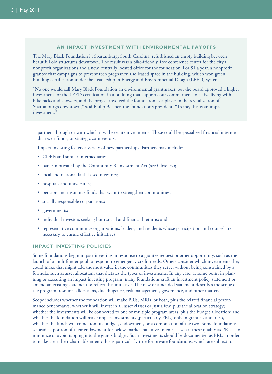#### **AN IMPACT INVESTMENT WITH ENVIRONMENTAL PAYOFFS**

The Mary Black Foundation in Spartanburg, South Carolina, refurbished an empty building between beautiful old structures downtown. The result was a bike-friendly, free conference center for the city's nonprofit organizations and a new, centrally located office for the foundation. For \$1 a year, a nonprofit grantee that campaigns to prevent teen pregnancy also leased space in the building, which won green building certification under the Leadership in Energy and Environmental Design (LEED) system.

"No one would call Mary Black Foundation an environmental grantmaker, but the board approved a higher investment for the LEED certification in a building that supports our commitment to active living with bike racks and showers, and the project involved the foundation as a player in the revitalization of Spartanburg's downtown," said Philip Belcher, the foundation's president. "To me, this is an impact investment."

partners through or with which it will execute investments. These could be specialized financial intermediaries or funds, or strategic co-investors.

Impact investing fosters a variety of new partnerships. Partners may include:

- CDFIs and similar intermediaries;
- banks motivated by the Community Reinvestment Act [\(see Glossary\)](#page-90-0);
- local and national faith-based investors;
- hospitals and universities;
- pension and insurance funds that want to strengthen communities;
- socially responsible corporations;
- governments;
- individual investors seeking both social and financial returns; and
- <span id="page-19-0"></span>• representative community organizations, leaders, and residents whose participation and counsel are necessary to ensure effective initiatives*.*

#### **IMPACT INVESTING POLICIES**

Some foundations begin impact investing in response to a grantee request or other opportunity, such as the launch of a multifunder pool to respond to emergency credit needs. Others consider which investments they could make that might add the most value in the communities they serve, without being constrained by a formula, such as asset allocation, that dictates the types of investments. In any case, at some point in planning or executing an impact investing program, many foundations craft an investment policy statement or amend an existing statement to reflect this initiative. The new or amended statement describes the scope of the program, resource allocations, due diligence, risk management, governance, and other matters.

Scope includes whether the foundation will make PRIs, MRIs, or both, plus the related financial performance benchmarks; whether it will invest in all asset classes or just a few, plus the allocation strategy; whether the investments will be connected to one or multiple program areas, plus the budget allocation; and whether the foundation will make impact investments (particularly PRIs) only in grantees and, if so, whether the funds will come from its budget, endowment, or a combination of the two. Some foundations set aside a portion of their endowment for below-market-rate investments – even if these qualify as PRIs – to minimize or avoid tapping into the grants budget. Such investments should be documented as PRIs in order to make clear their charitable intent; this is particularly true for private foundations, which are subject to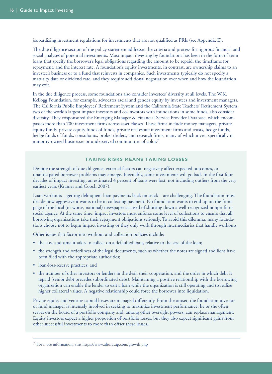jeopardizing investment regulations for investments that are not qualified as PRIs [\(see Appendix E\)](#page-104-0).

The due diligence section of the policy statement addresses the criteria and process for rigorous financial and social analyses of potential investments. Most impact investing by foundations has been in the form of term loans that specify the borrower's legal obligations regarding the amount to be repaid, the timeframe for repayment, and the interest rate. A foundation's equity investments, in contrast, are ownership claims to an investee's business or to a fund that reinvests in companies. Such investments typically do not specify a maturity date or dividend rate, and they require additional negotiation over when and how the foundation may exit.

In the due diligence process, some foundations also consider investees' diversity at all levels. The W.K. Kellogg Foundation, for example, advocates racial and gender equity by investees and investment managers. The California Public Employees' Retirement System and the California State Teachers' Retirement System, two of the world's largest impact investors and co-investors with foundations in some funds, also consider diversity. They cosponsored the Emerging Manager & Financial Service Provider Database, which encompasses more than 700 investment firms across asset classes. These firms include money managers, private equity funds, private equity funds of funds, private real estate investment firms and trusts, hedge funds, hedge funds of funds, consultants, broker dealers, and research firms, many of which invest specifically in minority-owned businesses or underserved communities of color.7

#### **TAKING RISKS MEANS TAKING LOSSES**

Despite the strength of due diligence, external factors can negatively affect expected outcomes, or unanticipated borrower problems may emerge. Inevitably, some investments will go bad. In the first four decades of impact investing, an estimated 4 percent of loans were lost, not including outliers from the very earliest years (Kramer and Cooch 2007).

Loan workouts – getting delinquent loan payments back on track – are challenging. The foundation must decide how aggressive it wants to be in collecting payment. No foundation wants to end up on the front page of the local (or worse, national) newspaper accused of shutting down a well-recognized nonprofit or social agency. At the same time, impact investors must enforce some level of collections to ensure that all borrowing organizations take their repayment obligations seriously. To avoid this dilemma, many foundations choose not to begin impact investing or they only work through intermediaries that handle workouts.

Other issues that factor into workout and collection policies include:

- the cost and time it takes to collect on a defaulted loan, relative to the size of the loan;
- the strength and orderliness of the legal documents, such as whether the notes are signed and liens have been filed with the appropriate authorities;
- loan-loss-reserve practices; and
- the number of other investors or lenders in the deal, their cooperation, and the order in which debt is repaid (senior debt precedes subordinated debt). Maintaining a positive relationship with the borrowing organization can enable the lender to exit a loan while the organization is still operating and to realize higher collateral values. A negative relationship could force the borrower into liquidation.

Private equity and venture capital losses are managed differently. From the outset, the foundation investor or fund manager is intensely involved in seeking to maximize investment performance; he or she often serves on the board of a portfolio company and, among other oversight powers, can replace management. Equity investors expect a higher proportion of portfolio losses, but they also expect significant gains from other successful investments to more than offset these losses.

<sup>7</sup> For more information, visit https://www.alturacap.com/growth.php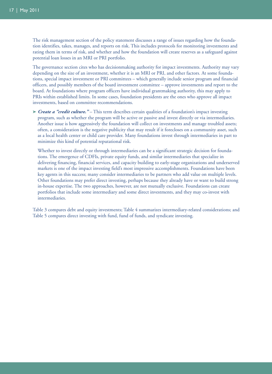The risk management section of the policy statement discusses a range of issues regarding how the foundation identifies, takes, manages, and reports on risk. This includes protocols for monitoring investments and rating them in terms of risk, and whether and how the foundation will create reserves as a safeguard against potential loan losses in an MRI or PRI portfolio.

The governance section cites who has decisionmaking authority for impact investments. Authority may vary depending on the size of an investment, whether it is an MRI or PRI, and other factors*.* At some foundations, special impact investment or PRI committees – which generally include senior program and financial officers, and possibly members of the board investment committee – approve investments and report to the board. At foundations where program officers have individual grantmaking authority, this may apply to PRIs within established limits. In some cases, foundation presidents are the ones who approve all impact investments, based on committee recommendations.

**➤** *Create a "credit culture."* – This term describes certain qualities of a foundation's impact investing program, such as whether the program will be active or passive and invest directly or via intermediaries. Another issue is how aggressively the foundation will collect on investments and manage troubled assets; often, a consideration is the negative publicity that may result if it forecloses on a community asset, such as a local health center or child care provider. Many foundations invest through intermediaries in part to minimize this kind of potential reputational risk.

Whether to invest directly or through intermediaries can be a significant strategic decision for foundations. The emergence of CDFIs, private equity funds, and similar intermediaries that specialize in delivering financing, financial services, and capacity building to early-stage organizations and underserved markets is one of the impact investing field's most impressive accomplishments. Foundations have been key agents in this success; many consider intermediaries to be partners who add value on multiple levels. Other foundations may prefer direct investing, perhaps because they already have or want to build strong in-house expertise. The two approaches, however, are not mutually exclusive. Foundations can create portfolios that include some intermediary and some direct investments, and they may co-invest with intermediaries.

Table 3 compares debt and equity investments; Table 4 summarizes intermediary-related considerations; and Table 5 compares direct investing with fund, fund of funds, and syndicate investing.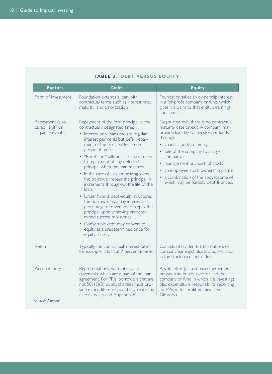| <b>Factors</b>                                            | <b>Debt</b>                                                                                                                                                                                                                                                                                                                                                                                                                                                                                                                                                                                                                                                                                                                                                  | <b>Equity</b>                                                                                                                                                                                                                                                                                                                                                                                                         |  |
|-----------------------------------------------------------|--------------------------------------------------------------------------------------------------------------------------------------------------------------------------------------------------------------------------------------------------------------------------------------------------------------------------------------------------------------------------------------------------------------------------------------------------------------------------------------------------------------------------------------------------------------------------------------------------------------------------------------------------------------------------------------------------------------------------------------------------------------|-----------------------------------------------------------------------------------------------------------------------------------------------------------------------------------------------------------------------------------------------------------------------------------------------------------------------------------------------------------------------------------------------------------------------|--|
| Form of investment                                        | Foundation extends a loan with<br>contractual terms such as interest rate,<br>maturity, and amortization.                                                                                                                                                                                                                                                                                                                                                                                                                                                                                                                                                                                                                                                    | Foundation takes an ownership interest<br>in a for-profit company or fund, which<br>gives it a claim to that entity's earnings<br>and assets.                                                                                                                                                                                                                                                                         |  |
| Repayment (also<br>called "exit" or<br>"liquidity event") | Repayment of the loan principal at the<br>contractually designated time:<br>• Interest-only loans require regular<br>interest payments but defer repay-<br>ment of the principal for some<br>period of time.<br>• "Bullet" or "balloon" structure refers<br>to repayment of any deferred<br>principal when the loan matures.<br>• In the case of fully amortizing loans,<br>the borrower repays the principal in<br>increments throughout the life of the<br>loan.<br>• Under hybrid, debt-equity structures,<br>the borrower may pay interest as a<br>percentage of revenues, or repay the<br>principal upon achieving predeter-<br>mined success milestones.<br>• Convertible debt may convert to<br>equity at a predetermined price for<br>equity shares. | Negotiated exit: there is no contractual<br>maturity date or exit. A company may<br>provide liquidity to investors or funds<br>through:<br>an initial public offering;<br>sale of the company to a larger<br>$\bullet$<br>company;<br>management buy-back of stock;<br>$\bullet$<br>an employee stock ownership plan; or<br>$\bullet$<br>a combination of the above, some of<br>which may be partially debt-financed. |  |
| Return                                                    | Typically the contractual interest rate -<br>for example, a loan at 7 percent interest                                                                                                                                                                                                                                                                                                                                                                                                                                                                                                                                                                                                                                                                       | Consists of dividends (distributions of<br>company earnings) plus any appreciation<br>in the stock price, net of fees                                                                                                                                                                                                                                                                                                 |  |
| Accountability                                            | Representations, warranties, and<br>covenants, which are a part of the loan<br>agreement. For PRIs, borrowers that are<br>not 501(c)(3) public charities must pro-<br>vide expenditure responsibility reporting<br>(see Glossary and Appendix E).                                                                                                                                                                                                                                                                                                                                                                                                                                                                                                            | A side letter (a customized agreement<br>between an equity investor and the<br>company or fund in which it is investing)<br>plus expenditure responsibility reporting<br>for PRIs in for-profit entities (see<br>Glossary)                                                                                                                                                                                            |  |
| Source: Author.                                           |                                                                                                                                                                                                                                                                                                                                                                                                                                                                                                                                                                                                                                                                                                                                                              |                                                                                                                                                                                                                                                                                                                                                                                                                       |  |

#### **TABLE 3. DEBT VERSUS EQUITY**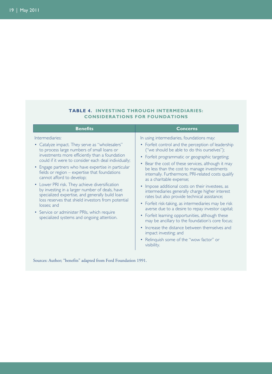| <b>CONSIDERATIONS FOR FOUNDATIONS</b>                                                                                                                                                                                                                                                                                                                                                                                                                                                                                                                                                                                                                                                                                   |                                                                                                                                                                                                                                                                                                                                                                                                                                                                                                                                                                                                                                                                                                                                                                                                                                                                                                                                                            |  |  |
|-------------------------------------------------------------------------------------------------------------------------------------------------------------------------------------------------------------------------------------------------------------------------------------------------------------------------------------------------------------------------------------------------------------------------------------------------------------------------------------------------------------------------------------------------------------------------------------------------------------------------------------------------------------------------------------------------------------------------|------------------------------------------------------------------------------------------------------------------------------------------------------------------------------------------------------------------------------------------------------------------------------------------------------------------------------------------------------------------------------------------------------------------------------------------------------------------------------------------------------------------------------------------------------------------------------------------------------------------------------------------------------------------------------------------------------------------------------------------------------------------------------------------------------------------------------------------------------------------------------------------------------------------------------------------------------------|--|--|
| <b>Benefits</b>                                                                                                                                                                                                                                                                                                                                                                                                                                                                                                                                                                                                                                                                                                         | Concerns                                                                                                                                                                                                                                                                                                                                                                                                                                                                                                                                                                                                                                                                                                                                                                                                                                                                                                                                                   |  |  |
| Intermediaries:<br>Catalyze impact. They serve as "wholesalers"<br>to process large numbers of small loans or<br>investments more efficiently than a foundation<br>could if it were to consider each deal individually;<br>Engage partners who have expertise in particular<br>$\bullet$<br>fields or region $-$ expertise that foundations<br>cannot afford to develop;<br>Lower PRI risk. They achieve diversification<br>$\bullet$<br>by investing in a larger number of deals, have<br>specialized expertise, and generally build loan<br>loss reserves that shield investors from potential<br>losses; and<br>Service or administer PRIs, which require<br>$\bullet$<br>specialized systems and ongoing attention. | In using intermediaries, foundations may:<br>• Forfeit control and the perception of leadership<br>("we should be able to do this ourselves");<br>Forfeit programmatic or geographic targeting;<br>$\bullet$<br>Bear the cost of these services, although it may<br>٠<br>be less than the cost to manage investments<br>internally. Furthermore, PRI-related costs qualify<br>as a charitable expense;<br>Impose additional costs on their investees, as<br>intermediaries generally charge higher interest<br>rates but also provide technical assistance;<br>Forfeit risk-taking, as intermediaries may be risk<br>$\bullet$<br>averse due to a desire to repay investor capital;<br>Forfeit learning opportunities, although these<br>$\bullet$<br>may be ancillary to the foundation's core focus;<br>Increase the distance between themselves and<br>$\bullet$<br>impact investing; and<br>Relinquish some of the "wow factor" or<br>٠<br>visibility. |  |  |

Sources: Author; "benefits" adapted from Ford Foundation 1991.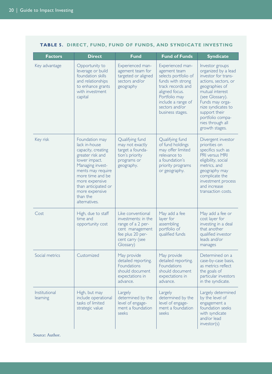| <b>Factors</b>            | <b>Direct</b>                                                                                                                                                                                                                                   | <b>Fund</b>                                                                                                                          | <b>Fund of Funds</b>                                                                                                                                                                              | <b>Syndicate</b>                                                                                                                                                                                                                                                  |
|---------------------------|-------------------------------------------------------------------------------------------------------------------------------------------------------------------------------------------------------------------------------------------------|--------------------------------------------------------------------------------------------------------------------------------------|---------------------------------------------------------------------------------------------------------------------------------------------------------------------------------------------------|-------------------------------------------------------------------------------------------------------------------------------------------------------------------------------------------------------------------------------------------------------------------|
| Key advantage             | Opportunity to<br>leverage or build<br>foundation skills<br>and relationships<br>to enhance grants<br>with investment<br>capital                                                                                                                | Experienced man-<br>agement team for<br>targeted or aligned<br>sectors and/or<br>geography                                           | Experienced man-<br>agement team<br>selects portfolio of<br>funds with strong<br>track records and<br>aligned focus.<br>Portfolio may<br>include a range of<br>sectors and/or<br>business stages. | Investor groups<br>organized by a lead<br>investor for trans-<br>actions, sectors, or<br>geographies of<br>mutual interest<br>(see Glossary).<br>Funds may orga-<br>nize syndicates to<br>support their<br>portfolio compa-<br>nies through all<br>growth stages. |
| Key risk                  | Foundation may<br>lack in-house<br>capacity, creating<br>greater risk and<br>lower impact.<br>Managing invest-<br>ments may require<br>more time and be<br>more expensive<br>than anticipated or<br>more expensive<br>than the<br>alternatives. | Qualifying fund<br>may not exactly<br>target a founda-<br>tion's priority<br>programs or<br>geography.                               | Qualifying fund<br>of fund holdings<br>may offer limited<br>relevance to<br>a foundation's<br>priority programs<br>or geography.                                                                  | Divergent investor<br>priorities on<br>specifics such as<br>PRI versus MRI<br>eligibility, social<br>metrics, and<br>geography may<br>complicate the<br>investment process<br>and increase<br>transaction costs.                                                  |
| Cost                      | High, due to staff<br>time and<br>opportunity cost                                                                                                                                                                                              | Like conventional<br>investments: in the<br>range of a 2 per-<br>cent management<br>fee plus 20 per-<br>cent carry (see<br>Glossary) | May add a fee<br>layer for<br>assembling<br>portfolio of<br>qualified funds                                                                                                                       | May add a fee or<br>cost layer for<br>investing in a deal<br>that another<br>qualified investor<br>leads and/or<br>manages                                                                                                                                        |
| Social metrics            | Customized                                                                                                                                                                                                                                      | May provide<br>detailed reporting.<br>Foundations<br>should document<br>expectations in<br>advance.                                  | May provide<br>detailed reporting.<br>Foundations<br>should document<br>expectations in<br>advance.                                                                                               | Determined on a<br>case-by-case basis,<br>as metrics reflect<br>the goals of<br>particular investors<br>in the syndicate.                                                                                                                                         |
| Institutional<br>learning | High, but may<br>include operational<br>tasks of limited<br>strategic value                                                                                                                                                                     | Largely<br>determined by the<br>level of engage-<br>ment a foundation<br>seeks                                                       | Largely<br>determined by the<br>level of engage-<br>ment a foundation<br>seeks                                                                                                                    | Largely determined<br>by the level of<br>engagement a<br>foundation seeks<br>with syndicate<br>and/or lead<br>investor(s)                                                                                                                                         |

#### **TABLE 5. DIRECT, FUND, FUND OF FUNDS, AND SYNDICATE INVESTING**

Source: Author.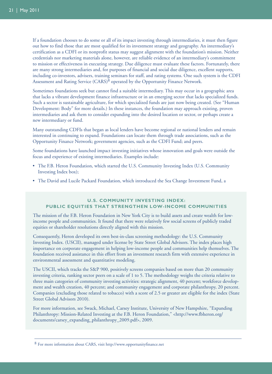If a foundation chooses to do some or all of its impact investing through intermediaries, it must then figure out how to find those that are most qualified for its investment strategy and geography. An intermediary's certification as a CDFI or its nonprofit status may suggest alignment with the foundation's mission. Neither credentials nor marketing materials alone, however, are reliable evidence of an intermediary's commitment to mission or effectiveness in executing strategy. Due diligence must evaluate these factors. Fortunately, there are many strong intermediaries and, for purposes of financial and social due diligence, excellent supports, including co-investors, advisers, training seminars for staff, and rating systems. One such system is the CDFI Assessment and Rating Service (CARS)<sup>8</sup> operated by the Opportunity Finance Network.

Sometimes foundations seek but cannot find a suitable intermediary. This may occur in a geographic area that lacks a vibrant development finance infrastructure or in an emerging sector that lacks specialized funds. Such a sector is sustainable agriculture, for which specialized funds are just now being created. [\(See "Human](#page-63-0) [Development: Body"](#page-63-0) for more details.) In these instances, the foundation may approach existing, proven intermediaries and ask them to consider expanding into the desired location or sector, or perhaps create a new intermediary or fund.

Many outstanding CDFIs that began as local lenders have become regional or national lenders and remain interested in continuing to expand. Foundations can locate them through trade associations, such as the Opportunity Finance Network; government agencies, such as the CDFI Fund; and peers.

Some foundations have launched impact investing initiatives whose innovation and goals were outside the focus and experience of existing intermediaries. Examples include:

- The F.B. Heron Foundation, which started the U.S. Community Investing Index (U.S. Community Investing Index box);
- The David and Lucile Packard Foundation, which introduced the Sea Change Investment Fund, a

#### **U.S. COMMUNITY INVESTING INDEX: PUBLIC EQUITIES THAT STRENGTHEN LOW-INCOME COMMUNITIES**

The mission of the F.B. Heron Foundation in New York City is to build assets and create wealth for lowincome people and communities. It found that there were relatively few social screens of publicly traded equities or shareholder resolutions directly aligned with this mission.

Consequently, Heron developed its own best-in-class screening methodology: the U.S. Community Investing Index. (USCII), managed under license by State Street Global Advisors. The index places high importance on corporate engagement in helping low-income people and communities help themselves. The foundation received assistance in this effort from an investment research firm with extensive experience in environmental assessment and quantitative modeling.

The USCII, which tracks the S&P 900, positively screens companies based on more than 20 community investing criteria, ranking sector peers on a scale of 1 to 5. The methodology weighs the criteria relative to three main categories of community investing activities: strategic alignment, 40 percent; workforce development and wealth creation, 40 percent; and community engagement and corporate philanthropy, 20 percent. Companies (excluding those related to tobacco) with a score of 2.5 or greater are eligible for the index (State Street Global Advisors 2010).

For more information, see Swack, Michael, Carsey Institute, University of New Hampshire, "Expanding Philanthropy: Mission-Related Investing at the F.B. Heron Foundation," <http://www.fbheron.org/ documents/carsey\_expanding\_philanthropy\_2009.pdf>, 2009.

<sup>8</sup> For more information about CARS, visit http://www.opportunityfinance.net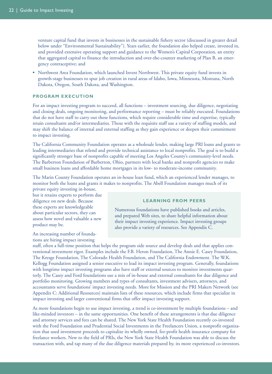venture capital fund that invests in businesses in the sustainable fishery sector (discussed in greater detail below under ["Environmental Sustainability"](#page-76-0)). Years earlier, the foundation also helped create, invested in, and provided extensive operating support and guidance to the Women's Capital Corporation, an entity that aggregated capital to finance the introduction and over-the-counter marketing of Plan B, an emergency contraceptive; and

• Northwest Area Foundation, which launched Invest Northwest. This private equity fund invests in growth-stage businesses to spur job creation in rural areas of Idaho, Iowa, Minnesota, Montana, North Dakota, Oregon, South Dakota, and Washington.

#### **PROGRAM EXECUTION**

For an impact investing program to succeed, all functions – investment sourcing, due diligence, negotiating and closing deals, ongoing monitoring, and performance reporting – must be reliably executed. Foundations that do not have staff to carry out these functions, which require considerable time and expertise, typically retain consultants and/or intermediaries. Those with the requisite staff use a variety of staffing models, and may shift the balance of internal and external staffing as they gain experience or deepen their commitment to impact investing.

The California Community Foundation operates as a wholesale lender, making large PRI loans and grants to leading intermediaries that relend and provide technical assistance to local nonprofits. The goal is to build a significantly stronger base of nonprofits capable of meeting Los Angeles County's community-level needs. The Barberton Foundation of Barberton, Ohio, partners with local banks and nonprofit agencies to make small business loans and affordable home mortgages in its low- to moderate-income community.

The Marin County Foundation operates an in-house loan fund, which an experienced lender manages, to monitor both the loans and grants it makes to nonprofits. The Abell Foundation manages much of its private equity investing in-house,

but it retains experts to perform due diligence on new deals. Because these experts are knowledgeable about particular sectors, they can assess how novel and valuable a new product may be.

An increasing number of foundations are hiring impact investing

#### <span id="page-26-0"></span>**LEARNING FROM PEERS**

Numerous foundations have published books and articles, and prepared Web sites, to share helpful information about their impact investing experience. Impact investing groups also provide a variety of resources. [See Appendix C.](#page-100-0)

staff, often a full-time position that helps the program side source and develop deals and that applies conventional investment rigor. Examples include the F.B. Heron Foundation, The Annie E. Casey Foundation, The Kresge Foundation, The Colorado Health Foundation, and The California Endowment. The W.K. Kellogg Foundation assigned a senior executive to lead its impact investing program. Generally, foundations with longtime impact investing programs also have staff or external sources to monitor investments quarterly. The Casey and Ford foundations use a mix of in-house and external consultants for due diligence and portfolio monitoring. Growing numbers and types of consultants, investment advisers, attorneys, and accountants serve foundations' impact investing needs. More for Mission and the PRI Makers Network [\(see](#page-100-0) [Appendix C: Additional Resources\)](#page-100-0) maintain lists of these resources, which include firms that specialize in impact investing and larger conventional firms that offer impact investing support.

As more foundations begin to use impact investing, a trend is co-investment by multiple foundations – and like-minded investors – in the same opportunities. One benefit of these arrangements is that due diligence and attorney services and fees can be shared. The New York State Health Foundation recently co-invested with the Ford Foundation and Prudential Social Investments in the Freelancers Union, a nonprofit organization that used investment proceeds to capitalize its wholly owned, for-profit health insurance company for freelance workers. New to the field of PRIs, the New York State Health Foundation was able to discuss the transaction with, and tap many of the due diligence materials prepared by, its more experienced co-investors.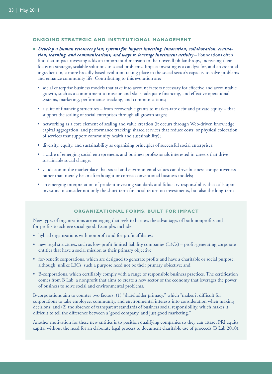#### <span id="page-27-0"></span>**ONGOING STRATEGIC AND INSTITUTIONAL MANAGEMENT**

- **➤** *Develop a human resources plan; systems for impact investing, innovation, collaboration, evaluation, learning, and communications; and ways to leverage investment activity* – Foundations often find that impact investing adds an important dimension to their overall philanthropy, increasing their focus on strategic, scalable solutions to social problems. Impact investing is a catalyst for, and an essential ingredient in, a more broadly based evolution taking place in the social sector's capacity to solve problems and enhance community life. Contributing to this evolution are:
	- social enterprise business models that take into account factors necessary for effective and accountable growth, such as a commitment to mission and skills, adequate financing, and effective operational systems, marketing, performance tracking, and communications;
	- a suite of financing structures from recoverable grants to market-rate debt and private equity that support the scaling of social enterprises through all growth stages;
	- networking as a core element of scaling and value creation (it occurs through Web-driven knowledge, capital aggregation, and performance tracking; shared services that reduce costs; or physical colocation of services that support community health and sustainability);
	- diversity, equity, and sustainability as organizing principles of successful social enterprises;
	- a cadre of emerging social entrepreneurs and business professionals interested in careers that drive sustainable social change;
	- validation in the marketplace that social and environmental values can drive business competitiveness rather than merely be an afterthought or correct conventional business models;
	- an emerging interpretation of prudent investing standards and fiduciary responsibility that calls upon investors to consider not only the short-term financial return on investments, but also the long-term

#### **ORGANIZATIONAL FORMS: BUILT FOR IMPACT**

New types of organizations are emerging that seek to harness the advantages of both nonprofits and for-profits to achieve social good. Examples include:

- hybrid organizations with nonprofit and for-profit affiliates;
- new legal structures, such as low-profit limited liability companies (L3Cs) profit-generating corporate entities that have a social mission as their primary objective;
- for-benefit corporations, which are designed to generate profits and have a charitable or social purpose, although, unlike L3Cs, such a purpose need not be their primary objective; and
- B-corporations, which certifiably comply with a range of responsible business practices. The certification comes from B Lab, a nonprofit that aims to create a new sector of the economy that leverages the power of business to solve social and environmental problems.

B-corporations aim to counter two factors: (1) "shareholder primacy," which "makes it difficult for corporations to take employee, community, and environmental interests into consideration when making decisions; and (2) the absence of transparent standards of business social responsibility, which makes it difficult to tell the difference between a 'good company' and just good marketing."

Another motivation for these new entities is to position qualifying companies so they can attract PRI equity capital without the need for an elaborate legal process to document charitable use of proceeds (B Lab 2010).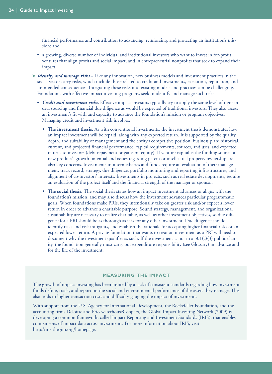financial performance and contribution to advancing, reinforcing, and protecting an institution's mission; and

- a growing, diverse number of individual and institutional investors who want to invest in for-profit ventures that align profits and social impact, and in entrepreneurial nonprofits that seek to expand their impact.
- **➤** *Identify and manage risks* Like any innovation, new business models and investment practices in the social sector carry risks, which include those related to credit and investments, execution, reputation, and unintended consequences. Integrating these risks into existing models and practices can be challenging. Foundations with effective impact investing programs seek to identify and manage such risks.
	- *Credit and investment risks.* Effective impact investors typically try to apply the same level of rigor in deal sourcing and financial due diligence as would be expected of traditional investors. They also assess an investment's fit with and capacity to advance the foundation's mission or program objectives. Managing credit and investment risk involves:
		- **The investment thesis.** As with conventional investments, the investment thesis demonstrates how an impact investment will be repaid, along with any expected return. It is supported by the quality, depth, and suitability of management and the entity's competitive position; business plan; historical, current, and projected financial performance; capital requirements, sources, and uses; and expected returns to investors (debt repayment or gains on equity). If venture capital is the funding source, a new product's growth potential and issues regarding patent or intellectual property ownership are also key concerns. Investments in intermediaries and funds require an evaluation of their management, track record, strategy, due diligence, portfolio monitoring and reporting infrastructures, and alignment of co-investors' interests. Investments in projects, such as real estate developments, require an evaluation of the project itself and the financial strength of the manager or sponsor.
		- **The social thesis.** The social thesis states how an impact investment advances or aligns with the foundation's mission, and may also discuss how the investment advances particular programmatic goals. When foundations make PRIs, they intentionally take on greater risk and/or expect a lower return in order to advance a charitable purpose. Sound strategy, management, and organizational sustainability are necessary to realize charitable, as well as other investment objectives, so due diligence for a PRI should be as thorough as it is for any other investment. Due diligence should identify risks and risk mitigants, and establish the rationale for accepting higher financial risks or an expected lower return. A private foundation that wants to treat an investment as a PRI will need to document why the investment qualifies as such. If the investment is not in a  $501(c)(3)$  public charity, the foundation generally must carry out expenditure responsibility [\(see Glossary\)](#page-90-0) in advance and for the life of the investment.

#### **MEASURING THE IMPACT**

The growth of impact investing has been limited by a lack of consistent standards regarding how investment funds define, track, and report on the social and environmental performance of the assets they manage. This also leads to higher transaction costs and difficulty gauging the impact of investments.

With support from the U.S. Agency for International Development, the Rockefeller Foundation, and the accounting firms Deloitte and PricewaterhouseCoopers, the Global Impact Investing Network (2009) is developing a common framework, called Impact Reporting and Investment Standards (IRIS), that enables comparisons of impact data across investments. For more information about IRIS, visit http://iris.thegiin.org/homepage.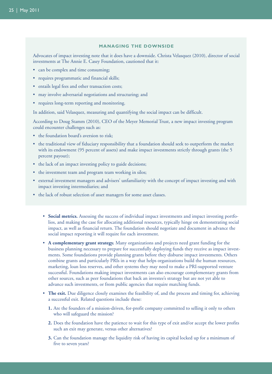#### **MANAGING THE DOWNSIDE**

Advocates of impact investing note that it does have a downside. Christa Velasquez (2010), director of social investments at The Annie E. Casey Foundation, cautioned that it:

- can be complex and time consuming;
- requires programmatic and financial skills;
- entails legal fees and other transaction costs;
- may involve adversarial negotiations and structuring; and
- requires long-term reporting and monitoring.

In addition, said Velasquez, measuring and quantifying the social impact can be difficult.

According to Doug Stamm (2010), CEO of the Meyer Memorial Trust, a new impact investing program could encounter challenges such as:

- the foundation board's aversion to risk;
- the traditional view of fiduciary responsibility that a foundation should seek to outperform the market with its endowment (95 percent of assets) and make impact investments strictly through grants (the 5 percent payout);
- the lack of an impact investing policy to guide decisions;
- the investment team and program team working in silos;
- external investment managers and advisers' unfamiliarity with the concept of impact investing and with impact investing intermediaries; and
- the lack of robust selection of asset managers for some asset classes.
	- **Social metrics.** Assessing the success of individual impact investments and impact investing portfolios, and making the case for allocating additional resources, typically hinge on demonstrating social impact, as well as financial return. The foundation should negotiate and document in advance the social impact reporting it will require for each investment.
	- **A complementary grant strategy.** Many organizations and projects need grant funding for the business planning necessary to prepare for successfully deploying funds they receive as impact investments. Some foundations provide planning grants before they disburse impact investments. Others combine grants and particularly PRIs in a way that helps organizations build the human resources, marketing, loan loss reserves, and other systems they may need to make a PRI-supported venture successful. Foundations making impact investments can also encourage complementary grants from other sources, such as peer foundations that back an investee's strategy but are not yet able to advance such investments, or from public agencies that require matching funds.
	- The exit. Due diligence closely examines the feasibility of, and the process and timing for, achieving a successful exit. Related questions include these:

**1.** Are the founders of a mission-driven, for-profit company committed to selling it only to others who will safeguard the mission?

- **2.** Does the foundation have the patience to wait for this type of exit and/or accept the lower profits such an exit may generate, versus other alternatives?
- **3.** Can the foundation manage the liquidity risk of having its capital locked up for a minimum of five to seven years?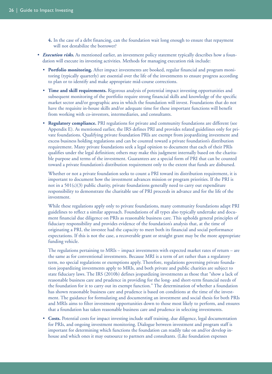- **4.** In the case of a debt financing, can the foundation wait long enough to ensure that repayment will not destabilize the borrower?
- *Execution risks.* As mentioned earlier, an investment policy statement typically describes how a foundation will execute its investing activities. Methods for managing execution risk include:
	- **Portfolio monitoring.** After impact investments are booked, regular financial and program monitoring (typically quarterly) are essential over the life of the investments to ensure progress according to plan or to identify and make appropriate mid-course corrections.
	- **Time and skill requirements.** Rigorous analysis of potential impact investing opportunities and subsequent monitoring of the portfolio require strong financial skills and knowledge of the specific market sector and/or geographic area in which the foundation will invest. Foundations that do not have the requisite in-house skills and/or adequate time for these important functions will benefit from working with co-investors, intermediaries, and consultants.
	- **Regulatory compliance.** PRI regulations for private and community foundations are different [\(see](#page-104-0) [Appendix E\)](#page-104-0). As mentioned earlier, the IRS defines PRI and provides related guidelines only for private foundations. Qualifying private foundation PRIs are exempt from jeopardizing investment and excess business holding regulations and can be counted toward a private foundation's distribution requirement. Many private foundations seek a legal opinion to document that each of their PRIs qualifies under the legal definition; others may make this judgment internally based on the charitable purpose and terms of the investment. Guarantees are a special form of PRI that can be counted toward a private foundation's distribution requirement only to the extent that funds are disbursed.

Whether or not a private foundation seeks to count a PRI toward its distribution requirement, it is important to document how the investment advances mission or program priorities. If the PRI is not in a  $501(c)(3)$  public charity, private foundations generally need to carry out expenditure responsibility to demonstrate the charitable use of PRI proceeds in advance and for the life of the investment.

While these regulations apply only to private foundations, many community foundations adapt PRI guidelines to reflect a similar approach. Foundations of all types also typically undertake and document financial due diligence on PRIs as reasonable business care. This upholds general principles of fiduciary responsibility and provides evidence of the foundation's analysis that, at the time of originating a PRI, the investee had the capacity to meet both its financial and social performance expectations. If this is not the case, a recoverable grant or straight grant may be the more appropriate funding vehicle.

The regulations pertaining to MRIs – impact investments with expected market rates of return – are the same as for conventional investments. Because MRI is a term of art rather than a regulatory term, no special regulations or exemptions apply. Therefore, regulations governing private foundation jeopardizing investments apply to MRIs, and both private and public charities are subject to state fiduciary laws. The IRS (2010b) defines jeopardizing investments as those that "show a lack of reasonable business care and prudence in providing for the long- and short-term financial needs of the foundation for it to carry out its exempt function." The determination of whether a foundation has shown reasonable business care and prudence is based on conditions at the time of the investment. The guidance for formulating and documenting an investment and social thesis for both PRIs and MRIs aims to filter investment opportunities down to those most likely to perform, and ensures that a foundation has taken reasonable business care and prudence in selecting investments.

• **Costs.** Potential costs for impact investing include staff training, due diligence, legal documentation for PRIs, and ongoing investment monitoring. Dialogue between investment and program staff is important for determining which functions the foundation can readily take on and/or develop inhouse and which ones it may outsource to partners and consultants. (Like foundation expenses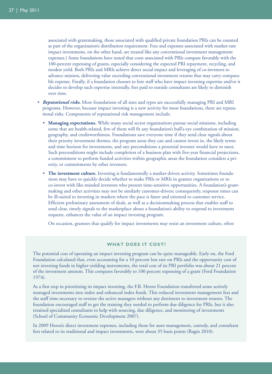associated with grantmaking, those associated with qualified private foundation PRIs can be counted as part of the organization's distribution requirement. Fees and expenses associated with market-rate impact investments, on the other hand, are treated like any conventional investment management expenses.) Some foundations have noted that costs associated with PRIs compare favorably with the 100-percent expensing of grants, especially considering the expected PRI repayment, recycling, and modest yield. Both PRIs and MRIs achieve direct social impact and leveraging of co-investors to advance mission, delivering value exceeding conventional investment returns that may carry comparable expense. Finally, if a foundation chooses to hire staff who have impact investing expertise and/or it decides to develop such expertise internally, fees paid to outside consultants are likely to diminish over time.

- *Reputational risks.* More foundations of all sizes and types are successfully managing PRI and MRI programs. However, because impact investing is a new activity for most foundations, there are reputational risks. Components of reputational risk management include:
	- **Managing expectations.** While many social sector organizations pursue social missions, including some that are health-related, few of them will fit any foundation's bull's-eye combination of mission, geography, and creditworthiness. Foundations save everyone time if they send clear signals about their priority investment themes, the program areas they can and cannot invest in, the likely terms and time horizon for investments, and any preconditions a potential investee would have to meet. Such preconditions might include completion of a business plan with five-year financial projections, a commitment to perform funded activities within geographic areas the foundation considers a priority, or commitments by other investors.
	- **The investment culture.** Investing is fundamentally a market-driven activity. Sometimes foundations may have to quickly decide whether to make PRIs or MRIs in grantee organizations or to co-invest with like-minded investors who present time-sensitive opportunities. A foundation's grantmaking and other activities may not be similarly customer-driven; consequently, response times can be ill-suited to investing in markets where the pace is faster and oriented to customer service. Efficient preliminary assessment of deals, as well as a decisionmaking process that enables staff to send clear, timely signals to the marketplace about a foundation's ability to respond to investment requests, enhances the value of an impact investing program.

On occasion, grantees that qualify for impact investments may resist an investment culture, often

#### **WHAT DOES IT COST?**

The potential cost of operating an impact investing program can be quite manageable. Early on, the Ford Foundation calculated that, even accounting for a 10 percent loss rate on PRIs and the opportunity cost of not investing funds in higher-yielding instruments, the total cost of its PRI portfolio was about 21 percent of the investment amount. This compares favorably to 100 percent expensing of a grant (Ford Foundation 1974).

As a first step in prioritizing its impact investing, the F.B. Heron Foundation transferred some actively managed investments into index and enhanced index funds. This reduced investment management fees and the staff time necessary to oversee the active managers without any detriment to investment returns. The foundation encouraged staff to get the training they needed to perform due diligence for PRIs, but it also retained specialized consultants to help with sourcing, due diligence, and monitoring of investments (School of Community Economic Development 2007).

In 2009 Heron's direct investment expenses, including those for asset management, custody, and consultant fees related to its traditional and impact investments, were about 35 basis points (Ragin 2010).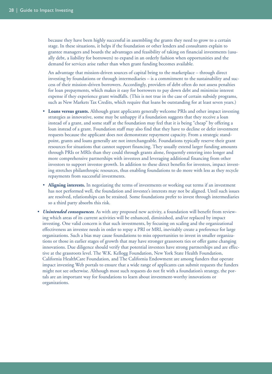because they have been highly successful in assembling the grants they need to grow to a certain stage. In these situations, it helps if the foundation or other lenders and consultants explain to grantee managers and boards the advantages and feasibility of taking on financial investments (usually debt, a liability for borrowers) to expand in an orderly fashion when opportunities and the demand for services arise rather than when grant funding becomes available.

An advantage that mission-driven sources of capital bring to the marketplace – through direct investing by foundations or through intermediaries – is a commitment to the sustainability and success of their mission-driven borrowers. Accordingly, providers of debt often do not assess penalties for loan prepayments, which makes it easy for borrowers to pay down debt and minimize interest expense if they experience grant windfalls. (This is not true in the case of certain subsidy programs, such as New Markets Tax Credits, which require that loans be outstanding for at least seven years.)

- **Loans versus grants.** Although grant applicants generally welcome PRIs and other impact investing strategies as innovative, some may be unhappy if a foundation suggests that they receive a loan instead of a grant, and some staff at the foundation may feel that it is being "cheap" by offering a loan instead of a grant. Foundation staff may also find that they have to decline or defer investment requests because the applicant does not demonstrate repayment capacity. From a strategic standpoint, grants and loans generally are not interchangeable. Foundations typically reserve their grant resources for situations that cannot support financing. They usually extend larger funding amounts through PRIs or MRIs than they could through grants alone, frequently entering into longer and more comprehensive partnerships with investees and leveraging additional financing from other investors to support investee growth. In addition to these direct benefits for investees, impact investing stretches philanthropic resources, thus enabling foundations to do more with less as they recycle repayments from successful investments.
- **Aligning interests.** In negotiating the terms of investments or working out terms if an investment has not performed well, the foundation and investee's interests may not be aligned. Until such issues are resolved, relationships can be strained. Some foundations prefer to invest through intermediaries so a third party absorbs this risk.
- *Unintended consequences*. As with any proposed new activity, a foundation will benefit from reviewing which areas of its current activities will be enhanced, diminished, and/or replaced by impact investing. One valid concern is that such investments, by focusing on scaling and the organizational effectiveness an investee needs in order to repay a PRI or MRI, inevitably create a preference for large organizations. Such a bias may cause foundations to miss opportunities to invest in smaller organizations or those in earlier stages of growth that may have stronger grassroots ties or offer game changing innovations. Due diligence should verify that potential investees have strong partnerships and are effective at the grassroots level. The W.K. Kellogg Foundation, New York State Health Foundation, California HealthCare Foundation, and The California Endowment are among funders that operate impact investing Web portals to ensure that a wide range of applicants can submit requests the funders might not see otherwise. Although most such requests do not fit with a foundation's strategy, the portals are an important way for foundations to learn about investment-worthy innovations or organizations.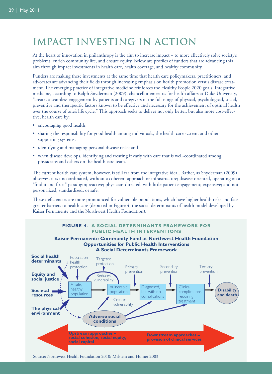# <span id="page-33-0"></span>**IMPACT INVESTING IN ACTION**

At the heart of innovation in philanthropy is the aim to increase impact – to more effectively solve society's problems, enrich community life, and ensure equity. Below are profiles of funders that are advancing this aim through impact investments in health care, health coverage, and healthy community.

Funders are making these investments at the same time that health care policymakers, practitioners, and advocates are advancing their fields through increasing emphasis on health promotion versus disease treatment. The emerging practice of integrative medicine reinforces the Healthy People 2020 goals. Integrative medicine, according to Ralph Snyderman (2009), chancellor emeritus for health affairs at Duke University, "creates a seamless engagement by patients and caregivers in the full range of physical, psychological, social, preventive and therapeutic factors known to be effective and necessary for the achievement of optimal health over the course of one's life cycle." This approach seeks to deliver not only better, but also more cost-effective, health care by:

- encouraging good health;
- sharing the responsibility for good health among individuals, the health care system, and other supporting systems;
- identifying and managing personal disease risks; and
- when disease develops, identifying and treating it early with care that is well-coordinated among physicians and others on the health care team.

The current health care system, however, is still far from the integrative ideal. Rather, as Snyderman (2009) observes, it is uncoordinated, without a coherent approach or infrastructure; disease-oriented, operating on a "find it and fix it" paradigm; reactive; physician-directed, with little patient engagement; expensive; and not personalized, standardized, or safe.

These deficiencies are more pronounced for vulnerable populations, which have higher health risks and face greater barriers to health care (depicted in Figure 4, the social determinants of health model developed by Kaiser Permanente and the Northwest Health Foundation).

#### **FIGURE 4. A SOCIAL DETERMINANTS FRAMEWORK FOR PUBLIC HEALTH INTERVENTIONS**

**Kaiser Permanente Community Fund at Northwest Health Foundation**



Source: Northwest Health Foundation 2010; Milstein and Homer 2003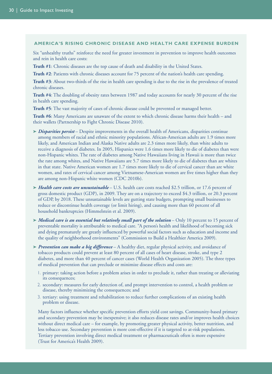#### **AMERICA'S RISING CHRONIC DISEASE AND HEALTH CARE EXPENSE BURDEN**

Six "unhealthy truths" reinforce the need for greater investment in prevention to improve health outcomes and rein in health care costs:

**Truth #1**: Chronic diseases are the top cause of death and disability in the United States.

**Truth #2**: Patients with chronic diseases account for 75 percent of the nation's health care spending.

**Truth #3**: About two-thirds of the rise in health care spending is due to the rise in the prevalence of treated chronic diseases.

**Truth #4**: The doubling of obesity rates between 1987 and today accounts for nearly 30 percent of the rise in health care spending.

**Truth #5**: The vast majority of cases of chronic disease could be prevented or managed better.

**Truth #6**: Many Americans are unaware of the extent to which chronic disease harms their health – and their wallets (Partnership to Fight Chronic Disease 2010).

- **➤** *Disparities persist* Despite improvements in the overall health of Americans, disparities continue among members of racial and ethnic minority populations. African-American adults are 1.9 times more likely, and American Indian and Alaska Native adults are 2.3 times more likely, than white adults to receive a diagnosis of diabetes. In 2005, Hispanics were 1.6 times more likely to die of diabetes than were non-Hispanic whites. The rate of diabetes among Native Hawaiians living in Hawaii is more than twice the rate among whites, and Native Hawaiians are 5.7 times more likely to die of diabetes than are whites in that state. Native American women are 1.7 times more likely to die of cervical cancer than are white women, and rates of cervical cancer among Vietnamese-American women are five times higher than they are among non-Hispanic white women (CDC 2010b).
- **➤** *Health care costs are unsustainable* U.S. health care costs reached \$2.5 trillion, or 17.6 percent of gross domestic product (GDP), in 2009. They are on a trajectory to exceed \$4.3 trillion, or 20.3 percent of GDP, by 2018. These unsustainable levels are gutting state budgets, prompting small businesses to reduce or discontinue health coverage (or limit hiring), and causing more than 60 percent of all household bankruptcies (Himmelstein et al. 2009).
- **➤** *Medical care is an essential but relatively small part of the solution* Only 10 percent to 15 percent of preventable mortality is attributable to medical care. "A person's health and likelihood of becoming sick and dying prematurely are greatly influenced by powerful social factors such as education and income and the quality of neighborhood environments" (Commission to Build a Healthier America 2009).
- **➤** *Prevention can make a big difference* A healthy diet, regular physical activity, and avoidance of tobacco products could prevent at least 80 percent of all cases of heart disease, stroke, and type 2 diabetes, and more than 40 percent of cancer cases (World Health Organization 2005). The three types of medical prevention that can preclude or minimize disease effects and costs are:
	- 1. primary: taking action before a problem arises in order to preclude it, rather than treating or alleviating its consequences;
	- 2. secondary: measures for early detection of, and prompt intervention to control, a health problem or disease, thereby minimizing the consequences; and
	- 3. tertiary: using treatment and rehabilitation to reduce further complications of an existing health problem or disease.

Many factors influence whether specific prevention efforts yield cost savings. Community-based primary and secondary prevention may be inexpensive; it also reduces disease rates and/or improves health choices without direct medical care – for example, by promoting greater physical activity, better nutrition, and less tobacco use. Secondary prevention is more cost-effective if it is targeted to at-risk populations. Tertiary prevention involving direct medical treatment or pharmaceuticals often is more expensive (Trust for America's Health 2009).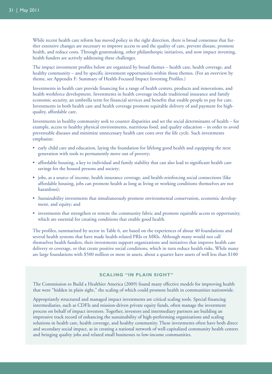While recent health care reform has moved policy in the right direction, there is broad consensus that further extensive changes are necessary to improve access to and the quality of care, prevent disease, promote health, and reduce costs. Through grantmaking, other philanthropic initiatives, and now impact investing, health funders are actively addressing these challenges.

The impact investment profiles below are organized by broad themes – health care, health coverage, and healthy community – and by specific investment opportunities within those themes. (For an overview by theme, [see Appendix F: Summary of Health-Focused Impact Investing Profiles.](#page-110-0))

Investments in health care provide financing for a range of health centers, products and innovations, and health workforce development. Investments in health coverage include traditional insurance and family economic security, an umbrella term for financial services and benefits that enable people to pay for care. Investments in both health care and health coverage promote equitable delivery of and payment for highquality, affordable care.

Investments in healthy community seek to counter disparities and set the social determinants of health – for example, access to healthy physical environments, nutritious food, and quality education – in order to avoid preventable diseases and minimize unnecessary health care costs over the life cycle. Such investments emphasize:

- early child care and education, laying the foundation for lifelong good health and equipping the next generation with tools to permanently move out of poverty;
- affordable housing, a key to individual and family stability that can also lead to significant health care savings for the housed persons and society;
- jobs, as a source of income, health insurance coverage, and health-reinforcing social connections (like affordable housing, jobs can promote health as long as living or working conditions themselves are not hazardous);
- Sustainability investments that simultaneously promote environmental conservation, economic development, and equity; and
- investments that strengthen or restore the community fabric and promote equitable access to opportunity, which are essential for creating conditions that enable good health.

The profiles, summarized by sector in Table 6, are based on the experiences of about 40 foundations and several health systems that have made health-related PRIs or MRIs. Although many would not call themselves health funders, their investments support organizations and initiatives that improve health care delivery or coverage, or that create positive social conditions, which in turn reduce health risks. While many are large foundations with \$500 million or more in assets, about a quarter have assets of well less than \$100

#### **SCALING "IN PLAIN SIGHT"**

The Commission to Build a Healthier America (2009) found many effective models for improving health that were "hidden in plain sight," the scaling of which could promote health in communities nationwide.

Appropriately structured and managed impact investments are critical scaling tools. Special financing intermediaries, such as CDFIs and mission-driven private equity funds, often manage the investment process on behalf of impact investors. Together, investors and intermediary partners are building an impressive track record of enhancing the sustainability of high-performing organizations and scaling solutions in health care, health coverage, and healthy community. These investments often have both direct and secondary social impact, as in creating a national network of well-capitalized community health centers and bringing quality jobs and related small businesses to low-income communities.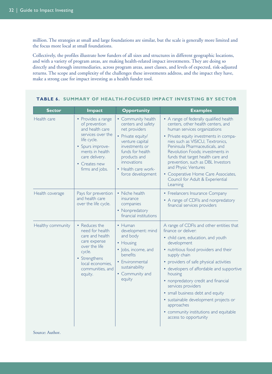million. The strategies at small and large foundations are similar, but the scale is generally more limited and the focus more local at small foundations.

Collectively, the profiles illustrate how funders of all sizes and structures in different geographic locations, and with a variety of program areas, are making health-related impact investments. They are doing so directly and through intermediaries, across program areas, asset classes, and levels of expected, risk-adjusted returns. The scope and complexity of the challenges these investments address, and the impact they have, make a strong case for impact investing as a health funder tool.

| Sector            | <b>Impact</b>                                                                                                                                                                           | <b>Opportunity</b>                                                                                                                                                                                                 | <b>Examples</b>                                                                                                                                                                                                                                                                                                                                                                                                                                                                                             |
|-------------------|-----------------------------------------------------------------------------------------------------------------------------------------------------------------------------------------|--------------------------------------------------------------------------------------------------------------------------------------------------------------------------------------------------------------------|-------------------------------------------------------------------------------------------------------------------------------------------------------------------------------------------------------------------------------------------------------------------------------------------------------------------------------------------------------------------------------------------------------------------------------------------------------------------------------------------------------------|
| Health care       | • Provides a range<br>of prevention<br>and health care<br>services over the<br>life cycle.<br>• Spurs improve-<br>ments in health<br>care delivery.<br>• Creates new<br>firms and jobs. | • Community health<br>centers and safety<br>net providers<br>• Private equity/<br>venture capital<br>investments or<br>funds for health<br>products and<br>innovations<br>• Health care work-<br>force development | • A range of federally qualified health<br>centers, other health centers, and<br>human services organizations<br>• Private equity investments in compa-<br>nies such as VISICU, Textronics,<br>Peninsula Pharmaceuticals, and<br>Revolution Foods; investments in<br>funds that target health care and<br>prevention, such as DBL Investors<br>and Physic Ventures<br>• Cooperative Home Care Associates,<br>Council for Adult & Experiential<br>Learning                                                   |
| Health coverage   | Pays for prevention<br>and health care<br>over the life cycle.                                                                                                                          | • Niche health<br>insurance<br>companies<br>• Nonpredatory<br>financial institutions                                                                                                                               | • Freelancers Insurance Company<br>• A range of CDFIs and nonpredatory<br>financial services providers                                                                                                                                                                                                                                                                                                                                                                                                      |
| Healthy community | • Reduces the<br>need for health<br>care and health<br>care expense<br>over the life<br>cycle.<br>• Strengthens<br>local economies,<br>communities, and<br>equity.                      | $\cdot$ Human<br>development: mind<br>and body<br>• Housing<br>· Jobs, income, and<br>benefits<br>• Environmental<br>sustainability<br>• Community and<br>equity                                                   | A range of CDFIs and other entities that<br>finance or deliver:<br>• child care, education, and youth<br>development<br>• nutritious food providers and their<br>supply chain<br>• providers of safe physical activities<br>· developers of affordable and supportive<br>housing<br>• nonpredatory credit and financial<br>services providers<br>• small business debt and equity<br>· sustainable development projects or<br>approaches<br>• community institutions and equitable<br>access to opportunity |

#### **TABLE 6. SUMMARY OF HEALTH-FOCUSED IMPACT INVESTING BY SECTOR**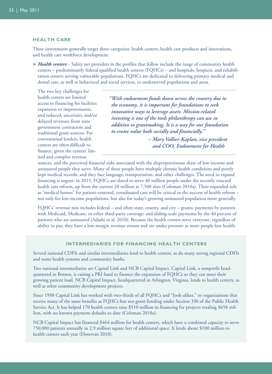#### **HEALTH CARE**

These investments generally target three categories: health centers, health care products and innovations, and health care workforce development.

**➤** *Health centers* – Safety net providers in the profiles that follow include the range of community health centers – predominantly federal qualified health centers (FQHCs) – and hospitals, hospices, and rehabilitation centers serving vulnerable populations. FQHCs are dedicated to delivering primary medical and dental care, as well as behavioral and social services, to underserved populations and areas.

The two key challenges for health centers are limited access to financing for facilities expansion or improvements, and reduced, uncertain, and/or delayed revenues from state government contractors and traditional grant sources. For conventional lenders, health centers are often difficult to finance, given the centers' limited and complex revenue

*"With endowment funds down across the country due to the economy, it is important for foundations to seek innovative ways to leverage assets. Mission-related investing is one of the tools philanthropy can use in addition to grantmaking. It is a way for our foundation to create value both socially and financially."* 

> *– Mary Vallier-Kaplan, vice president and COO, Endowment for Health*

sources, and the perceived financial risks associated with the disproportionate share of low-income and uninsured people they serve. Many of these people have multiple chronic health conditions and poorly kept medical records, and they face language, transportation, and other challenges. The need to expand financing is urgent: in 2015, FQHCs are slated to serve 40 million people under the recently enacted health care reform, up from the current 20 million at 7,500 sites (Coleman 2010a). Their expanded role as "medical homes" for patient-centered, coordinated care will be critical to the success of health reform – not only for low-income populations, but also for today's growing uninsured population more generally.

FQHCs' revenue mix includes federal – and often state, county, and city – grants; payments by patients with Medicaid, Medicare, or other third-party coverage; and sliding-scale payments by the 40 percent of patients who are uninsured (Adashi et al. 2010). Because the health centers serve everyone, regardless of ability to pay, they have a low-margin revenue stream and are under pressure as more people lose health

## **INTERMEDIARIES FOR FINANCING HEALTH CENTERS**

Several national CDFIs and similar intermediaries lend to health centers, as do many strong regional CDFIs and some health systems and community banks.

Two national intermediaries are Capital Link and NCB Capital Impact. Capital Link, a nonprofit headquartered in Boston, is raising a PRI fund to finance the expansion of FQHCs so they can meet their growing patient load. NCB Capital Impact, headquartered in Arlington, Virginia, lends to health centers, as well as other community development projects.

Since 1998 Capital Link has worked with two-thirds of all FQHCs and "look-alikes," or organizations that receive many of the same benefits as FQHCs but not grant funding under Section 330 of the Public Health Service Act. It has helped 170 health centers raise \$510 million in financing for projects totaling \$658 million, with no known payment defaults to date (Coleman 2010a).

NCB Capital Impact has financed \$464 million for health centers, which have a combined capacity to serve 750,000 patients annually in 2.9 million square feet of additional space. It lends about \$100 million to health centers each year (Donovan 2010).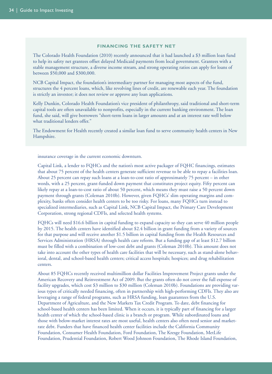## **FINANCING THE SAFETY NET**

The Colorado Health Foundation (2010) recently announced that it had launched a \$3 million loan fund to help its safety net grantees offset delayed Medicaid payments from local government. Grantees with a stable management structure, a diverse income stream, and strong operating ratios can apply for loans of between \$50,000 and \$300,000.

NCB Capital Impact, the foundation's intermediary partner for managing most aspects of the fund, structures the 4 percent loans, which, like revolving lines of credit, are renewable each year. The foundation is strictly an investor; it does not review or approve any loan applications.

Kelly Dunkin, Colorado Health Foundation's vice president of philanthropy, said traditional and short-term capital tools are often unavailable to nonprofits, especially in the current banking environment. The loan fund, she said, will give borrowers "short-term loans in larger amounts and at an interest rate well below what traditional lenders offer."

The Endowment for Health recently created a similar loan fund to serve community health centers in New Hampshire.

insurance coverage in the current economic downturn.

Capital Link, a lender to FQHCs and the nation's most active packager of FQHC financings, estimates that about 75 percent of the health centers generate sufficient revenue to be able to repay a facilities loan. About 25 percent can repay such loans at a loan-to-cost ratio of approximately 75 percent – in other words, with a 25 percent, grant-funded down payment that constitutes project equity. Fifty percent can likely repay at a loan-to-cost ratio of about 50 percent, which means they must raise a 50 percent down payment through grants (Coleman 2010b). However, given FQHCs' slim operating margins and complexity, banks often consider health centers to be too risky. For loans, many FQHCs turn instead to specialized intermediaries, such as Capital Link, NCB Capital Impact, the Primary Care Development Corporation, strong regional CDFIs, and selected health systems.

FQHCs will need \$16.6 billion in capital funding to expand capacity so they can serve 40 million people by 2015. The health centers have identified about \$2.4 billion in grant funding from a variety of sources for that purpose and will receive another \$1.5 billion in capital funding from the Health Resources and Services Administration (HRSA) through health care reform. But a funding gap of at least \$12.7 billion must be filled with a combination of low-cost debt and grants (Coleman 2010b). This amount does not take into account the other types of health care facilities that will be necessary, such as stand-alone behavioral, dental, and school-based health centers; critical access hospitals; hospices; and drug rehabilitation centers.

About 85 FQHCs recently received multimillion dollar Facilities Improvement Project grants under the American Recovery and Reinvestment Act of 2009. But the grants often do not cover the full expense of facility upgrades, which cost \$3 million to \$30 million (Coleman 2010b). Foundations are providing various types of critically needed financing, often in partnership with high-performing CDFIs. They also are leveraging a range of federal programs, such as HRSA funding, loan guarantees from the U.S. Department of Agriculture, and the New Markets Tax Credit Program. To date, debt financing for school-based health centers has been limited. When it occurs, it is typically part of financing for a larger health center of which the school-based clinic is a branch or program. While subordinated loans and those with below-market interest rates are most useful, health centers also often need senior and marketrate debt. Funders that have financed health center facilities include the California Community Foundation, Consumer Health Foundation, Ford Foundation, The Kresge Foundation, MetLife Foundation, Prudential Foundation, Robert Wood Johnson Foundation, The Rhode Island Foundation,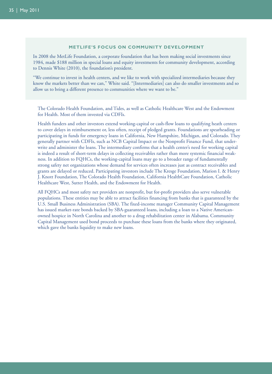## **METLIFE'S FOCUS ON COMMUNITY DEVELOPMENT**

In 2008 the MetLife Foundation, a corporate foundation that has been making social investments since 1984, made \$188 million in special loans and equity investments for community development, according to Dennis White (2010), the foundation's president.

"We continue to invest in health centers, and we like to work with specialized intermediaries because they know the markets better than we can," White said. "[Intermediaries] can also do smaller investments and so allow us to bring a different presence to communities where we want to be."

The Colorado Health Foundation, and Tides, as well as Catholic Healthcare West and the Endowment for Health. Most of them invested via CDFIs.

Health funders and other investors extend working-capital or cash-flow loans to qualifying heath centers to cover delays in reimbursement or, less often, receipt of pledged grants. Foundations are spearheading or participating in funds for emergency loans in California, New Hampshire, Michigan, and Colorado. They generally partner with CDFIs, such as NCB Capital Impact or the Nonprofit Finance Fund, that underwrite and administer the loans. The intermediary confirms that a health center's need for working capital is indeed a result of short-term delays in collecting receivables rather than more systemic financial weakness. In addition to FQHCs, the working-capital loans may go to a broader range of fundamentally strong safety net organizations whose demand for services often increases just as contract receivables and grants are delayed or reduced. Participating investors include The Kresge Foundation, Marion I. & Henry J. Knott Foundation, The Colorado Health Foundation, California HealthCare Foundation, Catholic Healthcare West, Sutter Health, and the Endowment for Health.

All FQHCs and most safety net providers are nonprofit, but for-profit providers also serve vulnerable populations. These entities may be able to attract facilities financing from banks that is guaranteed by the U.S. Small Business Administration (SBA). The fixed-income manager Community Capital Management has issued market-rate bonds backed by SBA-guaranteed loans, including a loan to a Native Americanowned hospice in North Carolina and another to a drug rehabilitation center in Alabama. Community Capital Management used bond proceeds to purchase these loans from the banks where they originated, which gave the banks liquidity to make new loans.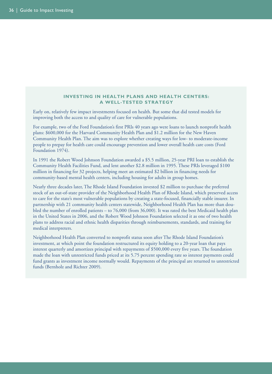## **INVESTING IN HEALTH PLANS AND HEALTH CENTERS: A WELL-TESTED STRATEGY**

Early on, relatively few impact investments focused on health. But some that did tested models for improving both the access to and quality of care for vulnerable populations.

For example, two of the Ford Foundation's first PRIs 40 years ago were loans to launch nonprofit health plans: \$600,000 for the Harvard Community Health Plan and \$1.2 million for the New Haven Community Health Plan. The aim was to explore whether creating ways for low- to moderate-income people to prepay for health care could encourage prevention and lower overall health care costs (Ford Foundation 1974).

In 1991 the Robert Wood Johnson Foundation awarded a \$5.5 million, 25-year PRI loan to establish the Community Health Facilities Fund, and lent another \$2.8 million in 1995. These PRIs leveraged \$100 million in financing for 32 projects, helping meet an estimated \$2 billion in financing needs for community-based mental health centers, including housing for adults in group homes.

Nearly three decades later, The Rhode Island Foundation invested \$2 million to purchase the preferred stock of an out-of-state provider of the Neighborhood Health Plan of Rhode Island, which preserved access to care for the state's most vulnerable populations by creating a state-focused, financially stable insurer. In partnership with 21 community health centers statewide, Neighborhood Health Plan has more than doubled the number of enrolled patients – to 76,000 (from 36,000). It was rated the best Medicaid health plan in the United States in 2006, and the Robert Wood Johnson Foundation selected it as one of two health plans to address racial and ethnic health disparities through reimbursements, standards, and training for medical interpreters.

Neighborhood Health Plan converted to nonprofit status soon after The Rhode Island Foundation's investment, at which point the foundation restructured its equity holding to a 20-year loan that pays interest quarterly and amortizes principal with repayments of \$500,000 every five years. The foundation made the loan with unrestricted funds priced at its 5.75 percent spending rate so interest payments could fund grants as investment income normally would. Repayments of the principal are returned to unrestricted funds (Bernholz and Richter 2009).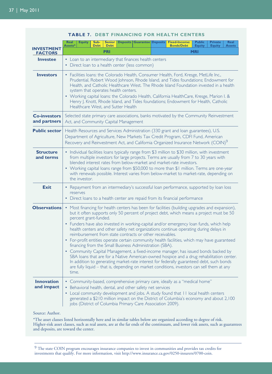|                                     | Real<br>Assets* | <b>Equity</b>         | Sub-<br><b>Debt</b> | <b>Senior</b><br><b>Debt</b> |                                                                            |                                                                                                                        | Deposits   Guarantee   Deposits   Fixed-Income:<br><b>Bonds/Debt</b>                                                                                                                                                                                                                                                                                                                                                                                                                                                                                                                                                                                                                                                                                                                                                                                    | <b>Public</b><br><b>Equity</b> | <b>Private</b><br><b>Equity</b> | Real<br><b>Assets</b> |
|-------------------------------------|-----------------|-----------------------|---------------------|------------------------------|----------------------------------------------------------------------------|------------------------------------------------------------------------------------------------------------------------|---------------------------------------------------------------------------------------------------------------------------------------------------------------------------------------------------------------------------------------------------------------------------------------------------------------------------------------------------------------------------------------------------------------------------------------------------------------------------------------------------------------------------------------------------------------------------------------------------------------------------------------------------------------------------------------------------------------------------------------------------------------------------------------------------------------------------------------------------------|--------------------------------|---------------------------------|-----------------------|
| <b>INVESTMENT</b><br><b>FACTORS</b> |                 |                       |                     | <b>PRI</b>                   |                                                                            |                                                                                                                        |                                                                                                                                                                                                                                                                                                                                                                                                                                                                                                                                                                                                                                                                                                                                                                                                                                                         | <b>MRI</b>                     |                                 |                       |
| <b>Investee</b>                     |                 |                       |                     |                              |                                                                            | • Loan to an intermediary that finances health centers<br>• Direct loan to a health center (less common)               |                                                                                                                                                                                                                                                                                                                                                                                                                                                                                                                                                                                                                                                                                                                                                                                                                                                         |                                |                                 |                       |
| <b>Investors</b>                    |                 |                       |                     |                              | system that operates health centers.<br>Healthcare West, and Sutter Health |                                                                                                                        | • Facilities Ioans: the Colorado Health, Consumer Health, Ford, Kresge, MetLife Inc.,<br>Prudential, Robert Wood Johnson, Rhode Island, and Tides foundations; Endowment for<br>Health, and Catholic Healthcare West. The Rhode Island Foundation invested in a health<br>• Working capital loans: the Colorado Health, California HealthCare, Kresge, Marion I. &<br>Henry J. Knott, Rhode Island, and Tides foundations; Endowment for Health, Catholic                                                                                                                                                                                                                                                                                                                                                                                               |                                |                                 |                       |
| <b>Co-investors</b><br>and partners |                 |                       |                     |                              | Act, and Community Capital Management                                      |                                                                                                                        | Selected state primary care associations, banks motivated by the Community Reinvestment                                                                                                                                                                                                                                                                                                                                                                                                                                                                                                                                                                                                                                                                                                                                                                 |                                |                                 |                       |
| <b>Public sector</b>                |                 |                       |                     |                              |                                                                            |                                                                                                                        | Health Resources and Services Administration (330 grant and loan guarantees), U.S.<br>Department of Agriculture, New Markets Tax Credit Program, CDFI Fund, American<br>Recovery and Reinvestment Act, and California Organized Insurance Network (COIN) <sup>9</sup>                                                                                                                                                                                                                                                                                                                                                                                                                                                                                                                                                                                   |                                |                                 |                       |
| <b>Structure</b><br>and terms       |                 | the investor.         |                     |                              |                                                                            |                                                                                                                        | • Individual facilities loans typically range from \$3 million to \$30 million, with investment<br>from multiple investors for large projects. Terms are usually from 7 to 30 years with<br>blended interest rates from below-market and market-rate investors.<br>• Working capital loans range from \$50,000 to more than \$1 million. Terms are one-year<br>with renewals possible. Interest varies from below-market to market-rate, depending on                                                                                                                                                                                                                                                                                                                                                                                                   |                                |                                 |                       |
| <b>Exit</b>                         |                 | reserves              |                     |                              |                                                                            |                                                                                                                        | • Repayment from an intermediary's successful loan performance, supported by loan loss<br>• Direct loans to a health center are repaid from its financial performance                                                                                                                                                                                                                                                                                                                                                                                                                                                                                                                                                                                                                                                                                   |                                |                                 |                       |
| <b>Observations</b>                 | time.           | percent grant-funded. |                     |                              |                                                                            | reimbursement from state contracts or other receivables.<br>financing from the Small Business Administration (SBA).    | • Most financing for health centers has been for facilities (building upgrades and expansion),<br>but it often supports only 50 percent of project debt, which means a project must be 50<br>• Funders have also invested in working-capital and/or emergency loan funds, which help<br>health centers and other safety net organizations continue operating during delays in<br>• For-profit entities operate certain community health facilities, which may have guaranteed<br>Community Capital Management, a fixed-income manager, has issued bonds backed by<br>SBA loans that are for a Native American-owned hospice and a drug rehabilitation center.<br>In addition to generating market-rate interest for federally guaranteed debt, such bonds<br>are fully liquid - that is, depending on market conditions, investors can sell them at any |                                |                                 |                       |
| <b>Innovation</b><br>and impact     |                 |                       |                     |                              |                                                                            | Behavioral health, dental, and other safety net services<br>jobs (District of Columbia Primary Care Association 2009). | • Community-based, comprehensive primary care, ideally as a "medical home"<br>• Local community development and jobs. A study found that II local health centers<br>generated a \$210 million impact on the District of Columbia's economy and about 2,100                                                                                                                                                                                                                                                                                                                                                                                                                                                                                                                                                                                              |                                |                                 |                       |

#### **TABLE 7. DEBT FINANCING FOR HEALTH CENTERS**

Source: Author.

\*The asset classes listed horizontally here and in similar tables below are organized according to degree of risk. Higher-risk asset classes, such as real assets, are at the far ends of the continuum, and lower risk assets, such as guarantees and deposits, are toward the center.

<sup>9</sup> The state COIN program encourages insurance companies to invest in communities and provides tax credits for investments that qualify. For more information, visit http://www.insurance.ca.gov/0250-insurers/0700-coin.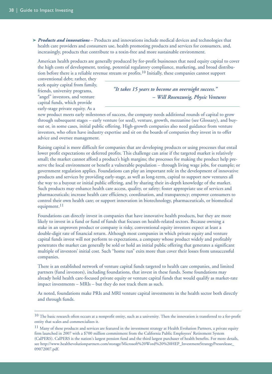**➤** *Products and innovations* – Products and innovations include medical devices and technologies that health care providers and consumers use, health promoting products and services for consumers, and, increasingly, products that contribute to a toxin-free and more sustainable environment.

American health products are generally produced by for-profit businesses that need equity capital to cover the high costs of development, testing, potential regulatory compliance, marketing, and broad distribution before there is a reliable revenue stream or profits.10 Initially, these companies cannot support

conventional debt; rather, they seek equity capital from family, friends, university programs, "angel" investors, and venture capital funds, which provide early-stage private equity. As a

*"It takes 15 years to become an overnight success." – Will Rosenzweig, Physic Ventures*

new product meets early milestones of success, the company needs additional rounds of capital to grow through subsequent stages – early venture (or seed), venture, growth, mezzanine [\(see Glossary\)](#page-90-0), and buyout or, in some cases, initial public offering. High-growth companies also need guidance from venture investors, who often have industry expertise and sit on the boards of companies they invest in to offer advice and oversee management.

Raising capital is more difficult for companies that are developing products or using processes that entail lower profit expectations or deferred profits. This challenge can arise if the targeted market is relatively small; the market cannot afford a product's high margins; the processes for making the product help preserve the local environment or benefit a vulnerable population – through living wage jobs, for example; or government regulation applies. Foundations can play an important role in the development of innovative products and services by providing early-stage, as well as long-term, capital to support new ventures all the way to a buyout or initial public offering, and by sharing their in-depth knowledge of the market. Such products may enhance health care access, quality, or safety; foster appropriate use of services and pharmaceuticals; increase health care efficiency, coordination, and transparency; empower consumers to control their own health care; or support innovation in biotechnology, pharmaceuticals, or biomedical equipment.<sup>11</sup>

Foundations can directly invest in companies that have innovative health products, but they are more likely to invest in a fund or fund of funds that focuses on health-related sectors. Because owning a stake in an unproven product or company is risky, conventional equity investors expect at least a double-digit rate of financial return. Although most companies in which private equity and venture capital funds invest will not perform to expectations, a company whose product widely and profitably penetrates the market can generally be sold or hold an initial public offering that generates a significant multiple of investors' initial cost. Such "home run" exits more than cover their losses from unsuccessful companies.

There is an established network of venture capital funds targeted to health care companies, and limited partners (fund investors), including foundations, that invest in these funds. Some foundations may already hold health care-focused private equity or venture capital funds that would qualify as market-rate impact investments – MRIs – but they do not track them as such.

As noted, foundations make PRIs and MRI venture capital investments in the health sector both directly and through funds.

 $10$  The basic research often occurs at a nonprofit entity, such as a university. Then the innovation is transferred to a for-profit entity that scales and commercializes it.

<sup>&</sup>lt;sup>11</sup> Many of these products and services are featured in the investment strategy at Health Evolution Partners, a private equity firm launched in 2007 with a \$700 million commitment from the California Public Employees' Retirement System (CalPERS). CalPERS is the nation's largest pension fund and the third largest purchaser of health benefits. For more details, see http://www.healthevolutionpartners.com/storage/Microsoft%20Word%20%20HEP\_InvestmentStrategyPressrelease\_ 09072007.pdf.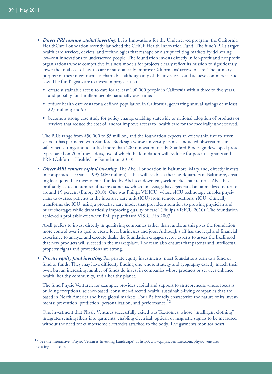- *Direct PRI venture capital investing.* In its Innovations for the Underserved program, the California HealthCare Foundation recently launched the CHCF Health Innovation Fund. The fund's PRIs target health care services, devices, and technologies that reshape or disrupt existing markets by delivering low-cost innovations to underserved people. The foundation invests directly in for-profit and nonprofit organizations whose competitive business models for projects clearly reflect its mission to significantly lower the total cost of health care or substantially improve Californians' access to care. The primary purpose of these investments is charitable, although any of the investees could achieve commercial success. The fund's goals are to invest in projects that:
	- create sustainable access to care for at least 100,000 people in California within three to five years, and possibly for 1 million people nationally over time;
	- reduce health care costs for a defined population in California, generating annual savings of at least \$25 million; and/or
	- **•** become a strong case study for policy change enabling statewide or national adoption of products or services that reduce the cost of, and/or improve access to, health care for the medically underserved.

The PRIs range from \$50,000 to \$5 million, and the foundation expects an exit within five to seven years. It has partnered with Stanford Biodesign whose university teams conducted observations in safety net settings and identified more than 200 innovation needs. Stanford Biodesign developed prototypes based on 20 of these ideas, five of which the foundation will evaluate for potential grants and PRIs (California HealthCare Foundation 2010).

• *Direct MRI venture capital investing.* The Abell Foundation in Baltimore, Maryland, directly invests in companies – 10 since 1995 (\$60 million) – that will establish their headquarters in Baltimore, creating local jobs. The investments, funded by Abell's endowment, seek market-rate returns. Abell has profitably exited a number of its investments, which on average have generated an annualized return of around 15 percent (Embry 2010). One was Philips VISICU, whose *e*ICU technology enables physicians to oversee patients in the intensive care unit (ICU) from remote locations. *e*ICU "clinically transforms the ICU, using a proactive care model that provides a solution to growing physician and nurse shortages while dramatically improving quality of care" (Philips VISICU 2010). The foundation achieved a profitable exit when Philips purchased VISICU in 2007.

Abell prefers to invest directly in qualifying companies rather than funds, as this gives the foundation more control over its goal to create local businesses and jobs. Although staff has the legal and financial experience to analyze and execute deals, the foundation engages sector experts to assess the likelihood that new products will succeed in the marketplace. The team also ensures that patents and intellectual property rights and protections are strong.

• *Private equity fund investing*. For private equity investments, most foundations turn to a fund or fund of funds. They may have difficulty finding one whose strategy and geography exactly match their own, but an increasing number of funds do invest in companies whose products or services enhance health, healthy community, and a healthy planet.

The fund Physic Ventures, for example, provides capital and support to entrepreneurs whose focus is building exceptional science-based, consumer-directed health, sustainable-living companies that are based in North America and have global markets. Four P's broadly characterize the nature of its investments: prevention, prediction, personalization, and performance.<sup>12</sup>

One investment that Physic Ventures successfully exited was Textronics, whose "intelligent clothing" integrates sensing fibers into garments, enabling electrical, optical, or magnetic signals to be measured without the need for cumbersome electrodes attached to the body. The garments monitor heart

<sup>12</sup> See the interactive "Physic Ventures Investing Landscape" at http://www.physicventures.com/physic-venturesinvesting-landscape.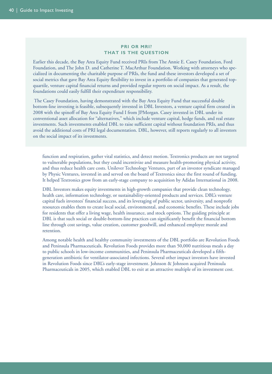## **PRI OR MRI? THAT IS THE QUESTION**

Earlier this decade, the Bay Area Equity Fund received PRIs from The Annie E. Casey Foundation, Ford Foundation, and The John D. and Catherine T. MacArthur Foundation. Working with attorneys who specialized in documenting the charitable purpose of PRIs, the fund and these investors developed a set of social metrics that gave Bay Area Equity flexibility to invest in a portfolio of companies that generated topquartile, venture capital financial returns and provided regular reports on social impact. As a result, the foundations could easily fulfill their expenditure responsibility.

The Casey Foundation, having demonstrated with the Bay Area Equity Fund that successful double bottom-line investing is feasible, subsequently invested in DBL Investors, a venture capital firm created in 2008 with the spinoff of Bay Area Equity Fund I from JPMorgan. Casey invested in DBL under its conventional asset allocation for "alternatives," which include venture capital, hedge funds, and real estate investments. Such investments enabled DBL to raise sufficient capital without foundation PRIs, and thus avoid the additional costs of PRI legal documentation. DBL, however, still reports regularly to all investors on the social impact of its investments.

function and respiration, gather vital statistics, and detect motion. Textronics products are not targeted to vulnerable populations, but they could incentivize and measure health-promoting physical activity, and thus reduce health care costs. Unilever Technology Ventures, part of an investor syndicate managed by Physic Ventures, invested in and served on the board of Textronics since the first round of funding. It helped Textronics grow from an early-stage company to acquisition by Adidas International in 2008.

DBL Investors makes equity investments in high-growth companies that provide clean technology, health care, information technology, or sustainability-oriented products and services. DBL's venture capital fuels investees' financial success, and its leveraging of public sector, university, and nonprofit resources enables them to create local social, environmental, and economic benefits. These include jobs for residents that offer a living wage, health insurance, and stock options. The guiding principle at DBL is that such social or double-bottom-line practices can significantly benefit the financial bottom line through cost savings, value creation, customer goodwill, and enhanced employee morale and retention.

Among notable health and healthy community investments of the DBL portfolio are Revolution Foods and Peninsula Pharmaceuticals. Revolution Foods provides more than 50,000 nutritious meals a day to public schools in low-income communities, and Peninsula Pharmaceuticals developed a fifthgeneration antibiotic for ventilator-associated infections. Several other impact investors have invested in Revolution Foods since DBL's early-stage investment. Johnson & Johnson acquired Peninsula Pharmaceuticals in 2005, which enabled DBL to exit at an attractive multiple of its investment cost.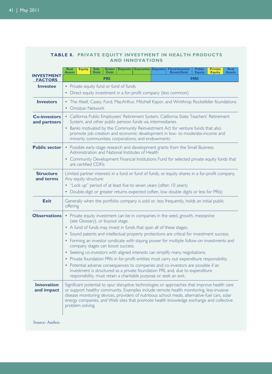# **TABLE 8. PRIVATE EQUITY INVESTMENT IN HEALTH PRODUCTS AND INNOVATIONS**

|                                     | Real<br><b>Assets</b> | <b>Equity</b>                    | Sub-<br><b>Debt</b> | <b>Senior</b><br><b>Debt</b> |                                        | <b>Deposits   Guarantee   Deposits  </b>                                                                         | <b>Fixed-Income:</b><br><b>Bonds/Debt</b>                                                                                                                                                                                                                                                                                                                                                                               | <b>Public</b><br><b>Equity</b> | <b>Private</b><br><b>Equity</b> | Real<br><b>Assets</b> |
|-------------------------------------|-----------------------|----------------------------------|---------------------|------------------------------|----------------------------------------|------------------------------------------------------------------------------------------------------------------|-------------------------------------------------------------------------------------------------------------------------------------------------------------------------------------------------------------------------------------------------------------------------------------------------------------------------------------------------------------------------------------------------------------------------|--------------------------------|---------------------------------|-----------------------|
| <b>INVESTMENT</b><br><b>FACTORS</b> |                       |                                  |                     | PRI                          |                                        |                                                                                                                  |                                                                                                                                                                                                                                                                                                                                                                                                                         | <b>MRI</b>                     |                                 |                       |
| <b>Investee</b>                     |                       |                                  |                     |                              | • Private equity fund or fund of funds |                                                                                                                  |                                                                                                                                                                                                                                                                                                                                                                                                                         |                                |                                 |                       |
|                                     |                       |                                  |                     |                              |                                        |                                                                                                                  | Direct equity investment in a for-profit company (less common)                                                                                                                                                                                                                                                                                                                                                          |                                |                                 |                       |
| <b>Investors</b>                    |                       | • Omidyar Network                |                     |                              |                                        |                                                                                                                  | • The Abell, Casey, Ford, MacArthur, Mitchell Kapor, and Winthrop Rockefeller foundations                                                                                                                                                                                                                                                                                                                               |                                |                                 |                       |
| <b>Co-investors</b><br>and partners |                       |                                  |                     |                              |                                        | System, and other public pension funds via intermediaries.<br>minority communities; corporations; and endowments | • California Public Employees' Retirement System, California State Teachers' Retirement<br>• Banks motivated by the Community Reinvestment Act for venture funds that also<br>promote job creation and economic development in low- to moderate-income and                                                                                                                                                              |                                |                                 |                       |
| <b>Public sector</b>                |                       | are certified CDFIs              |                     |                              |                                        | Administration and National Institutes of Health                                                                 | • Possible early-stage research and development grants from the Small Business<br>• Community Development Financial Institutions Fund for selected private equity funds that                                                                                                                                                                                                                                            |                                |                                 |                       |
| <b>Structure</b><br>and terms       |                       | Any equity structure:            |                     |                              |                                        |                                                                                                                  | Limited partner interests in a fund or fund of funds, or equity shares in a for-profit company.<br>• "Lock up" period of at least five to seven years (often 10 years)<br>• Double-digit or greater returns expected (often, low double digits or less for PRIs)                                                                                                                                                        |                                |                                 |                       |
| <b>Exit</b>                         | offering              |                                  |                     |                              |                                        |                                                                                                                  | Generally when the portfolio company is sold or, less frequently, holds an initial public                                                                                                                                                                                                                                                                                                                               |                                |                                 |                       |
| <b>Observations</b>                 |                       | (see Glossary), or buyout stage. |                     |                              |                                        |                                                                                                                  | • Private equity investment can be in companies in the seed, growth, mezzanine<br>• A fund of funds may invest in funds that span all of these stages.<br>• Sound patents and intellectual property protections are critical for investment success.                                                                                                                                                                    |                                |                                 |                       |
|                                     |                       |                                  |                     |                              | company stages can boost success.      |                                                                                                                  | • Forming an investor syndicate with staying power for multiple follow-on investments and                                                                                                                                                                                                                                                                                                                               |                                |                                 |                       |
|                                     |                       |                                  |                     |                              |                                        |                                                                                                                  | • Seeking co-investors with aligned interests can simplify many negotiations.<br>• Private foundation PRIs in for-profit entities must carry out expenditure responsibility.<br>• Potential adverse consequences to companies and co-investors are possible if an<br>investment is structured as a private foundation PRI, and, due to expenditure<br>responsibility, must retain a charitable purpose or seek an exit. |                                |                                 |                       |
| <b>Innovation</b><br>and impact     |                       | problem solving.                 |                     |                              |                                        |                                                                                                                  | Significant potential to spur disruptive technologies or approaches that improve health care<br>or support healthy community. Examples include remote health monitoring, less-invasive<br>disease monitoring devices, providers of nutritious school meals, alternative-fuel cars, solar<br>energy companies, and Web sites that promote health knowledge exchange and collective                                       |                                |                                 |                       |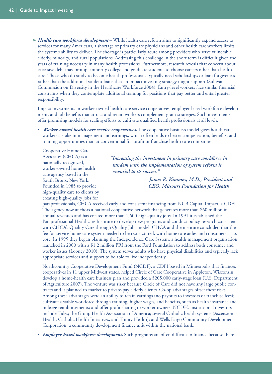**➤** *Health care workforce development* – While health care reform aims to significantly expand access to services for many Americans, a shortage of primary care physicians and other health care workers limits the system's ability to deliver. The shortage is particularly acute among providers who serve vulnerable elderly, minority, and rural populations. Addressing this challenge in the short term is difficult given the years of training necessary in many health professions. Furthermore, research reveals that concern about excessive debt may prompt minority college and graduate students to choose careers other than health care. Those who do study to become health professionals typically need scholarships or loan forgiveness rather than the additional student loans that an impact investing strategy might support (Sullivan Commission on Diversity in the Healthcare Workforce 2004). Entry-level workers face similar financial constraints when they contemplate additional training for positions that pay better and entail greater responsibility.

Impact investments in worker-owned health care service cooperatives, employer-based workforce development, and job benefits that attract and retain workers complement grant strategies. Such investments offer promising models for scaling efforts to cultivate qualified health professionals at all levels.

• *Worker-owned health care service cooperatives.* The cooperative business model gives health care workers a stake in management and earnings, which often leads to better compensation, benefits, and training opportunities than at conventional for-profit or franchise health care companies.

Cooperative Home Care Associates (CHCA) is a nationally recognized, worker-owned home health care agency based in the South Bronx, New York. Founded in 1985 to provide high-quality care to clients by creating high-quality jobs for

*"Increasing the investment in primary care workforce in tandem with the implementation of system reform is essential to its success."* 

> *– James R. Kimmey, M.D., President and CEO, Missouri Foundation for Health*

paraprofessionals, CHCA received early and consistent financing from NCB Capital Impact, a CDFI. The agency now anchors a national cooperative network that generates more than \$60 million in annual revenues and has created more than 1,600 high-quality jobs. In 1991 it established the Paraprofessional Healthcare Institute to develop new programs and conduct policy research consistent with CHCA's Quality Care through Quality Jobs model. CHCA and the institute concluded that the fee-for-service home care system needed to be restructured, with home care aides and consumers at its core. In 1995 they began planning the Independence Care System, a health management organization launched in 2000 with a \$1.2 million PRI from the Ford Foundation to address both consumer and worker issues (Looney 2010). The system serves adults who have physical disabilities and typically lack appropriate services and support to be able to live independently.

Northcountry Cooperative Development Fund (NCDF), a CDFI based in Minneapolis that finances cooperatives in 11 upper Midwest states, helped Circle of Care Cooperative in Appleton, Wisconsin, develop a home-health care business plan and provided a \$205,000 early-stage loan (U.S. Department of Agriculture 2007). The venture was risky because Circle of Care did not have any large public contracts and it planned to market to private-pay elderly clients. Co-op advantages offset these risks. Among these advantages were an ability to retain earnings (no payouts to investors or franchise fees); cultivate a stable workforce through training, higher wages, and benefits, such as health insurance and mileage reimbursements; and offer profit sharing to worker-owners. NCDF's institutional investors include Tides; the Group Health Association of America; several Catholic health systems (Ascension Health, Catholic Health Initiatives, and Trinity Health); and Wells Fargo Community Development Corporation, a community development finance unit within the national bank.

• *Employer-based workforce development.* Such programs are often difficult to finance because there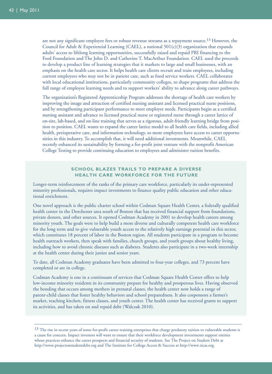are not any significant employee fees or robust revenue streams as a repayment source.<sup>13</sup> However, the Council for Adult & Experiential Learning (CAEL), a national  $501(c)(3)$  organization that expands adults' access to lifelong learning opportunities, successfully raised and repaid PRI financing to the Ford Foundation and The John D. and Catherine T. MacArthur Foundation. CAEL used the proceeds to develop a product line of learning strategies that it markets to large and small businesses, with an emphasis on the health care sector. It helps health care clients recruit and train employees, including current employees who may not be in patient care, such as food service workers. CAEL collaborates with local educational institutions, particularly community colleges, to shape programs that address the full range of employee learning needs and to support workers' ability to advance along career pathways.

The organization's Registered Apprenticeship Program addresses the shortage of health care workers by improving the image and attraction of certified nursing assistant and licensed practical nurse positions, and by strengthening participant performance to meet employer needs. Participants begin as a certified nursing assistant and advance to licensed practical nurse or registered nurse through a career lattice of on-site, lab-based, and on-line training that serves as a rigorous, adult-friendly learning bridge from position to position. CAEL wants to expand the career lattice model to all health care fields, including allied health, perioperative care, and information technology, so more employees have access to career opportunities in this industry. To accomplish that, it will need additional investments. Meanwhile, CAEL recently enhanced its sustainability by forming a for-profit joint venture with the nonprofit American College Testing to provide continuing education to employees and administer tuition benefits.

## **SCHOOL BLAZES TRAILS TO PREPARE A DIVERSE HEALTH CARE WORKFORCE FOR THE FUTURE**

Longer-term reinforcement of the ranks of the primary care workforce, particularly its under-represented minority professionals, requires impact investments to finance quality public education and other educational enrichment.

One novel approach is the public charter school within Codman Square Health Center, a federally qualified health center in the Dorchester area south of Boston that has received financial support from foundations, private donors, and other sources. It opened Codman Academy in 2001 to develop health careers among minority youth. The goals were to help build a more diverse and culturally competent health care workforce for the long term and to give vulnerable youth access to the relatively high earnings potential in this sector, which constitutes 18 percent of labor in the Boston region. All students participate in a program to become health outreach workers, then speak with families, church groups, and youth groups about healthy living, including how to avoid chronic diseases such as diabetes. Students also participate in a two-week internship at the health center during their junior and senior years.

To date, all Codman Academy graduates have been admitted to four-year colleges, and 73 percent have completed or are in college.

Codman Academy is one in a continuum of services that Codman Square Health Center offers to help low-income minority residents in its community prepare for healthy and prosperous lives. Having observed the bonding that occurs among mothers in prenatal classes, the health center now holds a range of parent-child classes that foster healthy behaviors and school preparedness. It also cosponsors a farmer's market, teaching kitchen, fitness classes, and youth center. The health center has received grants to support its activities, and has taken on and repaid debt (Walczak 2010).

<sup>&</sup>lt;sup>13</sup> The rise in recent years of some for-profit career training enterprises that charge predatory tuition to vulnerable students is a cause for concern. Impact investors will want to ensure that their workforce development investments support entities whose practices enhance the career prospects and financial security of students. See The Project on Student Debt at http://www.projectonstudentdebt.org and The Institute for College Access & Success at http://www.ticas.org.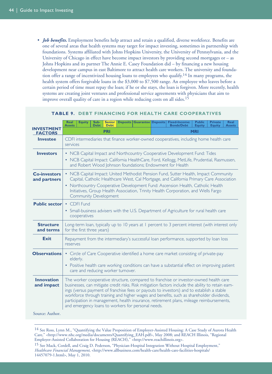• *Job benefits.* Employment benefits help attract and retain a qualified, diverse workforce. Benefits are one of several areas that health systems may target for impact investing, sometimes in partnership with foundations. Systems affiliated with Johns Hopkins University, the University of Pennsylvania, and the University of Chicago in effect have become impact investors by providing second mortgages or  $-$  as Johns Hopkins and its partner The Annie E. Casey Foundation did – by financing a new housing development near campus in east Baltimore to attract health care workers. The university and foundation offer a range of incentivized housing loans to employees who qualify.14 In many programs, the health system offers forgivable loans in the \$3,000 to \$7,500 range. An employee who leaves before a certain period of time must repay the loan; if he or she stays, the loan is forgiven. More recently, health systems are creating joint ventures and professional service agreements with physicians that aim to improve overall quality of care in a region while reducing costs on all sides.<sup>15</sup>

|                                     | <b>Real</b><br><b>Assets</b> | <b>Equity</b>                | Sub-<br><b>Debt</b> | <b>Senior</b><br><b>Debt</b> |                                    |                                                    | Deposits   Guarantee   Deposits   Fixed-Income:<br><b>Bonds/Debt</b>                                                                                                                                                                                                                                                                                                                                                                                                             | <b>Public</b><br><b>Equity</b> | <b>Private</b><br><b>Equity</b> | Real<br><b>Assets</b> |
|-------------------------------------|------------------------------|------------------------------|---------------------|------------------------------|------------------------------------|----------------------------------------------------|----------------------------------------------------------------------------------------------------------------------------------------------------------------------------------------------------------------------------------------------------------------------------------------------------------------------------------------------------------------------------------------------------------------------------------------------------------------------------------|--------------------------------|---------------------------------|-----------------------|
| INVESTMENT<br><b>FACTORS</b>        |                              |                              |                     | <b>PRI</b>                   |                                    |                                                    |                                                                                                                                                                                                                                                                                                                                                                                                                                                                                  | <b>MRI</b>                     |                                 |                       |
| <b>Investee</b>                     | services                     |                              |                     |                              |                                    |                                                    | CDFI intermediaries that finance worker-owned cooperatives, including home health care                                                                                                                                                                                                                                                                                                                                                                                           |                                |                                 |                       |
| <b>Investors</b>                    |                              |                              |                     |                              |                                    |                                                    | • NCB Capital Impact and Northcountry Cooperative Development Fund: Tides<br>• NCB Capital Impact: California HealthCare, Ford, Kellogg, MetLife, Prudential, Rasmussen,<br>and Robert Wood Johnson foundations; Endowment for Health                                                                                                                                                                                                                                            |                                |                                 |                       |
| <b>Co-investors</b><br>and partners |                              | <b>Community Development</b> |                     |                              |                                    |                                                    | • NCB Capital Impact: United Methodist Pension Fund, Sutter Health, Impact Community<br>Capital, Catholic Healthcare West, Cal Mortgage, and California Primary Care Association<br>• Northcountry Cooperative Development Fund: Ascension Health, Catholic Health<br>Initiatives, Group Health Association, Trinity Health Corporation, and Wells Fargo                                                                                                                         |                                |                                 |                       |
| <b>Public sector</b>                |                              | • CDFI Fund<br>cooperatives  |                     |                              |                                    |                                                    | • Small-business advisers with the U.S. Department of Agriculture for rural health care                                                                                                                                                                                                                                                                                                                                                                                          |                                |                                 |                       |
| <b>Structure</b><br>and terms       |                              | for the first three years)   |                     |                              |                                    |                                                    | Long-term loan, typically up to 10 years at 1 percent to 3 percent interest (with interest only                                                                                                                                                                                                                                                                                                                                                                                  |                                |                                 |                       |
| <b>Exit</b>                         | reserves                     |                              |                     |                              |                                    |                                                    | Repayment from the intermediary's successful loan performance, supported by loan loss                                                                                                                                                                                                                                                                                                                                                                                            |                                |                                 |                       |
| <b>Observations</b>                 | elderly.                     |                              |                     |                              | care and reducing worker turnover. |                                                    | • Circle of Care Cooperative identified a home care market consisting of private-pay<br>• Positive health care working conditions can have a substantial effect on improving patient                                                                                                                                                                                                                                                                                             |                                |                                 |                       |
| <b>Innovation</b><br>and impact     |                              |                              |                     |                              |                                    | and emergency loans to workers for personal needs. | The worker cooperative structure, compared to franchise or investor-owned health care<br>businesses, can mitigate credit risks. Risk mitigation factors include the ability to retain earn-<br>ings (versus payment of franchise fees or payouts to investors) and to establish a stable<br>workforce through training and higher wages and benefits, such as shareholder dividends,<br>participation in management, health insurance, retirement plans, mileage reimbursements, |                                |                                 |                       |

#### **TABLE 9. DEBT FINANCING FOR HEALTH CARE COOPERATIVES**

<sup>14</sup> See Ross, Lynn M., "Quantifying the Value Proposition of Employer-Assisted Housing: A Case Study of Aurora Health Care," <http://www.nhc.org/media/documents/Quantifying\_EAH.pdf>, May 2008; and REACH Illinois, "Regional Employer-Assisted Collaboration for Housing (REACH)," <http://www.reachillinois.org>.

<sup>15</sup> See Mack, Cordell, and Craig D. Pederson, "Physician-Hospital Integration Without Hospital Employment," *Healthcare Financial Management*, <http://www.allbusiness.com/health-care/health-care-facilities-hospitals/ 14457079-1.html>, May 1, 2010.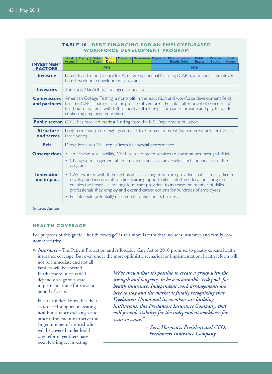|                                                                                          | <b>Real</b><br><b>Assets</b> | <b>Equity</b>                  | Sub-<br><b>Debt</b> | <b>Senior</b><br><b>Debt</b> |                                            |                                                               | Deposits   Guarantee   Deposits   Fixed-Income:<br><b>Bonds/Debt</b>                                                                                                                                                                                                                                                                                               | <b>Public</b><br><b>Equity</b> | <b>Private</b><br><b>Equity</b> | Real<br><b>Assets</b> |
|------------------------------------------------------------------------------------------|------------------------------|--------------------------------|---------------------|------------------------------|--------------------------------------------|---------------------------------------------------------------|--------------------------------------------------------------------------------------------------------------------------------------------------------------------------------------------------------------------------------------------------------------------------------------------------------------------------------------------------------------------|--------------------------------|---------------------------------|-----------------------|
| <b>INVESTMENT</b><br><b>FACTORS</b>                                                      |                              |                                |                     | <b>PRI</b>                   |                                            |                                                               |                                                                                                                                                                                                                                                                                                                                                                    | <b>MRI</b>                     |                                 |                       |
| <b>Investee</b>                                                                          |                              |                                |                     |                              | based, workforce development program       |                                                               | Direct Ioan to the Council for Adult & Experiential Learning (CAEL), a nonprofit, employer-                                                                                                                                                                                                                                                                        |                                |                                 |                       |
| <b>Investors</b>                                                                         |                              |                                |                     |                              | The Ford, MacArthur, and Joyce foundations |                                                               |                                                                                                                                                                                                                                                                                                                                                                    |                                |                                 |                       |
| <b>Co-investors</b><br>and partners                                                      |                              | continuing employee education. |                     |                              |                                            |                                                               | American College Testing, a nonprofit in the education and workforce development fields,<br>became CAEL's partner in a for-profit joint venture - EdLink - after proof of concept and<br>build-out of systems with PRI financing. EdLink helps companies provide and pay tuition for                                                                               |                                |                                 |                       |
| <b>Public sector</b> CAEL has received modest funding from the U.S. Department of Labor. |                              |                                |                     |                              |                                            |                                                               |                                                                                                                                                                                                                                                                                                                                                                    |                                |                                 |                       |
| <b>Structure</b><br>and terms                                                            | three years)                 |                                |                     |                              |                                            |                                                               | Long-term loan (up to eight years) at 1 to 3 percent interest (with interest only for the first                                                                                                                                                                                                                                                                    |                                |                                 |                       |
| <b>Exit</b>                                                                              |                              |                                |                     |                              |                                            | Direct loans to CAEL repaid from its financial performance    |                                                                                                                                                                                                                                                                                                                                                                    |                                |                                 |                       |
| <b>Observations</b>                                                                      |                              | program.                       |                     |                              |                                            |                                                               | • To achieve sustainability, CAEL sells fee-based services to corporations through EdLink.<br>Change in management at an employer client can adversely affect continuation of the                                                                                                                                                                                  |                                |                                 |                       |
| <b>Innovation</b><br>and impact                                                          |                              |                                |                     |                              |                                            | EdLink could potentially raise equity to expand its business. | • CAEL worked with the nine hospitals and long-term care providers in its career lattice to<br>develop and incorporate on-line learning opportunities into the educational program. This<br>enables the hospitals and long-term care providers to increase the number of skilled<br>professionals they employ and expand career options for hundreds of employees. |                                |                                 |                       |

## **TABLE 10. DEBT FINANCING FOR AN EMPLOYER-BASED WORKFORCE DEVELOPMENT PROGRAM**

Source: Author.

#### **HEALTH COVERAGE**

For purposes of this guide, "health coverage" is an umbrella term that includes insurance and family economic security.

**➤** *Insurance* – The Patient Protection and Affordable Care Act of 2010 promises to greatly expand health insurance coverage. But even under the most optimistic scenarios for implementation, health reform will

not be immediate and not all families will be covered. Furthermore, success will depend on vigorous state implementation efforts over a period of years.

Health funders know that their states need support in creating health insurance exchanges and other infrastructure to serve the larger number of insured who will be covered under health care reform, yet there have been few impact investing

*"We've shown that it's possible to create a group with the strength and longevity to be a sustainable 'risk pool' for health insurance. Independent work arrangements are here to stay and the market is finally recognizing that. Freelancers Union and its members are building institutions, like Freelancers Insurance Company, that will provide stability for the independent workforce for years to come."* 

> *– Sara Horowitz, President and CEO, Freelancers Insurance Company*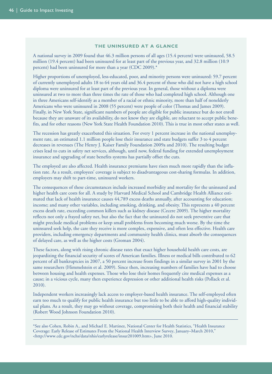## **THE UNINSURED AT A GLANCE**

A national survey in 2009 found that 46.3 million persons of all ages (15.4 percent) were uninsured, 58.5 million (19.4 percent) had been uninsured for at least part of the previous year, and 32.8 million (10.9 percent) had been uninsured for more than a year (CDC 2009).\*

Higher proportions of unemployed, less-educated, poor, and minority persons were uninsured: 59.7 percent of currently unemployed adults 18 to 64 years old and 36.4 percent of those who did not have a high school diploma were uninsured for at least part of the previous year. In general, those without a diploma were uninsured at two to more than three times the rate of those who had completed high school. Although one in three Americans self-identify as a member of a racial or ethnic minority, more than half of nonelderly Americans who were uninsured in 2008 (55 percent) were people of color (Thomas and James 2009). Finally, in New York State, significant numbers of people are eligible for public insurance but do not enroll because they are unaware of its availability, do not know they are eligible, are reluctant to accept public benefits, and for other reasons (New York State Health Foundation 2010). This is true in most other states as well.

The recession has greatly exacerbated this situation. For every 1 percent increase in the national unemployment rate, an estimated 1.1 million people lose their insurance and state budgets suffer 3 to 4 percent decreases in revenues (The Henry J. Kaiser Family Foundation 2009a and 2010). The resulting budget crises lead to cuts in safety net services, although, until now, federal funding for extended unemployment insurance and upgrading of state benefits systems has partially offset the cuts.

The employed are also affected. Health insurance premiums have risen much more rapidly than the inflation rate. As a result, employees' coverage is subject to disadvantageous cost-sharing formulas. In addition, employers may shift to part-time, uninsured workers.

The consequences of these circumstances include increased morbidity and mortality for the uninsured and higher health care costs for all. A study by Harvard Medical School and Cambridge Health Alliance estimated that lack of health insurance causes 44,789 excess deaths annually, after accounting for education; income; and many other variables, including smoking, drinking, and obesity. This represents a 40 percent excess death rate, exceeding common killers such as kidney disease (Cecere 2009). The higher mortality reflects not only a frayed safety net, but also the fact that the uninsured do not seek preventive care that might preclude medical problems or keep small problems from becoming much worse. By the time the uninsured seek help, the care they receive is more complex, expensive, and often less effective. Health care providers, including emergency departments and community health clinics, must absorb the consequences of delayed care, as well as the higher costs (Groman 2004).

These factors, along with rising chronic disease rates that exact higher household health care costs, are jeopardizing the financial security of scores of American families. Illness or medical bills contributed to 62 percent of all bankruptcies in 2007, a 50 percent increase from findings in a similar survey in 2001 by the same researchers (Himmelstein et al. 2009). Since then, increasing numbers of families have had to choose between housing and health expenses. Those who lose their homes frequently cite medical expenses as a cause; in a vicious cycle, many then experience depression or other additional health risks (Pollack et al. 2010).

Independent workers increasingly lack access to employer-based health insurance. The self-employed often earn too much to qualify for public health insurance but too little to be able to afford high-quality individual plans. As a result, they may go without coverage, compromising both their health and financial stability (Robert Wood Johnson Foundation 2010).

\*See also Cohen, Robin A., and Michael E. Martinez, National Center for Health Statistics, "Health Insurance Coverage: Early Release of Estimates From the National Health Interview Survey, January–March 2010," <http://www.cdc.gov/nchs/data/nhis/earlyrelease/insur201009.htm>, June 2010.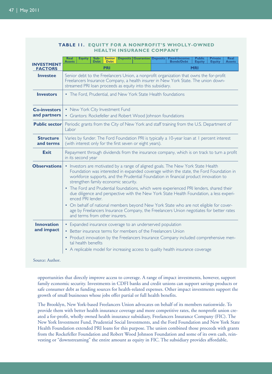|                                     | <b>Real</b><br><b>Assets</b> | <b>Equity</b>                  | Sub-<br><b>Debt</b> | <b>Senior</b><br><b>Debt</b> |                                      |                                                                                                                           |  | <b>Deposits   Guarantee   Deposits   Fixed-Income:</b><br><b>Bonds/Debt</b>                                                                                                                                                                                                                                                                                                                                                                                                                                                                                                                                                               | <b>Public</b><br><b>Equity</b> | <b>Private</b><br><b>Equity</b> | Real<br><b>Assets</b> |
|-------------------------------------|------------------------------|--------------------------------|---------------------|------------------------------|--------------------------------------|---------------------------------------------------------------------------------------------------------------------------|--|-------------------------------------------------------------------------------------------------------------------------------------------------------------------------------------------------------------------------------------------------------------------------------------------------------------------------------------------------------------------------------------------------------------------------------------------------------------------------------------------------------------------------------------------------------------------------------------------------------------------------------------------|--------------------------------|---------------------------------|-----------------------|
| <b>INVESTMENT</b><br><b>FACTORS</b> |                              | <b>PRI</b><br><b>MRI</b>       |                     |                              |                                      |                                                                                                                           |  |                                                                                                                                                                                                                                                                                                                                                                                                                                                                                                                                                                                                                                           |                                |                                 |                       |
| <b>Investee</b>                     |                              |                                |                     |                              |                                      | streamed PRI loan proceeds as equity into this subsidiary.                                                                |  | Senior debt to the Freelancers Union, a nonprofit organization that owns the for-profit<br>Freelancers Insurance Company, a health insurer in New York State. The union down-                                                                                                                                                                                                                                                                                                                                                                                                                                                             |                                |                                 |                       |
| <b>Investors</b>                    |                              |                                |                     |                              |                                      | • The Ford, Prudential, and New York State Health foundations                                                             |  |                                                                                                                                                                                                                                                                                                                                                                                                                                                                                                                                                                                                                                           |                                |                                 |                       |
| <b>Co-investors</b><br>and partners |                              |                                |                     |                              | • New York City Investment Fund      | • Grantors: Rockefeller and Robert Wood Johnson foundations                                                               |  |                                                                                                                                                                                                                                                                                                                                                                                                                                                                                                                                                                                                                                           |                                |                                 |                       |
| <b>Public sector</b>                | Labor                        |                                |                     |                              |                                      |                                                                                                                           |  | Periodic grants from the City of New York and staff training from the U.S. Department of                                                                                                                                                                                                                                                                                                                                                                                                                                                                                                                                                  |                                |                                 |                       |
| <b>Structure</b><br>and terms       |                              |                                |                     |                              |                                      | (with interest only for the first seven or eight years).                                                                  |  | Varies by funder. The Ford Foundation PRI is typically a 10-year loan at 1 percent interest                                                                                                                                                                                                                                                                                                                                                                                                                                                                                                                                               |                                |                                 |                       |
| <b>Exit</b>                         |                              | in its second year             |                     |                              |                                      |                                                                                                                           |  | Repayment through dividends from the insurance company, which is on track to turn a profit                                                                                                                                                                                                                                                                                                                                                                                                                                                                                                                                                |                                |                                 |                       |
| <b>Observations</b>                 | $\bullet$<br>$\bullet$       | enced PRI lender.              |                     |                              | strengthen family economic security. |                                                                                                                           |  | • Investors are motivated by a range of aligned goals. The New York State Health<br>Foundation was interested in expanded coverage within the state, the Ford Foundation in<br>workforce supports, and the Prudential Foundation in financial product innovation to<br>The Ford and Prudential foundations, which were experienced PRI lenders, shared their<br>due diligence and perspective with the New York State Health Foundation, a less experi-<br>On behalf of national members beyond New York State who are not eligible for cover-<br>age by Freelancers Insurance Company, the Freelancers Union negotiates for better rates |                                |                                 |                       |
|                                     |                              | and terms from other insurers. |                     |                              |                                      |                                                                                                                           |  |                                                                                                                                                                                                                                                                                                                                                                                                                                                                                                                                                                                                                                           |                                |                                 |                       |
| <b>Innovation</b><br>and impact     | $\bullet$<br>$\bullet$       | tal health benefits            |                     |                              |                                      | • Expanded insurance coverage to an underserved population<br>Better insurance terms for members of the Freelancers Union |  | • Product innovation by the Freelancers Insurance Company included comprehensive men-<br>A replicable model for increasing access to quality health insurance coverage                                                                                                                                                                                                                                                                                                                                                                                                                                                                    |                                |                                 |                       |

# **TABLE 11. EQUITY FOR A NONPROFIT'S WHOLLY-OWNED HEALTH INSURANCE COMPANY**

Source: Author.

opportunities that directly improve access to coverage. A range of impact investments, however, support family economic security. Investments in CDFI banks and credit unions can support savings products or safe consumer debt as funding sources for health-related expenses. Other impact investments support the growth of small businesses whose jobs offer partial or full health benefits.

The Brooklyn, New York-based Freelancers Union advocates on behalf of its members nationwide. To provide them with better health insurance coverage and more competitive rates, the nonprofit union created a for-profit, wholly owned health insurance subsidiary, Freelancers Insurance Company (FIC). The New York Investment Fund, Prudential Social Investments, and the Ford Foundation and New York State Health Foundation extended PRI loans for this purpose. The union combined those proceeds with grants from the Rockefeller Foundation and Robert Wood Johnson Foundation and some of its own cash, reinvesting or "downstreaming" the entire amount as equity in FIC. The subsidiary provides affordable,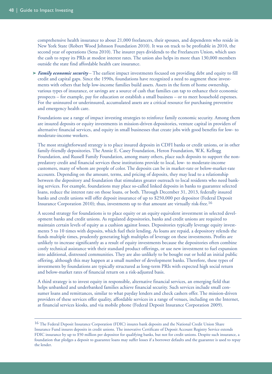comprehensive health insurance to about 21,000 freelancers, their spouses, and dependents who reside in New York State (Robert Wood Johnson Foundation 2010). It was on track to be profitable in 2010, the second year of operations (Sena 2010). The insurer pays dividends to the Freelancers Union, which uses the cash to repay its PRIs at modest interest rates. The union also helps its more than 130,000 members outside the state find affordable health care insurance.

**➤** *Family economic security* – The earliest impact investments focused on providing debt and equity to fill credit and capital gaps. Since the 1990s, foundations have recognized a need to augment these investments with others that help low-income families build assets. Assets in the form of home ownership, various types of insurance, or savings are a source of cash that families can tap to enhance their economic prospects – for example, pay for education or establish a small business – or to meet household expenses. For the uninsured or underinsured, accumulated assets are a critical resource for purchasing preventive and emergency health care.

Foundations use a range of impact investing strategies to reinforce family economic security. Among them are insured deposits or equity investments in mission-driven depositories, venture capital in providers of alternative financial services, and equity in small businesses that create jobs with good benefits for low- to moderate-income workers.

The most straightforward strategy is to place insured deposits in CDFI banks or credit unions, or in other family-friendly depositories. The Annie E. Casey Foundation, Heron Foundation, W.K. Kellogg Foundation, and Russell Family Foundation, among many others, place such deposits to support the nonpredatory credit and financial services these institutions provide to local, low- to moderate-income customers, many of whom are people of color. The deposits can be in market-rate or below-market-rate accounts. Depending on the amount, terms, and pricing of deposits, they may lead to a relationship between the depository and foundation that stimulates greater outreach to local residents who need banking services. For example, foundations may place so-called linked deposits in banks to guarantee selected loans, reduce the interest rate on those loans, or both. Through December 31, 2013, federally insured banks and credit unions will offer deposit insurance of up to \$250,000 per depositor (Federal Deposit Insurance Corporation 2010); thus, investments up to that amount are virtually risk-free.<sup>16</sup>

A second strategy for foundations is to place equity or an equity equivalent investment in selected development banks and credit unions. As regulated depositories, banks and credit unions are required to maintain certain levels of equity as a cushion against losses. Depositories typically leverage equity investments 5 to 10 times with deposits, which fuel their lending. As loans are repaid, a depository relends the funds multiple times, prudently generating high multiples of leverage on these investments. Profits are unlikely to increase significantly as a result of equity investments because the depositories often combine costly technical assistance with their standard product offerings, or use new investment to fuel expansion into additional, distressed communities. They are also unlikely to be bought out or hold an initial public offering, although this may happen at a small number of development banks. Therefore, these types of investments by foundations are typically structured as long-term PRIs with expected high social return and below-market rates of financial return on a risk-adjusted basis.

A third strategy is to invest equity in responsible, alternative financial services, an emerging field that helps unbanked and underbanked families achieve financial security. Such services include small consumer loans and remittances, similar to what payday lenders and check cashers offer. The mission-driven providers of these services offer quality, affordable services in a range of venues, including on the Internet, at financial services kiosks, and via mobile phone (Federal Deposit Insurance Corporation 2009).

<sup>16</sup> The Federal Deposit Insurance Corporation (FDIC) insures bank deposits and the National Credit Union Share Insurance Fund insures deposits in credit unions. The innovative Certificate of Deposit Account Registry Service extends FDIC insurance by up to \$50 million per depositor for qualifying banks, but not for credit unions. Despite such insurance, a foundation that pledges a deposit to guarantee loans may suffer losses if a borrower defaults and the guarantee is used to repay the lender.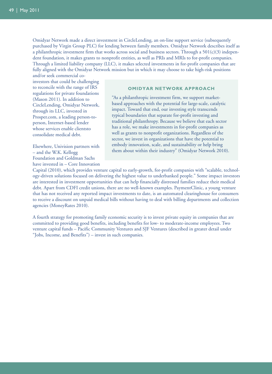Omidyar Network made a direct investment in CircleLending, an on-line support service (subsequently purchased by Virgin Group PLC) for lending between family members. Omidyar Network describes itself as a philanthropic investment firm that works across social and business sectors. Through a  $501(c)(3)$  independent foundation, it makes grants to nonprofit entities, as well as PRIs and MRIs to for-profit companies. Through a limited liability company (LLC), it makes selected investments in for-profit companies that are fully aligned with the Omidyar Network mission but in which it may choose to take high-risk positions

and/or seek commercial coinvestors that could be challenging to reconcile with the range of IRS regulations for private foundations (Mason 2011). In addition to CircleLending, Omidyar Network, through its LLC, invested in Prosper.com, a leading person-toperson, Internet-based lender whose services enable clientsto consolidate medical debt.

Elsewhere, Univision partners with – and the W.K. Kellogg Foundation and Goldman Sachs have invested in – Core Innovation

#### **OMIDYAR NETWORK APPROACH**

"As a philanthropic investment firm, we support marketbased approaches with the potential for large-scale, catalytic impact. Toward that end, our investing style transcends typical boundaries that separate for-profit investing and traditional philanthropy. Because we believe that each sector has a role, we make investments in for-profit companies as well as grants to nonprofit organizations. Regardless of the sector, we invest in organizations that have the potential to embody innovation, scale, and sustainability or help bring them about within their industry" (Omidyar Network 2010).

Capital (2010), which provides venture capital to early-growth, for-profit companies with "scalable, technology-driven solutions focused on delivering the highest value to underbanked people." Some impact investors are interested in investment opportunities that can help financially distressed families reduce their medical debt. Apart from CDFI credit unions, there are no well-known examples. PaymentClinic, a young venture that has not received any reported impact investments to date, is an automated clearinghouse for consumers to receive a discount on unpaid medical bills without having to deal with billing departments and collection agencies (MoneyRates 2010).

A fourth strategy for promoting family economic security is to invest private equity in companies that are committed to providing good benefits, including benefits for low- to moderate-income employees. Two venture capital funds – Pacific Community Ventures and SJF Ventures [\(described in greater detail under](#page-72-0) ["Jobs, Income, and Benefits"](#page-72-0)) – invest in such companies.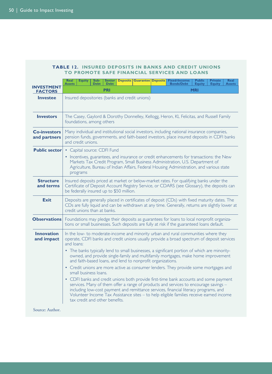## **TABLE 12. INSURED DEPOSITS IN BANKS AND CREDIT UNIONS TO PROMOTE SAFE FINANCIAL SERVICES AND LOANS**

|  |                        | <b>PRI</b>         |                                                                                    |                                                               |                                          | <b>Equity</b>                                               | <b>Equity</b> |                                                                                                                                                                                                                                                                                                                                                                                                                                                                                                                                                                                                                                                                                                                                                                                                                                                                                                                                                                                                                                                                                                                                                                                                                                                                                                                                                                                                                                                                                                                                                                                                                                                                                                                                                                                                                                                                                                                                                                                                |
|--|------------------------|--------------------|------------------------------------------------------------------------------------|---------------------------------------------------------------|------------------------------------------|-------------------------------------------------------------|---------------|------------------------------------------------------------------------------------------------------------------------------------------------------------------------------------------------------------------------------------------------------------------------------------------------------------------------------------------------------------------------------------------------------------------------------------------------------------------------------------------------------------------------------------------------------------------------------------------------------------------------------------------------------------------------------------------------------------------------------------------------------------------------------------------------------------------------------------------------------------------------------------------------------------------------------------------------------------------------------------------------------------------------------------------------------------------------------------------------------------------------------------------------------------------------------------------------------------------------------------------------------------------------------------------------------------------------------------------------------------------------------------------------------------------------------------------------------------------------------------------------------------------------------------------------------------------------------------------------------------------------------------------------------------------------------------------------------------------------------------------------------------------------------------------------------------------------------------------------------------------------------------------------------------------------------------------------------------------------------------------------|
|  |                        |                    |                                                                                    |                                                               |                                          | <b>MRI</b>                                                  |               |                                                                                                                                                                                                                                                                                                                                                                                                                                                                                                                                                                                                                                                                                                                                                                                                                                                                                                                                                                                                                                                                                                                                                                                                                                                                                                                                                                                                                                                                                                                                                                                                                                                                                                                                                                                                                                                                                                                                                                                                |
|  |                        |                    |                                                                                    | Insured depositories (banks and credit unions)                |                                          |                                                             |               |                                                                                                                                                                                                                                                                                                                                                                                                                                                                                                                                                                                                                                                                                                                                                                                                                                                                                                                                                                                                                                                                                                                                                                                                                                                                                                                                                                                                                                                                                                                                                                                                                                                                                                                                                                                                                                                                                                                                                                                                |
|  |                        |                    |                                                                                    |                                                               |                                          |                                                             |               |                                                                                                                                                                                                                                                                                                                                                                                                                                                                                                                                                                                                                                                                                                                                                                                                                                                                                                                                                                                                                                                                                                                                                                                                                                                                                                                                                                                                                                                                                                                                                                                                                                                                                                                                                                                                                                                                                                                                                                                                |
|  |                        |                    |                                                                                    |                                                               |                                          |                                                             |               |                                                                                                                                                                                                                                                                                                                                                                                                                                                                                                                                                                                                                                                                                                                                                                                                                                                                                                                                                                                                                                                                                                                                                                                                                                                                                                                                                                                                                                                                                                                                                                                                                                                                                                                                                                                                                                                                                                                                                                                                |
|  |                        |                    |                                                                                    |                                                               |                                          |                                                             |               |                                                                                                                                                                                                                                                                                                                                                                                                                                                                                                                                                                                                                                                                                                                                                                                                                                                                                                                                                                                                                                                                                                                                                                                                                                                                                                                                                                                                                                                                                                                                                                                                                                                                                                                                                                                                                                                                                                                                                                                                |
|  |                        |                    |                                                                                    |                                                               |                                          |                                                             |               |                                                                                                                                                                                                                                                                                                                                                                                                                                                                                                                                                                                                                                                                                                                                                                                                                                                                                                                                                                                                                                                                                                                                                                                                                                                                                                                                                                                                                                                                                                                                                                                                                                                                                                                                                                                                                                                                                                                                                                                                |
|  |                        |                    |                                                                                    |                                                               |                                          |                                                             |               |                                                                                                                                                                                                                                                                                                                                                                                                                                                                                                                                                                                                                                                                                                                                                                                                                                                                                                                                                                                                                                                                                                                                                                                                                                                                                                                                                                                                                                                                                                                                                                                                                                                                                                                                                                                                                                                                                                                                                                                                |
|  |                        |                    |                                                                                    |                                                               |                                          |                                                             |               |                                                                                                                                                                                                                                                                                                                                                                                                                                                                                                                                                                                                                                                                                                                                                                                                                                                                                                                                                                                                                                                                                                                                                                                                                                                                                                                                                                                                                                                                                                                                                                                                                                                                                                                                                                                                                                                                                                                                                                                                |
|  |                        |                    |                                                                                    |                                                               |                                          |                                                             |               |                                                                                                                                                                                                                                                                                                                                                                                                                                                                                                                                                                                                                                                                                                                                                                                                                                                                                                                                                                                                                                                                                                                                                                                                                                                                                                                                                                                                                                                                                                                                                                                                                                                                                                                                                                                                                                                                                                                                                                                                |
|  |                        |                    |                                                                                    |                                                               |                                          |                                                             |               |                                                                                                                                                                                                                                                                                                                                                                                                                                                                                                                                                                                                                                                                                                                                                                                                                                                                                                                                                                                                                                                                                                                                                                                                                                                                                                                                                                                                                                                                                                                                                                                                                                                                                                                                                                                                                                                                                                                                                                                                |
|  | programs<br>and loans: | and credit unions. | foundations, among others<br>credit unions than at banks.<br>small business loans. | • Capital source: CDFI Fund<br>tax credit and other benefits. | be federally insured up to \$50 million. | and faith-based loans, and lend to nonprofit organizations. |               | The Casey, Gaylord & Dorothy Donnelley, Kellogg, Heron, KL Felicitas, and Russell Family<br>Many individual and institutional social investors, including national insurance companies,<br>pension funds, governments, and faith-based investors, place insured deposits in CDFI banks<br>• Incentives, guarantees, and insurance or credit enhancements for transactions: the New<br>Markets Tax Credit Program, Small Business Administration, U.S. Department of<br>Agriculture, Bureau of Indian Affairs, Federal Housing Administration, and various state<br>Insured deposits priced at market or below-market rates. For qualifying banks under the<br>Certificate of Deposit Account Registry Service, or CDARS (see Glossary), the deposits can<br>Deposits are generally placed in certificates of deposit (CDs) with fixed maturity dates. The<br>CDs are fully liquid and can be withdrawn at any time. Generally, returns are slightly lower at<br>Foundations may pledge their deposits as guarantees for loans to local nonprofit organiza-<br>tions or small businesses. Such deposits are fully at risk if the guaranteed loans default.<br>In the low- to moderate-income and minority urban and rural communities where they<br>operate, CDFI banks and credit unions usually provide a broad spectrum of deposit services<br>• The banks typically lend to small businesses, a significant portion of which are minority-<br>owned, and provide single-family and multifamily mortgages, make home improvement<br>• Credit unions are more active as consumer lenders. They provide some mortgages and<br>• CDFI banks and credit unions both provide first-time bank accounts and some payment<br>services. Many of them offer a range of products and services to encourage savings -<br>including low-cost payment and remittance services, financial literacy programs, and<br>Volunteer Income Tax Assistance sites - to help eligible families receive earned income |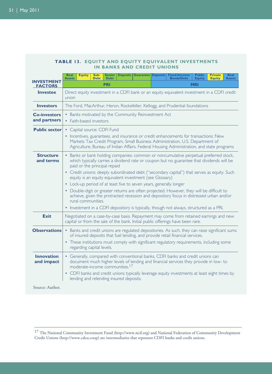|                                     | <b>Real</b><br><b>Assets</b> | <b>Equity</b>                                      | Sub-<br><b>Debt</b> | <b>Senior</b><br><b>Debt</b> |                                                                                       |                                                          | <b>Deposits   Guarantee   Deposits   Fixed-Income:</b><br><b>Bonds/Debt</b>                                                                                                                                                                                                                                                                                                                                                                                                                                                                                                                                                                | <b>Public</b><br><b>Equity</b> | <b>Private</b><br><b>Equity</b> | Real<br><b>Assets</b> |
|-------------------------------------|------------------------------|----------------------------------------------------|---------------------|------------------------------|---------------------------------------------------------------------------------------|----------------------------------------------------------|--------------------------------------------------------------------------------------------------------------------------------------------------------------------------------------------------------------------------------------------------------------------------------------------------------------------------------------------------------------------------------------------------------------------------------------------------------------------------------------------------------------------------------------------------------------------------------------------------------------------------------------------|--------------------------------|---------------------------------|-----------------------|
| INVESTMENT<br><b>FACTORS</b>        |                              |                                                    |                     | <b>PRI</b>                   |                                                                                       |                                                          |                                                                                                                                                                                                                                                                                                                                                                                                                                                                                                                                                                                                                                            | <b>MRI</b>                     |                                 |                       |
| <b>Investee</b>                     | union                        |                                                    |                     |                              |                                                                                       |                                                          | Direct equity investment in a CDFI bank or an equity equivalent investment in a CDFI credit                                                                                                                                                                                                                                                                                                                                                                                                                                                                                                                                                |                                |                                 |                       |
| <b>Investors</b>                    |                              |                                                    |                     |                              |                                                                                       |                                                          | The Ford, MacArthur, Heron, Rockefeller, Kellogg, and Prudential foundations                                                                                                                                                                                                                                                                                                                                                                                                                                                                                                                                                               |                                |                                 |                       |
| <b>Co-investors</b><br>and partners |                              | • Faith-based investors                            |                     |                              |                                                                                       | • Banks motivated by the Community Reinvestment Act      |                                                                                                                                                                                                                                                                                                                                                                                                                                                                                                                                                                                                                                            |                                |                                 |                       |
| <b>Public sector</b>                |                              | • Capital source: CDFI Fund                        |                     |                              |                                                                                       |                                                          | • Incentives, guarantees, and insurance or credit enhancements for transactions: New<br>Markets Tax Credit Program, Small Business Administration, U.S. Department of<br>Agriculture, Bureau of Indian Affairs, Federal Housing Administration, and state programs                                                                                                                                                                                                                                                                                                                                                                         |                                |                                 |                       |
| <b>Structure</b><br>and terms       |                              | paid or the principal repaid<br>rural communities. |                     |                              |                                                                                       | equity is an equity equivalent investment (see Glossary) | • Banks or bank holding companies: common or noncumulative perpetual preferred stock,<br>which typically carries a dividend rate or coupon but no guarantee that dividends will be<br>• Credit unions: deeply subordinated debt ("secondary capital") that serves as equity. Such<br>• Lock-up period of at least five to seven years, generally longer<br>• Double-digit or greater returns are often projected. However, they will be difficult to<br>achieve, given the protracted recession and depository focus in distressed urban and/or<br>• Investment in a CDFI depository is typically, though not always, structured as a PRI. |                                |                                 |                       |
| <b>Exit</b>                         |                              |                                                    |                     |                              |                                                                                       |                                                          | Negotiated on a case-by-case basis. Repayment may come from retained earnings and new<br>capital or from the sale of the bank. Initial public offerings have been rare.                                                                                                                                                                                                                                                                                                                                                                                                                                                                    |                                |                                 |                       |
| <b>Observations</b>                 |                              | regarding capital levels.                          |                     |                              |                                                                                       |                                                          | • Banks and credit unions are regulated depositories. As such, they can raise significant sums<br>of insured deposits that fuel lending, and provide retail financial services.<br>• These institutions must comply with significant regulatory requirements, including some                                                                                                                                                                                                                                                                                                                                                               |                                |                                 |                       |
| <b>Innovation</b><br>and impact     | $\bullet$                    |                                                    |                     |                              | moderate-income communities. <sup>17</sup><br>lending and relending insured deposits. |                                                          | • Generally, compared with conventional banks, CDFI banks and credit unions can<br>document much higher levels of lending and financial services they provide in low- to<br>CDFI banks and credit unions typically leverage equity investments at least eight times by                                                                                                                                                                                                                                                                                                                                                                     |                                |                                 |                       |
| Source: Author.                     |                              |                                                    |                     |                              |                                                                                       |                                                          |                                                                                                                                                                                                                                                                                                                                                                                                                                                                                                                                                                                                                                            |                                |                                 |                       |

## **TABLE 13. EQUITY AND EQUITY EQUIVALENT INVESTMENTS IN BANKS AND CREDIT UNIONS**

17 The National Community Investment Fund (http://www.ncif.org) and National Federation of Community Development Credit Unions (http://www.cdcu.coop) are intermediaries that represent CDFI banks and credit unions.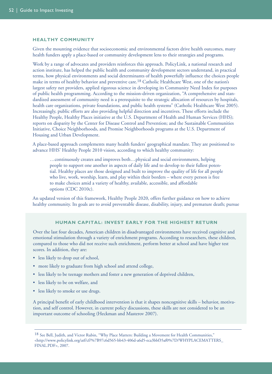#### **HEALTHY COMMUNITY**

Given the mounting evidence that socioeconomic and environmental factors drive health outcomes, many health funders apply a place-based or community development lens to their strategies and programs.

Work by a range of advocates and providers reinforces this approach. PolicyLink, a national research and action institute, has helped the public health and community development sectors understand, in practical terms, how physical environments and social determinants of health powerfully influence the choices people make in terms of healthy behavior and preventive care.18 Catholic Healthcare West, one of the nation's largest safety net providers, applied rigorous science in developing its Community Need Index for purposes of public health programming. According to the mission-driven organization, "A comprehensive and standardized assessment of community need is a prerequisite to the strategic allocation of resources by hospitals, health care organizations, private foundations, and public health systems" (Catholic Healthcare West 2005). Increasingly, public efforts are also providing helpful direction and incentives. These efforts include the Healthy People, Healthy Places initiative at the U.S. Department of Health and Human Services (HHS); reports on disparity by the Center for Disease Control and Prevention; and the Sustainable Communities Initiative, Choice Neighborhoods, and Promise Neighborhoods programs at the U.S. Department of Housing and Urban Development.

A place-based approach complements many health funders' geographical mandate. They are positioned to advance HHS' Healthy People 2010 vision, according to which healthy community:

…continuously creates and improves both…physical and social environments, helping people to support one another in aspects of daily life and to develop to their fullest potential. Healthy places are those designed and built to improve the quality of life for all people who live, work, worship, learn, and play within their borders – where every person is free to make choices amid a variety of healthy, available, accessible, and affordable options (CDC 2010c).

An updated version of this framework, Healthy People 2020, offers further guidance on how to achieve healthy community. Its goals are to avoid preventable disease, disability, injury, and premature death; pursue

## **HUMAN CAPITAL: INVEST EARLY FOR THE HIGHEST RETURN**

Over the last four decades, American children in disadvantaged environments have received cognitive and emotional stimulation through a variety of enrichment programs. According to researchers, these children, compared to those who did not receive such enrichment, perform better at school and have higher test scores. In addition, they are:

- less likely to drop out of school,
- more likely to graduate from high school and attend college,
- less likely to be teenage mothers and foster a new generation of deprived children,
- less likely to be on welfare, and
- less likely to smoke or use drugs.

A principal benefit of early childhood intervention is that it shapes noncognitive skills – behavior, motivation, and self control. However, in current policy discussions, these skills are not considered to be an important outcome of schooling (Heckman and Masterov 2007).

<sup>18</sup> See Bell, Judith, and Victor Rubin, "Why Place Matters: Building a Movement for Health Communities," <http://www.policylink.org/atf/cf/%7B97c6d565-bb43-406d-a6d5-eca3bbf35af0%7D/WHYPLACEMATTERS\_ FINAL.PDF>, 2007.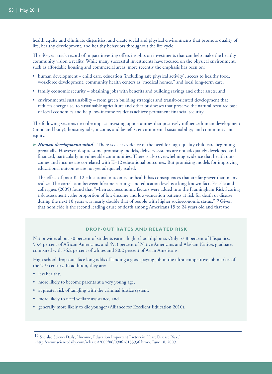health equity and eliminate disparities; and create social and physical environments that promote quality of life, healthy development, and healthy behaviors throughout the life cycle.

The 40-year track record of impact investing offers insights on investments that can help make the healthy community vision a reality. While many successful investments have focused on the physical environment, such as affordable housing and commercial areas, more recently the emphasis has been on:

- human development child care, education (including safe physical activity), access to healthy food, workforce development, community health centers as "medical homes," and local long-term care;
- family economic security obtaining jobs with benefits and building savings and other assets; and
- environmental sustainability from green building strategies and transit-oriented development that reduces energy use, to sustainable agriculture and other businesses that preserve the natural resource base of local economies and help low-income residents achieve permanent financial security.

The following sections describe impact investing opportunities that positively influence human development (mind and body); housing; jobs, income, and benefits; environmental sustainability; and community and equity.

**➤** *Human development: mind* – There is clear evidence of the need for high-quality child care beginning prenatally. However, despite some promising models, delivery systems are not adequately developed and financed, particularly in vulnerable communities. There is also overwhelming evidence that health outcomes and income are correlated with K–12 educational outcomes. But promising models for improving educational outcomes are not yet adequately scaled.

The effect of poor K–12 educational outcomes on health has consequences that are far graver than many realize. The correlation between lifetime earnings and education level is a long-known fact. Fiscella and colleagues (2009) found that "when socioeconomic factors were added into the Framingham Risk Scoring risk assessment…the proportion of low-income and low-education patients at risk for death or disease during the next 10 years was nearly double that of people with higher socioeconomic status."<sup>19</sup> Given that homicide is the second leading cause of death among Americans 15 to 24 years old and that the

### **DROP-OUT RATES AND RELATED RISK**

Nationwide, about 70 percent of students earn a high school diploma. Only 57.8 percent of Hispanics, 53.4 percent of African Americans, and 49.3 percent of Native Americans and Alaskan Natives graduate, compared with 76.2 percent of whites and 80.2 percent of Asian Americans.

High school drop-outs face long odds of landing a good-paying job in the ultra-competitive job market of the 21st century. In addition, they are:

- less healthy,
- more likely to become parents at a very young age,
- at greater risk of tangling with the criminal justice system,
- more likely to need welfare assistance, and
- generally more likely to die younger (Alliance for Excellent Education 2010).

<sup>&</sup>lt;sup>19</sup> See also ScienceDaily, "Income, Education Important Factors in Heart Disease Risk," <http://www.sciencedaily.com/releases/2009/06/090616133936.htm>, June 18, 2009.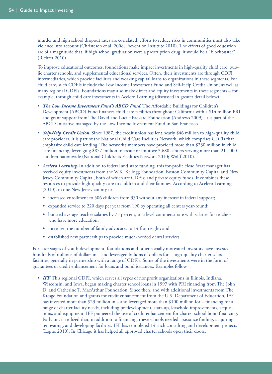murder and high school dropout rates are correlated, efforts to reduce risks in communities must also take violence into account (Christeson et al. 2008; Prevention Institute 2010). The effects of good education are of a magnitude that, if high school graduation were a prescription drug, it would be a "blockbuster" (Richter 2010).

To improve educational outcomes, foundations make impact investments in high-quality child care, public charter schools, and supplemental educational services. Often, their investments are through CDFI intermediaries, which provide facilities and working capital loans to organizations in these segments. For child care, such CDFIs include the Low Income Investment Fund and Self-Help Credit Union, as well as many regional CDFIs. Foundations may also make direct and equity investments in these segments – for example, through child care investments in Acelero Learning (discussed in greater detail below).

- *The Low Income Investment Fund's ABCD Fund.* The Affordable Buildings for Children's Development (ABCD) Fund finances child care facilities throughout California with a \$14 million PRI and grant support from The David and Lucile Packard Foundation (Andrews 2009). It is part of the ABCD Initiative managed by the Low Income Investment Fund in San Francisco.
- *Self-Help Credit Union*. Since 1987, the credit union has lent nearly \$46 million to high-quality child care providers. It is part of the National Child Care Facilities Network, which comprises CDFIs that emphasize child care lending. The network's members have provided more than \$230 million in child care financing, leveraging \$877 million to create or improve 3,680 centers serving more than 211,000 children nationwide (National Children's Facilities Network 2010; Wolff 2010).
- *Acelero Learning.* In addition to federal and state funding, this for-profit Head Start manager has received equity investments from the W.K. Kellogg Foundation; Boston Community Capital and New Jersey Community Capital, both of which are CDFIs; and private equity funds. It combines these resources to provide high-quality care to children and their families. According to Acelero Learning (2010), in one New Jersey county it:
	- increased enrollment to 506 children from 330 without any increase in federal support;
	- expanded service to 220 days per year from 190 by operating all centers year-round;
	- boosted average teacher salaries by 75 percent, to a level commensurate with salaries for teachers who have more education;
	- **•** increased the number of family advocates to 14 from eight; and
	- **•** established new partnerships to provide much-needed dental services.

For later stages of youth development, foundations and other socially motivated investors have invested hundreds of millions of dollars in – and leveraged billions of dollars for – high-quality charter school facilities, generally in partnership with a range of CDFIs. Some of the investments were in the form of guarantees or credit enhancement for loans and bond issuances. Examples follow.

• *IFF.* This regional CDFI, which serves all types of nonprofit organizations in Illinois, Indiana, Wisconsin, and Iowa, began making charter school loans in 1997 with PRI financing from The John D. and Catherine T. MacArthur Foundation. Since then, and with additional investments from The Kresge Foundation and grants for credit enhancement from the U.S. Department of Education, IFF has invested more than \$23 million in – and leveraged more than \$100 million for – financing for a range of charter facility needs, including predevelopment, start-up, leasehold improvements, acquisitions, and equipment. IFF pioneered the use of credit enhancement for charter school bond financing. Early on, it realized that, in addition to financing, these schools needed assistance finding, acquiring, renovating, and developing facilities. IFF has completed 14 such consulting and development projects (Logue 2010). In Chicago it has helped all approved charter schools open their doors.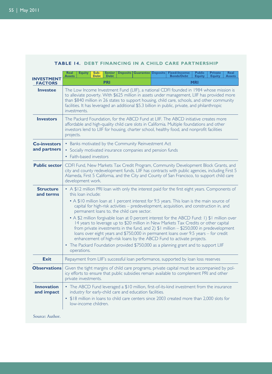|                                     | Real<br><b>Assets</b> | <b>Equity</b>                     | Sub-<br><b>Debt</b> | Senior  <br><b>Debt</b> |                                                                                                                   | Deposits   Guarantee   Deposits   Fixed-Income:<br><b>Bonds/Debt</b>                                                                                                                                                                                                                                                                                                                                                                                                                                                                                                                                                                                                                                                                                                                                                              | <b>Public</b><br><b>Equity</b> | <b>Private</b><br><b>Equity</b> | Real<br><b>Assets</b> |
|-------------------------------------|-----------------------|-----------------------------------|---------------------|-------------------------|-------------------------------------------------------------------------------------------------------------------|-----------------------------------------------------------------------------------------------------------------------------------------------------------------------------------------------------------------------------------------------------------------------------------------------------------------------------------------------------------------------------------------------------------------------------------------------------------------------------------------------------------------------------------------------------------------------------------------------------------------------------------------------------------------------------------------------------------------------------------------------------------------------------------------------------------------------------------|--------------------------------|---------------------------------|-----------------------|
| <b>INVESTMENT</b><br><b>FACTORS</b> |                       |                                   |                     | <b>PRI</b>              |                                                                                                                   |                                                                                                                                                                                                                                                                                                                                                                                                                                                                                                                                                                                                                                                                                                                                                                                                                                   | MRI                            |                                 |                       |
| <b>Investee</b>                     |                       | investments.                      |                     |                         |                                                                                                                   | The Low Income Investment Fund (LIIF), a national CDFI founded in 1984 whose mission is<br>to alleviate poverty. With \$625 million in assets under management, LIIF has provided more<br>than \$840 million in 26 states to support housing, child care, schools, and other community<br>facilities. It has leveraged an additional \$5.3 billion in public, private, and philanthropic                                                                                                                                                                                                                                                                                                                                                                                                                                          |                                |                                 |                       |
| <b>Investors</b>                    | projects.             |                                   |                     |                         |                                                                                                                   | The Packard Foundation, for the ABCD Fund at LIIF. The ABCD initiative creates more<br>affordable and high-quality child care slots in California. Multiple foundations and other<br>investors lend to LIIF for housing, charter school, healthy food, and nonprofit facilities                                                                                                                                                                                                                                                                                                                                                                                                                                                                                                                                                   |                                |                                 |                       |
| <b>Co-investors</b><br>and partners |                       | • Faith-based investors           |                     |                         | • Banks motivated by the Community Reinvestment Act<br>• Socially motivated insurance companies and pension funds |                                                                                                                                                                                                                                                                                                                                                                                                                                                                                                                                                                                                                                                                                                                                                                                                                                   |                                |                                 |                       |
| <b>Public sector</b>                |                       | development work.                 |                     |                         |                                                                                                                   | CDFI Fund, New Markets Tax Credit Program, Community Development Block Grants, and<br>city and county redevelopment funds. LIIF has contracts with public agencies, including First 5<br>Alameda, First 5 California, and the City and County of San Francisco, to support child care                                                                                                                                                                                                                                                                                                                                                                                                                                                                                                                                             |                                |                                 |                       |
| <b>Structure</b><br>and terms       |                       | this loan include:<br>operations. |                     |                         | permanent loans to, the child care sector.                                                                        | • A \$12 million PRI loan with only the interest paid for the first eight years. Components of<br>• A \$10 million loan at 1 percent interest for 9.5 years. This loan is the main source of<br>capital for high-risk activities - predevelopment, acquisition, and construction in, and<br>• A \$2 million forgivable loan at 0 percent interest for the ABCD Fund: 1) \$1 million over<br>14 years to leverage up to \$20 million in New Markets Tax Credits or other capital<br>from private investments in the fund, and 2) $$1$ million - \$250,000 in predevelopment<br>loans over eight years and \$750,000 in permanent loans over 9.5 years - for credit<br>enhancement of high-risk loans by the ABCD Fund to activate projects.<br>• The Packard Foundation provided \$750,000 as a planning grant and to support LIIF |                                |                                 |                       |
| <b>Exit</b>                         |                       |                                   |                     |                         |                                                                                                                   | Repayment from LIIF's successful loan performance, supported by loan loss reserves                                                                                                                                                                                                                                                                                                                                                                                                                                                                                                                                                                                                                                                                                                                                                |                                |                                 |                       |
| <b>Observations</b>                 |                       | private investments.              |                     |                         |                                                                                                                   | Given the tight margins of child care programs, private capital must be accompanied by pol-<br>icy efforts to ensure that public subsidies remain available to complement PRI and other                                                                                                                                                                                                                                                                                                                                                                                                                                                                                                                                                                                                                                           |                                |                                 |                       |
| <b>Innovation</b><br>and impact     | $\bullet$             | low-income children.              |                     |                         | industry for early-child care and education facilities.                                                           | • The ABCD Fund leveraged a \$10 million, first-of-its-kind investment from the insurance<br>\$18 million in loans to child care centers since 2003 created more than 2,000 slots for                                                                                                                                                                                                                                                                                                                                                                                                                                                                                                                                                                                                                                             |                                |                                 |                       |

## **TABLE 14. DEBT FINANCING IN A CHILD CARE PARTNERSHIP**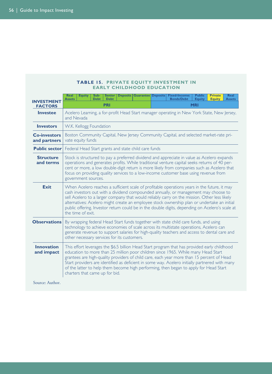## **TABLE 15. PRIVATE EQUITY INVESTMENT IN EARLY CHILDHOOD EDUCATION**

|                                     | Real<br><b>Assets</b> | <b>Equity</b>                  | Sub-<br><b>Debt</b> | <b>Senior</b><br><b>Debt</b> |                                             |                                                      | Deposits Guarantee Deposits Fixed-Income:<br><b>Bonds/Debt</b>                                                                                                                                                                                                                                                                                                                                                                                                                        | <b>Public</b><br><b>Equity</b> | <b>Private</b><br><b>Equity</b> | Real<br><b>Assets</b> |
|-------------------------------------|-----------------------|--------------------------------|---------------------|------------------------------|---------------------------------------------|------------------------------------------------------|---------------------------------------------------------------------------------------------------------------------------------------------------------------------------------------------------------------------------------------------------------------------------------------------------------------------------------------------------------------------------------------------------------------------------------------------------------------------------------------|--------------------------------|---------------------------------|-----------------------|
| <b>INVESTMENT</b><br><b>FACTORS</b> |                       |                                |                     | <b>PRI</b>                   |                                             |                                                      |                                                                                                                                                                                                                                                                                                                                                                                                                                                                                       | <b>MRI</b>                     |                                 |                       |
| <b>Investee</b>                     | and Nevada            |                                |                     |                              |                                             |                                                      | Acelero Learning, a for-profit Head Start manager operating in New York State, New Jersey,                                                                                                                                                                                                                                                                                                                                                                                            |                                |                                 |                       |
| <b>Investors</b>                    |                       | W.K. Kellogg Foundation        |                     |                              |                                             |                                                      |                                                                                                                                                                                                                                                                                                                                                                                                                                                                                       |                                |                                 |                       |
| <b>Co-investors</b><br>and partners |                       | vate equity funds              |                     |                              |                                             |                                                      | Boston Community Capital, New Jersey Community Capital, and selected market-rate pri-                                                                                                                                                                                                                                                                                                                                                                                                 |                                |                                 |                       |
| <b>Public sector</b>                |                       |                                |                     |                              |                                             | Federal Head Start grants and state child care funds |                                                                                                                                                                                                                                                                                                                                                                                                                                                                                       |                                |                                 |                       |
| <b>Structure</b><br>and terms       |                       | government sources.            |                     |                              |                                             |                                                      | Stock is structured to pay a preferred dividend and appreciate in value as Acelero expands<br>operations and generates profits. While traditional venture capital seeks returns of 40 per-<br>cent or more, a low double-digit return is more likely from companies such as Acelero that<br>focus on providing quality services to a low-income customer base using revenue from                                                                                                      |                                |                                 |                       |
| <b>Exit</b>                         |                       | the time of exit.              |                     |                              |                                             |                                                      | When Acelero reaches a sufficient scale of profitable operations years in the future, it may<br>cash investors out with a dividend compounded annually, or management may choose to<br>sell Acelero to a larger company that would reliably carry on the mission. Other less likely<br>alternatives: Acelero might create an employee stock ownership plan or undertake an initial<br>public offering. Investor return could be in the double digits, depending on Acelero's scale at |                                |                                 |                       |
| <b>Observations</b>                 |                       |                                |                     |                              | other necessary services for its customers. |                                                      | By wrapping federal Head Start funds together with state child care funds, and using<br>technology to achieve economies of scale across its multistate operations, Acelero can<br>generate revenue to support salaries for high-quality teachers and access to dental care and                                                                                                                                                                                                        |                                |                                 |                       |
| <b>Innovation</b><br>and impact     |                       | charters that came up for bid. |                     |                              |                                             |                                                      | This effort leverages the \$6.5 billion Head Start program that has provided early childhood<br>education to more than 25 million poor children since 1965. While many Head Start<br>grantees are high-quality providers of child care, each year more than 15 percent of Head<br>Start providers are identified as deficient in some way. Acelero initially partnered with many<br>of the latter to help them become high performing, then began to apply for Head Start             |                                |                                 |                       |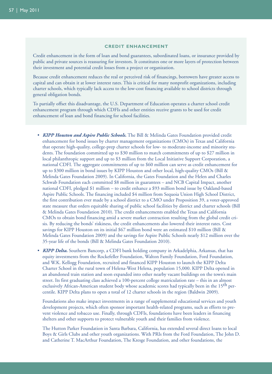## **CREDIT ENHANCEMENT**

Credit enhancement in the form of loan and bond guarantees, subordinated loans, or insurance provided by public and private sources is reassuring for investors. It constitutes one or more layers of protection between their investment and potential credit losses from a project or organization.

Because credit enhancement reduces the real or perceived risk of financings, borrowers have greater access to capital and can obtain it at lower interest rates. This is critical for many nonprofit organizations, including charter schools, which typically lack access to the low-cost financing available to school districts through general obligation bonds.

To partially offset this disadvantage, the U.S. Department of Education operates a charter school credit enhancement program through which CDFIs and other entities receive grants to be used for credit enhancement of loan and bond financing for school facilities.

- *KIPP Houston and Aspire Public Schools.* The Bill & Melinda Gates Foundation provided credit enhancement for bond issues by charter management organizations (CMOs) in Texas and California that operate high-quality, college-prep charter schools for low- to moderate-income and minority students. The foundation committed up to \$30 million to match commitments of up to \$27 million in local philanthropic support and up to \$3 million from the Local Initiative Support Corporation, a national CDFI. The aggregate commitments of up to \$60 million can serve as credit enhancement for up to \$300 million in bond issues by KIPP Houston and other local, high-quality CMOs (Bill & Melinda Gates Foundation 2009). In California, the Gates Foundation and the Helen and Charles Schwab Foundation each committed \$8 million in guarantees – and NCB Capital Impact, another national CDFI, pledged \$1 million – to credit enhance a \$93 million bond issue by Oakland-based Aspire Public Schools. The financing included \$4 million from Sequoia Union High School District, the first contribution ever made by a school district to a CMO under Proposition 39, a voter-approved state measure that orders equitable sharing of public school facilities by district and charter schools (Bill & Melinda Gates Foundation 2010). The credit enhancements enabled the Texas and California CMOs to obtain bond financing amid a severe market contraction resulting from the global credit crisis. By reducing the bonds' riskiness, the credit enhancements also lowered their interest rates. Cost savings for KIPP Houston on its initial \$67 million bond were an estimated \$10 million (Bill & Melinda Gates Foundation 2009) and the savings for Aspire Public Schools nearly \$12 million over the 35-year life of the bonds (Bill & Melinda Gates Foundation 2010).
- *KIPP Delta.* Southern Bancorp, a CDFI bank holding company in Arkadelphia, Arkansas, that has equity investments from the Rockefeller Foundation, Walton Family Foundation, Ford Foundation, and W.K. Kellogg Foundation, recruited and financed KIPP Houston to launch the KIPP Delta Charter School in the rural town of Helena-West Helena, population 15,000. KIPP Delta opened in an abandoned train station and soon expanded into other nearby vacant buildings on the town's main street. Its first graduating class achieved a 100-percent college matriculation rate – this in an almost exclusively African-American student body whose academic scores had typically been in the 15<sup>th</sup> percentile. KIPP Delta plans to open a total of 12 charter schools in the region (Baldwin 2009).

Foundations also make impact investments in a range of supplemental educational services and youth development projects, which often sponsor important health-related programs, such as efforts to prevent violence and tobacco use. Finally, through CDFIs, foundations have been leaders in financing shelters and other supports to protect vulnerable youth and their families from violence.

The Hutton Parker Foundation in Santa Barbara, California, has extended several direct loans to local Boys & Girls Clubs and other youth organizations. With PRIs from the Ford Foundation, The John D. and Catherine T. MacArthur Foundation, The Kresge Foundation, and other foundations, the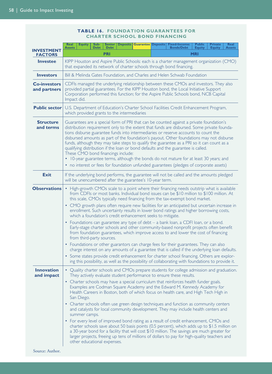## **TABLE 16. FOUNDATION GUARANTEES FOR CHARTER SCHOOL BOND FINANCING**

|                                     | <b>Real</b><br><b>Assets</b> | <b>Equity</b>                                              | Sub-<br><b>Debt</b> | <b>Senior</b><br><b>Debt</b> |                                             |                                                            | Deposits Guarantee Deposits Fixed-Income:<br><b>Bonds/Debt</b>                                                                                                                                                                                                                                                                                                                                                                                                                                                                                                                                                                                                                                                                                                                                                                                                                                                                                                                                                                                                                                                                    | <b>Public</b><br><b>Equity</b> | <b>Private</b><br><b>Equity</b> | Real<br><b>Assets</b> |
|-------------------------------------|------------------------------|------------------------------------------------------------|---------------------|------------------------------|---------------------------------------------|------------------------------------------------------------|-----------------------------------------------------------------------------------------------------------------------------------------------------------------------------------------------------------------------------------------------------------------------------------------------------------------------------------------------------------------------------------------------------------------------------------------------------------------------------------------------------------------------------------------------------------------------------------------------------------------------------------------------------------------------------------------------------------------------------------------------------------------------------------------------------------------------------------------------------------------------------------------------------------------------------------------------------------------------------------------------------------------------------------------------------------------------------------------------------------------------------------|--------------------------------|---------------------------------|-----------------------|
| <b>INVESTMENT</b><br><b>FACTORS</b> |                              |                                                            |                     | <b>PRI</b>                   |                                             |                                                            |                                                                                                                                                                                                                                                                                                                                                                                                                                                                                                                                                                                                                                                                                                                                                                                                                                                                                                                                                                                                                                                                                                                                   | <b>MRI</b>                     |                                 |                       |
| <b>Investee</b>                     |                              |                                                            |                     |                              |                                             |                                                            | KIPP Houston and Aspire Public Schools: each is a charter management organization (CMO)<br>that expanded its network of charter schools through bond financing.                                                                                                                                                                                                                                                                                                                                                                                                                                                                                                                                                                                                                                                                                                                                                                                                                                                                                                                                                                   |                                |                                 |                       |
| <b>Investors</b>                    |                              |                                                            |                     |                              |                                             |                                                            | Bill & Melinda Gates Foundation, and Charles and Helen Schwab Foundation                                                                                                                                                                                                                                                                                                                                                                                                                                                                                                                                                                                                                                                                                                                                                                                                                                                                                                                                                                                                                                                          |                                |                                 |                       |
| <b>Co-investors</b><br>and partners | Impact did.                  |                                                            |                     |                              |                                             |                                                            | CDFIs managed the underlying relationship between these CMOs and investors. They also<br>provided partial guarantees. For the KIPP Houston bond, the Local Initiative Support<br>Corporation performed this function; for the Aspire Public Schools bond, NCB Capital                                                                                                                                                                                                                                                                                                                                                                                                                                                                                                                                                                                                                                                                                                                                                                                                                                                             |                                |                                 |                       |
| <b>Public sector</b>                |                              |                                                            |                     |                              | which provided grants to the intermediaries |                                                            | U.S. Department of Education's Charter School Facilities Credit Enhancement Program,                                                                                                                                                                                                                                                                                                                                                                                                                                                                                                                                                                                                                                                                                                                                                                                                                                                                                                                                                                                                                                              |                                |                                 |                       |
| <b>Structure</b><br>and terms       |                              |                                                            |                     |                              | These CMO bond financings include:          |                                                            | Guarantees are a special form of PRI that can be counted against a private foundation's<br>distribution requirement only to the extent that funds are disbursed. Some private founda-<br>tions disburse guarantee funds into intermediaries or reserve accounts to count the<br>disbursed amounts as part of the foundation's payout. Other foundations may not disburse<br>funds, although they may take steps to qualify the guarantee as a PRI so it can count as a<br>qualifying distribution if the loan or bond defaults and the guarantee is called.<br>10-year guarantee terms, although the bonds do not mature for at least 30 years; and<br>• no interest or fees for foundation unfunded guarantees (pledges of corporate assets)                                                                                                                                                                                                                                                                                                                                                                                     |                                |                                 |                       |
| <b>Exit</b>                         |                              |                                                            |                     |                              |                                             | will be unencumbered after the guarantee's 10-year term.   | If the underlying bond performs, the guarantee will not be called and the amounts pledged                                                                                                                                                                                                                                                                                                                                                                                                                                                                                                                                                                                                                                                                                                                                                                                                                                                                                                                                                                                                                                         |                                |                                 |                       |
| <b>Observations</b>                 |                              | from third-party sources.                                  |                     |                              |                                             | which a foundation's credit enhancement seeks to mitigate. | • High-growth CMOs scale to a point where their financing needs outstrip what is available<br>from CDFIs or most banks. Individual bond issues can be \$10 million to \$100 million. At<br>this scale, CMOs typically need financing from the tax-exempt bond market.<br>• CMO growth plans often require new facilities for an anticipated but uncertain increase in<br>enrollment. Such uncertainty results in lower bond ratings and higher borrowing costs,<br>• Foundations can guarantee any type of debt - a bank loan, a CDFI loan, or a bond.<br>Early-stage charter schools and other community-based nonprofit projects often benefit<br>from foundation guarantees, which improve access to and lower the cost of financing<br>• Foundations or other guarantors can charge fees for their guarantees. They can also<br>charge interest on any amounts of a guarantee that is called if the underlying loan defaults.<br>Some states provide credit enhancement for charter school financing. Others are explor-<br>ing this possibility, as well as the possibility of collaborating with foundations to provide it. |                                |                                 |                       |
| <b>Innovation</b><br>and impact     |                              | San Diego.<br>summer camps.<br>other educational expenses. |                     |                              |                                             |                                                            | • Quality charter schools and CMOs prepare students for college admission and graduation.<br>They actively evaluate student performance to ensure these results.<br>• Charter schools may have a special curriculum that reinforces health funder goals.<br>Examples are Codman Square Academy and the Edward M. Kennedy Academy for<br>Health Careers in Boston, both of which focus on health care, and High Tech High in<br>• Charter schools often use green design techniques and function as community centers<br>and catalysts for local community development. They may include health centers and<br>• For every level of improved bond rating as a result of credit enhancement, CMOs and<br>charter schools save about 50 basis points (0.5 percent), which adds up to \$1.5 million on<br>a 30-year bond for a facility that will cost \$10 million. The savings are much greater for<br>larger projects, freeing up tens of millions of dollars to pay for high-quality teachers and                                                                                                                                 |                                |                                 |                       |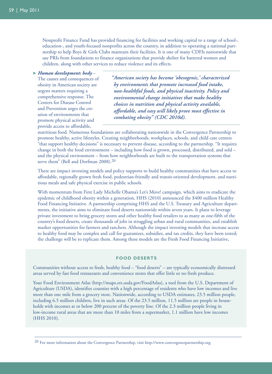Nonprofit Finance Fund has provided financing for facilities and working capital to a range of school-, education-, and youth-focused nonprofits across the country, in addition to operating a national partnership to help Boys & Girls Clubs maintain their facilities. It is one of many CDFIs nationwide that use PRIs from foundations to finance organizations that provide shelter for battered women and children, along with other services to reduce violence and its effects.

#### **➤** *Human development: body* –

The causes and consequences of obesity in American society are urgent matters requiring a comprehensive response. The Centers for Disease Control and Prevention urges the creation of environments that promote physical activity and provide access to affordable,

*"American society has become 'obesogenic,' characterized by environments that promote increased food intake, non-healthful foods, and physical inactivity. Policy and environmental change initiatives that make healthy choices in nutrition and physical activity available, affordable, and easy will likely prove most effective in combating obesity" (CDC 2010d).*

nutritious food. Numerous foundations are collaborating nationwide in the Convergence Partnership to promote healthy, active lifestyles. Creating neighborhoods, workplaces, schools, and child care centers "that support healthy decisions" is necessary to prevent disease, according to the partnership. "It requires change in both the food environment – including how food is grown, processed, distributed, and sold – and the physical environment – from how neighborhoods are built to the transportation systems that serve them" (Bell and Dorfman 2008).20

There are impact investing models and policy supports to build healthy communities that have access to affordable, regionally grown fresh food, pedestrian-friendly and transit-oriented development, and nutritious meals and safe physical exercise in public schools.

With momentum from First Lady Michelle Obama's Let's Move! campaign, which aims to eradicate the epidemic of childhood obesity within a generation, HHS (2010) announced the \$400 million Healthy Food Financing Initiative. A partnership comprising HHS and the U.S. Treasury and Agriculture departments, the initiative aims to eliminate food deserts nationwide within seven years. It plans to leverage private investment to bring grocery stores and other healthy food retailers to as many as one-fifth of the country's food deserts, create thousands of jobs in struggling urban and rural communities, and establish market opportunities for farmers and ranchers. Although the impact investing models that increase access to healthy food may be complex and call for guarantees, subsidies, and tax credits, they have been tested; the challenge will be to replicate them. Among these models are the Fresh Food Financing Initiative,

#### **FOOD DESERTS**

Communities without access to fresh, healthy food – "food deserts" – are typically economically distressed areas served by fast food restaurants and convenience stores that offer little or no fresh produce.

Your Food Environment Atlas (http://maps.ers.usda.gov/FoodAtlas), a tool from the U.S. Department of Agriculture (USDA), identifies counties with a high percentage of residents who have low incomes and live more than one mile from a grocery store. Nationwide, according to USDA estimates, 23.5 million people, including 6.5 million children, live in such areas. Of the 23.5 million, 11.5 million are people in households with incomes at or below 200 percent of the poverty line. Of the 2.3 million people living in low-income rural areas that are more than 10 miles from a supermarket, 1.1 million have low incomes (HHS 2010).

<sup>20</sup> For more information about the Convergence Partnership, visit http://www.convergencepartnership.org.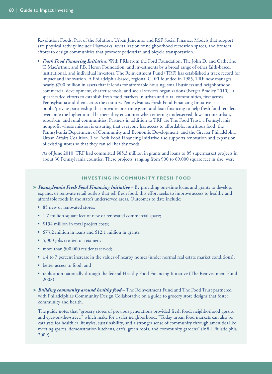Revolution Foods, Part of the Solution, Urban Juncture, and RSF Social Finance. Models that support safe physical activity include Playworks, revitalization of neighborhood recreation spaces, and broader efforts to design communities that promote pedestrian and bicycle transportation.

• *Fresh Food Financing Initiative.* With PRIs from the Ford Foundation, The John D. and Catherine T. MacArthur, and F.B. Heron Foundation, and investments by a broad range of other faith-based, institutional, and individual investors, The Reinvestment Fund (TRF) has established a track record for impact and innovation. A Philadelphia-based, regional CDFI founded in 1985, TRF now manages nearly \$700 million in assets that it lends for affordable housing, small business and neighborhood commercial development, charter schools, and social services organizations (Berger Bradley 2010). It spearheaded efforts to establish fresh food markets in urban and rural communities, first across Pennsylvania and then across the country. Pennsylvania's Fresh Food Financing Initiative is a public/private partnership that provides one-time grant and loan financing to help fresh food retailers overcome the higher initial barriers they encounter when entering underserved, low-income urban, suburban, and rural communities. Partners in addition to TRF are The Food Trust, a Pennsylvania nonprofit whose mission is ensuring that everyone has access to affordable, nutritious food; the Pennsylvania Department of Community and Economic Development; and the Greater Philadelphia Urban Affairs Coalition. The Fresh Food Financing Initiative also supports renovation and expansion of existing stores so that they can sell healthy foods.

As of June 2010, TRF had committed \$85.3 million in grants and loans to 85 supermarket projects in about 30 Pennsylvania counties. These projects, ranging from 900 to 69,000 square feet in size, were

#### **INVESTING IN COMMUNITY FRESH FOOD**

- **➤** *Pennsylvania Fresh Food Financing Initiative* By providing one-time loans and grants to develop, expand, or renovate retail outlets that sell fresh food, this effort seeks to improve access to healthy and affordable foods in the state's underserved areas. Outcomes to date include:
	- 85 new or renovated stores;
	- 1.7 million square feet of new or renovated commercial space;
	- \$194 million in total project costs;
	- \$73.2 million in loans and \$12.1 million in grants;
	- 5,000 jobs created or retained;
	- more than 500,000 residents served;
	- a 4 to 7 percent increase in the values of nearby homes (under normal real estate market conditions);
	- better access to food; and
	- replication nationally through the federal Healthy Food Financing Initiative (The Reinvestment Fund 2008).
- **➤** *Building community around healthy food*  The Reinvestment Fund and The Food Trust partnered with Philadelphia's Community Design Collaborative on a guide to grocery store designs that foster community and health.

The guide notes that "grocery stores of previous generations provided fresh food, neighborhood gossip, and eyes-on-the-street," which make for a safer neighborhood. "Today urban food markets can also be catalysts for healthier lifestyles, sustainability, and a stronger sense of community through amenities like meeting spaces, demonstration kitchens, cafés, green roofs, and community gardens" (Infill Philadelphia 2009).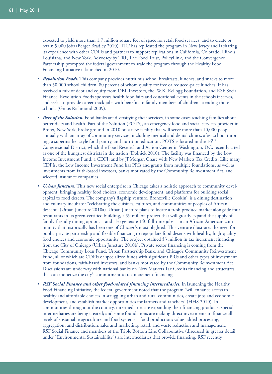expected to yield more than 1.7 million square feet of space for retail food services, and to create or retain 5,000 jobs (Berger Bradley 2010). TRF has replicated the program in New Jersey and is sharing its experience with other CDFIs and partners to support replications in California, Colorado, Illinois, Louisiana, and New York. Advocacy by TRF, The Food Trust, PolicyLink, and the Convergence Partnership prompted the federal government to scale the program through the Healthy Food Financing Initiative it launched in 2010.

- *Revolution Foods*. This company provides nutritious school breakfasts, lunches, and snacks to more than 50,000 school children, 80 percent of whom qualify for free or reduced-price lunches. It has received a mix of debt and equity from DBL Investors, the W.K. Kellogg Foundation, and RSF Social Finance. Revolution Foods sponsors health food fairs and educational events in the schools it serves, and seeks to provide career track jobs with benefits to family members of children attending those schools (Groos Richmond 2009).
- *Part of the Solution*. Food banks are diversifying their services, in some cases teaching families about better diets and health. Part of the Solution (POTS), an emergency food and social services provider in Bronx, New York, broke ground in 2010 on a new facility that will serve more than 10,000 people annually with an array of community services, including medical and dental clinics, after-school tutoring, a supermarket-style food pantry, and nutrition education. POTS is located in the 16<sup>th</sup> Congressional District, which the Food Research and Action Center in Washington, DC, recently cited as one of the hungriest districts in the nation (Dolnick 2010). The facility was financed by the Low Income Investment Fund, a CDFI, and by JPMorgan Chase with New Markets Tax Credits. Like many CDFIs, the Low Income Investment Fund has PRIs and grants from multiple foundations, as well as investments from faith-based investors, banks motivated by the Community Reinvestment Act, and selected insurance companies.
- *Urban Juncture.* This new social enterprise in Chicago takes a holistic approach to community development, bringing healthy food choices, economic development, and platforms for building social capital to food deserts. The company's flagship venture, Bronzeville Cookin', is a dining destination and culinary incubator "celebrating the cuisines, cultures, and communities of peoples of African descent" (Urban Juncture 2010a). Urban Juncture plans to locate a fresh produce market alongside four restaurants in its green-certified building, a \$9 million project that will greatly expand the supply of family-friendly dining options – and also generate 140 full-time jobs – in an African-American community that historically has been one of Chicago's most blighted. This venture illustrates the need for public-private partnership and flexible financing to repopulate food deserts with healthy, high-quality food choices and economic opportunity. The project obtained \$3 million in tax increment financing from the City of Chicago (Urban Juncture 2010b). Private sector financing is coming from the Chicago Community Loan Fund, Urban Partnership Bank, and Chicago's Community Reinvestment Fund, all of which are CDFIs or specialized funds with significant PRIs and other types of investment from foundations, faith-based investors, and banks motivated by the Community Reinvestment Act. Discussions are underway with national banks on New Markets Tax Credits financing and structures that can monetize the city's commitment to tax increment financing.
- *RSF Social Finance and other food-related financing intermediaries.* In launching the Healthy Food Financing Initiative, the federal government noted that the program "will enhance access to healthy and affordable choices in struggling urban and rural communities, create jobs and economic development, and establish market opportunities for farmers and ranchers" (HHS 2010). In communities throughout the country, intermediaries are expanding their financing products; special intermediaries are being created; and some foundations are making direct investments to finance all levels of sustainable agriculture and food systems – food production; value-added processing, aggregation, and distribution; sales and marketing; retail; and waste reduction and management. RSF Social Finance and members of the Triple Bottom Line Collaborative (discussed in greater detail under "Environmental Sustainability") are intermediaries that provide financing. RSF recently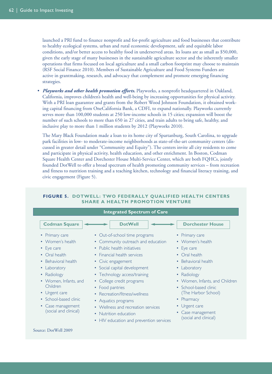launched a PRI fund to finance nonprofit and for-profit agriculture and food businesses that contribute to healthy ecological systems, urban and rural economic development, safe and equitable labor conditions, and/or better access to healthy food in underserved areas. Its loans are as small as \$50,000, given the early stage of many businesses in the sustainable agriculture sector and the inherently smaller operations that firms focused on local agriculture and a small carbon footprint may choose to maintain (RSF Social Finance 2010). Members of Sustainable Agriculture and Food Systems Funders are active in grantmaking, research, and advocacy that complement and promote emerging financing strategies.

• *Playworks and other health promotion efforts*. Playworks, a nonprofit headquartered in Oakland, California, improves children's health and well-being by increasing opportunities for physical activity. With a PRI loan guarantee and grants from the Robert Wood Johnson Foundation, it obtained working capital financing from OneCalifornia Bank, a CDFI, to expand nationally. Playworks currently serves more than 100,000 students at 250 low-income schools in 15 cities; expansion will boost the number of such schools to more than 650 in 27 cities, and train adults to bring safe, healthy, and inclusive play to more than 1 million students by 2012 (Playworks 2010).

The Mary Black Foundation made a loan to its home city of Spartanburg, South Carolina, to upgrade park facilities in low- to moderate-income neighborhoods as state-of-the-art community centers (discussed in greater detail under ["Community and Equity"](#page-83-0)). The centers invite all city residents to come and participate in physical activity, health education, and other enrichment. In Boston, Codman Square Health Center and Dorchester House Multi-Service Center, which are both FQHCs, jointly founded DotWell to offer a broad spectrum of health promoting community services – from recreation and fitness to nutrition training and a teaching kitchen, technology and financial literacy training, and civic engagement (Figure 5).

| <b>Codman Square</b>                                                                      | <b>DotWell</b>                                                                                                                | <b>Dorchester House</b>                                                                       |
|-------------------------------------------------------------------------------------------|-------------------------------------------------------------------------------------------------------------------------------|-----------------------------------------------------------------------------------------------|
| Primary care<br>$\bullet$<br>• Women's health<br>$\cdot$ Eye care                         | • Out-of-school time programs<br>• Community outreach and education<br>• Public health initiatives                            | • Primary care<br>• Women's health<br>$\bullet$ Eye care                                      |
| Oral health<br>$\bullet$<br>Behavioral health<br>$\bullet$<br>Laboratory<br>$\bullet$     | • Financial health services<br>• Civic engagement<br>• Social capital development                                             | • Oral health<br>• Behavioral health<br>• Laboratory                                          |
| Radiology<br>$\bullet$<br>• Women, Infants, and<br>Children<br>• Urgent care              | • Technology access/training<br>• College credit programs<br>• Food pantries<br>Recreation/fitness/wellness                   | • Radiology<br>• Women, Infants, and Children<br>• School-based clinic<br>(The Harbor School) |
| School-based clinic<br>$\bullet$<br>Case management<br>$\bullet$<br>(social and clinical) | • Aquatics programs<br>• Wellness and recreation services<br>• Nutrition education<br>• HIV education and prevention services | • Pharmacy<br>• Urgent care<br>• Case management<br>(social and clinical)                     |

# **FIGURE 5. DOTWELL: TWO FEDERALLY QUALIFIED HEALTH CENTERS SHARE A HEALTH PROMOTION VENTURE**

Source: DotWell 2009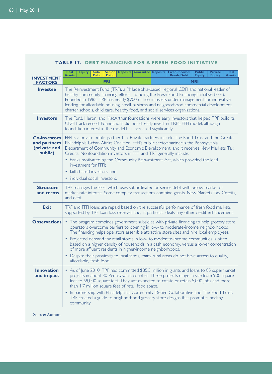|                                                                | <b>Real</b><br><b>Assets</b>                                                                                                                                                                                                                                                                                                                                                                                                                                                                                                                                                                                                                   | <b>Equity</b>                                                                                                                                                                           | Sub-<br><b>Debt</b> | <b>Senior</b><br><b>Debt</b> |  | <b>Deposits Guarantee Deposits</b> |  | <b>Fixed-Income:</b><br><b>Bonds/Debt</b> | <b>Public</b><br><b>Equity</b> | <b>Private</b><br><b>Equity</b> | Real<br>Assets |
|----------------------------------------------------------------|------------------------------------------------------------------------------------------------------------------------------------------------------------------------------------------------------------------------------------------------------------------------------------------------------------------------------------------------------------------------------------------------------------------------------------------------------------------------------------------------------------------------------------------------------------------------------------------------------------------------------------------------|-----------------------------------------------------------------------------------------------------------------------------------------------------------------------------------------|---------------------|------------------------------|--|------------------------------------|--|-------------------------------------------|--------------------------------|---------------------------------|----------------|
| <b>INVESTMENT</b><br><b>FACTORS</b>                            | <b>PRI</b><br><b>MRI</b>                                                                                                                                                                                                                                                                                                                                                                                                                                                                                                                                                                                                                       |                                                                                                                                                                                         |                     |                              |  |                                    |  |                                           |                                |                                 |                |
| <b>Investee</b>                                                | The Reinvestment Fund (TRF), a Philadelphia-based, regional CDFI and national leader of<br>healthy community financing efforts, including the Fresh Food Financing Initiative (FFFI).<br>Founded in 1985, TRF has nearly \$700 million in assets under management for innovative<br>lending for affordable housing, small-business and neighborhood commercial development,<br>charter schools, child care, healthy food, and social services organizations.                                                                                                                                                                                   |                                                                                                                                                                                         |                     |                              |  |                                    |  |                                           |                                |                                 |                |
| <b>Investors</b>                                               | The Ford, Heron, and MacArthur foundations were early investors that helped TRF build its<br>CDFI track record. Foundations did not directly invest in TRF's FFFI model, although<br>foundation interest in the model has increased significantly.                                                                                                                                                                                                                                                                                                                                                                                             |                                                                                                                                                                                         |                     |                              |  |                                    |  |                                           |                                |                                 |                |
| <b>Co-investors</b><br>and partners<br>(private and<br>public) | FFFI is a private-public partnership. Private partners include The Food Trust and the Greater<br>Philadelphia Urban Affairs Coalition. FFFI's public sector partner is the Pennsylvania<br>Department of Community and Economic Development, and it receives New Markets Tax<br>Credits. Nonfoundation investors in FFFI and TRF generally include:<br>banks motivated by the Community Reinvestment Act, which provided the lead<br>investment for FFFI:<br>• faith-based investors: and<br>• individual social investors.                                                                                                                    |                                                                                                                                                                                         |                     |                              |  |                                    |  |                                           |                                |                                 |                |
| <b>Structure</b><br>and terms                                  | TRF manages the FFFI, which uses subordinated or senior debt with below-market or<br>market-rate interest. Some complex transactions combine grants, New Markets Tax Credits,<br>and debt.                                                                                                                                                                                                                                                                                                                                                                                                                                                     |                                                                                                                                                                                         |                     |                              |  |                                    |  |                                           |                                |                                 |                |
| <b>Exit</b>                                                    |                                                                                                                                                                                                                                                                                                                                                                                                                                                                                                                                                                                                                                                | TRF and FFFI loans are repaid based on the successful performance of fresh food markets,<br>supported by TRF loan loss reserves and, in particular deals, any other credit enhancement. |                     |                              |  |                                    |  |                                           |                                |                                 |                |
| <b>Observations</b>                                            | • The program combines government subsidies with private financing to help grocery store<br>operators overcome barriers to opening in low- to moderate-income neighborhoods.<br>The financing helps operators assemble attractive store sites and hire local employees.<br>• Projected demand for retail stores in low- to moderate-income communities is often<br>based on a higher density of households in a cash economy, versus a lower concentration<br>of more affluent residents in higher-income neighborhoods.<br>Despite their proximity to local farms, many rural areas do not have access to quality,<br>affordable, fresh food. |                                                                                                                                                                                         |                     |                              |  |                                    |  |                                           |                                |                                 |                |
| <b>Innovation</b><br>and impact                                | • As of June 2010, TRF had committed \$85.3 million in grants and loans to 85 supermarket<br>projects in about 30 Pennsylvania counties. These projects range in size from 900 square<br>feet to 69,000 square feet. They are expected to create or retain 5,000 jobs and more<br>than 1.7 million square feet of retail food space.<br>• In partnership with Philadelphia's Community Design Collaborative and The Food Trust,<br>TRF created a guide to neighborhood grocery store designs that promotes healthy<br>community.                                                                                                               |                                                                                                                                                                                         |                     |                              |  |                                    |  |                                           |                                |                                 |                |

# **TABLE 17. DEBT FINANCING FOR A FRESH FOOD INITIATIVE**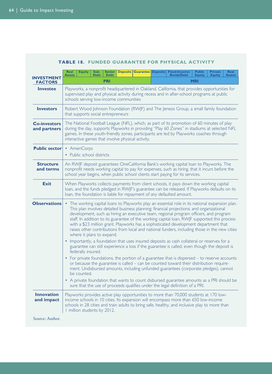| <b>INVESTMENT</b>                   | <b>Deposits   Guarantee   Deposits   Fixed-Income:</b><br><b>Real</b><br><b>Equity</b><br>Sub-<br><b>Senior</b><br><b>Public</b><br><b>Private</b><br>Real<br><b>Debt</b><br><b>Assets</b><br><b>Debt</b><br><b>Bonds/Debt</b><br><b>Equity</b><br><b>Equity</b><br>Assets<br><b>PRI</b><br><b>MRI</b>                                                                                                                                                                                                                                                                                                                                                                                                      |  |  |  |  |  |  |  |  |  |  |
|-------------------------------------|-------------------------------------------------------------------------------------------------------------------------------------------------------------------------------------------------------------------------------------------------------------------------------------------------------------------------------------------------------------------------------------------------------------------------------------------------------------------------------------------------------------------------------------------------------------------------------------------------------------------------------------------------------------------------------------------------------------|--|--|--|--|--|--|--|--|--|--|
| <b>FACTORS</b><br><b>Investee</b>   | Playworks, a nonprofit headquartered in Oakland, California, that provides opportunities for<br>supervised play and physical activity during recess and in after-school programs at public<br>schools serving low-income communities                                                                                                                                                                                                                                                                                                                                                                                                                                                                        |  |  |  |  |  |  |  |  |  |  |
| <b>Investors</b>                    | Robert Wood Johnson Foundation (RWJF) and The Jenesis Group, a small family foundation<br>that supports social entrepreneurs                                                                                                                                                                                                                                                                                                                                                                                                                                                                                                                                                                                |  |  |  |  |  |  |  |  |  |  |
| <b>Co-investors</b><br>and partners | The National Football League (NFL), which, as part of its promotion of 60 minutes of play<br>during the day, supports Playworks in providing "Play 60 Zones" in stadiums at selected NFL<br>games. In these youth-friendly zones, participants are led by Playworks coaches through<br>interactive games that involve physical activity.                                                                                                                                                                                                                                                                                                                                                                    |  |  |  |  |  |  |  |  |  |  |
| <b>Public sector</b>                | • AmeriCorps<br>• Public school districts                                                                                                                                                                                                                                                                                                                                                                                                                                                                                                                                                                                                                                                                   |  |  |  |  |  |  |  |  |  |  |
| <b>Structure</b><br>and terms       | An RWJF deposit guarantees OneCalifornia Bank's working capital loan to Playworks. The<br>nonprofit needs working capital to pay for expenses, such as hiring, that it incurs before the<br>school year begins, when public school clients start paying for its services.                                                                                                                                                                                                                                                                                                                                                                                                                                   |  |  |  |  |  |  |  |  |  |  |
| <b>Exit</b>                         | When Playworks collects payments from client schools, it pays down the working capital<br>loan, and the funds pledged in RW F's guarantee can be released. If Playworks defaults on its<br>loan, the foundation is liable for repayment of any defaulted amount.                                                                                                                                                                                                                                                                                                                                                                                                                                            |  |  |  |  |  |  |  |  |  |  |
| <b>Observations</b>                 | • The working capital loans to Playworks play an essential role in its national expansion plan.<br>This plan involves detailed business planning; financial projections; and organizational<br>development, such as hiring an executive team, regional program officers, and program<br>staff. In addition to its guarantee of the working capital loan, RWJF supported this process<br>with a \$23 million grant. Playworks has a sophisticated development department that<br>raises other contributions from local and national funders, including those in the new cities<br>where it plans to expand.                                                                                                  |  |  |  |  |  |  |  |  |  |  |
|                                     | Importantly, a foundation that uses insured deposits as cash collateral or reserves for a<br>$\bullet$<br>guarantee can still experience a loss if the guarantee is called, even though the deposit is<br>federally insured.<br>• For private foundations, the portion of a guarantee that is dispersed - to reserve accounts<br>or because the guarantee is called - can be counted toward their distribution require-<br>ment. Undisbursed amounts, including unfunded guarantees (corporate pledges), cannot<br>be counted.<br>• A private foundation that wants to count disbursed guarantee amounts as a PRI should be<br>sure that the use of proceeds qualifies under the legal definition of a PRI. |  |  |  |  |  |  |  |  |  |  |
| <b>Innovation</b><br>and impact     | Playworks provides active play opportunities to more than 70,000 students at 170 low-<br>income schools in 10 cities. Its expansion will encompass more than 650 low-income<br>schools in 28 cities and train adults to bring safe, healthy, and inclusive play to more than<br>I million students by 2012.                                                                                                                                                                                                                                                                                                                                                                                                 |  |  |  |  |  |  |  |  |  |  |

#### **TABLE 18. FUNDED GUARANTEE FOR PHYSICAL ACTIVITY**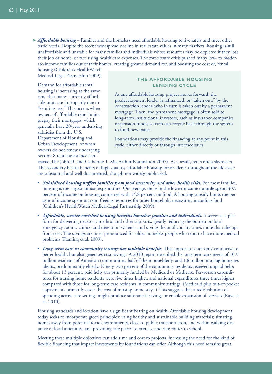**➤** *Affordable housing* – Families and the homeless need affordable housing to live safely and meet other basic needs. Despite the recent widespread decline in real estate values in many markets, housing is still unaffordable and unstable for many families and individuals whose resources may be depleted if they lose their job or home, or face rising health care expenses. The foreclosure crisis pushed many low- to moderate-income families out of their homes, creating greater demand for, and boosting the cost of, rental

housing (Children's HealthWatch Medical-Legal Partnership 2009).

Demand for affordable rental housing is increasing at the same time that many currently affordable units are in jeopardy due to "expiring use." This occurs when owners of affordable rental units prepay their mortgages, which generally have 20-year underlying subsidies from the U.S. Department of Housing and Urban Development, or when

owners do not renew underlying Section 8 rental assistance con-

## **THE AFFORDABLE HOUSING LENDING CYCLE**

As any affordable housing project moves forward, the predevelopment lender is refinanced, or "taken out," by the construction lender, who in turn is taken out by a permanent mortgage. Then, the permanent mortgage is often sold to long-term institutional investors, such as insurance companies or pension funds, so cash can recycle back through the system to fund new loans.

Foundations may provide the financing at any point in this cycle, either directly or through intermediaries.

tracts (The John D. and Catherine T. MacArthur Foundation 2007). As a result, rents often skyrocket. The secondary health benefits of high-quality, affordable housing for residents throughout the life cycle are substantial and well documented, though not widely publicized.

- *Subsidized housing buffers families from food insecurity and other health risks.* For most families, housing is the largest annual expenditure. On average, those in the lowest income quintile spend 40.5 percent of income on housing compared with 14.8 percent on food. A housing subsidy limits the percent of income spent on rent, freeing resources for other household necessities, including food (Children's HealthWatch Medical-Legal Partnership 2009).
- *Affordable, service-enriched housing benefits homeless families and individuals.* It serves as a platform for delivering necessary medical and other supports, greatly reducing the burden on local emergency rooms, clinics, and detention systems, and saving the public many times more than the upfront cost. The savings are most pronounced for older homeless people who tend to have more medical problems (Flaming et al. 2009).
- *Long-term care in community settings has multiple benefits*. This approach is not only conducive to better health, but also generates cost savings. A 2010 report described the long-term care needs of 10.9 million residents of American communities, half of them nonelderly, and 1.8 million nursing home residents, predominantly elderly. Ninety-two percent of the community residents received unpaid help; for about 13 percent, paid help was primarily funded by Medicaid or Medicare. Per-person expenditures for nursing home residents were five times higher, and national expenditures three times higher, compared with those for long-term care residents in community settings. (Medicaid plus out-of-pocket copayments primarily cover the cost of nursing home stays.) This suggests that a redistribution of spending across care settings might produce substantial savings or enable expansion of services (Kaye et al. 2010).

Housing standards and location have a significant bearing on health. Affordable housing development today seeks to incorporate green principles: using healthy and sustainable building materials; situating homes away from potential toxic environments, close to public transportation, and within walking distance of local amenities; and providing safe places to exercise and safe routes to school.

Meeting these multiple objectives can add time and cost to projects, increasing the need for the kind of flexible financing that impact investments by foundations can offer. Although this need remains great,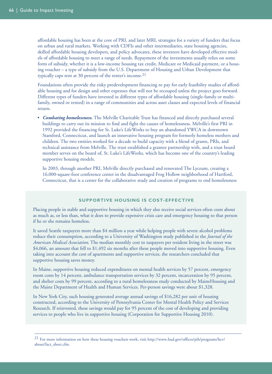affordable housing has been at the core of PRI, and later MRI, strategies for a variety of funders that focus on urban and rural markets. Working with CDFIs and other intermediaries, state housing agencies, skilled affordable housing developers, and policy advocates, these investors have developed effective models of affordable housing to meet a range of needs. Repayment of the investments usually relies on some form of subsidy, whether it is a low-income housing tax credit, Medicare or Medicaid payment, or a housing voucher – a type of subsidy from the U.S. Department of Housing and Urban Development that typically caps rent at 30 percent of the renter's income.<sup>21</sup>

Foundations often provide the risky predevelopment financing to pay for early feasibility studies of affordable housing and for design and other expenses that will not be recouped unless the project goes forward. Different types of funders have invested in different types of affordable housing (single-family or multifamily, owned or rented) in a range of communities and across asset classes and expected levels of financial return.

• *Combating homelessness.* The Melville Charitable Trust has financed and directly purchased several buildings to carry out its mission to find and fight the causes of homelessness. Melville's first PRI in 1992 provided the financing for St. Luke's LifeWorks to buy an abandoned YWCA in downtown Stamford, Connecticut, and launch an innovative housing program for formerly homeless mothers and children. The two entities worked for a decade to build capacity with a blend of grants, PRIs, and technical assistance from Melville. The trust established a grantee partnership with, and a trust board member serves on the board of, St. Luke's LifeWorks, which has become one of the country's leading supportive housing models.

In 2003, through another PRI, Melville directly purchased and renovated The Lyceum, creating a 16,000-square-foot conference center in the disadvantaged Frog Hollow neighborhood of Hartford, Connecticut, that is a center for the collaborative study and creation of programs to end homelessness

### **SUPPORTIVE HOUSING IS COST-EFFECTIVE**

Placing people in stable and supportive housing in which they also receive social services often costs about as much as, or less than, what it does to provide expensive crisis care and emergency housing to that person if he or she remains homeless.

It saved Seattle taxpayers more than \$4 million a year while helping people with severe alcohol problems reduce their consumption, according to a University of Washington study published in the *Journal of the American Medical Association*. The median monthly cost to taxpayers per resident living in the street was \$4,066, an amount that fell to \$1,492 six months after these people moved into supportive housing. Even taking into account the cost of apartments and supportive services, the researchers concluded that supportive housing saves money.

In Maine, supportive housing reduced expenditures on mental health services by 57 percent, emergency room costs by 14 percent, ambulance transportation services by 32 percent, incarceration by 95 percent, and shelter costs by 99 percent, according to a rural homelessness study conducted by MaineHousing and the Maine Department of Health and Human Services. Per-person savings were about \$1,328.

In New York City, such housing generated average annual savings of \$16,282 per unit of housing constructed, according to the University of Pennsylvania Center for Mental Health Policy and Services Research. If reinvested, these savings would pay for 95 percent of the cost of developing and providing services to people who live in supportive housing (Corporation for Supportive Housing 2010).

<sup>21</sup> For more information on how these housing vouchers work, visit http://www.hud.gov/offices/pih/programs/hcv/ about/fact\_sheet.cfm.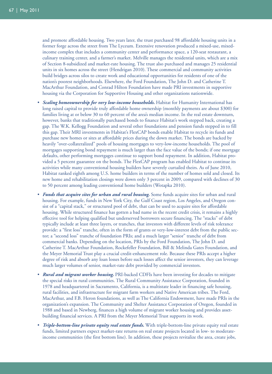and promote affordable housing. Two years later, the trust purchased 98 affordable housing units in a former forge across the street from The Lyceum. Extensive renovation produced a mixed-use, mixedincome complex that includes a community center and performance space, a 120-seat restaurant, a culinary training center, and a farmer's market. Melville manages the residential units, which are a mix of Section 8-subsidized and market-rate housing. The trust also purchased and manages 25 residential units in six homes across the street (Hendrigan 2010). These commercial and community activities build bridges across silos to create work and educational opportunities for residents of one of the nation's poorest neighborhoods. Elsewhere, the Ford Foundation, The John D. and Catherine T. MacArthur Foundation, and Conrad Hilton Foundation have made PRI investments in supportive housing via the Corporation for Supportive Housing and other organizations nationwide.

- *Scaling homeownership for very low-income households*. Habitat for Humanity International has long raised capital to provide truly affordable home ownership (monthly payments are about \$300) for families living at or below 30 to 60 percent of the area's median income. In the real estate downturn, however, banks that traditionally purchased bonds to finance Habitat's work stepped back, creating a gap. The W.K. Kellogg Foundation and several other foundations and pension funds stepped in to fill this gap. Their MRI investments in Habitat's FlexCAP bonds enable Habitat to recycle its funds and purchase new homes or sites at affordable prices during the down market. The bonds are backed by heavily "over-collateralized" pools of housing mortgages to very-low-income households. The pool of mortgages supporting bond repayment is much larger than the face value of the bonds; if one mortgage defaults, other performing mortgages continue to support bond repayment. In addition, Habitat provided a 5 percent guarantee on the bonds. The FlexCAP program has enabled Habitat to continue its activities while many conventional housing builders have severely curtailed theirs. As of June 2010, Habitat ranked eighth among U.S. home builders in terms of the number of homes sold and closed. Its new home and rehabilitation closings were down only 3 percent in 2009, compared with declines of 30 to 50 percent among leading conventional home builders (Wotapka 2010).
- *Funds that acquire sites for urban and rural housing.* Some funds acquire sites for urban and rural housing. For example, funds in New York City, the Gulf Coast region, Los Angeles, and Oregon consist of a "capital stack," or structured pool of debt, that can be used to acquire sites for affordable housing. While structured finance has gotten a bad name in the recent credit crisis, it remains a highly effective tool for helping qualified but underserved borrowers secure financing. The "stacks" of debt typically include at least three layers, or tranches, that investors with different levels of risk tolerance provide: a "first loss" tranche, often in the form of grants or very-low-interest debt from the public sector; a "second loss" tranche of foundation PRIs; and a much larger "senior" tranche of debt from commercial banks. Depending on the location, PRIs by the Ford Foundation, The John D. and Catherine T. MacArthur Foundation, Rockefeller Foundation, Bill & Melinda Gates Foundation, and the Meyer Memorial Trust play a crucial credit-enhancement role. Because these PRIs accept a higher degree of risk and absorb any loan losses before such losses affect the senior investors, they can leverage much larger volumes of senior, market-rate debt provided by commercial investors.
- *Rural and migrant worker housing.* PRI-backed CDFIs have been investing for decades to mitigate the special risks in rural communities. The Rural Community Assistance Corporation, founded in 1978 and headquartered in Sacramento, California, is a multistate leader in financing safe housing, rural facilities, and infrastructure for migrant farm workers and Native American tribes. The Ford, MacArthur, and F.B. Heron foundations, as well as The California Endowment, have made PRIs in the organization's expansion. The Community and Shelter Assistance Corporation of Oregon, founded in 1988 and based in Newberg, finances a high volume of migrant worker housing and provides assetbuilding financial services. A PRI from the Meyer Memorial Trust supports its work.
- *Triple-bottom-line private equity real estate funds. With triple-bottom-line private equity real estate* funds, limited partners expect market-rate returns on real estate projects located in low- to moderateincome communities (the first bottom line). In addition, these projects revitalize the area, create jobs,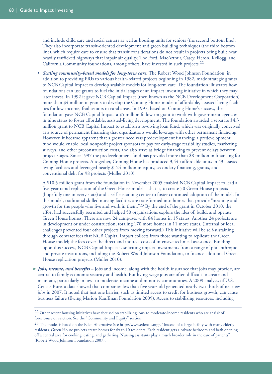and include child care and social centers as well as housing units for seniors (the second bottom line). They also incorporate transit-oriented development and green building techniques (the third bottom line), which require care to ensure that transit considerations do not result in projects being built near heavily trafficked highways that impair air quality. The Ford, MacArthur, Casey, Heron, Kellogg, and California Community foundations, among others, have invested in such projects.<sup>22</sup>

• *Scaling community-based models for long-term care.* The Robert Wood Johnson Foundation, in addition to providing PRIs to various health-related projects beginning in 1982, made strategic grants to NCB Capital Impact to develop scalable models for long-term care. The foundation illustrates how foundations can use grants to fuel the initial stages of an impact investing initiative in which they may later invest. In 1992 it gave NCB Capital Impact (then known as the NCB Development Corporation) more than \$4 million in grants to develop the Coming Home model of affordable, assisted-living facilities for low-income, frail seniors in rural areas. In 1997, based on Coming Home's success, the foundation gave NCB Capital Impact a \$5 million follow-on grant to work with government agencies in nine states to foster affordable, assisted-living development. The foundation awarded a separate \$4.3 million grant to NCB Capital Impact to establish a revolving loan fund, which was originally conceived as a source of permanent financing that organizations would leverage with other permanent financing. However, it became apparent that a greater need was predevelopment financing; a predevelopment fund would enable local nonprofit project sponsors to pay for early-stage feasibility studies, marketing surveys, and other preconstruction costs, and also serve as bridge financing to prevent delays between project stages. Since 1997 the predevelopment fund has provided more than \$8 million in financing for Coming Home projects. Altogether, Coming Home has produced 3,445 affordable units in 43 assistedliving facilities and leveraged nearly \$124 million in equity, secondary financing, grants, and conventional debt for 98 projects (Muller 2010).

A \$10.5 million grant from the foundation in November 2005 enabled NCB Capital Impact to lead a five-year rapid replication of the Green House model – that is, to create 50 Green House projects (hopefully one in every state) and a self-sustaining center to foster continued adoption of the model. In this model, traditional skilled nursing facilities are transformed into homes that provide "meaning and growth for the people who live and work in them."<sup>23</sup> By the end of the grant in October 2010, the effort had successfully recruited and helped 50 organizations explore the idea of, build, and operate Green House homes. There are now 24 campuses with 84 homes in 15 states. Another 24 projects are in development or under construction, totaling 170 more homes in 11 more states. (Internal or local challenges prevented four other projects from moving forward.) This initiative will be self-sustaining through contract fees that NCB Capital Impact collects from those wanting to replicate the Green House model; the fees cover the direct and indirect costs of intensive technical assistance. Building upon this success, NCB Capital Impact is soliciting impact investments from a range of philanthropic and private institutions, including the Robert Wood Johnson Foundation, to finance additional Green House replication projects (Muller 2010).

**➤** *Jobs, income, and benefits* – Jobs and income, along with the health insurance that jobs may provide, are central to family economic security and health. But living-wage jobs are often difficult to create and maintain, particularly in low- to moderate-income and minority communities. A 2009 analysis of U.S. Census Bureau data showed that companies less than five years old generated nearly two-thirds of net new jobs in 2007. It noted that just one barrier, such as limited access to credit for business growth, can cause business failure (Ewing Marion Kauffman Foundation 2009). Access to stabilizing resources, including

<sup>&</sup>lt;sup>22</sup> Other recent housing initiatives have focused on stabilizing low- to moderate-income residents who are at risk of foreclosure or eviction. See the ["Community and Equity"](#page-83-0) section.

<sup>&</sup>lt;sup>23</sup> The model is based on the Eden Alternative (see http://www.edenalt.org). "Instead of a large facility with many elderly residents, Green House projects create homes for six to 10 residents. Each resident gets a private bedroom and bath opening off a central area for cooking, eating, and gathering. Nursing assistants play a much broader role in the care of patients" (Robert Wood Johnson Foundation 2007).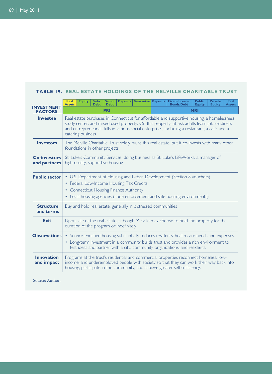## **TABLE 19. REAL ESTATE HOLDINGS OF THE MELVILLE CHARITABLE TRUST**

|                                     | <b>Real</b><br><b>Assets</b>                                                                                                                                                                                                                                        | <b>Equity</b>                                                                                                                                                                                                                                                                                                      | Sub-<br><b>Debt</b> | <b>Senior</b><br><b>Debt</b> |  |                                                               |  | Deposits   Guarantee   Deposits   Fixed-Income:<br><b>Bonds/Debt</b>                          | <b>Public</b><br><b>Equity</b> | <b>Private</b><br><b>Equity</b> | Real<br><b>Assets</b> |
|-------------------------------------|---------------------------------------------------------------------------------------------------------------------------------------------------------------------------------------------------------------------------------------------------------------------|--------------------------------------------------------------------------------------------------------------------------------------------------------------------------------------------------------------------------------------------------------------------------------------------------------------------|---------------------|------------------------------|--|---------------------------------------------------------------|--|-----------------------------------------------------------------------------------------------|--------------------------------|---------------------------------|-----------------------|
| <b>INVESTMENT</b><br><b>FACTORS</b> | <b>PRI</b>                                                                                                                                                                                                                                                          |                                                                                                                                                                                                                                                                                                                    |                     |                              |  |                                                               |  |                                                                                               | <b>MRI</b>                     |                                 |                       |
| <b>Investee</b>                     |                                                                                                                                                                                                                                                                     | Real estate purchases in Connecticut for affordable and supportive housing, a homelessness<br>study center, and mixed-used property. On this property, at-risk adults learn job-readiness<br>and entrepreneurial skills in various social enterprises, including a restaurant, a café, and a<br>catering business. |                     |                              |  |                                                               |  |                                                                                               |                                |                                 |                       |
| <b>Investors</b>                    |                                                                                                                                                                                                                                                                     | foundations in other projects.                                                                                                                                                                                                                                                                                     |                     |                              |  |                                                               |  | The Melville Charitable Trust solely owns this real estate, but it co-invests with many other |                                |                                 |                       |
| <b>Co-investors</b><br>and partners | St. Luke's Community Services, doing business as St. Luke's LifeWorks, a manager of<br>high-quality, supportive housing                                                                                                                                             |                                                                                                                                                                                                                                                                                                                    |                     |                              |  |                                                               |  |                                                                                               |                                |                                 |                       |
| <b>Public sector</b>                | • U.S. Department of Housing and Urban Development (Section 8 vouchers)<br>• Federal Low-Income Housing Tax Credits<br>• Connecticut Housing Finance Authority<br>Local housing agencies (code enforcement and safe housing environments)<br>$\bullet$              |                                                                                                                                                                                                                                                                                                                    |                     |                              |  |                                                               |  |                                                                                               |                                |                                 |                       |
| <b>Structure</b><br>and terms       |                                                                                                                                                                                                                                                                     |                                                                                                                                                                                                                                                                                                                    |                     |                              |  | Buy and hold real estate, generally in distressed communities |  |                                                                                               |                                |                                 |                       |
| <b>Exit</b>                         |                                                                                                                                                                                                                                                                     | Upon sale of the real estate, although Melville may choose to hold the property for the<br>duration of the program or indefinitely                                                                                                                                                                                 |                     |                              |  |                                                               |  |                                                                                               |                                |                                 |                       |
| <b>Observations</b>                 | • Service-enriched housing substantially reduces residents' health care needs and expenses.<br>• Long-term investment in a community builds trust and provides a rich environment to<br>test ideas and partner with a city, community organizations, and residents. |                                                                                                                                                                                                                                                                                                                    |                     |                              |  |                                                               |  |                                                                                               |                                |                                 |                       |
| <b>Innovation</b><br>and impact     | Programs at the trust's residential and commercial properties reconnect homeless, low-<br>income, and underemployed people with society so that they can work their way back into<br>housing, participate in the community, and achieve greater self-sufficiency.   |                                                                                                                                                                                                                                                                                                                    |                     |                              |  |                                                               |  |                                                                                               |                                |                                 |                       |

Source: Author.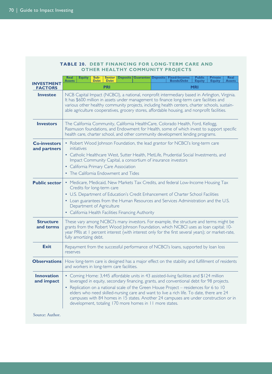### **TABLE 20. DEBT FINANCING FOR LONG-TERM CARE AND OTHER HEALTHY COMMUNITY PROJECTS**

|                                     | <b>Real</b><br><b>Assets</b> | <b>Equity</b>                                                                                                                                                                                                                                                                                                                                                                             | Sub-<br><b>Debt</b> | <b>Senior</b><br><b>Debt</b> |  | <b>Deposits Guarantee Deposits</b>                      |  | <b>Fixed-Income:</b><br><b>Bonds/Debt</b>                                                                                                                                                                                                                                                                                                                                                                                                                          | <b>Public</b><br><b>Equity</b> | <b>Private</b><br><b>Equity</b> | Real<br><b>Assets</b> |
|-------------------------------------|------------------------------|-------------------------------------------------------------------------------------------------------------------------------------------------------------------------------------------------------------------------------------------------------------------------------------------------------------------------------------------------------------------------------------------|---------------------|------------------------------|--|---------------------------------------------------------|--|--------------------------------------------------------------------------------------------------------------------------------------------------------------------------------------------------------------------------------------------------------------------------------------------------------------------------------------------------------------------------------------------------------------------------------------------------------------------|--------------------------------|---------------------------------|-----------------------|
| <b>INVESTMENT</b><br><b>FACTORS</b> |                              |                                                                                                                                                                                                                                                                                                                                                                                           |                     | <b>PRI</b>                   |  |                                                         |  |                                                                                                                                                                                                                                                                                                                                                                                                                                                                    | <b>MRI</b>                     |                                 |                       |
| <b>Investee</b>                     |                              | NCB Capital Impact (NCBCI), a national, nonprofit intermediary based in Arlington, Virginia.<br>It has \$600 million in assets under management to finance long-term care facilities and<br>various other healthy community projects, including health centers, charter schools, sustain-<br>able agriculture cooperatives, grocery stores, affordable housing, and nonprofit facilities. |                     |                              |  |                                                         |  |                                                                                                                                                                                                                                                                                                                                                                                                                                                                    |                                |                                 |                       |
| <b>Investors</b>                    |                              | The California Community, California HealthCare, Colorado Health, Ford, Kellogg,<br>Rasmuson foundations, and Endowment for Health, some of which invest to support specific<br>health care, charter school, and other community development lending programs.                                                                                                                            |                     |                              |  |                                                         |  |                                                                                                                                                                                                                                                                                                                                                                                                                                                                    |                                |                                 |                       |
| <b>Co-investors</b><br>and partners |                              | • Robert Wood Johnson Foundation, the lead grantor for NCBCI's long-term care<br>initiatives<br>• Catholic Healthcare West, Sutter Health, MetLife, Prudential Social Investments, and<br>Impact Community Capital, a consortium of insurance investors<br>• California Primary Care Association<br>• The California Endowment and Tides                                                  |                     |                              |  |                                                         |  |                                                                                                                                                                                                                                                                                                                                                                                                                                                                    |                                |                                 |                       |
| <b>Public sector</b>                |                              | • Medicare, Medicaid, New Markets Tax Credits, and federal Low-Income Housing Tax<br>Credits for long-term care<br>• U.S. Department of Education's Credit Enhancement of Charter School Facilities<br>• Loan guarantees from the Human Resources and Services Administration and the U.S.<br>Department of Agriculture<br>• California Health Facilities Financing Authority             |                     |                              |  |                                                         |  |                                                                                                                                                                                                                                                                                                                                                                                                                                                                    |                                |                                 |                       |
| <b>Structure</b><br>and terms       |                              | fully amortizing debt.                                                                                                                                                                                                                                                                                                                                                                    |                     |                              |  |                                                         |  | These vary among NCBCI's many investors. For example, the structure and terms might be<br>grants from the Robert Wood Johnson Foundation, which NCBCI uses as loan capital; 10-<br>year PRIs at I percent interest (with interest only for the first several years); or market-rate,                                                                                                                                                                               |                                |                                 |                       |
| <b>Exit</b>                         |                              | Repayment from the successful performance of NCBCI's loans, supported by loan loss<br>reserves                                                                                                                                                                                                                                                                                            |                     |                              |  |                                                         |  |                                                                                                                                                                                                                                                                                                                                                                                                                                                                    |                                |                                 |                       |
| <b>Observations</b>                 |                              | How long-term care is designed has a major effect on the stability and fulfillment of residents<br>and workers in long-term care facilities.                                                                                                                                                                                                                                              |                     |                              |  |                                                         |  |                                                                                                                                                                                                                                                                                                                                                                                                                                                                    |                                |                                 |                       |
| <b>Innovation</b><br>and impact     |                              |                                                                                                                                                                                                                                                                                                                                                                                           |                     |                              |  | development, totaling 170 more homes in 11 more states. |  | • Coming Home: 3,445 affordable units in 43 assisted-living facilities and \$124 million<br>leveraged in equity, secondary financing, grants, and conventional debt for 98 projects.<br>• Replication on a national scale of the Green House Project – residences for 6 to 10<br>elders who need skilled-nursing care and want to live a rich life. To date, there are 24<br>campuses with 84 homes in 15 states. Another 24 campuses are under construction or in |                                |                                 |                       |

Source: Author.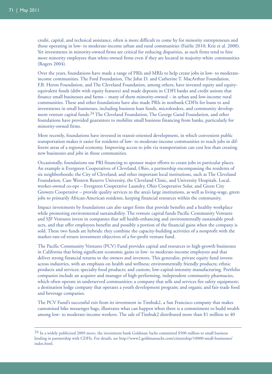credit, capital, and technical assistance, often is more difficult to come by for minority entrepreneurs and those operating in low- to moderate-income urban and rural communities (Fairlie 2010; Kriz et al. 2000). Yet investments in minority-owned firms are critical for reducing disparities, as such firms tend to hire more minority employees than white-owned firms even if they are located in majority-white communities (Rogers 2004).

Over the years, foundations have made a range of PRIs and MRIs to help create jobs in low- to moderateincome communities. The Ford Foundation, The John D. and Catherine T. MacArthur Foundation, F.B. Heron Foundation, and The Cleveland Foundation, among others, have invested equity and equityequivalent funds (debt with equity features) and made deposits in CDFI banks and credit unions that finance small businesses and farms – many of them minority-owned – in urban and low-income rural communities. These and other foundations have also made PRIs in nonbank CDFIs for loans to and investments in small businesses, including business loan funds, microlenders, and community development venture capital funds.24 The Cleveland Foundation, The George Gund Foundation, and other foundations have provided guarantees to mobilize small business financing from banks, particularly for minority-owned firms.

More recently, foundations have invested in transit-oriented development, in which convenient public transportation makes it easier for residents of low- to moderate-income communities to reach jobs in different areas of a regional economy. Improving access to jobs via transportation can cost less than creating new businesses and jobs in those communities.

Occasionally, foundations use PRI financing to sponsor major efforts to create jobs in particular places. An example is Evergreen Cooperatives of Cleveland, Ohio, a partnership encompassing the residents of six neighborhoods; the City of Cleveland; and other important local institutions, such as The Cleveland Foundation, Case Western Reserve University, the Cleveland Clinic, and University Hospitals. Local, worker-owned co-ops – Evergreen Cooperative Laundry, Ohio Cooperative Solar, and Green City Growers Cooperative – provide quality services to the area's large institutions, as well as living-wage, green jobs to primarily African-American residents, keeping financial resources within the community.

Impact investments by foundations can also target firms that provide benefits and a healthy workplace while promoting environmental sustainability. The venture capital funds Pacific Community Ventures and SJF Ventures invest in companies that sell health-enhancing and environmentally sustainable products, and that offer employees benefits and possibly a portion of the financial gains when the company is sold. These two funds are hybrids: they combine the capacity-building activities of a nonprofit with the market-rate-of-return investment objectives of a for-profit venture fund.

The Pacific Community Ventures (PCV) Fund provides capital and resources to high-growth businesses in California that bring significant economic gains to low- to moderate-income employees and that deliver strong financial returns to the owners and investors. This generalist, private equity fund invests across industries, with an emphasis on health and wellness; environmentally friendly products; ethnic products and services; specialty food products; and custom, low-capital-intensity manufacturing. Portfolio companies include an acquirer and manager of high-performing, independent community pharmacies, which often operate in underserved communities; a company that sells and services fire safety equipment; a destination lodge company that operates a youth development program; and organic and fair-trade food and beverage companies.

The PCV Fund's successful exit from its investment in Timbuk2, a San Francisco company that makes customized bike messenger bags, illustrates what can happen when there is a commitment to build wealth among low- to moderate-income workers. The sale of Timbuk2 distributed more than \$1 million to 40

 $^{24}$  In a widely publicized 2009 move, the investment bank Goldman Sachs committed \$500 million to small business lending in partnership with CDFIs. For details, see http://www2.goldmansachs.com/citizenship/10000-small-businesses/ index.html.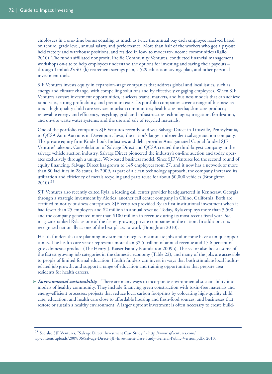employees in a one-time bonus equaling as much as twice the annual pay each employee received based on tenure, grade level, annual salary, and performance. More than half of the workers who got a payout held factory and warehouse positions, and resided in low- to moderate-income communities (Rallo 2010). The fund's affiliated nonprofit, Pacific Community Ventures, conducted financial management workshops on-site to help employees understand the options for investing and saving their payouts – through Timbuk2's 401(k) retirement savings plan, a 529 education savings plan, and other personal investment tools.

SJF Ventures invests equity in expansion-stage companies that address global and local issues, such as energy and climate change, with compelling solutions and by effectively engaging employees. When SJF Ventures assesses investment opportunities, it selects teams, markets, and business models that can achieve rapid sales, strong profitability, and premium exits. Its portfolio companies cover a range of business sectors – high-quality child care services in urban communities; health care media; skin care products; renewable energy and efficiency, recycling, grid, and infrastructure technologies; irrigation, fertilization, and on-site waste water systems; and the use and sale of recycled materials.

One of the portfolio companies SJF Ventures recently sold was Salvage Direct in Titusville, Pennsylvania, to QCSA Auto Auctions in Davenport, Iowa, the nation's largest independent salvage auction company. The private equity firm Kinderhook Industries and debt provider Amalgamated Capital funded SJF Ventures' takeout. Consolidation of Salvage Direct and QCSA created the third-largest company in the salvage vehicle auction industry. Salvage Direct pioneered the industry's on-line auction and today operates exclusively through a unique, Web-based business model. Since SJF Ventures led the second round of equity financing, Salvage Direct has grown to 145 employees from 27, and it now has a network of more than 80 facilities in 28 states. In 2009, as part of a clean technology approach, the company increased its utilization and efficiency of metals recycling and parts reuse for about 50,000 vehicles (Broughton  $2010$ ).<sup>25</sup>

SJF Ventures also recently exited Ryla, a leading call center provider headquartered in Kennesaw, Georgia, through a strategic investment by Alorica, another call center company in Chino, California. Both are certified minority business enterprises. SJF Ventures provided Ryla's first institutional investment when it had fewer than 25 employees and \$2 million in annual revenue. Today, Ryla employs more than 3,500 and the company generated more than \$100 million in revenue during its most recent fiscal year. *Inc.* magazine ranked Ryla as one of the fastest growing private companies in the nation. In addition, it is recognized nationally as one of the best places to work (Broughton 2010).

Health funders that are planning investment strategies to stimulate jobs and income have a unique opportunity. The health care sector represents more than \$2.5 trillion of annual revenue and 17.6 percent of gross domestic product (The Henry J. Kaiser Family Foundation 2009b). The sector also boasts some of the fastest growing job categories in the domestic economy (Table 22), and many of the jobs are accessible to people of limited formal education. Health funders can invest in ways that both stimulate local healthrelated job growth, and support a range of education and training opportunities that prepare area residents for health careers.

**➤** *Environmental sustainability* – There are many ways to incorporate environmental sustainability into models of healthy community. They include financing green construction with toxin-free materials and energy-efficient processes; projects that reduce local carbon footprints by colocating high-quality child care, education, and health care close to affordable housing and fresh-food sources; and businesses that restore or sustain a healthy environment. A larger upfront investment is often necessary to create build-

<sup>25</sup> See also SJF Ventures, "Salvage Direct: Investment Case Study," <http://www.sjfventures.com/ wp-content/uploads/2009/06/Salvage-Direct-SJF-Investment-Case-Study-General-Public-Version.pdf>, 2010.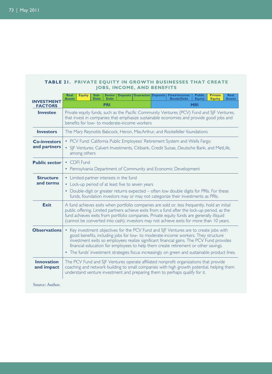### **TABLE 21. PRIVATE EQUITY IN GROWTH BUSINESSES THAT CREATE JOBS, INCOME, AND BENEFITS**

|                                     | Real<br><b>Assets</b>                                                                                                                                                                                                                                                                                                                                                                                                                                         | <b>Equity</b>                                                                                                                                                                                                                                                                                                                                                                         | Sub-<br><b>Debt</b> | <b>Senior</b><br><b>Debt</b> |  |  |  | Deposits   Guarantee   Deposits   Fixed-Income:<br><b>Bonds/Debt</b>     | <b>Public</b><br><b>Equity</b> | <b>Private</b><br><b>Equity</b> | <b>Real</b><br><b>Assets</b> |
|-------------------------------------|---------------------------------------------------------------------------------------------------------------------------------------------------------------------------------------------------------------------------------------------------------------------------------------------------------------------------------------------------------------------------------------------------------------------------------------------------------------|---------------------------------------------------------------------------------------------------------------------------------------------------------------------------------------------------------------------------------------------------------------------------------------------------------------------------------------------------------------------------------------|---------------------|------------------------------|--|--|--|--------------------------------------------------------------------------|--------------------------------|---------------------------------|------------------------------|
| <b>INVESTMENT</b><br><b>FACTORS</b> |                                                                                                                                                                                                                                                                                                                                                                                                                                                               |                                                                                                                                                                                                                                                                                                                                                                                       |                     | <b>PRI</b>                   |  |  |  |                                                                          | <b>MRI</b>                     |                                 |                              |
| <b>Investee</b>                     |                                                                                                                                                                                                                                                                                                                                                                                                                                                               | Private equity funds, such as the Pacific Community Ventures (PCV) Fund and SJF Ventures,<br>that invest in companies that emphasize sustainable economies and provide good jobs and<br>benefits for low- to moderate-income workers                                                                                                                                                  |                     |                              |  |  |  |                                                                          |                                |                                 |                              |
| <b>Investors</b>                    |                                                                                                                                                                                                                                                                                                                                                                                                                                                               |                                                                                                                                                                                                                                                                                                                                                                                       |                     |                              |  |  |  | The Mary Reynolds Babcock, Heron, MacArthur, and Rockefeller foundations |                                |                                 |                              |
| <b>Co-investors</b><br>and partners |                                                                                                                                                                                                                                                                                                                                                                                                                                                               | • PCV Fund: California Public Employees' Retirement System and Wells Fargo<br>SJF Ventures: Calvert Investments, Citibank, Credit Suisse, Deutsche Bank, and MetLife,<br>among others                                                                                                                                                                                                 |                     |                              |  |  |  |                                                                          |                                |                                 |                              |
| <b>Public sector</b>                |                                                                                                                                                                                                                                                                                                                                                                                                                                                               | • CDFI Fund<br>• Pennsylvania Department of Community and Economic Development                                                                                                                                                                                                                                                                                                        |                     |                              |  |  |  |                                                                          |                                |                                 |                              |
| <b>Structure</b><br>and terms       | • Limited-partner interests in the fund<br>Lock-up period of at least five to seven years<br>$\bullet$<br>Double-digit or greater returns expected – often low double digits for PRIs. For these<br>funds, foundation investors may or may not categorize their investments as PRIs.                                                                                                                                                                          |                                                                                                                                                                                                                                                                                                                                                                                       |                     |                              |  |  |  |                                                                          |                                |                                 |                              |
| <b>Exit</b>                         |                                                                                                                                                                                                                                                                                                                                                                                                                                                               | A fund achieves exits when portfolio companies are sold or, less frequently, hold an initial<br>public offering. Limited partners achieve exits from a fund after the lock-up period, as the<br>fund achieves exits from portfolio companies. Private equity funds are generally illiquid<br>(cannot be converted into cash); investors may not achieve exits for more than 10 years. |                     |                              |  |  |  |                                                                          |                                |                                 |                              |
| <b>Observations</b>                 | • Key investment objectives for the PCV Fund and SJF Ventures are to create jobs with<br>good benefits, including jobs for low- to moderate-income workers. They structure<br>investment exits so employees realize significant financial gains. The PCV Fund provides<br>financial education for employees to help them create retirement or other savings.<br>• The funds' investment strategies focus increasingly on green and sustainable product lines. |                                                                                                                                                                                                                                                                                                                                                                                       |                     |                              |  |  |  |                                                                          |                                |                                 |                              |
| <b>Innovation</b><br>and impact     | The PCV Fund and SJF Ventures operate affiliated nonprofit organizations that provide<br>coaching and network building to small companies with high growth potential, helping them<br>understand venture investment and preparing them to perhaps qualify for it.                                                                                                                                                                                             |                                                                                                                                                                                                                                                                                                                                                                                       |                     |                              |  |  |  |                                                                          |                                |                                 |                              |

Source: Author.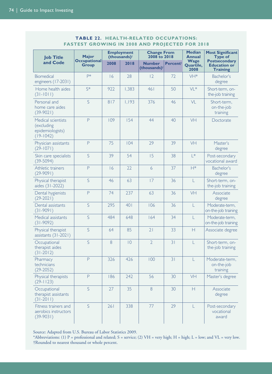| <b>Job Title</b>                                                    | <b>Major</b>                        |      | <b>Employment</b><br>(thousands) <sup>†</sup> | <b>Change From</b><br>2008 to 2018        |                             | <b>Median</b><br><b>Annual</b>   | <b>Most Significant</b><br><b>Type of</b>                      |
|---------------------------------------------------------------------|-------------------------------------|------|-----------------------------------------------|-------------------------------------------|-----------------------------|----------------------------------|----------------------------------------------------------------|
| and Code                                                            | <b>Occupational</b><br><b>Group</b> | 2008 | 2018                                          | <b>Number</b><br>(thousands) <sup>†</sup> | <b>Percent</b> <sup>†</sup> | <b>Wage</b><br>Quartile,<br>2008 | <b>Postsecondary</b><br><b>Education or</b><br><b>Training</b> |
| Biomedical<br>engineers (17-2031)                                   | P*                                  | 6    | 28                                            | 2                                         | 72                          | VH*                              | Bachelor's<br>degree                                           |
| Home health aides<br>$(31-1011)$                                    | $S^*$                               | 922  | 1,383                                         | 461                                       | 50                          | VL*                              | Short-term, on-<br>the-job training                            |
| Personal and<br>home care aides<br>$(39-9021)$                      | S                                   | 817  | 1,193                                         | 376                                       | 46                          | VL                               | Short-term,<br>on-the-job<br>training                          |
| Medical scientists<br>(excluding<br>epidemiologists)<br>$(19-1042)$ | P                                   | 109  | 154                                           | 44                                        | 40                          | VH                               | Doctorate                                                      |
| Physician assistants<br>$(29 - 1071)$                               | P                                   | 75   | 104                                           | 29                                        | 39                          | VH                               | Master's<br>degree                                             |
| Skin care specialists<br>$(39 - 5094)$                              | S                                   | 39   | 54                                            | 15                                        | 38                          | $L^*$                            | Post-secondary<br>vocational award                             |
| Athletic trainers<br>$(29 - 9091)$                                  | P                                   | 6    | 22                                            | 6                                         | 37                          | $H^*$                            | Bachelor's<br>degree                                           |
| Physical therapist<br>aides (31-2022)                               | S                                   | 46   | 63                                            | 7                                         | 36                          | L                                | Short-term, on-<br>the-job training                            |
| Dental hygienists<br>$(29-2021)$                                    | P                                   | 74   | 237                                           | 63                                        | 36                          | VH                               | Associate<br>degree                                            |
| Dental assistants<br>$(31 - 9091)$                                  | S                                   | 295  | 401                                           | 106                                       | 36                          | L                                | Moderate-term,<br>on-the-job training                          |
| Medical assistants<br>$(31 - 9092)$                                 | S                                   | 484  | 648                                           | 164                                       | 34                          | L                                | Moderate-term,<br>on-the-job training                          |
| Physical therapist<br>assistants (31-2021)                          | S                                   | 64   | 85                                            | 21                                        | 33                          | $\overline{H}$                   | Associate degree                                               |
| Occupational<br>therapist aides<br>$(31-2012)$                      | S                                   | 8    | $ 0\rangle$                                   | $\overline{2}$                            | 31                          | L                                | Short-term, on-<br>the-job training                            |
| Pharmacy<br>technicians<br>$(29 - 2052)$                            | $\mathsf{P}$                        | 326  | 426                                           | 100                                       | 31                          |                                  | Moderate-term,<br>on-the-job<br>training                       |
| Physical therapists<br>$(29 - 1123)$                                | $\mathsf{P}$                        | 186  | 242                                           | 56                                        | 30                          | VH                               | Master's degree                                                |
| Occupational<br>therapist assistants<br>$(31-2011)$                 | S                                   | 27   | 35                                            | 8                                         | 30                          | H                                | Associate<br>degree                                            |
| Fitness trainers and<br>aerobics instructors<br>$(39-9031)$         | S                                   | 261  | 338                                           | 77                                        | 29                          | L                                | Post-secondary<br>vocational<br>award                          |

### **TABLE 22. HEALTH-RELATED OCCUPATIONS: FASTEST GROWING IN 2008 AND PROJECTED FOR 2018**

Source: Adapted from U.S. Bureau of Labor Statistics 2009.

\*Abbreviations: (1) P = professional and related; S = service; (2) VH = very high; H = high; L = low; and VL = very low. †Rounded to nearest thousand or whole percent.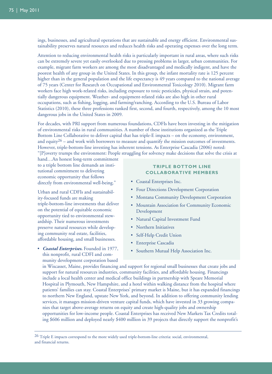ings, businesses, and agricultural operations that are sustainable and energy efficient. Environmental sustainability preserves natural resources and reduces health risks and operating expenses over the long term.

Attention to reducing environmental health risks is particularly important in rural areas, where such risks can be extremely severe yet easily overlooked due to pressing problems in larger, urban communities. For example, migrant farm workers are among the most disadvantaged and medically indigent, and have the poorest health of any group in the United States. In this group, the infant mortality rate is 125 percent higher than in the general population and the life expectancy is 49 years compared to the national average of 75 years (Center for Research on Occupational and Environmental Toxicology 2010). Migrant farm workers face high work-related risks, including exposure to toxic pesticides, physical strain, and potentially dangerous equipment. Weather- and equipment-related risks are also high in other rural occupations, such as fishing, logging, and farming/ranching. According to the U.S. Bureau of Labor Statistics (2010), these three professions ranked first, second, and fourth, respectively, among the 10 most dangerous jobs in the United States in 2009.

For decades, with PRI support from numerous foundations, CDFIs have been investing in the mitigation of environmental risks in rural communities. A number of these institutions organized as the Triple Bottom Line Collaborative to deliver capital that has triple-E impacts – on the economy, environment, and equity<sup>26</sup> – and work with borrowers to measure and quantify the mission outcomes of investments. However, triple-bottom-line investing has inherent tensions. As Enterprise Cascadia (2006) noted: "[P]overty trumps the environment: People struggling for solvency make decisions that solve the crisis at

hand…An honest long-term commitment to a triple bottom line demands an institutional commitment to delivering economic opportunity that follows directly from environmental well-being."

Urban and rural CDFIs and sustainability-focused funds are making triple-bottom-line investments that deliver on the potential of equitable economic opportunity tied to environmental stewardship. Their numerous investments preserve natural resources while developing community real estate, facilities, affordable housing, and small businesses.

• *Coastal Enterprises.* Founded in 1977, this nonprofit, rural CDFI and community development corporation based

## **TRIPLE BOTTOM LINE COLLABORATIVE MEMBERS**

- Coastal Enterprises Inc.
- Four Directions Development Corporation
- Montana Community Development Corporation
- Mountain Association for Community Economic Development
- Natural Capital Investment Fund
- Northern Initiatives
- Self-Help Credit Union
- Enterprise Cascadia
- Southern Mutual Help Association Inc.

in Wiscasset, Maine, provides financing and support for regional small businesses that create jobs and support for natural resources industries, community facilities, and affordable housing. Financings include a local health center and medical office buildings in partnership with Speare Memorial Hospital in Plymouth, New Hampshire, and a hotel within walking distance from the hospital where patients' families can stay. Coastal Enterprises' primary market is Maine, but it has expanded financings to northern New England, upstate New York, and beyond. In addition to offering community lending services, it manages mission-driven venture capital funds, which have invested in 33 growing companies that target above-average returns on equity and create high-quality jobs and ownership opportunities for low-income people. Coastal Enterprises has received New Markets Tax Credits totaling \$606 million and deployed nearly \$400 million in 39 projects that directly support the nonprofit's

26 Triple E impacts correspond to the more widely used triple-bottom-line criteria: social, environmental, and financial returns.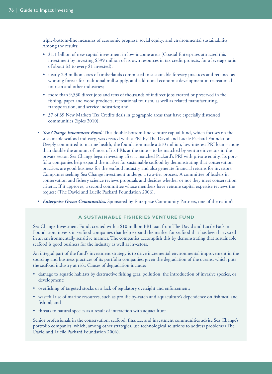triple-bottom-line measures of economic progress, social equity, and environmental sustainability. Among the results:

- \$1.1 billion of new capital investment in low-income areas (Coastal Enterprises attracted this investment by investing \$399 million of its own resources in tax credit projects, for a leverage ratio of about \$3 to every \$1 invested);
- nearly 2.3 million acres of timberlands committed to sustainable forestry practices and retained as working forests for traditional mill supply, and additional economic development in recreational tourism and other industries;
- **•** more than 9,530 direct jobs and tens of thousands of indirect jobs created or preserved in the fishing, paper and wood products, recreational tourism, as well as related manufacturing, transportation, and service industries; and
- **•** 37 of 39 New Markets Tax Credits deals in geographic areas that have especially distressed communities (Spies 2010).
- *Sea Change Investment Fund.* This double-bottom-line venture capital fund, which focuses on the sustainable seafood industry, was created with a PRI by The David and Lucile Packard Foundation. Deeply committed to marine health, the foundation made a \$10 million, low-interest PRI loan – more than double the amount of most of its PRIs at the time – to be matched by venture investors in the private sector. Sea Change began investing after it matched Packard's PRI with private equity. Its portfolio companies help expand the market for sustainable seafood by demonstrating that conservation practices are good business for the seafood industry and also generate financial returns for investors. Companies seeking Sea Change investment undergo a two-tier process. A committee of leaders in conservation and fishery science reviews proposals and decides whether or not they meet conservation criteria. If it approves, a second committee whose members have venture capital expertise reviews the request (The David and Lucile Packard Foundation 2006).
- *Enterprise Green Communities.* Sponsored by Enterprise Community Partners, one of the nation's

#### **A SUSTAINABLE FISHERIES VENTURE FUND**

Sea Change Investment Fund, created with a \$10 million PRI loan from The David and Lucile Packard Foundation, invests in seafood companies that help expand the market for seafood that has been harvested in an environmentally sensitive manner. The companies accomplish this by demonstrating that sustainable seafood is good business for the industry as well as investors.

An integral part of the fund's investment strategy is to drive incremental environmental improvement in the sourcing and business practices of its portfolio companies, given the degradation of the oceans, which puts the seafood industry at risk. Causes of degradation include:

- damage to aquatic habitats by destructive fishing gear, pollution, the introduction of invasive species, or development;
- overfishing of targeted stocks or a lack of regulatory oversight and enforcement;
- wasteful use of marine resources, such as prolific by-catch and aquaculture's dependence on fishmeal and fish oil; and
- threats to natural species as a result of interaction with aquaculture.

Senior professionals in the conservation, seafood, finance, and investment communities advise Sea Change's portfolio companies, which, among other strategies, use technological solutions to address problems (The David and Lucile Packard Foundation 2006).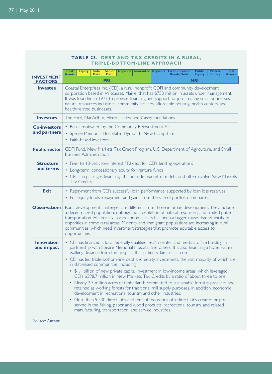|                                     | TABLE 23. DEBT AND TAX CREDITS IN A RURAL,<br>TRIPLE-BOTTOM-LINE APPROACH |                                                                                                                                                                                                                                                 |                     |                                            |                                       |                                                                                                                     |  |                                                                                                                                                                                                                                                                                                                                                                                                                                                                                                                                                                                                                                                                                                                                                                                                                                                                                                                        |                                              |                                 |                       |
|-------------------------------------|---------------------------------------------------------------------------|-------------------------------------------------------------------------------------------------------------------------------------------------------------------------------------------------------------------------------------------------|---------------------|--------------------------------------------|---------------------------------------|---------------------------------------------------------------------------------------------------------------------|--|------------------------------------------------------------------------------------------------------------------------------------------------------------------------------------------------------------------------------------------------------------------------------------------------------------------------------------------------------------------------------------------------------------------------------------------------------------------------------------------------------------------------------------------------------------------------------------------------------------------------------------------------------------------------------------------------------------------------------------------------------------------------------------------------------------------------------------------------------------------------------------------------------------------------|----------------------------------------------|---------------------------------|-----------------------|
| <b>INVESTMENT</b><br><b>FACTORS</b> | Real<br><b>Assets</b>                                                     | <b>Equity</b>                                                                                                                                                                                                                                   | Sub-<br><b>Debt</b> | <b>Senior</b><br><b>Debt</b><br><b>PRI</b> |                                       |                                                                                                                     |  | Deposits   Guarantee   Deposits   Fixed-Income:<br><b>Bonds/Debt</b>                                                                                                                                                                                                                                                                                                                                                                                                                                                                                                                                                                                                                                                                                                                                                                                                                                                   | <b>Public</b><br><b>Equity</b><br><b>MRI</b> | <b>Private</b><br><b>Equity</b> | Real<br><b>Assets</b> |
| <b>Investee</b>                     |                                                                           | health-related businesses.                                                                                                                                                                                                                      |                     |                                            |                                       |                                                                                                                     |  | Coastal Enterprises Inc. (CEI), a rural, nonprofit CDFI and community development<br>corporation based in Wiscasset, Maine, that has \$750 million in assets under management.<br>It was founded in 1977 to provide financing and support for job-creating small businesses,<br>natural resources industries, community facilities, affordable housing, health centers, and                                                                                                                                                                                                                                                                                                                                                                                                                                                                                                                                            |                                              |                                 |                       |
| <b>Investors</b>                    |                                                                           |                                                                                                                                                                                                                                                 |                     |                                            |                                       | The Ford, MacArthur, Heron, Tides, and Casey foundations                                                            |  |                                                                                                                                                                                                                                                                                                                                                                                                                                                                                                                                                                                                                                                                                                                                                                                                                                                                                                                        |                                              |                                 |                       |
| <b>Co-investors</b><br>and partners |                                                                           | • Faith-based investors                                                                                                                                                                                                                         |                     |                                            |                                       | • Banks motivated by the Community Reinvestment Act<br>Speare Memorial Hospital in Plymouth, New Hampshire          |  |                                                                                                                                                                                                                                                                                                                                                                                                                                                                                                                                                                                                                                                                                                                                                                                                                                                                                                                        |                                              |                                 |                       |
| <b>Public sector</b>                |                                                                           | <b>Business Administration</b>                                                                                                                                                                                                                  |                     |                                            |                                       |                                                                                                                     |  | CDFI Fund, New Markets Tax Credit Program, U.S. Department of Agriculture, and Small                                                                                                                                                                                                                                                                                                                                                                                                                                                                                                                                                                                                                                                                                                                                                                                                                                   |                                              |                                 |                       |
| <b>Structure</b><br>and terms       |                                                                           | • Five- to 10-year, low-interest PRI debt for CEI's lending operations<br>Long-term, concessionary equity for venture funds<br>• CEI also packages financings that include market-rate debt and often involve New Markets<br><b>Tax Credits</b> |                     |                                            |                                       |                                                                                                                     |  |                                                                                                                                                                                                                                                                                                                                                                                                                                                                                                                                                                                                                                                                                                                                                                                                                                                                                                                        |                                              |                                 |                       |
| <b>Exit</b>                         | $\bullet$                                                                 |                                                                                                                                                                                                                                                 |                     |                                            |                                       |                                                                                                                     |  | Repayment from CEI's successful loan performance, supported by loan loss reserves<br>For equity funds: repayment and gains from the sale of portfolio companies                                                                                                                                                                                                                                                                                                                                                                                                                                                                                                                                                                                                                                                                                                                                                        |                                              |                                 |                       |
| <b>Observations</b>                 |                                                                           | opportunities.                                                                                                                                                                                                                                  |                     |                                            |                                       |                                                                                                                     |  | Rural development challenges are different from those in urban development. They include<br>a decentralized population, outmigration, depletion of natural resources, and limited public<br>transportation. Historically, socioeconomic class has been a bigger cause than ethnicity of<br>disparities in some rural areas. Minority and immigrant populations are increasing in rural<br>communities, which need investment strategies that promote equitable access to                                                                                                                                                                                                                                                                                                                                                                                                                                               |                                              |                                 |                       |
| <b>Innovation</b><br>and impact     |                                                                           |                                                                                                                                                                                                                                                 |                     |                                            | in distressed communities, including: | development in recreational tourism and other industries.<br>manufacturing, transportation, and service industries. |  | • CEI has financed a local federally qualified health center and medical office building in<br>partnership with Speare Memorial Hospital and others. It is also financing a hotel, within<br>walking distance from the hospital, that patients' families can use.<br>• CEI has led triple-bottom-line debt and equity investments, the vast majority of which are<br>• \$1.1 billion of new private capital investment in low-income areas, which leveraged<br>CEI's \$398.7 million in New Markets Tax Credits by a ratio of about three to one.<br>• Nearly 2.3 million acres of timberlands committed to sustainable forestry practices and<br>retained as working forests for traditional mill supply purposes. In addition, economic<br>• More than 9,530 direct jobs and tens of thousands of indirect jobs created or pre-<br>served in the fishing, paper and wood products, recreational tourism, and related |                                              |                                 |                       |
| Source: Author.                     |                                                                           |                                                                                                                                                                                                                                                 |                     |                                            |                                       |                                                                                                                     |  |                                                                                                                                                                                                                                                                                                                                                                                                                                                                                                                                                                                                                                                                                                                                                                                                                                                                                                                        |                                              |                                 |                       |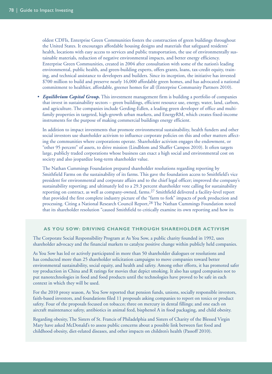oldest CDFIs, Enterprise Green Communities fosters the construction of green buildings throughout the United States. It encourages affordable housing designs and materials that safeguard residents' health, locations with easy access to services and public transportation, the use of environmentally sustainable materials, reduction of negative environmental impacts, and better energy efficiency. Enterprise Green Communities, created in 2004 after consultation with some of the nation's leading environmental, public health, and green-building experts, offers grants, loans, tax-credit equity, training, and technical assistance to developers and builders. Since its inception, the initiative has invested \$700 million to build and preserve nearly 16,000 affordable green homes, and has advocated a national commitment to healthier, affordable, greener homes for all (Enterprise Community Partners 2010).

• *Equilibrium Capital Group.* This investment management firm is building a portfolio of companies that invest in sustainability sectors – green buildings, efficient resource use, energy, water, land, carbon, and agriculture. The companies include Gerding-Edlen, a leading green developer of office and multifamily properties in targeted, high-growth urban markets, and EnergyRM, which creates fixed-income instruments for the purpose of making commercial buildings energy efficient.

In addition to impact investments that promote environmental sustainability, health funders and other social investors use shareholder activism to influence corporate policies on this and other matters affecting the communities where corporations operate. Shareholder activism engages the endowment, or "other 95 percent" of assets, to drive mission (Lindblom and Shaffer Campos 2010). It often targets large, publicly traded corporations whose business can exact a high social and environmental cost on society and also jeopardize long-term shareholder value.

The Nathan Cummings Foundation prepared shareholder resolutions regarding reporting by Smithfield Farms on the sustainability of its farms. This gave the foundation access to Smithfield's vice president for environmental and corporate affairs and to the chief legal officer; improved the company's sustainability reporting; and ultimately led to a 29.3 percent shareholder vote calling for sustainability reporting on contract, as well as company-owned, farms.27 Smithfield delivered a facility-level report that provided the first complete industry picture of the "farm to fork" impacts of pork production and processing. Citing a National Research Council Report,28 The Nathan Cummings Foundation noted that its shareholder resolution "caused Smithfield to critically examine its own reporting and how its

#### **AS YOU SOW: DRIVING CHANGE THROUGH SHAREHOLDER ACTIVISM**

The Corporate Social Responsibility Program at As You Sow, a public charity founded in 1992, uses shareholder advocacy and the financial markets to catalyze positive change within publicly held companies.

As You Sow has led or actively participated in more than 50 shareholder dialogues or resolutions and has conducted more than 25 shareholder solicitation campaigns to move companies toward better environmental sustainability, social equity, and health and safety. Among other efforts, it has promoted safer toy production in China and R ratings for movies that depict smoking. It also has urged companies not to put nanotechnologies in food and food products until the technologies have proved to be safe in each context in which they will be used.

For the 2010 proxy season, As You Sow reported that pension funds, unions, socially responsible investors, faith-based investors, and foundations filed 11 proposals asking companies to report on toxics or product safety. Four of the proposals focused on tobacco; three on mercury in dental fillings; and one each on aircraft maintenance safety, antibiotics in animal feed, bisphenol A in food packaging, and child obesity.

Regarding obesity, The Sisters of St. Francis of Philadelphia and Sisters of Charity of the Blessed Virgin Mary have asked McDonald's to assess public concerns about a possible link between fast food and childhood obesity, diet-related diseases, and other impacts on children's health (Passoff 2010).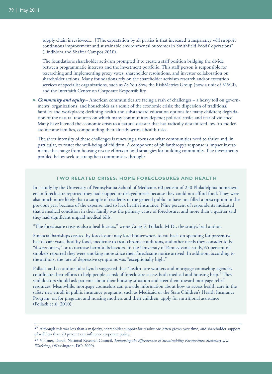supply chain is reviewed.... [T]he expectation by all parties is that increased transparency will support continuous improvement and sustainable environmental outcomes in Smithfield Foods' operations" (Lindblom and Shaffer Campos 2010).

The foundation's shareholder activism prompted it to create a staff position bridging the divide between programmatic interests and the investment portfolio. This staff person is responsible for researching and implementing proxy votes, shareholder resolutions, and investor collaboration on shareholder actions. Many foundations rely on the shareholder activism research and/or execution services of specialist organizations, such as As You Sow, the RiskMetrics Group (now a unit of MSCI), and the Interfaith Center on Corporate Responsibility.

**➤** *Community and equity* – American communities are facing a rash of challenges – a heavy toll on governments, organizations, and households as a result of the economic crisis; the dispersion of traditional families and workplaces; declining health and substandard education options for many children; degradation of the natural resources on which many communities depend; political strife; and fear of violence. Many have likened the economic crisis to a natural disaster that has radically destabilized low- to moderate-income families, compounding their already serious health risks.

The sheer intensity of these challenges is renewing a focus on what communities need to thrive and, in particular, to foster the well-being of children. A component of philanthropy's response is impact investments that range from housing rescue efforts to bold strategies for building community. The investments profiled below seek to strengthen communities through:

#### <span id="page-83-0"></span>**TWO RELATED CRISES: HOME FORECLOSURES AND HEALTH**

In a study by the University of Pennsylvania School of Medicine, 60 percent of 250 Philadelphia homeowners in foreclosure reported they had skipped or delayed meals because they could not afford food. They were also much more likely than a sample of residents in the general public to have not filled a prescription in the previous year because of the expense, and to lack health insurance. Nine percent of respondents indicated that a medical condition in their family was the primary cause of foreclosure, and more than a quarter said they had significant unpaid medical bills.

"The foreclosure crisis is also a health crisis," wrote Craig E. Pollack, M.D., the study's lead author.

Financial hardships created by foreclosure may lead homeowners to cut back on spending for preventive health care visits, healthy food, medicine to treat chronic conditions, and other needs they consider to be "discretionary," or to increase harmful behaviors. In the University of Pennsylvania study, 65 percent of smokers reported they were smoking more since their foreclosure notice arrived. In addition, according to the authors, the rate of depressive symptoms was "exceptionally high."

Pollack and co-author Julia Lynch suggested that "health care workers and mortgage counseling agencies coordinate their efforts to help people at risk of foreclosure access both medical and housing help." They said doctors should ask patients about their housing situation and steer them toward mortgage relief resources. Meanwhile, mortgage counselors can provide information about how to access health care in the safety net; enroll in public insurance programs, such as Medicaid or the State Children's Health Insurance Program; or, for pregnant and nursing mothers and their children, apply for nutritional assistance (Pollack et al. 2010).

<sup>&</sup>lt;sup>27</sup> Although this was less than a majority, shareholder support for resolutions often grows over time, and shareholder support of well less than 20 percent can influence corporate policy.

<sup>28</sup> Vollmer, Derek, National Research Council, *Enhancing the Effectiveness of Sustainability Partnerships: Summary of a Workshop*, (Washington, DC: 2009).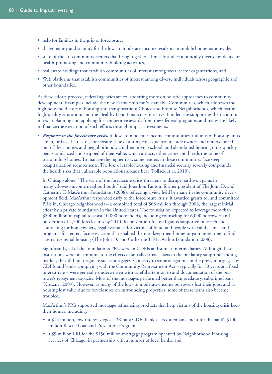- help for families in the grip of foreclosure,
- shared equity and stability for the low- to moderate-income residents in mobile homes nationwide,
- state-of-the-art community centers that bring together ethnically and economically diverse residents for health-promoting and community-building activities,
- real estate holdings that establish communities of interest among social sector organizations, and
- Web platforms that establish communities of interest among diverse individuals across geographic and other boundaries.

As these efforts proceed, federal agencies are collaborating more on holistic approaches to community development. Examples include the new Partnership for Sustainable Communities, which addresses the high household costs of housing and transportation; Choice and Promise Neighborhoods, which feature high-quality education; and the Healthy Food Financing Initiative. Funders are supporting their communities in planning and applying for competitive awards from these federal programs, and many are likely to finance the execution of such efforts through impact investments.

• *Response to the foreclosure crisis***.** In low- to moderate-income communities, millions of housing units are in, or face the risk of, foreclosure. The daunting consequences include owners and renters forced out of their homes and neighborhoods; children leaving school; and abandoned housing units quickly being vandalized and stripped of their value, which attracts other crime and bleeds the value of surrounding homes. To manage the higher risk, some lenders in these communities face steep recapitalization requirements. The loss of stable housing and financial security severely compounds the health risks that vulnerable populations already bear (Pollack et al. 2010).

In Chicago alone, "The scale of the foreclosure crisis threatens to disrupt hard-won gains in many…lowest-income neighborhoods," said Jonathon Fanton, former president of The John D. and Catherine T. MacArthur Foundation (2008), reflecting a view held by many in the community development field. MacArthur responded early to the foreclosure crisis: it awarded grants to, and committed PRIs in, Chicago neighborhoods – a combined total of \$68 million through 2008, the largest initial effort by a private foundation in the United States. The foundation expected to leverage more than \$500 million in capital to assist 10,000 households, including counseling for 6,000 borrowers and prevention of 2,700 foreclosures by 2010. Its prevention-focused grants supported outreach and counseling for homeowners, legal assistance for victims of fraud and people with valid claims, and programs for renters facing eviction that enabled them to keep their homes or gain more time to find alternative rental housing (The John D. and Catherine T. MacArthur Foundation 2008).

Significantly, all of the foundation's PRIs were in CDFIs and similar intermediaries. Although these institutions were not immune to the effects of so-called toxic assets in the predatory subprime lending market, they did not originate such mortgages. Contrary to some allegations in the press, mortgages by CDFIs and banks complying with the Community Reinvestment Act – typically for 30 years at a fixed interest rate – were generally underwritten with careful attention to and documentation of the borrower's repayment capacity. Most of the mortgages performed better than predatory, subprime loans (Kroszner 2009). However, as many of the low- to moderate-income borrowers lost their jobs, and as housing lost value due to foreclosures on surrounding properties, some of these loans also became troubled.

MacArthur's PRIs supported mortgage refinancing products that help victims of the housing crisis keep their homes, including:

- **•** a \$15 million, low-interest deposit PRI at a CDFI bank as credit enhancement for the bank's \$100 million Rescue Loan and Prevention Program;
- **•** a \$9 million PRI for the \$150 million mortgage program operated by Neighborhood Housing Services of Chicago, in partnership with a number of local banks; and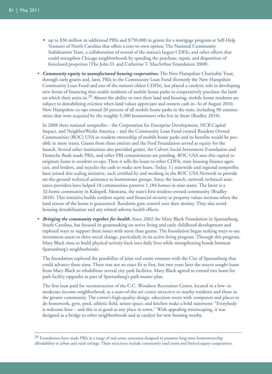- **•** up to \$36 million in additional PRIs and \$750,000 in grants for a mortgage program at Self-Help Ventures of North Carolina that offers a rent-to-own option; The National Community Stabilization Trust, a collaboration of several of the nation's largest CDFIs; and other efforts that could strengthen Chicago neighborhoods by speeding the purchase, repair, and disposition of foreclosed properties (The John D. and Catherine T. MacArthur Foundation 2008).
- *Community equity in manufactured housing cooperatives.* The New Hampshire Charitable Trust, through early grants and, later, PRIs to the Community Loan Fund (formerly the New Hampshire Community Loan Fund and one of the nation's oldest CDFIs), has played a catalytic role in developing new forms of financing that enable residents of mobile home parks to cooperatively purchase the land on which their units sit.<sup>29</sup> Absent the ability to own their land and housing, mobile home residents are subject to destabilizing eviction when land values appreciate and owners cash in. As of August 2010, New Hampshire co-ops owned 20 percent of all mobile home parks in the state, including 96 communities that were acquired by the roughly 5,300 homeowners who live in them (Bradley 2010).

In 2008 three national nonprofits – the Corporation for Enterprise Development, NCB Capital Impact, and NeighborWorks America – and the Community Loan Fund created Resident Owned Communities (ROC) USA so resident ownership of mobile home parks and its benefits would be possible in more states. Grants from these entities and the Ford Foundation served as equity for the launch. Several other institutions also provided grants, the Calvert Social Investment Foundation and Deutsche Bank made PRIs, and other PRI commitments are pending. ROC USA uses this capital to originate loans to resident co-ops. Then it sells the loans to other CDFIs, state housing finance agencies, and lenders, and recycles the cash to make new loans. Today, 11 statewide and regional nonprofits have joined this scaling initiative, each certified by and working in the ROC USA Network to provide on-the-ground technical assistance to homeowner groups. Since the launch, network technical assistance providers have helped 18 communities preserve 1,184 homes in nine states. The latest is a 32-home community in Kalispell, Montana, the state's first resident-owned community (Bradley 2010). This initiative builds resident equity and financial security as property values increase when the land tenure of the home is guaranteed. Residents gain control over their destiny. They also avoid housing destabilization and any related adverse health effects.

• *Bringing the community together for health.* Since 2002 the Mary Black Foundation in Spartanburg, South Carolina, has focused its grantmaking on active living and early childhood development and explored ways to support these issues with more than grants. The foundation began seeking ways to use investment assets to drive social change, particularly in its active living program. Through this program, Mary Black aims to build physical activity back into daily lives while strengthening bonds between Spartanburg's neighborhoods.

The foundation explored the possibility of joint real estate ventures with the City of Spartanburg that could advance these aims. There was not an exact fit at first, but two years later the mayor sought loans from Mary Black to rehabilitate several city park facilities. Mary Black agreed to extend two loans for park facility upgrades as part of Spartanburg's park master plan.

The first loan paid for reconstruction of the C.C. Woodson Recreation Center, located in a low- to moderate-income neighborhood, as a state-of-the-art center attractive to nearby residents and those in the greater community. The center's high-quality design, education room with computers and places to do homework, gym, pool, athletic field, senior space, and kitchen make a bold statement: "Everybody is welcome here – and this is as good as any place in town." With appealing streetscaping, it was designed as a bridge to other neighborhoods and as catalyst for new housing nearby.

<sup>&</sup>lt;sup>29</sup> Foundations have made PRIs in a range of real estate structures designed to promote long-term homeownership affordability in urban and rural settings. These structures include community land trusts and limited equity cooperatives.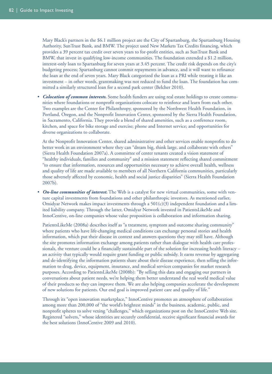Mary Black's partners in the \$6.1 million project are the City of Spartanburg, the Spartanburg Housing Authority, SunTrust Bank, and BMW. The project used New Markets Tax Credits financing, which provides a 39 percent tax credit over seven years to for-profit entities, such as SunTrust Bank and BMW, that invest in qualifying low-income communities. The foundation extended a \$1.2 million, interest-only loan to Spartanburg for seven years at 3.45 percent. The credit risk depends on the city's budgeting process; Spartanburg cannot commit repayments in advance, and it will want to refinance the loan at the end of seven years. Mary Black categorized the loan as a PRI while treating it like an investment – in other words, grantmaking was not reduced to fund the loan. The foundation has committed a similarly structured loan for a second park center (Belcher 2010).

• *Colocation of common interests.* Some health funders are using real estate holdings to create communities where foundations or nonprofit organizations colocate to reinforce and learn from each other. Two examples are the Center for Philanthropy, sponsored by the Northwest Health Foundation, in Portland, Oregon, and the Nonprofit Innovation Center, sponsored by the Sierra Health Foundation, in Sacramento, California. They provide a blend of shared amenities, such as a conference room, kitchen, and space for bike storage and exercise; phone and Internet service; and opportunities for diverse organizations to collaborate.

At the Nonprofit Innovation Center, shared administrative and other services enable nonprofits to do better work in an environment where they can "dream big, think large, and collaborate with others" (Sierra Health Foundation 2007a). A committee of center tenants created a vision statement of "healthy individuals, families and community" and a mission statement reflecting shared commitment "to ensure that information, resources and opportunities necessary to achieve overall health, wellness and quality of life are made available to members of all Northern California communities, particularly those adversely affected by economic, health and social justice disparities" (Sierra Health Foundation 2007b).

• *On-line communities of interest.* The Web is a catalyst for new virtual communities, some with venture capital investments from foundations and other philanthropic investors. As mentioned earlier, Omidyar Network makes impact investments through a  $501(c)(3)$  independent foundation and a limited liability company. Through the latter, Omidyar Network invested in PatientsLikeMe and InnoCentive, on-line companies whose value proposition is collaboration and information sharing.

PatientsLikeMe (2008a) describes itself as "a treatment, symptom and outcome sharing community" where patients who have life-changing medical conditions can exchange personal stories and health information, which put their disease in context and answers questions they may still have. Although the site promotes information exchange among patients rather than dialogue with health care professionals, the venture could be a financially sustainable part of the solution for increasing health literacy – an activity that typically would require grant funding or public subsidy. It earns revenue by aggregating and de-identifying the information patients share about their disease experience, then selling the information to drug, device, equipment, insurance, and medical services companies for market research purposes. According to PatientsLikeMe (2008b): "By selling this data and engaging our partners in conversations about patient needs, we're helping them better understand the real world medical value of their products so they can improve them. We are also helping companies accelerate the development of new solutions for patients. Our end goal is improved patient care and quality of life."

Through its "open innovation marketplace," InnoCentive promotes an atmosphere of collaboration among more than 200,000 of "the world's brightest minds" in the business, academic, public, and nonprofit spheres to solve vexing "challenges," which organizations post on the InnoCentive Web site. Registered "solvers," whose identities are securely confidential, receive significant financial awards for the best solutions (InnoCentive 2009 and 2010).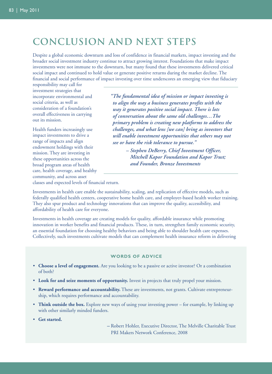## **conclusion and next steps**

Despite a global economic downturn and loss of confidence in financial markets, impact investing and the broader social investment industry continue to attract growing interest. Foundations that make impact investments were not immune to the downturn, but many found that these investments delivered critical social impact and continued to hold value or generate positive returns during the market decline. The financial and social performance of impact investing over time underscores an emerging view that fiduciary

responsibility may call for investment strategies that incorporate environmental and social criteria, as well as consideration of a foundation's overall effectiveness in carrying out its mission.

Health funders increasingly use impact investments to drive a range of impacts and align endowment holdings with their mission. They are investing in these opportunities across the broad program areas of health care, health coverage, and healthy community, and across asset

*"The fundamental idea of mission or impact investing is to align the way a business generates profits with the way it generates positive social impact. There is lots of conversation about the same old challenges…The primary problem is creating new platforms to address the challenges, and what lens [we can] bring as investors that will enable investment opportunities that others may not see or have the risk tolerance to pursue."* 

> *– Stephen DeBerry, Chief Investment Officer, Mitchell Kapor Foundation and Kapor Trust; and Founder, Bronze Investments*

classes and expected levels of financial return.

Investments in health care enable the sustainability, scaling, and replication of effective models, such as federally qualified health centers, cooperative home health care, and employer-based health worker training. They also spur product and technology innovations that can improve the quality, accessibility, and affordability of health care for everyone.

Investments in health coverage are creating models for quality, affordable insurance while promoting innovation in worker benefits and financial products. These, in turn, strengthen family economic security, an essential foundation for choosing healthy behaviors and being able to shoulder health care expenses. Collectively, such investments cultivate models that can complement health insurance reform in delivering

### **WORDS OF ADVICE**

- **Choose a level of engagement.** Are you looking to be a passive or active investor? Or a combination of both?
- **Look for and seize moments of opportunity.** Invest in projects that truly propel your mission.
- **Reward performance and accountability.** These are investments, not grants. Cultivate entrepreneurship, which requires performance and accountability.
- **Think outside the box.** Explore new ways of using your investing power for example, by linking up with other similarly minded funders.
- **Get started.**

*–* Robert Hohler, Executive Director, The Melville Charitable Trust PRI Makers Network Conference, 2008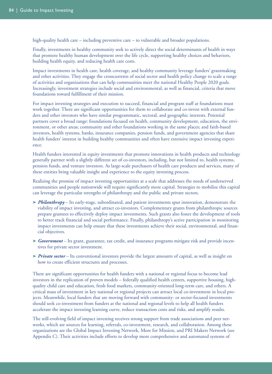high-quality health care – including preventive care – to vulnerable and broader populations.

Finally, investments in healthy community seek to actively direct the social determinants of health in ways that promote healthy human development over the life cycle, supporting healthy choices and behaviors, building health equity, and reducing health care costs.

Impact investments in health care, health coverage, and healthy community leverage funders' grantmaking and other activities. They engage the crosscurrents of social sector and health policy change to scale a range of activities and organizations that can help communities meet the national Healthy People 2020 goals. Increasingly, investment strategies include social and environmental, as well as financial, criteria that move foundations toward fulfillment of their mission.

For impact investing strategies and execution to succeed, financial and program staff at foundations must work together. There are significant opportunities for them to collaborate and co-invest with external funders and other investors who have similar programmatic, sectoral, and geographic interests. Potential partners cover a broad range: foundations focused on health, community development, education, the environment, or other areas; community and other foundations working in the same places; and faith-based investors, health systems, banks, insurance companies, pension funds, and government agencies that share health funders' interest in building healthy communities and often have extensive impact investing experience.

Health funders interested in equity investments that promote innovations in health products and technology generally partner with a slightly different set of co-investors, including, but not limited to, health systems, pension funds, and venture investors. As large-scale purchasers of health care products and services, many of these entities bring valuable insight and experience to the equity investing process.

Realizing the promise of impact investing opportunities at a scale that addresses the needs of underserved communities and people nationwide will require significantly more capital. Strategies to mobilize this capital can leverage the particular strengths of philanthropy and the public and private sectors.

- **➤** *Philanthropy* Its early-stage, subordinated, and patient investments spur innovation, demonstrate the viability of impact investing, and attract co-investors. Complementary grants from philanthropic sources prepare grantees to effectively deploy impact investments. Such grants also foster the development of tools to better track financial and social performance. Finally, philanthropy's active participation in monitoring impact investments can help ensure that these investments achieve their social, environmental, and financial objectives.
- **➤** *Government* Its grant, guarantee, tax credit, and insurance programs mitigate risk and provide incentives for private sector investment.
- **➤** *Private sector* Its conventional investors provide the largest amounts of capital, as well as insight on how to create efficient structures and processes.

There are significant opportunities for health funders with a national or regional focus to become lead investors in the replication of proven models – federally qualified health centers, supportive housing, highquality child care and education, fresh food markets, community-oriented long-term care, and others. A critical mass of investment in key national or regional projects can attract local co-investment in local projects. Meanwhile, local funders that are moving forward with community- or sector-focused investments should seek co-investment from funders at the national and regional levels to help all health funders accelerate the impact investing learning curve, reduce transaction costs and risks, and amplify results.

The still-evolving field of impact investing receives strong support from trade associations and peer networks, which are sources for learning, referrals, co-investment, research, and collaboration. Among these organizations are the Global Impact Investing Network, More for Mission, and PRI Makers Network (see [Appendix C\)](#page-100-0). Their activities include efforts to develop more comprehensive and automated systems of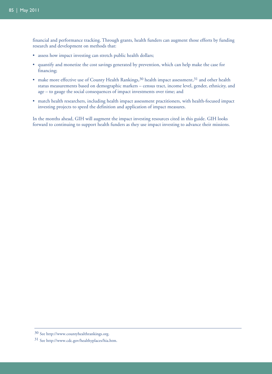financial and performance tracking. Through grants, health funders can augment those efforts by funding research and development on methods that:

- assess how impact investing can stretch public health dollars;
- quantify and monetize the cost savings generated by prevention, which can help make the case for financing;
- make more effective use of County Health Rankings,<sup>30</sup> health impact assessment,<sup>31</sup> and other health status measurements based on demographic markers – census tract, income level, gender, ethnicity, and age – to gauge the social consequences of impact investments over time; and
- match health researchers, including health impact assessment practitioners, with health-focused impact investing projects to speed the definition and application of impact measures.

In the months ahead, GIH will augment the impact investing resources cited in this guide. GIH looks forward to continuing to support health funders as they use impact investing to advance their missions.

<sup>30</sup> See http://www.countyhealthrankings.org.

<sup>31</sup> See http://www.cdc.gov/healthyplaces/hia.htm.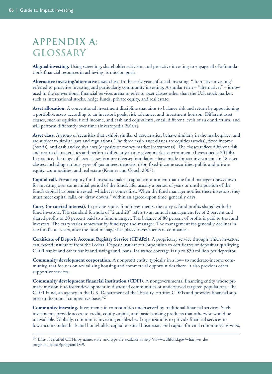## **appendix A: GLOSSARY**

**Aligned investing.** Using screening, shareholder activism, and proactive investing to engage all of a foundation's financial resources in achieving its mission goals.

**Alternative investing/alternative asset class.** In the early years of social investing, "alternative investing" referred to proactive investing and particularly community investing. A similar term – "alternatives" – is now used in the conventional financial services arena to refer to asset classes other than the U.S. stock market, such as international stocks, hedge funds, private equity, and real estate.

**Asset allocation.** A conventional investment discipline that aims to balance risk and return by apportioning a portfolio's assets according to an investor's goals, risk tolerance, and investment horizon. Different asset classes, such as equities, fixed income, and cash and equivalents, entail different levels of risk and return, and will perform differently over time (Investopedia 2010a).

**Asset class.** A group of securities that exhibit similar characteristics, behave similarly in the marketplace, and are subject to similar laws and regulations. The three main asset classes are equities (stocks), fixed income (bonds), and cash and equivalents (deposits or money market instruments). The classes reflect different risk and return characteristics and perform differently in any given market environment (Investopedia 2010b). In practice, the range of asset classes is more diverse; foundations have made impact investments in 18 asset classes, including various types of guarantees, deposits, debt, fixed-income securities, public and private equity, commodities, and real estate (Kramer and Cooch 2007).

**Capital call.** Private equity fund investors make a capital commitment that the fund manager draws down for investing over some initial period of the fund's life, usually a period of years or until a portion of the fund's capital has been invested, whichever comes first. When the fund manager notifies these investors, they must meet capital calls, or "draw downs," within an agreed-upon time, generally days.

**Carry (or carried interest).** In private equity fund investments, the carry is fund profits shared with the fund investors. The standard formula of "2 and 20" refers to an annual management fee of 2 percent and shared profits of 20 percent paid to a fund manager. The balance of 80 percent of profits is paid to the fund investors. The carry varies somewhat by fund type and manager. The management fee generally declines in the fund's out years, after the fund manager has placed investments in companies.

**Certificate of Deposit Account Registry Service (CDARS).** A proprietary service through which investors can extend insurance from the Federal Deposit Insurance Corporation to certificates of deposit at qualifying CDFI banks and other banks and savings and loans. Insurance coverage is up to \$50 million per depositor.

**Community development corporation.** A nonprofit entity, typically in a low- to moderate-income community, that focuses on revitalizing housing and commercial opportunities there. It also provides other supportive services.

**Community development financial institution (CDFI).** A nongovernmental financing entity whose primary mission is to foster development in distressed communities or underserved targeted populations. The CDFI Fund, an agency in the U.S. Department of the Treasury, certifies CDFIs and provides financial support to them on a competitive basis.<sup>32</sup>

**Community investing.** Investments in communities underserved by traditional financial services. Such investments provide access to credit, equity capital, and basic banking products that otherwise would be unavailable. Globally, community investing enables local organizations to provide financial services to low-income individuals and households; capital to small businesses; and capital for vital community services,

<sup>32</sup> Lists of certified CDFIs by name, state, and type are available at http://www.cdfifund.gov/what\_we\_do/ programs\_id.asp?programID=9.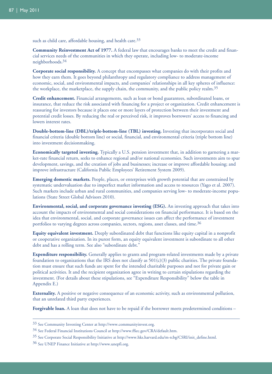such as child care, affordable housing, and health care.<sup>33</sup>

**Community Reinvestment Act of 1977.** A federal law that encourages banks to meet the credit and financial services needs of the communities in which they operate, including low- to moderate-income neighborhoods.34

**Corporate social responsibility.** A concept that encompasses what companies do with their profits and how they earn them. It goes beyond philanthropy and regulatory compliance to address management of economic, social, and environmental impacts, and companies' relationships in all key spheres of influence: the workplace, the marketplace, the supply chain, the community, and the public policy realm.35

**Credit enhancement.** Financial arrangements, such as loan or bond guarantees, subordinated loans, or insurance, that reduce the risk associated with financing for a project or organization. Credit enhancement is reassuring for investors because it places one or more layers of protection between their investment and potential credit losses. By reducing the real or perceived risk, it improves borrowers' access to financing and lowers interest rates.

**Double-bottom-line (DBL)/triple-bottom-line (TBL) investing.** Investing that incorporates social and financial criteria (double bottom line) or social, financial, and environmental criteria (triple bottom line) into investment decisionmaking.

**Economically targeted investing.** Typically a U.S. pension investment that, in addition to garnering a market-rate financial return, seeks to enhance regional and/or national economies. Such investments aim to spur development, savings, and the creation of jobs and businesses; increase or improve affordable housing; and improve infrastructure (California Public Employees' Retirement System 2009).

**Emerging domestic markets.** People, places, or enterprises with growth potential that are constrained by systematic undervaluation due to imperfect market information and access to resources (Yago et al. 2007). Such markets include urban and rural communities, and companies serving low- to moderate-income populations (State Street Global Advisors 2010).

**Environmental, social, and corporate governance investing (ESG).** An investing approach that takes into account the impacts of environmental and social considerations on financial performance. It is based on the idea that environmental, social, and corporate governance issues can affect the performance of investment portfolios to varying degrees across companies, sectors, regions, asset classes, and time.36

**Equity equivalent investment.** Deeply subordinated debt that functions like equity capital in a nonprofit or cooperative organization. In its purest form, an equity equivalent investment is subordinate to all other debt and has a rolling term. See also "subordinate debt."

**Expenditure responsibility.** Generally applies to grants and program-related investments made by a private foundation to organizations that the IRS does not classify as 501(c)(3) public charities. The private foundation must ensure that such funds are spent for the intended charitable purposes and not for private gain or political activities. It and the recipient organization agree in writing to certain stipulations regarding the investment. (For details about these stipulations, see ["Expenditure Responsibility"](#page-109-0) below the table in [Appendix E.](#page-104-0))

**Externality.** A positive or negative consequence of an economic activity, such as environmental pollution, that an unrelated third party experiences.

Forgivable loan. A loan that does not have to be repaid if the borrower meets predetermined conditions -

<sup>33</sup> See Community Investing Center at http://www.communityinvest.org.

<sup>34</sup> See Federal Financial Institutions Council at http://www.ffiec.gov/CRA/default.htm.

<sup>35</sup> See Corporate Social Responsibility Initiative at http://www.hks.harvard.edu/m-rcbg/CSRI/init\_define.html.

<sup>36</sup> See UNEP Finance Initiative at http://www.unepfi.org.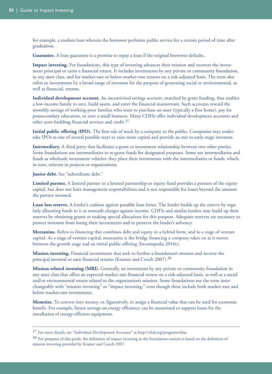for example, a student loan wherein the borrower performs public service for a certain period of time after graduation.

**Guarantee.** A loan guarantee is a promise to repay a loan if the original borrower defaults.

**Impact investing.** For foundations, this type of investing advances their mission and recovers the investment principal or earns a financial return. It includes investments by any private or community foundation, in any asset class, and for market-rate or below-market-rate returns on a risk-adjusted basis. The term also refers to investments by a broad range of investors for the purpose of generating social or environmental, as well as financial, returns.

**Individual development account.** An incentivized savings account, matched by grant funding, that enables a low-income family to save, build assets, and enter the financial mainstream. Such accounts reward the monthly savings of working-poor families who want to purchase an asset (typically a first home), pay for postsecondary education, or start a small business. Many CDFIs offer individual development accounts and other asset-building financial services and credit.37

**Initial public offering (IPO).** The first sale of stock by a company to the public. Companies may undertake IPOs as one of several possible ways to raise more capital and provide an exit to early-stage investors.

**Intermediary.** A third party that facilitates a grant or investment relationship between two other parties. Some foundations use intermediaries to re-grant funds for designated purposes. Some use intermediaries and funds as wholesale investment vehicles: they place their investments with the intermediaries or funds, which, in turn, reinvest in projects or organizations.

Junior debt. See "subordinate debt."

**Limited partner.** A limited partner in a limited partnership or equity fund provides a portion of the equity capital, but does not have management responsibilities and is not responsible for losses beyond the amount the partner invested.

**Loan loss reserve.** A lender's cushion against possible loan losses. The lender builds up the reserve by regularly allocating funds to it as noncash charges against income. CDFIs and similar lenders may build up their reserves by obtaining grants or making special allocations for this purpose. Adequate reserves are necessary to protect investors from losing their investments and to preserve the lender's solvency.

**Mezzanine.** Refers to financing that combines debt and equity in a hybrid form, and to a stage of venture capital. As a stage of venture capital, mezzanine is the bridge financing a company takes on as it moves between the growth stage and an initial public offering (Investopedia 2010c).

**Mission investing.** Financial investments that seek to further a foundation's mission and recover the principal invested or earn financial returns (Kramer and Cooch 2007).<sup>38</sup>

**Mission-related investing (MRI).** Generally, an investment by any private or community foundation in any asset class that offers an expected market-rate financial return on a risk-adjusted basis, as well as a social and/or environmental return related to the organization's mission. Some foundations use the term interchangeably with "mission investing" or "impact investing," even though these include both market-rate and below-market-rate investments.

**Monetize.** To convert into money, or, figuratively, to assign a financial value that can be used for economic benefit. For example, future savings on energy efficiency can be monetized to support loans for the installation of energy-efficient equipment.

<sup>37</sup> For more details, see "Individual Development Accounts" at http://cfed.org/programs/idas.

<sup>&</sup>lt;sup>38</sup> For purposes of this guide, the definition of impact investing in the foundation context is based on the definition of mission investing provided by Kramer and Cooch 2007.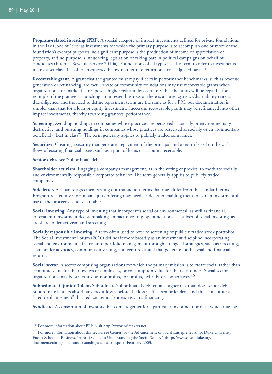**Program-related investing (PRI).** A special category of impact investments defined for private foundations in the Tax Code of 1969 as investments for which the primary purpose is to accomplish one or more of the foundation's exempt purposes, no significant purpose is the production of income or appreciation of property, and no purpose is influencing legislation or taking part in political campaigns on behalf of candidates (Internal Revenue Service 2010a). Foundations of all types use this term to refer to investments in any asset class that offer an expected below-market-rate return on a risk-adjusted basis.<sup>39</sup>

**Recoverable grant.** A grant that the grantee must repay if certain performance benchmarks, such as revenue generation or refinancing, are met. Private or community foundations may use recoverable grants when organizational or market factors pose a higher risk and less certainty that the funds will be repaid – for example, if the grantee is launching an untested business or there is a currency risk. Charitability criteria, due diligence, and the need to define repayment terms are the same as for a PRI, but documentation is simpler than that for a loan or equity investment. Successful recoverable grants may be refinanced into other impact investments, thereby rewarding grantees' performance.

**Screening.** Avoiding holdings in companies whose practices are perceived as socially or environmentally destructive, and pursuing holdings in companies whose practices are perceived as socially or environmentally beneficial ("best in class"). The term generally applies to publicly traded companies.

**Securitize.** Creating a security that generates repayment of the principal and a return based on the cash flows of existing financial assets, such as a pool of loans or accounts receivable.

**Senior debt.** See "subordinate debt."

**Shareholder activism.** Engaging a company's management, as in the voting of proxies, to motivate socially and environmentally responsible corporate behavior. The term generally applies to publicly traded companies.

**Side letter.** A separate agreement setting out transaction terms that may differ from the standard terms. Program-related investors in an equity offering may need a side letter enabling them to exit an investment if use of the proceeds is not charitable.

**Social investing.** Any type of investing that incorporates social or environmental, as well as financial, criteria into investment decisionmaking. Impact investing by foundations is a subset of social investing, as are shareholder activism and screening.

**Socially responsible investing.** A term often used to refer to screening of publicly traded stock portfolios. The Social Investment Forum (2010) defines it more broadly as an investment discipline incorporating social and environmental factors into portfolio management through a range of strategies, such as screening, shareholder advocacy, community investing, and venture capital that generates both social and financial returns.

**Social sector.** A sector comprising organizations for which the primary mission is to create social rather than economic value for their owners or employees, or consumption value for their customers. Social sector organizations may be structured as nonprofits, for-profits, hybrids, or cooperatives.<sup>40</sup>

**Subordinate ("junior") debt.** Subordinate/subordinated debt entails higher risk than does senior debt. Subordinate lenders absorb any credit losses before the losses affect senior lenders, and thus constitute a "credit enhancement" that reduces senior lenders' risk in a financing.

**Syndicate.** A consortium of investors that come together for a particular investment or deal, which may be

<sup>39</sup> For more information about PRIs, visit http://www.primakers.net.

 $40$  For more information about this sector, see Center for the Advancement of Social Entrepreneurship, Duke University Fuqua School of Business, "A Brief Guide to Understanding the Social Sector," <http://www.caseatduke.org/ documents/abriefguidetounderstandingsocialsector.pdf>, February 2003.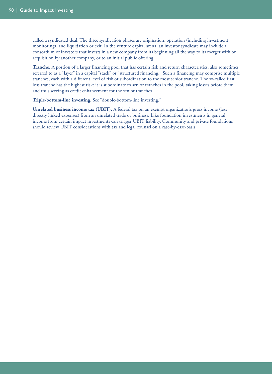called a syndicated deal. The three syndication phases are origination, operation (including investment monitoring), and liquidation or exit. In the venture capital arena, an investor syndicate may include a consortium of investors that invests in a new company from its beginning all the way to its merger with or acquisition by another company, or to an initial public offering.

**Tranche.** A portion of a larger financing pool that has certain risk and return characteristics, also sometimes referred to as a "layer" in a capital "stack" or "structured financing." Such a financing may comprise multiple tranches, each with a different level of risk or subordination to the most senior tranche. The so-called first loss tranche has the highest risk: it is subordinate to senior tranches in the pool, taking losses before them and thus serving as credit enhancement for the senior tranches.

**Triple-bottom-line investing.** See "double-bottom-line investing."

**Unrelated business income tax (UBIT).** A federal tax on an exempt organization's gross income (less directly linked expenses) from an unrelated trade or business. Like foundation investments in general, income from certain impact investments can trigger UBIT liability. Community and private foundations should review UBIT considerations with tax and legal counsel on a case-by-case-basis.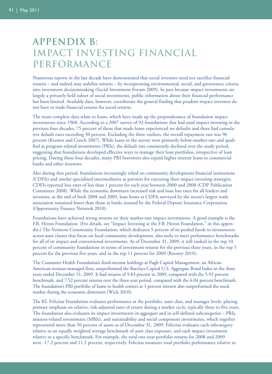## **appendix B: IMPACT INVESTING FINANCIAL PERFORMANCE**

Numerous reports in the last decade have demonstrated that social investors need not sacrifice financial returns – and indeed may stabilize returns – by incorporating environmental, social, and governance criteria into investment decisionmaking (Social Investment Forum 2009). In part because impact investments are largely a privately held subset of social investments, public information about their financial performance has been limited. Available data, however, corroborate the general finding that prudent impact investors do not have to trade financial returns for social returns.

The most complete data relate to loans, which have made up the preponderance of foundation impact investments since 1968. According to a 2007 survey of 92 foundations that had used impact investing in the previous four decades, 75 percent of those that made loans experienced no defaults and three had cumulative default rates exceeding 30 percent. Excluding the three outliers, the overall repayment rate was 96 percent (Kramer and Cooch 2007). While loans in the survey were primarily below-market-rate and qualified as program-related investments (PRIs), the default rate consistently declined over the study period, suggesting that foundations developed effective ways to manage their loan portfolios, irrespective of loan pricing. During those four decades, many PRI borrowers also repaid higher interest loans to commercial banks and other investors.

Also during that period, foundations increasingly relied on community development financial institutions (CDFIs) and similar specialized intermediaries as partners for executing their impact investing strategies. CDFIs reported loss rates of less than 1 percent for each year between 2000 and 2008 (CDP Publication Committee 2008). While the economic downturn increased risk and loan loss rates for all lenders and investors, at the end of both 2008 and 2009, loan losses at CDFIs surveyed by the sector's largest trade association remained lower than those at banks insured by the Federal Deposit Insurance Corporation (Opportunity Finance Network 2010).

Foundations have achieved strong returns on their market-rate impact investments. A good example is the F.B. Heron Foundation. (For details, see ["Impact Investing at the F.B. Heron Foundation,](#page-96-0)" in this appendix.) The Vermont Community Foundation, which dedicates 5 percent of its pooled funds to investments across asset classes that focus on local community development, also seeks to meet performance benchmarks for all of its impact and conventional investments. As of December 31, 2009, it still ranked in the top 10 percent of community foundations in terms of investment returns for the previous three years, in the top 5 percent for the previous five years, and in the top 11 percent for 2009 (Rooney 2010).

The Consumer Health Foundation's fixed-income holdings at Pugh Capital Management, an African-American woman-managed firm, outperformed the Barclays Capital U.S. Aggregate Bond Index in the three years ended December 31, 2009. It had returns of 9.83 percent in 2009, compared with the 5.93 percent benchmark, and 7.52 percent returns over the three-year period, compared with the 6.04 percent benchmark. The foundation's PRI portfolio of loans to health centers at 1 percent interest also outperformed the stock market during the economic downturn (Wick 2010).

The KL Felicitas Foundation evaluates performance at the portfolio, asset class, and manager levels, placing primary emphasis on relative, risk-adjusted rates of return during a market cycle, typically three to five years. The foundation also evaluates its impact investments in aggregate and in self-defined subcategories – PRIs, mission-related investments (MRIs), and sustainability and social component investments, which together represented more than 50 percent of assets as of December 31, 2009. Felicitas evaluates each subcategory relative to an equally weighted average benchmark of asset class exposure, and each impact investment relative to a specific benchmark. For example, the total one-year portfolio returns for 2008 and 2009 were -17.2 percent and 11.2 percent, respectively. Felicitas measures total portfolio performance relative to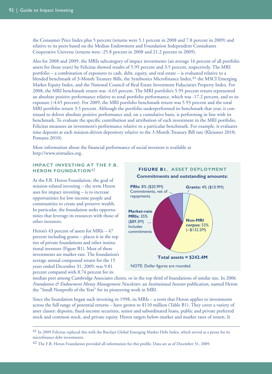the Consumer Price Index plus 5 percent (returns were 5.1 percent in 2008 and 7.8 percent in 2009) and relative to its peers based on the Median Endowment and Foundation Independent Consultants Cooperative Universe (returns were -25.8 percent in 2008 and 21.2 percent in 2009).

Also for 2008 and 2009, the MRIs subcategory of impact investments (an average 16 percent of all portfolio assets for those years) by Felicitas showed results of 5.95 percent and 3.5 percent, respectively. The MRI portfolio – a combination of exposures to cash, debt, equity, and real estate – is evaluated relative to a blended benchmark of 3-Month Treasury Bills, the Symbiotics Microfinance Index,<sup>41</sup> the MSCI Emerging Market Equity Index, and the National Council of Real Estate Investment Fiduciaries Property Index. For 2008, the MRI benchmark return was -4.65 percent. The MRI portfolio's 5.95 percent return represented an absolute positive performance relative to total portfolio performance, which was -17.2 percent, and to its exposure (-4.65 percent). For 2009, the MRI portfolio benchmark return was 5.93 percent and the total MRI portfolio return 3.5 percent. Although the portfolio underperformed its benchmark that year, it continued to deliver absolute positive performance and, on a cumulative basis, is performing in line with its benchmark. To evaluate the specific contribution and attribution of each investment in the MRI portfolio, Felicitas measures an investment's performance relative to a particular benchmark. For example, it evaluates time deposits at each mission-driven depository relative to the 3-Month Treasury Bill rate (Kleissner 2010; Pomares 2010).

More information about the financial performance of social investors is available at http://www.sristudies.org.

### **IMPACT INVESTING AT THE F.B. HERON FOUNDATION**42

At the F.B. Heron Foundation, the goal of mission-related investing – the term Heron uses for impact investing – is to increase opportunities for low-income people and communities to create and preserve wealth. In particular, the foundation seeks opportunities that leverage its resources with those of other investors.

Heron's 43 percent of assets for MRIs – 47 percent including grants – places it in the top tier of private foundations and other institutional investors (Figure B1). Most of these investments are market-rate. The foundation's average annual compound return for the 15 years ended December 31, 2009, was 9.81 percent compared with 8.74 percent for its

<span id="page-96-0"></span>

median peer among Cambridge Associates clients, or in the top third of foundations of similar size. In 2006 *Foundation & Endowment Money Management Newsletter*, an *Institutional Investor* publication, named Heron the "Small Nonprofit of the Year" for its pioneering work in MRI.

Since the foundation began such investing in 1998, its MRIs – a term that Heron applies to investments across the full range of potential returns – have grown to \$110 million (Table B1). They cover a variety of asset classes: deposits, fixed-income securities, senior and subordinated loans, public and private preferred stock and common stock, and private equity. Heron targets below-market and market rates of return. It

<sup>&</sup>lt;sup>41</sup> In 2009 Felicitas replaced this with the Barclays Global Emerging Market Debt Index, which served as a proxy for its microfinance debt investments.

<sup>&</sup>lt;sup>42</sup> The F.B. Heron Foundation provided all information for this profile. Data are as of December 31, 2009.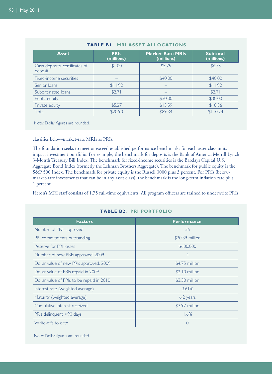| <b>Asset</b>                              | <b>PRIs</b><br>(millions) | <b>Market-Rate MRIs</b><br>(millions) | <b>Subtotal</b><br>(millions) |
|-------------------------------------------|---------------------------|---------------------------------------|-------------------------------|
| Cash deposits, certificates of<br>deposit | \$1.00                    | \$5.75                                | \$6.75                        |
| Fixed-income securities                   |                           | \$40.00                               | \$40.00                       |
| Senior Ioans                              | \$11.92                   |                                       | \$11.92                       |
| Subordinated Ioans                        | \$2.71                    |                                       | \$2.71                        |
| Public equity                             |                           | \$30.00                               | \$30.00                       |
| Private equity                            | \$5.27                    | \$13.59                               | \$18.86                       |
| Total                                     | \$20.90                   | \$89.34                               | \$110.24                      |

### **TABLE B1. MRI ASSET ALLOCATIONS**

Note: Dollar figures are rounded.

classifies below-market-rate MRIs as PRIs.

The foundation seeks to meet or exceed established performance benchmarks for each asset class in its impact investment portfolio. For example, the benchmark for deposits is the Bank of America Merrill Lynch 3-Month Treasury Bill Index. The benchmark for fixed-income securities is the Barclays Capital U.S. Aggregate Bond Index (formerly the Lehman Brothers Aggregate). The benchmark for public equity is the S&P 500 Index. The benchmark for private equity is the Russell 3000 plus 3 percent. For PRIs (belowmarket-rate investments that can be in any asset class), the benchmark is the long-term inflation rate plus 1 percent.

Heron's MRI staff consists of 1.75 full-time equivalents. All program officers are trained to underwrite PRIs

| <b>Factors</b>                            | <b>Performance</b> |
|-------------------------------------------|--------------------|
| Number of PRIs approved                   | 36                 |
| PRI commitments outstanding               | \$20.89 million    |
| Reserve for PRI losses                    | \$600,000          |
| Number of new PRIs approved, 2009         | $\overline{4}$     |
| Dollar value of new PRIs approved, 2009   | \$4.75 million     |
| Dollar value of PRIs repaid in 2009       | \$2.10 million     |
| Dollar value of PRIs to be repaid in 2010 | \$3.30 million     |
| Interest rate (weighted average)          | 3.61%              |
| Maturity (weighted average)               | 6.2 years          |
| Cumulative interest received              | \$3.97 million     |
| PRIs delinquent >90 days                  | 1.6%               |
| Write-offs to date                        | Ω                  |

## **TABLE B2. PRI PORTFOLIO**

Note: Dollar figures are rounded.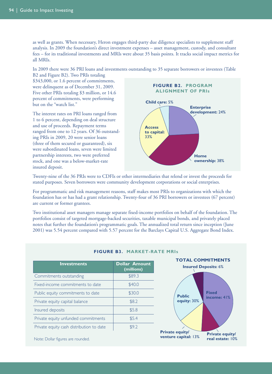as well as grants. When necessary, Heron engages third-party due diligence specialists to supplement staff analysis. In 2009 the foundation's direct investment expenses – asset management, custody, and consultant fees – for its traditional investments and MRIs were about 35 basis points. It tracks social impact metrics for all MRIs.

In 2009 there were 36 PRI loans and investments outstanding to 35 separate borrowers or investees (Table

B2 and Figure B2). Two PRIs totaling \$343,000, or 1.6 percent of commitments, were delinquent as of December 31, 2009. Five other PRIs totaling \$3 million, or 14.6 percent of commitments, were performing but on the "watch list."

The interest rates on PRI loans ranged from 1 to 6 percent, depending on deal structure and use of proceeds. Repayment terms ranged from one to 12 years. Of 36 outstanding PRIs in 2009, 20 were senior loans (three of them secured or guaranteed), six were subordinated loans, seven were limited partnership interests, two were preferred stock, and one was a below-market-rate insured deposit.



Twenty-nine of the 36 PRIs were to CDFIs or other intermediaries that relend or invest the proceeds for stated purposes. Seven borrowers were community development corporations or social enterprises.

For programmatic and risk management reasons, staff makes most PRIs to organizations with which the foundation has or has had a grant relationship. Twenty-four of 36 PRI borrowers or investees (67 percent) are current or former grantees.

Two institutional asset managers manage separate fixed-income portfolios on behalf of the foundation. The portfolios consist of targeted mortgage-backed securities, taxable municipal bonds, and privately placed notes that further the foundation's programmatic goals. The annualized total return since inception (June 2001) was 5.54 percent compared with 5.57 percent for the Barclays Capital U.S. Aggregate Bond Index.

| <b>Investments</b>                       | <b>Dollar Amount</b><br>(millions) |
|------------------------------------------|------------------------------------|
| Commitments outstanding                  | \$89.3                             |
| Fixed-income commitments to date         | \$40.0                             |
| Public equity commitments to date        | \$30.0                             |
| Private equity capital balance           | \$8.2                              |
| Insured deposits                         | \$5.8                              |
| Private equity unfunded commitments      | \$5.4                              |
| Private equity cash distribution to date | \$9.2                              |

### **FIGURE B3. MARKET-RATE MRIs**

Note: Dollar figures are rounded.

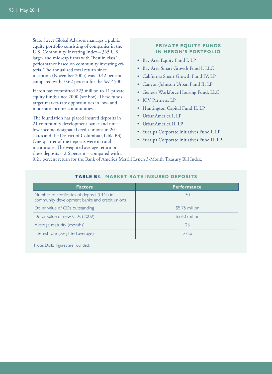State Street Global Advisors manages a public equity portfolio consisting of companies in the U.S. Community Investing Index – 365 U.S. large- and mid-cap firms with "best in class" performance based on community investing criteria. The annualized total return since inception (November 2005) was -0.42 percent compared with -0.62 percent for the S&P 500.

Heron has committed \$23 million to 11 private equity funds since 2000 (see box). These funds target market-rate opportunities in low- and moderate-income communities.

The foundation has placed insured deposits in 21 community development banks and nine low-income-designated credit unions in 20 states and the District of Columbia (Table B3). One-quarter of the deposits were in rural institutions. The weighted average return on these deposits – 2.6 percent – compared with a

### **PRIVATE EQUITY FUNDS IN HERON'S PORTFOLIO**

- Bay Area Equity Fund I, LP
- Bay Area Smart Growth Fund I, LLC
- California Smart Growth Fund IV, LP
- Canyon-Johnson Urban Fund II, LP
- Genesis Workforce Housing Fund, LLC
- ICV Partners, LP
- Huntington Capital Fund II, LP
- UrbanAmerica I, LP
- UrbanAmerica II, LP
- Yucaipa Corporate Initiatives Fund I, LP
- Yucaipa Corporate Initiatives Fund II, LP

0.21 percent return for the Bank of America Merrill Lynch 3-Month Treasury Bill Index.

| <b>Factors</b>                                                                              | <b>Performance</b> |
|---------------------------------------------------------------------------------------------|--------------------|
| Number of certificates of deposit (CDs) in<br>community development banks and credit unions | 30                 |
| Dollar value of CDs outstanding                                                             | \$5.75 million     |
| Dollar value of new CDs (2009)                                                              | \$3.60 million     |
| Average maturity (months)                                                                   | 23                 |
| Interest rate (weighted average)                                                            | 2.6%               |

## **TABLE B3. MARKET-RATE INSURED DEPOSITS**

Note: Dollar figures are rounded.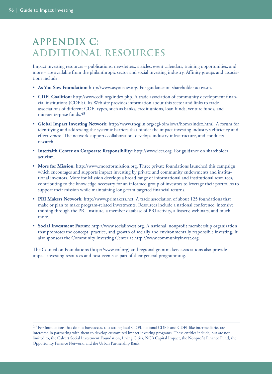# **appendix C: ADDITIONAL RESOURCES**

<span id="page-100-0"></span>Impact investing resources – publications, newsletters, articles, event calendars, training opportunities, and more – are available from the philanthropic sector and social investing industry. Affinity groups and associations include:

- **As You Sow Foundation:** http://www.asyousow.org. For guidance on shareholder activism.
- **CDFI Coalition:** http://www.cdfi.org/index.php. A trade association of community development financial institutions (CDFIs). Its Web site provides information about this sector and links to trade associations of different CDFI types, such as banks, credit unions, loan funds, venture funds, and microenterprise funds.<sup>43</sup>
- **Global Impact Investing Network:** http://www.thegiin.org/cgi-bin/iowa/home/index.html. A forum for identifying and addressing the systemic barriers that hinder the impact investing industry's efficiency and effectiveness. The network supports collaboration, develops industry infrastructure, and conducts research.
- **Interfaith Center on Corporate Responsibility:** http://www.iccr.org. For guidance on shareholder activism.
- **More for Mission:** http://www.moreformission.org. Three private foundations launched this campaign, which encourages and supports impact investing by private and community endowments and institutional investors. More for Mission develops a broad range of informational and institutional resources, contributing to the knowledge necessary for an informed group of investors to leverage their portfolios to support their mission while maintaining long-term targeted financial returns.
- **PRI Makers Network:** http://www.primakers.net. A trade association of about 125 foundations that make or plan to make program-related investments. Resources include a national conference, intensive training through the PRI Institute, a member database of PRI activity, a listserv, webinars, and much more.
- **Social Investment Forum:** http://www.socialinvest.org. A national, nonprofit membership organization that promotes the concept, practice, and growth of socially and environmentally responsible investing. It also sponsors the Community Investing Center at http://www.communityinvest.org.

The Council on Foundations (http://www.cof.org) and regional grantmakers associations also provide impact investing resources and host events as part of their general programming.

<sup>&</sup>lt;sup>43</sup> For foundations that do not have access to a strong local CDFI, national CDFIs and CDFI-like intermediaries are interested in partnering with them to develop customized impact investing programs. These entities include, but are not limited to, the Calvert Social Investment Foundation, Living Cities, NCB Capital Impact, the Nonprofit Finance Fund, the Opportunity Finance Network, and the Urban Partnership Bank.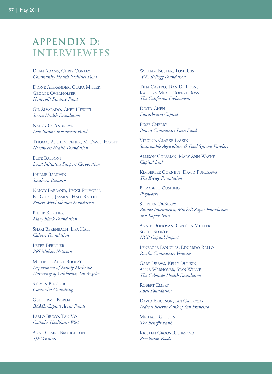## **appendix D: INTERVIEWEES**

DEAN ADAMS, CHRIS CONLEY *Community Health Facilities Fund*

DIONE ALEXANDER, CLARA MILLER, GEORGE OVERHOLSER *Nonprofit Finance Fund*

GIL ALVARADO, CHET HEWITT *Sierra Health Foundation*

NANCY O. ANDREWS *Low Income Investment Fund*

THOMAS ASCHENBRENER, M. DAVID HOOFF *Northwest Health Foundation*

ELISE BALBONI *Local Initiative Support Corporation*

PHILLIP BALDWIN *Southern Bancorp*

NANCY BARRAND, PEGGI EINHORN, ED GHISU, JASMINE HALL RATLIFF *Robert Wood Johnson Foundation*

PHILIP BELCHER *Mary Black Foundation*

SHARI BERENBACH, LISA HALL *Calvert Foundation*

PETER BERLINER *PRI Makers Network*

MICHELLE ANNE BHOLAT *Department of Family Medicine University of California, Los Angeles*

STEVEN BINGLER *Concordia Consulting*

GUILLERMO BORDA *BAML Capital Access Funds*

PABLO BRAVO, TAN VO *Catholic Healthcare West*

ANNE CLAIRE BROUGHTON *SJF Ventures*

WILLIAM BUSTER, TOM REIS *W.K. Kellogg Foundation*

TINA CASTRO, DAN DE LEON, KATHLYN MEAD, ROBERT ROSS *The California Endowment*

DAVID CHEN *Equilibrium Capital*

ELYSE CHERRY *Boston Community Loan Fund*

VIRGINIA CLARKE-LASKIN *Sustainable Agriculture & Food Systems Funders*

ALLISON COLEMAN, MARY ANN WAYNE *Capital Link*

KIMBERLEE CORNETT, DAVID FUKUZAWA *The Kresge Foundation*

ELIZABETH CUSHING *Playworks*

STEPHEN DEBERRY *Bronze Investments, Mitchell Kapor Foundation and Kapor Trust*

ANNIE DONOVAN, CYNTHIA MULLER, SCOTT SPORTE *NCB Capital Impact*

PENELOPE DOUGLAS, EDUARDO RALLO *Pacific Community Ventures*

GARY DREWS, KELLY DUNKIN, ANNE WARHOVER, STAN WILLIE *The Colorado Health Foundation*

ROBERT EMBRY *Abell Foundation*

DAVID ERICKSON, IAN GALLOWAY *Federal Reserve Bank of San Francisco*

MICHAEL GOLDEN *The Benefit Bank*

KRISTEN GROOS RICHMOND *Revolution Foods*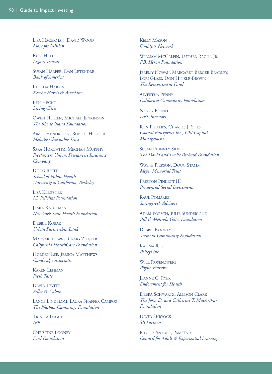LISA HAGERMAN, DAVID WOOD *More for Mission*

RUSS HALL *Legacy Venture*

SUSAN HARPER, DAN LETENDRE *Bank of America*

KEECHA HARRIS *Keecha Harris & Associates*

BEN HECHT *Living Cities*

OWEN HELEEN, MICHAEL JENKINSON *The Rhode Island Foundation*

AIMEE HENDRIGAN, ROBERT HOHLER *Melville Charitable Trust*

SARA HOROWITZ, MEGHAN MURPHY *Freelancers Union, Freelancers Insurance Company*

DOUG JUTTE *School of Public Health University of California, Berkeley* 

LISA KLEISSNER *KL Felicitas Foundation*

JAMES KNICKMAN *New York State Health Foundation*

DEBBIE KOBAK *Urban Partnership Bank*

MARGARET LAWS, CRAIG ZIEGLER *California HealthCare Foundation*

HOLDEN LEE, JESSICA MATTHEWS *Cambridge Associates*

KAREN LEHMAN *Fresh Taste*

DAVID LEVITT *Adler & Colvin*

LANCE LINDBLOM, LAURA SHAFFER CAMPOS *The Nathan Cummings Foundation*

TRINITA LOGUE *IFF*

CHRISTINE LOONEY *Ford Foundation*

**KELLY MASON** *Omidyar Network*

WILLIAM MCCALPIN, LUTHER RAGIN, JR. *F.B. Heron Foundation* 

JEREMY NOWAK, MARGARET BERGER BRADLEY, LORI GLASS, DON HINKLE-BROWN *The Reinvestment Fund*

ALVERTHA PENNY *California Community Foundation*

NANCY PFUND *DBL Investors*

RON PHILLIPS, CHARLES J. SPIES *Coastal Enterprises Inc., CEI Capital Management*

SUSAN PHINNEY SILVER *The David and Lucile Packard Foundation*

WAYNE PIERSON, DOUG STAMM *Meyer Memorial Trust*

PRESTON PINKETT III *Prudential Social Investments*

RAÚL POMARES *Springcreek Advisors*

ADAM PORSCH, JULIE SUNDERLAND *Bill & Melinda Gates Foundation*

DEBBIE ROONEY *Vermont Community Foundation*

KALIMA ROSE *PolicyLink*

WILL ROSENZWEIG *Physic Ventures*

JEANNE C. RYER *Endowment for Health*

DEBRA SCHWARTZ, ALLISON CLARK *The John D. and Catherine T. MacArthur Foundation*

DAVID SHRYOCK *SB Partners*

PHYLLIS SNYDER, PAM TATE *Council for Adult & Experiential Learning*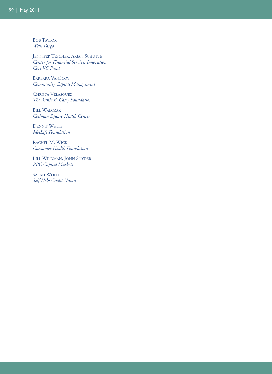BOB TAYLOR *Wells Fargo*

JENNIFER TESCHER, ARJAN SCHÜTTE *Center for Financial Services Innovation, Core VC Fund*

BARBARA VANSCOY *Community Capital Management*

CHRISTA VELASQUEZ *The Annie E. Casey Foundation*

BILL WALCZAK *Codman Square Health Center*

DENNIS WHITE *MetLife Foundation*

RACHEL M. WICK *Consumer Health Foundation*

BILL WILDMAN, JOHN SNYDER *RBC Capital Markets*

SARAH WOLFF *Self-Help Credit Union*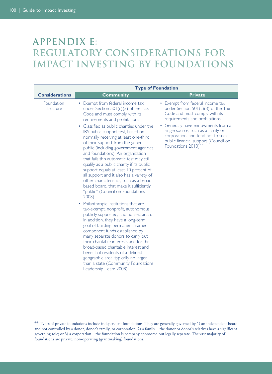# **appendix E: REGULATORY CONSIDERATIONS FOR IMPACT INVESTING BY FOUNDATIONS**

<span id="page-104-0"></span>

|                         |                                                                                                                                                                                                                                                                                                                                                                                                                                                                                                                                                                                                                                                                                                                                                                                                                                                                                                                                                                                                                                                                                                                                                                                                                     | <b>Type of Foundation</b>                                                                                                                                                                                                                                                                                                              |
|-------------------------|---------------------------------------------------------------------------------------------------------------------------------------------------------------------------------------------------------------------------------------------------------------------------------------------------------------------------------------------------------------------------------------------------------------------------------------------------------------------------------------------------------------------------------------------------------------------------------------------------------------------------------------------------------------------------------------------------------------------------------------------------------------------------------------------------------------------------------------------------------------------------------------------------------------------------------------------------------------------------------------------------------------------------------------------------------------------------------------------------------------------------------------------------------------------------------------------------------------------|----------------------------------------------------------------------------------------------------------------------------------------------------------------------------------------------------------------------------------------------------------------------------------------------------------------------------------------|
| <b>Considerations</b>   | <b>Community</b>                                                                                                                                                                                                                                                                                                                                                                                                                                                                                                                                                                                                                                                                                                                                                                                                                                                                                                                                                                                                                                                                                                                                                                                                    | <b>Private</b>                                                                                                                                                                                                                                                                                                                         |
| Foundation<br>structure | • Exempt from federal income tax<br>under Section $501(c)(3)$ of the Tax<br>Code and must comply with its<br>requirements and prohibitions<br>• Classified as public charities under the<br>IRS public support test, based on<br>normally receiving at least one-third<br>of their support from the general<br>public (including government agencies<br>and foundations). An organization<br>that fails this automatic test may still<br>qualify as a public charity if its public<br>support equals at least 10 percent of<br>all support and it also has a variety of<br>other characteristics, such as a broad-<br>based board, that make it sufficiently<br>"public" (Council on Foundations<br>2008).<br>• Philanthropic institutions that are<br>tax-exempt, nonprofit, autonomous,<br>publicly supported, and nonsectarian.<br>In addition, they have a long-term<br>goal of building permanent, named<br>component funds established by<br>many separate donors to carry out<br>their charitable interests and for the<br>broad-based charitable interest and<br>benefit of residents of a defined<br>geographic area, typically no larger<br>than a state (Community Foundations<br>Leadership Team 2008). | • Exempt from federal income tax<br>under Section $501(c)(3)$ of the Tax<br>Code and must comply with its<br>requirements and prohibitions<br>• Generally have endowments from a<br>single source, such as a family or<br>corporation, and tend not to seek<br>public financial support (Council on<br>Foundations 2010) <sup>44</sup> |

<sup>&</sup>lt;sup>44</sup> Types of private foundations include independent foundations. They are generally governed by 1) an independent board and not controlled by a donor, donor's family, or corporation; 2) a family – the donor or donor's relatives have a significant governing role; or 3) a corporation – the foundation is company-sponsored but legally separate. The vast majority of foundations are private, non-operating (grantmaking) foundations.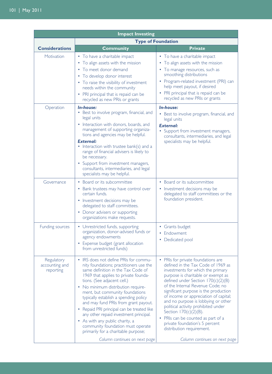| <b>Impact Investing</b>                   |                                                                                                                                                                                                                                                                                                                                                                                                                                                                                                                                                                                                 |                                                                                                                                                                                                                                                                                                                                                                                                                                                                                                                                                                 |  |  |  |  |
|-------------------------------------------|-------------------------------------------------------------------------------------------------------------------------------------------------------------------------------------------------------------------------------------------------------------------------------------------------------------------------------------------------------------------------------------------------------------------------------------------------------------------------------------------------------------------------------------------------------------------------------------------------|-----------------------------------------------------------------------------------------------------------------------------------------------------------------------------------------------------------------------------------------------------------------------------------------------------------------------------------------------------------------------------------------------------------------------------------------------------------------------------------------------------------------------------------------------------------------|--|--|--|--|
|                                           |                                                                                                                                                                                                                                                                                                                                                                                                                                                                                                                                                                                                 | <b>Type of Foundation</b>                                                                                                                                                                                                                                                                                                                                                                                                                                                                                                                                       |  |  |  |  |
| <b>Considerations</b>                     | <b>Community</b>                                                                                                                                                                                                                                                                                                                                                                                                                                                                                                                                                                                | <b>Private</b>                                                                                                                                                                                                                                                                                                                                                                                                                                                                                                                                                  |  |  |  |  |
| Motivation                                | • To have a charitable impact<br>• To align assets with the mission<br>• To meet donor demand<br>• To develop donor interest<br>• To raise the visibility of investment<br>needs within the community<br>• PRI principal that is repaid can be<br>recycled as new PRIs or grants                                                                                                                                                                                                                                                                                                                | • To have a charitable impact<br>To align assets with the mission<br>• To manage resources, such as<br>smoothing distributions<br>• Program-related investment (PRI) can<br>help meet payout, if desired<br>• PRI principal that is repaid can be<br>recycled as new PRIs or grants                                                                                                                                                                                                                                                                             |  |  |  |  |
| Operation                                 | In-house:<br>• Best to involve program, financial, and<br>legal units<br>Interaction with donors, boards, and<br>$\bullet$<br>management of supporting organiza-<br>tions and agencies may be helpful.<br>External:<br>• Interaction with trustee bank(s) and a<br>range of financial advisers is likely to<br>be necessary.<br>Support from investment managers,<br>٠<br>consultants, intermediaries, and legal<br>specialists may be helpful.                                                                                                                                                 | In-house:<br>• Best to involve program, financial, and<br>legal units<br><b>External:</b><br>• Support from investment managers,<br>consultants, intermediaries, and legal<br>specialists may be helpful.                                                                                                                                                                                                                                                                                                                                                       |  |  |  |  |
| Governance                                | • Board or its subcommittee<br>• Bank trustees may have control over<br>certain funds.<br>• Investment decisions may be<br>delegated to staff committees.<br>• Donor advisers or supporting<br>organizations make requests.                                                                                                                                                                                                                                                                                                                                                                     | • Board or its subcommittee<br>• Investment decisions may be<br>delegated to staff committees or the<br>foundation president.                                                                                                                                                                                                                                                                                                                                                                                                                                   |  |  |  |  |
| Funding sources                           | • Unrestricted funds, supporting<br>organization, donor-advised funds or<br>agency endowments<br>• Expense budget (grant allocation<br>from unrestricted funds)                                                                                                                                                                                                                                                                                                                                                                                                                                 | • Grants budget<br>Endowment<br>• Dedicated pool                                                                                                                                                                                                                                                                                                                                                                                                                                                                                                                |  |  |  |  |
| Regulatory<br>accounting and<br>reporting | • IRS does not define PRIs for commu-<br>nity foundations; practitioners use the<br>same definition in the Tax Code of<br>1969 that applies to private founda-<br>tions. (See adjacent cell.)<br>• No minimum distribution require-<br>ment, but community foundations<br>typically establish a spending policy<br>and may fund PRIs from grant payout.<br>• Repaid PRI principal can be treated like<br>any other repaid investment principal.<br>• As with any public charity, a<br>community foundation must operate<br>primarily for a charitable purpose;<br>Column continues on next page | • PRIs for private foundations are<br>defined in the Tax Code of 1969 as<br>investments for which the primary<br>purpose is charitable or exempt as<br>defined under Section 170(c)(2)(B)<br>of the Internal Revenue Code; no<br>significant purpose is the production<br>of income or appreciation of capital;<br>and no purpose is lobbying or other<br>political activity prohibited under<br>Section $170(c)(2)(B)$ .<br>• PRIs can be counted as part of a<br>private foundation's 5 percent<br>distribution requirement.<br>Column continues on next page |  |  |  |  |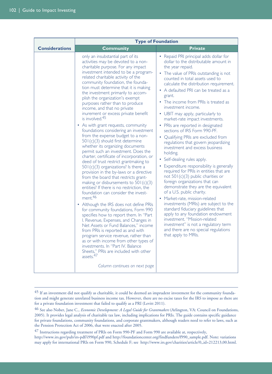|                       |                                                                                                                                                                                                                                                                                                                                                                                                                                                                                                                                                                                                                                                                                                                                                                                                                                                                                                                                                                                                                                                                                                                                                                                                                                                                                                                                                                                                                                                                                                                                                                       | <b>Type of Foundation</b>                                                                                                                                                                                                                                                                                                                                                                                                                                                                                                                                                                                                                                                                                                                                                                                                                                                                                                                                                                                                                                                                                                                                                            |
|-----------------------|-----------------------------------------------------------------------------------------------------------------------------------------------------------------------------------------------------------------------------------------------------------------------------------------------------------------------------------------------------------------------------------------------------------------------------------------------------------------------------------------------------------------------------------------------------------------------------------------------------------------------------------------------------------------------------------------------------------------------------------------------------------------------------------------------------------------------------------------------------------------------------------------------------------------------------------------------------------------------------------------------------------------------------------------------------------------------------------------------------------------------------------------------------------------------------------------------------------------------------------------------------------------------------------------------------------------------------------------------------------------------------------------------------------------------------------------------------------------------------------------------------------------------------------------------------------------------|--------------------------------------------------------------------------------------------------------------------------------------------------------------------------------------------------------------------------------------------------------------------------------------------------------------------------------------------------------------------------------------------------------------------------------------------------------------------------------------------------------------------------------------------------------------------------------------------------------------------------------------------------------------------------------------------------------------------------------------------------------------------------------------------------------------------------------------------------------------------------------------------------------------------------------------------------------------------------------------------------------------------------------------------------------------------------------------------------------------------------------------------------------------------------------------|
| <b>Considerations</b> | <b>Community</b>                                                                                                                                                                                                                                                                                                                                                                                                                                                                                                                                                                                                                                                                                                                                                                                                                                                                                                                                                                                                                                                                                                                                                                                                                                                                                                                                                                                                                                                                                                                                                      | <b>Private</b>                                                                                                                                                                                                                                                                                                                                                                                                                                                                                                                                                                                                                                                                                                                                                                                                                                                                                                                                                                                                                                                                                                                                                                       |
|                       | only an insubstantial part of its<br>activities may be devoted to a non-<br>charitable purpose. For any impact<br>investment intended to be a program-<br>related charitable activity of the<br>community foundation, the founda-<br>tion must determine that it is making<br>the investment primarily to accom-<br>plish the organization's exempt<br>purposes rather than to produce<br>income, and that no private<br>inurement or excess private benefit<br>is involved. <sup>45</sup><br>• As with grant requests, community<br>foundations considering an investment<br>from the expense budget to a non-<br>501(c)(3) should first determine<br>whether its organizing documents<br>permit such an investment. Does the<br>charter, certificate of incorporation, or<br>deed of trust restrict grantmaking to<br>$501(c)(3)$ organizations? Is there a<br>provision in the by-laws or a directive<br>from the board that restricts grant-<br>making or disbursements to $501(c)(3)$<br>entities? If there is no restriction, the<br>foundation can consider the invest-<br>ment <sup>46</sup><br>• Although the IRS does not define PRIs<br>for community foundations, Form 990<br>specifies how to report them. In "Part<br>I. Revenue, Expenses, and Changes in<br>Net Assets or Fund Balances," income<br>from PRIs is reported as and with<br>program service revenue, rather than<br>as or with income from other types of<br>investments. In "Part IV. Balance<br>Sheets," PRIs are included with other<br>assets. $4/$<br>Column continues on next page | • Repaid PRI principal adds dollar for<br>dollar to the distributable amount in<br>the year repaid.<br>• The value of PRIs outstanding is not<br>counted in total assets used to<br>calculate the distribution requirement.<br>• A defaulted PRI can be treated as a<br>grant.<br>• The income from PRIs is treated as<br>investment income.<br>• UBIT may apply, particularly to<br>market-rate impact investments.<br>• PRIs are reported in designated<br>sections of IRS Form 990-PF.<br>• Qualifying PRIs are excluded from<br>regulations that govern jeopardizing<br>investment and excess business<br>holding.<br>• Self-dealing rules apply.<br>• Expenditure responsibility is generally<br>required for PRIs in entities that are<br>not 501(c)(3) public charities or<br>foreign organizations that can<br>demonstrate they are the equivalent<br>of a U.S. public charity.<br>• Market-rate, mission-related<br>investments (MRIs) are subject to the<br>standard fiduciary guidelines that<br>apply to any foundation endowment<br>investment. "Mission-related<br>investment" is not a regulatory term<br>and there are no special regulations<br>that apply to MRIs. |
|                       |                                                                                                                                                                                                                                                                                                                                                                                                                                                                                                                                                                                                                                                                                                                                                                                                                                                                                                                                                                                                                                                                                                                                                                                                                                                                                                                                                                                                                                                                                                                                                                       |                                                                                                                                                                                                                                                                                                                                                                                                                                                                                                                                                                                                                                                                                                                                                                                                                                                                                                                                                                                                                                                                                                                                                                                      |

<sup>45</sup> If an investment did not qualify as charitable, it could be deemed an imprudent investment for the community foundation and might generate unrelated business income tax. However, there are no excise taxes for the IRS to impose as there are for a private foundation investment that failed to qualify as a PRI (Levitt 2011).

<sup>46</sup> See also Nober, Jane C., *Economic Development: A Legal Guide for Grantmakers* (Arlington, VA: Council on Foundations, 2005). It provides legal analysis of charitable tax law, including implications for PRIs. The guide contains specific guidance for private foundations, community foundations, and corporate grantmakers, although readers need to refer to laws, such as the Pension Protection Act of 2006, that were enacted after 2005.

<sup>47</sup> Instructions regarding treatment of PRIs on Form 990-PF and Form 990 are available at, respectively,

http://www.irs.gov/pub/irs-pdf/i990pf.pdf and http://foundationcenter.org/findfunders/f990\_sample.pdf. Note: variations may apply for international PRIs on Form 990, Schedule F; see http://www.irs.gov/charities/article/0,,id=212213,00.html.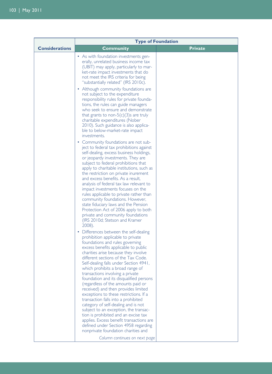|                       | <b>Type of Foundation</b>                                                                                                                                                                                                                                                                                                                                                                                                                                                                                                                                                                                                                                                                                                                                                                                                                               |                |
|-----------------------|---------------------------------------------------------------------------------------------------------------------------------------------------------------------------------------------------------------------------------------------------------------------------------------------------------------------------------------------------------------------------------------------------------------------------------------------------------------------------------------------------------------------------------------------------------------------------------------------------------------------------------------------------------------------------------------------------------------------------------------------------------------------------------------------------------------------------------------------------------|----------------|
| <b>Considerations</b> | <b>Community</b>                                                                                                                                                                                                                                                                                                                                                                                                                                                                                                                                                                                                                                                                                                                                                                                                                                        | <b>Private</b> |
|                       | • As with foundation investments gen-<br>erally, unrelated business income tax<br>(UBIT) may apply, particularly to mar-<br>ket-rate impact investments that do<br>not meet the IRS criteria for being<br>"substantially related" (IRS 2010c).                                                                                                                                                                                                                                                                                                                                                                                                                                                                                                                                                                                                          |                |
|                       | Although community foundations are<br>٠<br>not subject to the expenditure<br>responsibility rules for private founda-<br>tions, the rules can guide managers<br>who seek to ensure and demonstrate<br>that grants to non- $5(c)(3)$ s are truly<br>charitable expenditures (Nober<br>2010). Such guidance is also applica-<br>ble to below-market-rate impact<br>investments.                                                                                                                                                                                                                                                                                                                                                                                                                                                                           |                |
|                       | Community foundations are not sub-<br>٠<br>ject to federal tax prohibitions against<br>self-dealing, excess business holdings,<br>or jeopardy investments. They are<br>subject to federal prohibitions that<br>apply to charitable institutions, such as<br>the restriction on private inurement<br>and excess benefits. As a result,<br>analysis of federal tax law relevant to<br>impact investments focuses on the<br>rules applicable to private rather than<br>community foundations. However,<br>state fiduciary laws and the Pension<br>Protection Act of 2006 apply to both<br>private and community foundations<br>(IRS 2010d; Stetson and Kramer<br>2008).                                                                                                                                                                                    |                |
|                       | Differences between the self-dealing<br>٠<br>prohibition applicable to private<br>foundations and rules governing<br>excess benefits applicable to public<br>charities arise because they involve<br>different sections of the Tax Code.<br>Self-dealing falls under Section 4941,<br>which prohibits a broad range of<br>transactions involving a private<br>foundation and its disqualified persons<br>(regardless of the amounts paid or<br>received) and then provides limited<br>exceptions to these restrictions. If a<br>transaction falls into a prohibited<br>category of self-dealing and is not<br>subject to an exception, the transac-<br>tion is prohibited and an excise tax<br>applies. Excess benefit transactions are<br>defined under Section 4958 regarding<br>nonprivate foundation charities and<br>Column continues on next page |                |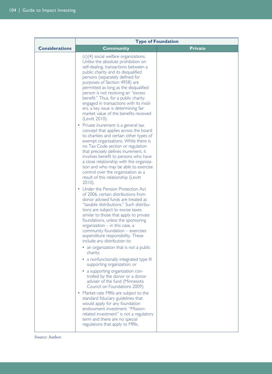|                       | <b>Type of Foundation</b>                                                                                                                                                                                                                                                                                                                                                                                                                                                                                                                                                                                                                                                                                                                                                                                                                                                                                                                                                                                                                                                                                                                                                                                                                                                                                                                                                                                                                                                                                                                                                                                                                                                                                                                                                                                                                                                                                                                                  |                |  |  |  |  |  |  |  |  |  |  |
|-----------------------|------------------------------------------------------------------------------------------------------------------------------------------------------------------------------------------------------------------------------------------------------------------------------------------------------------------------------------------------------------------------------------------------------------------------------------------------------------------------------------------------------------------------------------------------------------------------------------------------------------------------------------------------------------------------------------------------------------------------------------------------------------------------------------------------------------------------------------------------------------------------------------------------------------------------------------------------------------------------------------------------------------------------------------------------------------------------------------------------------------------------------------------------------------------------------------------------------------------------------------------------------------------------------------------------------------------------------------------------------------------------------------------------------------------------------------------------------------------------------------------------------------------------------------------------------------------------------------------------------------------------------------------------------------------------------------------------------------------------------------------------------------------------------------------------------------------------------------------------------------------------------------------------------------------------------------------------------------|----------------|--|--|--|--|--|--|--|--|--|--|
| <b>Considerations</b> | <b>Community</b>                                                                                                                                                                                                                                                                                                                                                                                                                                                                                                                                                                                                                                                                                                                                                                                                                                                                                                                                                                                                                                                                                                                                                                                                                                                                                                                                                                                                                                                                                                                                                                                                                                                                                                                                                                                                                                                                                                                                           | <b>Private</b> |  |  |  |  |  |  |  |  |  |  |
|                       | $(c)(4)$ social welfare organizations.<br>Unlike the absolute prohibition on<br>self-dealing, transactions between a<br>public charity and its disqualified<br>persons (separately defined for<br>purposes of Section 4958) are<br>permitted as long as the disqualified<br>person is not receiving an "excess<br>benefit." Thus, for a public charity<br>engaged in transactions with its insid-<br>ers, a key issue is determining fair<br>market value of the benefits received<br>(Levitt 2010).<br>• Private inurement is a general tax<br>concept that applies across the board<br>to charities and certain other types of<br>exempt organizations. While there is<br>no Tax Code section or regulation<br>that precisely defines inurement, it<br>involves benefit to persons who have<br>a close relationship with the organiza-<br>tion and who may be able to exercise<br>control over the organization as a<br>result of this relationship (Levitt<br>$2010$ ).<br>• Under the Pension Protection Act<br>of 2006, certain distributions from<br>donor advised funds are treated as<br>"taxable distributions." Such distribu-<br>tions are subject to excise taxes<br>similar to those that apply to private<br>foundations, unless the sponsoring<br>organization $-$ in this case, a<br>community foundation - exercises<br>expenditure responsibility. These<br>include any distribution to:<br>• an organization that is not a public<br>charity;<br>• a nonfunctionally integrated type III<br>supporting organization; or<br>a supporting organization con-<br>٠<br>trolled by the donor or a donor<br>adviser of the fund (Minnesota<br>Council on Foundations 2009).<br>• Market-rate MRIs are subject to the<br>standard fiduciary guidelines that<br>would apply for any foundation<br>endowment investment. "Mission-<br>related investment" is not a regulatory<br>term and there are no special<br>regulations that apply to MRIs. |                |  |  |  |  |  |  |  |  |  |  |

Source: Author.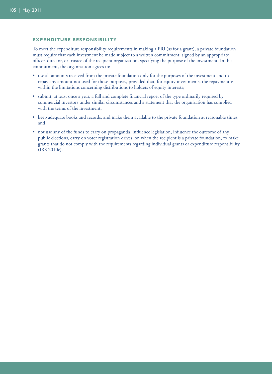## **EXPENDITURE RESPONSIBILITY**

To meet the expenditure responsibility requirements in making a PRI (as for a grant), a private foundation must require that each investment be made subject to a written commitment, signed by an appropriate officer, director, or trustee of the recipient organization, specifying the purpose of the investment. In this commitment, the organization agrees to:

- use all amounts received from the private foundation only for the purposes of the investment and to repay any amount not used for those purposes, provided that, for equity investments, the repayment is within the limitations concerning distributions to holders of equity interests;
- submit, at least once a year, a full and complete financial report of the type ordinarily required by commercial investors under similar circumstances and a statement that the organization has complied with the terms of the investment;
- keep adequate books and records, and make them available to the private foundation at reasonable times; and
- not use any of the funds to carry on propaganda, influence legislation, influence the outcome of any public elections, carry on voter registration drives, or, when the recipient is a private foundation, to make grants that do not comply with the requirements regarding individual grants or expenditure responsibility (IRS 2010e).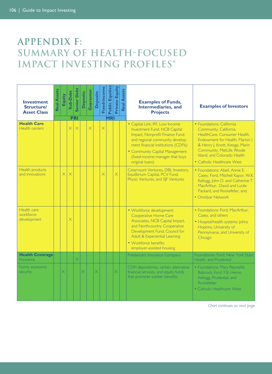## **appendix F: SUMMARY OF HEALTH-FOCUSED IMPACT INVESTING PROFILES\***

| <b>Investment</b><br><b>Structure/</b><br><b>Asset Class</b> | <b>Real Assets</b> | Equity   | Sub-Debt | <b>Senior Debt</b><br><b>PRI</b> | <b>Deposits</b> | Guarantee | <b>Deposits</b> | Fixed-income | <b>Public Equities</b><br><b>MRI</b> | Private Equity | <b>Real Assets</b> | <b>Examples of Funds,</b><br>Intermediaries, and<br><b>Projects</b>                                                                                                                                                                                                  | <b>Examples of Investors</b>                                                                                                                                                                                                                       |
|--------------------------------------------------------------|--------------------|----------|----------|----------------------------------|-----------------|-----------|-----------------|--------------|--------------------------------------|----------------|--------------------|----------------------------------------------------------------------------------------------------------------------------------------------------------------------------------------------------------------------------------------------------------------------|----------------------------------------------------------------------------------------------------------------------------------------------------------------------------------------------------------------------------------------------------|
| <b>Health Care</b><br>Health centers                         |                    |          | $\times$ | $\times$                         |                 | $\times$  |                 | $\times$     |                                      |                |                    | • Capital Link, IFF, Low Income<br>Investment Fund, NCB Capital<br>Impact, Nonprofit Finance Fund,<br>and regional community develop-<br>ment financial institutions (CDFIs)<br>• Community Capital Management<br>(fixed-income manager that buys<br>original loans) | · Foundations: California<br>Community, California<br>HealthCare, Consumer Health,<br>Endowment for Health, Marion I.<br>& Henry J. Knott, Kresge, Marin<br>Community, MetLife, Rhode<br>Island, and Colorado Health<br>• Catholic Healthcare West |
| Health products<br>and innovations                           |                    | $\times$ | $\times$ |                                  |                 |           |                 | $\times$     |                                      | $\times$       |                    | Catamount Ventures. DBL Investors.<br>Equilibrium Capital, PCV Fund,<br>Physic Ventures, and SJF Ventures                                                                                                                                                            | • Foundations: Abell. Annie E.<br>Casey, Ford, Mitchell Kapor, W.K.<br>Kellogg, John D. and Catherine T.<br>MacArthur, David and Lucile<br>Packard, and Rockefeller, and<br>• Omidyar Network                                                      |
| Health care<br>workforce<br>development                      |                    |          | $\times$ |                                  |                 |           |                 |              |                                      |                |                    | • Workforce development:<br>Cooperative Home Care<br>Associates, NCB Capital Impact,<br>and Northcountry Cooperative<br>Development Fund; Council for<br>Adult & Experiential Learning<br>• Workforce benefits:<br>employer-assisted housing                         | • Foundations: Ford, MacArthur,<br>Casey, and others<br>• Hospital/health systems: Johns<br>Hopkins, University of<br>Pennsylvania, and University of<br>Chicago                                                                                   |
| <b>Health Coverage</b><br>Insurance                          |                    |          |          | $\times$                         |                 |           |                 |              |                                      |                |                    | Freelancers Insurance Company                                                                                                                                                                                                                                        | Foundations: Ford, New York State<br>Health, and Prudential                                                                                                                                                                                        |
| Family economic<br>security                                  |                    | $\times$ |          |                                  | $\times$        |           | $\times$        |              |                                      | $\times$       |                    | CDFI depositories, certain alternative<br>financial services, and equity funds<br>that promote worker benefits                                                                                                                                                       | • Foundations: Mary Reynolds<br>Babcock, Ford, F.B. Heron,<br>Kellogg, Prudential, and<br>Rockefeller<br>• Catholic Healthcare West                                                                                                                |

*Chart continues on next page*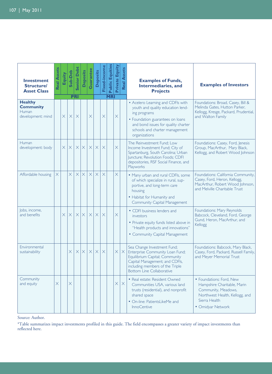| <b>Investment</b><br><b>Structure</b><br><b>Asset Class</b>             | <b>Real Assets</b> | Equity   | Sub-Deb  | <b>Senior Debt</b><br><b>PRI</b> | <b>Deposits</b> | Guarantee | <b>Deposits</b> | Fixed-income | <b>Public Equities</b><br><b>MRI</b> | <b>Private Equity</b> | <b>Real Assets</b> | <b>Examples of Funds,</b><br><b>Intermediaries, and</b><br><b>Projects</b>                                                                                                                                           | <b>Examples of Investors</b>                                                                                                                           |
|-------------------------------------------------------------------------|--------------------|----------|----------|----------------------------------|-----------------|-----------|-----------------|--------------|--------------------------------------|-----------------------|--------------------|----------------------------------------------------------------------------------------------------------------------------------------------------------------------------------------------------------------------|--------------------------------------------------------------------------------------------------------------------------------------------------------|
| <b>Healthy</b><br><b>Community</b><br><b>Human</b><br>development: mind |                    | X        | $\times$ | $\times$                         |                 | $\times$  |                 | $\times$     |                                      | $\times$              |                    | • Acelero Learning and CDFIs with<br>youth and quality education lend-<br>ing programs<br>• Foundation guarantees on loans<br>and bond issues for quality charter<br>schools and charter management<br>organizations | Foundations: Broad, Casey, Bill &<br>Melinda Gates, Hutton Parker,<br>Kellogg, Kresge, Packard, Prudential,<br>and Walton Family                       |
| <b>Human</b><br>development: body                                       |                    | $\times$ | $\times$ | $\times$                         | $\times$        | $\times$  | $\times$        | $\times$     |                                      | $\times$              |                    | The Reinvestment Fund; Low<br>Income Investment Fund; City of<br>Spartanburg, South Carolina; Urban<br>Juncture; Revolution Foods; CDFI<br>depositories, RSF Social Finance, and<br>Playworks                        | Foundations: Casey, Ford, Jenesis<br>Group, MacArthur, Mary Black,<br>Kellogg, and Robert Wood Johnson                                                 |
| Affordable housing                                                      | $\times$           |          | $\times$ | $\times$                         | $\times$        | $\times$  | $\times$        | $\times$     |                                      | $\times$              |                    | • Many urban and rural CDFIs, some<br>of which specialize in rural, sup-<br>portive, and long-term care<br>housing<br>• Habitat for Humanity and<br>Community Capital Management                                     | Foundations: California Community,<br>Casey, Ford, Heron, Kellogg,<br>MacArthur, Robert Wood Johnson,<br>and Melville Charitable Trust                 |
| Jobs, income,<br>and benefits                                           |                    | $\times$ | $\times$ | $\times$                         | $\times$        | $\times$  | $\times$        | $\times$     |                                      | $\times$              |                    | • CDFI business lenders and<br>investors<br>• Private equity funds listed above in<br>"Health products and innovations"<br>• Community Capital Management                                                            | Foundations: Mary Reynolds<br>Babcock, Cleveland, Ford, George<br>Gund, Heron, MacArthur, and<br>Kellogg                                               |
| Environmental<br>sustainability                                         |                    |          | $\times$ | $\times$                         | $\times$        | $\times$  | $\times$        | $\times$     |                                      | $\times$              | $\times$           | Sea Change Investment Fund;<br>Enterprise Community Loan Fund;<br>Equilibrium Capital; Community<br>Capital Management; and CDFIs,<br>including members of the Triple<br><b>Bottom Line Collaborative</b>            | Foundations: Babcock, Mary Black,<br>Casey, Ford, Packard, Russell Family,<br>and Meyer Memorial Trust                                                 |
| Community<br>and equity                                                 | $\times$           |          | $\times$ |                                  |                 |           |                 |              |                                      | $\times$              | X                  | • Real estate: Resident Owned<br>Communities USA, various land<br>trusts (residential), and nonprofit<br>shared space<br>• On-line: PatientsLikeMe and<br><b>InnoCentive</b>                                         | • Foundations: Ford, New<br>Hampshire Charitable, Marin<br>Community, Meadows,<br>Northwest Health, Kellogg, and<br>Sierra Health<br>• Omidyar Network |

Source: Author.

\*Table summarizes impact investments profiled in this guide. The field encompasses a greater variety of impact investments than reflected here.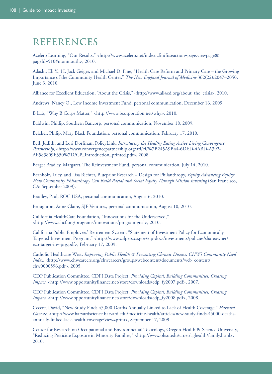## **references**

Acelero Learning, "Our Results," <http://www.acelero.net/index.cfm?fuseaction=page.viewpage& pageId=510#monmouth>, 2010.

Adashi, Eli Y., H. Jack Geiger, and Michael D. Fine, "Health Care Reform and Primary Care – the Growing Importance of the Community Health Center," *The New England Journal of Medicine* 362(22):2047–2050, June 3, 2010.

Alliance for Excellent Education, "About the Crisis," <http://www.all4ed.org/about\_the\_crisis>, 2010.

Andrews, Nancy O., Low Income Investment Fund, personal communication, December 16, 2009.

B Lab, "Why B Corps Matter," <http://www.bcorporation.net/why>, 2010.

Baldwin, Phillip, Southern Bancorp, personal communication, November 18, 2009.

Belcher, Philip, Mary Black Foundation, personal communication, February 17, 2010.

Bell, Judith, and Lori Dorfman, PolicyLink, *Introducing the Healthy Eating Active Living Convergence Partnership*, <http://www.convergencepartnership.org/atf/cf/%7B245A9B44-6DED-4ABD-A392- AE583809E350%7D/CP\_Introduction\_printed.pdf>, 2008.

Berger Bradley, Margaret, The Reinvestment Fund, personal communication, July 14, 2010.

Bernholz, Lucy, and Lisa Richter, Blueprint Research + Design for Philanthropy, *Equity Advancing Equity: How Community Philanthropy Can Build Racial and Social Equity Through Mission Investing* (San Francisco, CA: September 2009)*.* 

Bradley, Paul, ROC USA, personal communication, August 6, 2010.

Broughton, Anne Claire, SJF Ventures, personal communication, August 10, 2010.

California HealthCare Foundation, "Innovations for the Underserved," <http://www.chcf.org/programs/innovations/program-goal>, 2010.

California Public Employees' Retirement System, "Statement of Investment Policy for Economically Targeted Investment Program," <http://www.calpers.ca.gov/eip-docs/investments/policies/shareowner/ eco-target-inv-prg.pdf>, February 17, 2009.

Catholic Healthcare West, *Improving Public Health & Preventing Chronic Disease*. *CHW's Community Need Index*, <http://www.chwcareers.org/chwcareers/groups/webcontent/documents/web\_content/ chw0000596.pdf>, 2005.

CDP Publication Committee, CDFI Data Project, *Providing Capital, Building Communities, Creating Impact*, <http://www.opportunityfinance.net/store/downloads/cdp\_fy2007.pdf>, 2007.

CDP Publication Committee, CDFI Data Project, *Providing Capital, Building Communities, Creating Impact*, <http://www.opportunityfinance.net/store/downloads/cdp\_fy2008.pdf>, 2008.

Cecere, David, "New Study Finds 45,000 Deaths Annually Linked to Lack of Health Coverage," *Harvard Gazette*, <http://www.harvardscience.harvard.edu/medicine-health/articles/new-study-finds-45000-deathsannually-linked-lack-health-coverage?view=print>, September 17, 2009.

Center for Research on Occupational and Environmental Toxicology, Oregon Health & Science University, "Reducing Pesticide Exposure in Minority Families," <http://www.ohsu.edu/croet/aghealth/family.html>, 2010.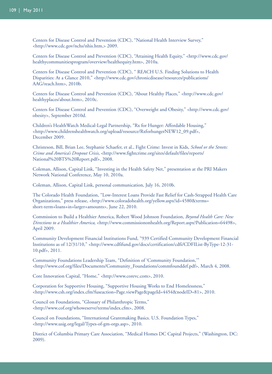Centers for Disease Control and Prevention (CDC), "National Health Interview Survey," <http://www.cdc.gov/nchs/nhis.htm,> 2009.

Centers for Disease Control and Prevention (CDC), "Attaining Health Equity," <http://www.cdc.gov/ healthycommunitiesprogram/overview/healthequity.htm>, 2010a.

Centers for Disease Control and Prevention (CDC), " REACH U.S. Finding Solutions to Health Disparities: At a Glance 2010," <http://www.cdc.gov/chronicdisease/resources/publications/ AAG/reach.htm>, 2010b.

Centers for Disease Control and Prevention (CDC), "About Healthy Places," <http://www.cdc.gov/ healthyplaces/about.htm>, 2010c.

Centers for Disease Control and Prevention (CDC), "Overweight and Obesity," <http://www.cdc.gov/ obesity>, September 2010d.

Children's HealthWatch Medical-Legal Partnership, "Rx for Hunger: Affordable Housing," <http://www.childrenshealthwatch.org/upload/resource/RxforhungerNEW12\_09.pdf>, December 2009.

Christeson, Bill, Brian Lee, Stephanie Schaefer, et al., Fight Crime: Invest in Kids, *School or the Streets: Crime and America's Dropout Crisis*, <http://www.fightcrime.org/sites/default/files/reports/ National%20BTS%20Report.pdf>, 2008.

Coleman, Allison, Capital Link, "Investing in the Health Safety Net," presentation at the PRI Makers Network National Conference, May 10, 2010a.

Coleman, Allison, Capital Link, personal communication, July 16, 2010b.

The Colorado Health Foundation, "Low-Interest Loans Provide Fast Relief for Cash-Strapped Health Care Organizations," press release, <http://www.coloradohealth.org/yellow.aspx?id=4580&terms= short-term+loans+in+larger+amounts>, June 22, 2010.

Commission to Build a Healthier America, Robert Wood Johnson Foundation, *Beyond Health Care: New Directions to a Healthier America*, <http://www.commissiononhealth.org/Report.aspx?Publication=64498>, April 2009.

Community Development Financial Institutions Fund, "939 Certified Community Development Financial Institutions as of 12/31/10," <http://www.cdfifund.gov/docs/certification/cdfi/CDFIList-ByType-12-31- 10.pdf>, 2011.

Community Foundations Leadership Team, "Definition of 'Community Foundation,'" <http://www.cof.org/files/Documents/Community\_Foundations/commfounddef.pdf>, March 4, 2008.

Core Innovation Capital, "Home," <http://www.corevc.com>, 2010.

Corporation for Supportive Housing, "Supportive Housing Works to End Homelessness," <http://www.csh.org/index.cfm?fuseaction=Page.viewPage&pageId=4454&nodeID=81>, 2010.

Council on Foundations, "Glossary of Philanthropic Terms," <http://www.cof.org/whoweserve/terms/index.cfm>, 2008.

Council on Foundations, "International Grantmaking Basics. U.S. Foundation Types," <http://www.usig.org/legal/Types-of-gm-orgs.asp>, 2010.

District of Columbia Primary Care Association, "Medical Homes DC Capital Projects," (Washington, DC: 2009).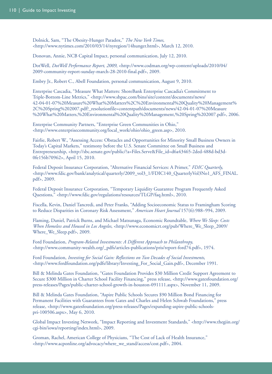Dolnick, Sam, "The Obesity-Hunger Paradox," *The New York Times*, <http://www.nytimes.com/2010/03/14/nyregion/14hunger.html>, March 12, 2010.

Donovan, Annie, NCB Capital Impact, personal communication, July 12, 2010.

DotWell, *DotWell Performance Report, 2009*, <http://www.codman.org/wp-content/uploads/2010/04/ 2009-community-report-sunday-march-28-2010-final.pdf>, 2009.

Embry Jr., Robert C., Abell Foundation, personal communication, August 9, 2010.

Enterprise Cascadia, "Measure What Matters: ShoreBank Enterprise Cascadia's Commitment to Triple-Bottom-Line Metrics," <http://www.sbpac.com/bins/site/content/documents/news/ 42-04-01-07%20Measure%20What%20Matters%2C%20Environmental%20Quality%20Management% 2C%20Spring%202007.pdf?\_resolutionfile=contentpath|documents/news/42-04-01-07%20Measure %20What%20Matters,%20Environmental%20Quality%20Management,%20Spring%202007.pdf>, 2006.

Enterprise Community Partners, "Enterprise Green Communities in Ohio," <http://www.enterprisecommunity.org/local\_work/ohio/ohio\_green.asp>, 2010.

Fairlie, Robert W., "Assessing Access: Obstacles and Opportunities for Minority Small Business Owners in Today's Capital Markets," testimony before the U.S. Senate Committee on Small Business and Entrepreneurship, <http://sbc.senate.gov/public/?a=Files.Serve&File\_id=d6a43465-2ded-488d-bd3d-0fe156b70962>, April 15, 2010.

Federal Deposit Insurance Corporation, "Alternative Financial Services: A Primer," *FDIC Quarterly*, <http://www.fdic.gov/bank/analytical/quarterly/2009\_vol3\_1/FDIC140\_QuarterlyVol3No1\_AFS\_FINAL. pdf>, 2009.

Federal Deposit Insurance Corporation, "Temporary Liquidity Guarantee Program Frequently Asked Questions," <http://www.fdic.gov/regulations/resources/TLGP/faq.html>, 2010.

Fiscella, Kevin, Daniel Tancredi, and Peter Franks, "Adding Socioeconomic Status to Framingham Scoring to Reduce Disparities in Coronary Risk Assessment," *American Heart Journal* 157(6):988–994, 2009.

Flaming, Daniel, Patrick Burns, and Michael Matsunaga, Economic Roundtable, *Where We Sleep: Costs When Homeless and Housed in Los Angeles*, <http://www.economicrt.org/pub/Where\_We\_Sleep\_2009/ Where\_We\_Sleep.pdf>, 2009.

Ford Foundation, *Program-Related Investments: A Different Approach to Philanthropy*, <http://www.community-wealth.org/\_pdfs/articles-publications/pris/report-ford74.pdf>, 1974.

Ford Foundation, *Investing for Social Gain: Reflections on Two Decades of Social Investments*, <http://www.fordfoundation.org/pdfs/library/Investing\_For\_Social\_Gain.pdf>, December 1991.

Bill & Melinda Gates Foundation, "Gates Foundation Provides \$30 Million Credit Support Agreement to Secure \$300 Million in Charter School Facility Financing," press release, <http://www.gatesfoundation.org/ press-releases/Pages/public-charter-school-growth-in-houston-091111.aspx>, November 11, 2009.

Bill & Melinda Gates Foundation, "Aspire Public Schools Secures \$90 Million Bond Financing for Permanent Facilities with Guarantees from Gates and Charles and Helen Schwab Foundations," press release, <http://www.gatesfoundation.org/press-releases/Pages/expanding-aspire-public-schoolspri-100506.aspx>, May 6, 2010.

Global Impact Investing Network, "Impact Reporting and Investment Standards," <http://www.thegiin.org/ cgi-bin/iowa/reporting/index.html>, 2009.

Groman, Rachel, American College of Physicians, "The Cost of Lack of Health Insurance," <http://www.acponline.org/advocacy/where\_we\_stand/access/cost.pdf>, 2004.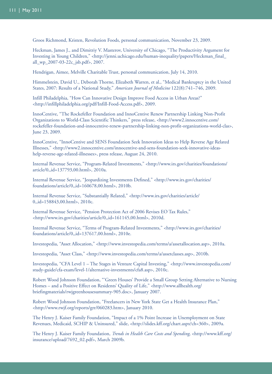Groos Richmond, Kristen, Revolution Foods, personal communication, November 23, 2009.

Heckman, James J., and Dimitriy V. Masterov, University of Chicago, "The Productivity Argument for Investing in Young Children," <http://jenni.uchicago.edu/human-inequality/papers/Heckman\_final\_ all\_wp\_2007-03-22c\_jsb.pdf>, 2007.

Hendrigan, Aimee, Melville Charitable Trust, personal communication, July 14, 2010.

Himmelstein, David U., Deborah Thorne, Elizabeth Warren, et al., "Medical Bankruptcy in the United States, 2007: Results of a National Study," *American Journal of Medicine* 122(8):741–746, 2009.

Infill Philadelphia, "How Can Innovative Design Improve Food Access in Urban Areas?" <http://infillphiladelphia.org/pdf/Infill-Food-Access.pdf>, 2009.

InnoCentive, "The Rockefeller Foundation and InnoCentive Renew Partnership Linking Non-Profit Organizations to World-Class Scientific Thinkers," press release, <http://www2.innocentive.com/ rockefeller-foundation-and-innocentive-renew-partnership-linking-non-profit-organizations-world-clas>, June 23, 2009.

InnoCentive, "InnoCentive and SENS Foundation Seek Innovation Ideas to Help Reverse Age Related Illnesses," <http://www2.innocentive.com/innocentive-and-sens-foundation-seek-innovative-ideashelp-reverse-age-related-illnesses>, press release, August 24, 2010.

Internal Revenue Service, "Program-Related Investments," <http://www.irs.gov/charities/foundations/ article/0,,id=137793,00.html>, 2010a.

Internal Revenue Service, "Jeopardizing Investments Defined," <http://www.irs.gov/charities/ foundations/article/0,,id=160678,00.html>, 2010b.

Internal Revenue Service, "Substantially Related," <http://www.irs.gov/charities/article/ 0,,id=158843,00.html>, 2010c.

Internal Revenue Service, "Pension Protection Act of 2006 Revises EO Tax Rules," <http://www.irs.gov/charities/article/0,,id=161145,00.html>, 2010d.

Internal Revenue Service, "Terms of Program-Related Investments," <http://www.irs.gov/charities/ foundations/article/0,,id=137617,00.html>, 2010e.

Investopedia, "Asset Allocation," <http://www.investopedia.com/terms/a/assetallocation.asp>, 2010a.

Investopedia, "Asset Class," <http://www.investopedia.com/terms/a/assetclasses.asp>, 2010b.

Investopedia, "CFA Level 1 – The Stages in Venture Capital Investing," <http://www.investopedia.com/ study-guide/cfa-exam/level-1/alternative-investments/cfa8.asp>, 2010c.

Robert Wood Johnson Foundation, "'Green Houses' Provide a Small Group Setting Alternative to Nursing Homes – and a Positive Effect on Residents' Quality of Life," <http://www.allhealth.org/ briefingmaterials/rwjgreenhousesummary-905.doc>, January 2007.

Robert Wood Johnson Foundation, "Freelancers in New York State Get a Health Insurance Plan," <http://www.rwjf.org/reports/grr/060283.htm>, January 2010.

The Henry J. Kaiser Family Foundation, "Impact of a 1% Point Increase in Unemployment on State Revenues, Medicaid, SCHIP & Uninsured," slide, <http://slides.kff.org/chart.aspx?ch=360>, 2009a.

The Henry J. Kaiser Family Foundation, *Trends in Health Care Costs and Spending*, <http://www.kff.org/ insurance/upload/7692\_02.pdf>, March 2009b.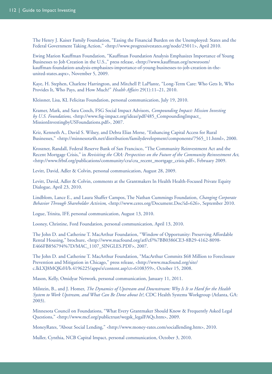The Henry J. Kaiser Family Foundation, "Easing the Financial Burden on the Unemployed: States and the Federal Government Taking Action," <http://www.progressivestates.org/node/25011>, April 2010.

Ewing Marion Kauffman Foundation, "Kauffman Foundation Analysis Emphasizes Importance of Young Businesses to Job Creation in the U.S.," press release, <http://www.kauffman.org/newsroom/ kauffman-foundation-analysis-emphasizes-importance-of-young-businesses-to-job-creation-in-theunited-states.aspx>, November 5, 2009.

Kaye, H. Stephen, Charlene Harrington, and Mitchell P. LaPlante, "Long-Term Care: Who Gets It, Who Provides It, Who Pays, and How Much?" *Health Affairs* 29(1):11–21, 2010.

Kleissner, Lisa, KL Felicitas Foundation, personal communication, July 19, 2010.

Kramer, Mark, and Sara Cooch, FSG Social Impact Advisors, *Compounding Impact: Mission Investing by U.S. Foundations*, <http://www.fsg-impact.org/ideas/pdf/485\_CompoundingImpact\_ MissionInvestingbyUSFoundations.pdf>, 2007.

Kriz, Kenneth A., David S. Wilsey, and Debra Elias Morse, "Enhancing Capital Access for Rural Businesses," <http://minnesota4h.net/distribution/familydevelopment/components/7565\_11.html>, 2000.

Kroszner, Randall, Federal Reserve Bank of San Francisco, "The Community Reinvestment Act and the Recent Mortgage Crisis," in *Revisiting the CRA: Perspectives on the Future of the Community Reinvestment Act*, <http://www.frbsf.org/publications/community/cra/cra\_recent\_mortgage\_crisis.pdf>, February 2009.

Levitt, David, Adler & Colvin, personal communication, August 28, 2009.

Levitt, David, Adler & Colvin, comments at the Grantmakers In Health Health-Focused Private Equity Dialogue, April 23, 2010.

Lindblom, Lance E., and Laura Shaffer Campos, The Nathan Cummings Foundation, *Changing Corporate Behavior Through Shareholder Activism*, <http://www.ceres.org/Document.Doc?id=626>, September 2010.

Logue, Trinita, IFF, personal communication, August 13, 2010.

Looney, Christine, Ford Foundation, personal communication, April 13, 2010.

The John D. and Catherine T. MacArthur Foundation, "Window of Opportunity: Preserving Affordable Rental Housing," brochure, <http://www.macfound.org/atf/cf/%7BB0386CE3-8B29-4162-8098- E466FB856794%7D/MAC\_1107\_SINGLES.PDF>, 2007.

The John D. and Catherine T. MacArthur Foundation, "MacArthur Commits \$68 Million to Foreclosure Prevention and Mitigation in Chicago," press release, <http://www.macfound.org/site/ c.lkLXJ8MQKrH/b.4196225/apps/s/content.asp?ct=6108359>, October 15, 2008.

Mason, Kelly, Omidyar Network, personal communication, January 11, 2011.

Milstein, B., and J. Homer, *The Dynamics of Upstream and Downstream: Why Is It so Hard for the Health System to Work Upstream, and What Can Be Done about It?*, CDC Health Systems Workgroup (Atlanta, GA: 2003).

Minnesota Council on Foundations, "What Every Grantmaker Should Know & Frequently Asked Legal Questions," <http://www.mcf.org/publictrust/wegsk\_legalFAQs.htm>, 2009.

MoneyRates, "About Social Lending," <http://www.money-rates.com/sociallending.htm>, 2010.

Muller, Cynthia, NCB Capital Impact, personal communication, October 3, 2010.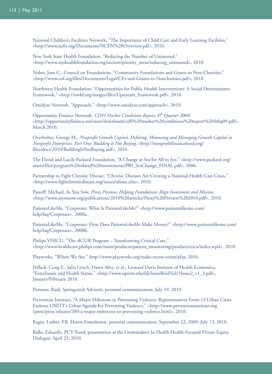National Children's Facilities Network, "The Importance of Child Care and Early Learning Facilities," <http://www.ncfn.org/Documents/NCFN%20Overview.pdf>, 2010.

New York State Health Foundation, "Reducing the Number of Uninsured," <http://www.nyshealthfoundation.org/section/priority\_areas/reducing\_uninsured>, 2010.

Nober, Jane C., Council on Foundations, "Community Foundations and Grants to Non-Charities," <http://www.cof.org/files/Documents/Legal/CFs-and-Grants-to-Noncharities.pdf>, 2010.

Northwest Health Foundation, "Opportunities for Public Health Interventions: A Social Determinants Framework," <http://nwhf.org/images/files/Upstream\_framework.pdf>, 2010.

Omidyar Network, "Approach," <http://www.omidyar.com/approach>, 2010.

Opportunity Finance Network, *CDFI Market Conditions Report, 4th Quarter 2009*, <http://opportunityfinance.net/store/downloads/cdfi%20market%20conditions%20report%204thq09.pdf>, March 2010.

Overholser, George M., *Nonprofit Growth Capital. Defining, Measuring and Managing Growth Capital in Nonprofit Enterprises. Part One: Building Is Not Buying*, <http://nonprofitfinancefund.org/ files/docs/2010/BuildingIsNotBuying.pdf>, 2010.

The David and Lucile Packard Foundation, "A Change at Sea for All to See," <http://www.packard.org/ assets/files/program%20related%20investments/PRI\_SeaChange\_FINAL.pdf>, 2006.

Partnership to Fight Chronic Disease, "Chronic Diseases Are Creating a National Health Care Crisis," <http://www.fightchronicdisease.org/issues/about.cfm>, 2010.

Passoff, Michael, As You Sow, *Proxy Preview: Helping Foundations Align Investment and Mission*, <http://www.asyousow.org/publications/2010%20articles/Proxy%20Preview%202010.pdf>, 2010.

PatientsLikeMe, "Corporate: What Is PatientsLikeMe?" <http://www.patientslikeme.com/ help/faq/Corporate>, 2008a.

PatientsLikeMe, "Corporate: How Does PatientsLikeMe Make Money?" <http://www.patientslikeme.com/ help/faq/Corporate>, 2008b.

Philips VISICU, "The *e*ICU® Program – Transforming Critical Care," <http://www.healthcare.philips.com/main/products/patient\_monitoring/products/eicu/index.wpd>, 2010.

Playworks, "Where We Are," http://www.playworks.org/make-recess-count/play, 2010.

Pollack, Craig E., Julia Lynch, Dawn Alley, et al., Leonard Davis Institute of Health Economics, "Foreclosure and Health Status," <http://www.upenn.edu/ldi/IssueBriefVol15Issue2\_v1\_3.pdf>, January/February 2010.

Pomares, Raúl, Springcreek Advisors, personal communication, July 19, 2010.

Prevention Institute, "A Major Milestone in Preventing Violence: Representatives From 13 Urban Cities Endorse UNITY's Urban Agenda for Preventing Violence," <http://www.preventioninstitute.org /press/press-releases/389-a-major-milestone-in-preventing-violence.html>, 2010.

Ragin, Luther, F.B. Heron Foundation, personal communication, September 22, 2009–July 13, 2010.

Rallo, Eduardo, PCV Fund, presentation at the Grantmakers In Health Health-Focused Private Equity Dialogue, April 23, 2010.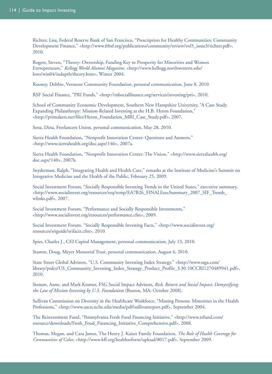Richter, Lisa, Federal Reserve Bank of San Francisco, "Prescription for Healthy Communities: Community Development Finance," <http://www.frbsf.org/publications/community/review/vol5\_issue3/richter.pdf>, 2010.

Rogers, Steven, "Theory: Ownership, Funding Key to Prosperity for Minorities and Women Entrepreneurs," *Kellogg World Alumni Magazine*, <http://www.kellogg.northwestern.edu/ kwo/win04/indepth/theory.htm>, Winter 2004.

Rooney, Debbie, Vermont Community Foundation, personal communication, June 8, 2010.

RSF Social Finance, "PRI Funds," <http://rsfsocialfinance.org/services/investing/pri>, 2010.

School of Community Economic Development, Southern New Hampshire University, "A Case Study. Expanding Philanthropy: Mission-Related Investing at the H.B. Heron Foundation," <http://primakers.net/files/Heron\_Foundation\_MRI\_Case\_Study.pdf>, 2007.

Sena, Dina, Freelancers Union, personal communication, May 28, 2010.

Sierra Health Foundation, "Nonprofit Innovation Center: Questions and Answers," <http://www.sierrahealth.org/doc.aspx?146>, 2007a.

Sierra Health Foundation, "Nonprofit Innovation Center: The Vision," <http://www.sierrahealth.org/ doc.aspx?140>, 2007b.

Snyderman, Ralph, "Integrating Health and Health Care," remarks at the Institute of Medicine's Summit on Integrative Medicine and the Health of the Public, February 25, 2009.

Social Investment Forum, "Socially Responsible Investing Trends in the United States," executive summary, <http://www.socialinvest.org/resources/req/temp/EA7B26\_FINALExecSummary\_2007\_SIF\_Trends\_ wlinks.pdf>, 2007.

Social Investment Forum, "Performance and Socially Responsible Investments," <http://www.socialinvest.org/resources/performance.cfm>, 2009.

Social Investment Forum, "Socially Responsible Investing Facts," <http://www.socialinvest.org/ resources/sriguide/srifacts.cfm>, 2010.

Spies, Charles J., CEI Capital Management, personal communication, July 13, 2010.

Stamm, Doug, Meyer Memorial Trust, personal communication, August 6, 2010.

State Street Global Advisors, "U.S. Community Investing Index Strategy," <http://www.ssga.com/ library/prdct/US\_Community\_Investing\_Index\_Strategy\_Product\_Profile\_3.30.10CCRI1270489941.pdf>, 2010.

Stetson, Anne, and Mark Kramer, FSG Social Impact Advisors, *Risk, Return and Social Impact: Demystifying the Law of Mission Investing by U.S. Foundations* (Boston, MA: October 2008).

Sullivan Commission on Diversity in the Healthcare Workforce, "Missing Persons: Minorities in the Health Professions," <http://www.aacn.nche.edu/media/pdf/sullivanreport.pdf>, September 2004.

The Reinvestment Fund, "Pennsylvania Fresh Food Financing Initiative," <http://www.trfund.com/ resource/downloads/Fresh\_Food\_Financing\_Initiative\_Comprehensive.pdf>, 2008.

Thomas, Megan, and Cara James, The Henry J. Kaiser Family Foundation, *The Role of Health Coverage for Communities of Color*, <http://www.kff.org/healthreform/upload/8017.pdf>, September 2009.